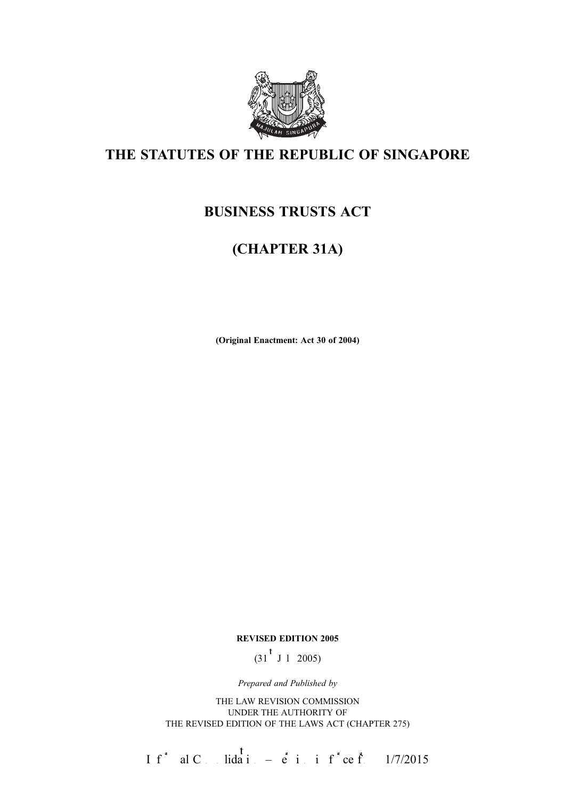

# THE STATUTES OF THE REPUBLIC OF SINGAPORE

# BUSINESS TRUSTS ACT

# (CHAPTER 31A)

(Original Enactment: Act 30 of 2004)

#### REVISED EDITION 2005

 $(31^{\frac{t}{J}} \text{J} 1 \text{ } 2005)$ 

Prepared and Published by

THE LAW REVISION COMMISSION UNDER THE AUTHORITY OF THE REVISED EDITION OF THE LAWS ACT (CHAPTER 275)

If<sup>\*</sup> al C<sub>ons</sub>idation –  $\dot{e}$  in inf<sup>\*</sup>ce from 1/7/2015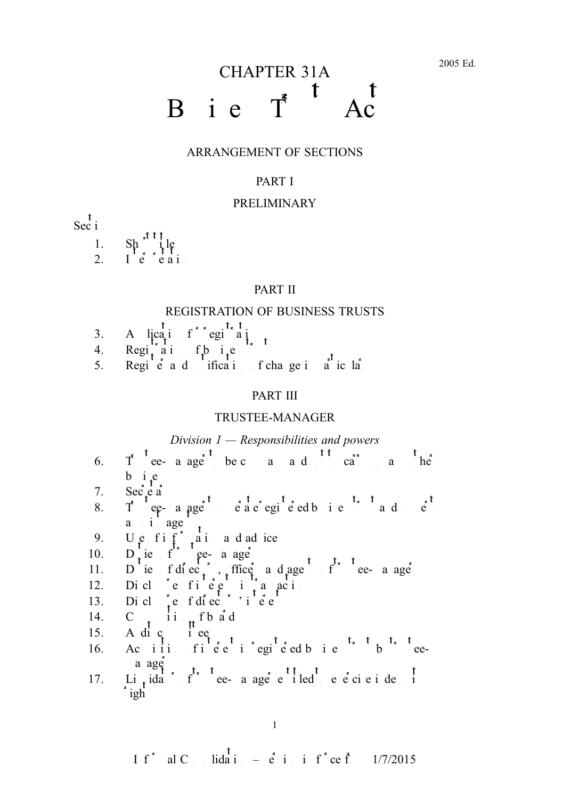# CHAPTER 31A B i e  $T^*$ <sup>t</sup>

#### ARRANGEMENT OF SECTIONS

#### PART I

#### PRELIMINARY

 $\operatorname{Sec}^{\dagger}$ i

1.  $\text{Sh}^{\sim}$  ile 2. Ie $^{\circ}$ eai

#### PART II

#### REGISTRATION OF BUSINESS TRUSTS

- 3. A licati for egional
- 4. Regian of business trusts trusts trusts to  $\mathbf{q}$  business trusts trusts trusts trusts trusts trusts trusts trusts trusts trusts trusts trusts trusts trusts trusts trusts trusts trusts trusts trusts trusts trusts tru
- 5. Regie<sup>t</sup> and ification of change in a ice la

#### PART III

#### TRUSTEE-MANAGER

#### Division  $1$  — Responsibilities and powers

- 6.  $T^*$  tee- a age be c a a d t t  $\frac{1}{c}$  to carry on any other  $b$  i<sub>t</sub>e
- 7. Sec $\acute{e}a$
- 8. Tee-aage eaeegieedbie ade  $a \quad i \quad age$
- 9. U.e.  $f$ i  $f$  and a d advice
- 10.  $D_{\perp}$  ie f ee- a age
- 11. Due f di ec<sub>i</sub>, ffice a d agents of the angel
- 12. Diclosure fine  $e$  in transactions
- 13. Dicl $\int$ e fdiectors' interests
- 14. C<sub>t</sub> $\frac{1}{t}$  ii<sub>it</sub>f b a<sup>t</sup> d
- 15. A di  $c_i$  i e $e_i$
- 16. Actiin fiee iegieed bie bieea age
- 17. Li<sub>t</sub> idation of the e-manager entitled to exercise indemnity in the entitled to exercise independent index of  $\frac{1}{2}$  $i$ <sub>gh</sub>

If<sup>\*</sup> al C<sub>ons</sub>idation –  $\dot{e}$  in inf<sup>\*</sup>ce from 1/7/2015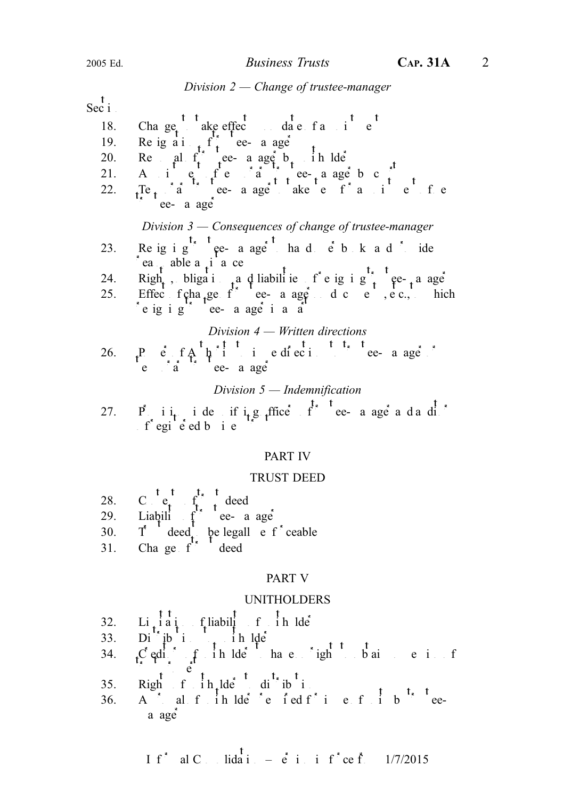#### Division  $2$  – Change of trustee-manager

 $\frac{t}{\sec i}$ 

| 18. |                                                                                                                                                                                                                                                                                                                                                                                                                                                                  |
|-----|------------------------------------------------------------------------------------------------------------------------------------------------------------------------------------------------------------------------------------------------------------------------------------------------------------------------------------------------------------------------------------------------------------------------------------------------------------------|
| 19. |                                                                                                                                                                                                                                                                                                                                                                                                                                                                  |
| 20. |                                                                                                                                                                                                                                                                                                                                                                                                                                                                  |
| 21. |                                                                                                                                                                                                                                                                                                                                                                                                                                                                  |
| 22. |                                                                                                                                                                                                                                                                                                                                                                                                                                                                  |
|     | Cha ge $\frac{t}{t}$ ake effec $\frac{t}{dt}$ at $\frac{t}{t}$ at $\frac{t}{t}$ at $\frac{t}{t}$ at $\frac{t}{t}$ at $\frac{t}{t}$ at $\frac{t}{t}$ at $\frac{t}{t}$ at $\frac{t}{t}$ at $\frac{t}{t}$ at $\frac{t}{t}$ at $\frac{t}{t}$ at $\frac{t}{t}$ at $\frac{t}{t}$ at $\frac{t}{t}$ at                                                                                                                                                                   |
|     | Division $3$ — Consequences of change of trustee-manager                                                                                                                                                                                                                                                                                                                                                                                                         |
| 23. | Re ig i g <sup>t</sup> $\epsilon$ t e a age h a d $\epsilon$ b k a d i ide                                                                                                                                                                                                                                                                                                                                                                                       |
|     | $\int$ ea <sub>t</sub> able a <sub>t</sub> i <sup>a</sup> ee                                                                                                                                                                                                                                                                                                                                                                                                     |
|     |                                                                                                                                                                                                                                                                                                                                                                                                                                                                  |
|     | 24. $Right_t$ , bliga i a d liabili ie f'e ig i g <sup>t<sub>s</sub> t</sup> ee- <sub>t</sub> a age<br>25. Effec f cha <sub>t</sub> ge f ee-a age d c e , e c., hich                                                                                                                                                                                                                                                                                             |
|     | e ig i g <sup>"</sup> ee- a age i a a                                                                                                                                                                                                                                                                                                                                                                                                                            |
|     | Division $4$ – Written directions                                                                                                                                                                                                                                                                                                                                                                                                                                |
|     |                                                                                                                                                                                                                                                                                                                                                                                                                                                                  |
|     | 26. $P\underset{e}{\downarrow}$ $\underset{a}{\downarrow}$ $f A$ $\underset{f}{\downarrow}$ $f \underset{f}{\downarrow}$ $\underset{f}{\downarrow}$ $\underset{f}{\downarrow}$ $\underset{f}{\downarrow}$ $\underset{f}{\downarrow}$ $\underset{f}{\downarrow}$ $\underset{f}{\downarrow}$ $\underset{f}{\downarrow}$ $\underset{f}{\downarrow}$ $\underset{f}{\downarrow}$ $\underset{f}{\downarrow}$ $\underset{f}{\downarrow}$ $\underset{f}{\downarrow}$ $\$ |
|     |                                                                                                                                                                                                                                                                                                                                                                                                                                                                  |
|     | Division $5$ — Indemnification                                                                                                                                                                                                                                                                                                                                                                                                                                   |
|     |                                                                                                                                                                                                                                                                                                                                                                                                                                                                  |
|     | 27. $P \underset{f}{\downarrow} i_{t}$ i de if $i_{t}g$ ffice $f^{\ast}$ tee a age a da di                                                                                                                                                                                                                                                                                                                                                                       |
|     |                                                                                                                                                                                                                                                                                                                                                                                                                                                                  |

## PART IV

#### TRUST DEED

- 28. C  $e_i$   $f_i$   $d$  deed 29. Liability ce-a age 30.  $T \text{ deed}$  be legall entourceable
- 31. Change  $f^*$  deed

#### PART V

#### UNITHOLDERS

- $32.$  Li<sub>t</sub>iati fliability of initial
- 33. Distributions to unit  $\iint$
- 34.  $C$  editors in the derived non-to-obtain possession of the non-to-obtain possession of  $C$  editors in  $C$  $\sum_{i=1}^{n} e_i$
- 35. Rightfin lders distribution
- 36. A i al f ih  $\det$  e ied f i e f i b eea age

I f<sup>\*</sup> al C. Iida<sup>†</sup> 
$$
=
$$
 e<sup>\*</sup> i. i f<sup>\*</sup> ce f. 1/7/2015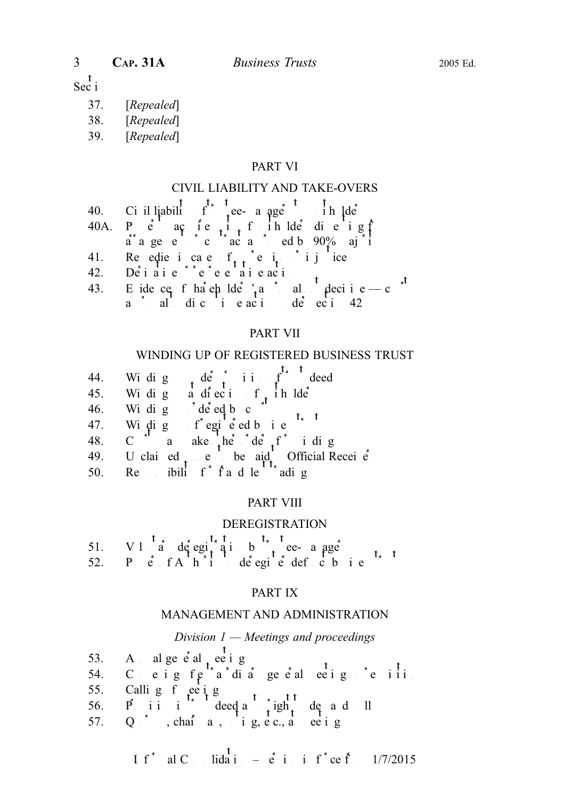#### $-t$ Sec  $\mathbf{i}$

- 37. [Repealed]
- 38. [Repealed]
- 39. [Repealed]

## PART VI

#### CIVIL LIABILITY AND TAKE-OVERS

- 40. Ci il liability of the case of the lde
- 40A. Pe acte i frihlde die igf
- arrangement or contract and ed by 90% majority approximate by 90% majority  $\frac{1}{2}$
- 41. Reedies in case  $f_{\star}$  equivalently injuried
- 42. Dei ai e ce e ai e aci
- 43. E ide ce f ha en lde  $a^2$  a not all  $a^2$  decisive court a aldici e aci<sub>to</sub> de ecito 42

#### PART VII

#### WINDING UP OF REGISTERED BUSINESS TRUST

- 44. Windig definiting the deed
- 45. Windig and ecition of in  $\frac{1}{2}$  in  $\frac{1}{2}$
- 46. Windig  $\det$  de eq b c  $\det$
- 47. Winding  $f^{*}$  egients to the t
- 48. C a ake he de  $f$  i dig
- 49. U clai ed  $\epsilon$  e be aid. Official Receive
- 50. Respublief  $f$  fraudulent trading

#### PART VIII

#### DEREGISTRATION

|  | 51. V 1 $\begin{array}{ccc} 1 & 1 & 1 \\ 0 & 0 & 0 \\ 1 & 0 & 0 \end{array}$ a de egi $\begin{array}{ccc} 1 & 1 & 1 \\ 0 & 1 & 1 \\ 1 & 0 & 0 \\ 0 & 0 & 0 \end{array}$ i de egi e def c b i e |  |  |  |
|--|------------------------------------------------------------------------------------------------------------------------------------------------------------------------------------------------|--|--|--|
|  |                                                                                                                                                                                                |  |  |  |

#### PART IX

#### MANAGEMENT AND ADMINISTRATION

## Division 1 — Meetings and proceedings

- 53. Annual general  $\int$  and  $\int$  even in g
- 54. C. e i g f e  $f^*$  a di a general meeting  $f$  e i i i i
- 55. Callig  $f$  ee ig
- 56. Pii i deed a  $\int$ igh, de ad ll
- 57. Q<sup>\*</sup>, chai<sup>r</sup>a, vig, etc., a eetig

If<sup>\*</sup> al C<sub>ons</sub>lidation –  $\dot{e}$  in inf<sup>\*</sup>ce from 1/7/2015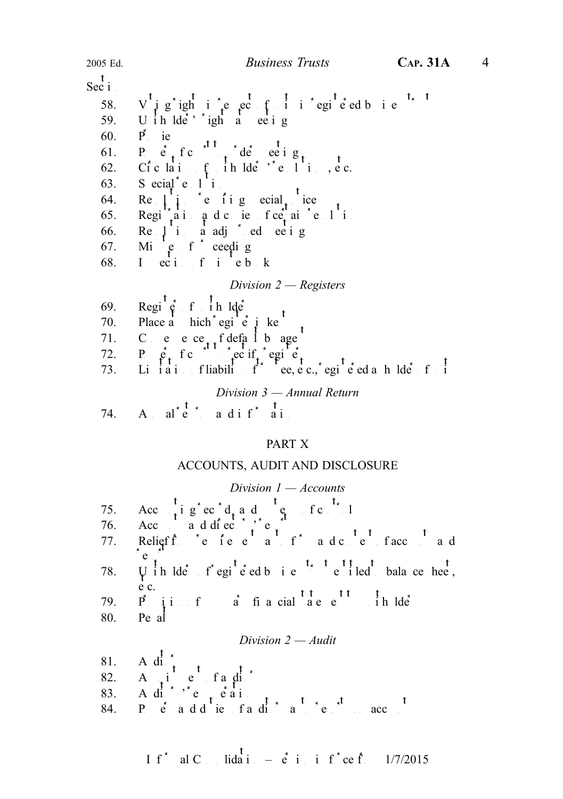$\frac{t}{\text{Sec i}}$ 58. Vig ightie ect in egie ed bie 59. U i h  $\text{Id}e^{\lambda}$  ights at eetings 60. Pie 61. Petrc to de eeig 62. Ciclai<sub>t</sub>ih lde<sup>rs</sup> e listec. 63. Secial  $e \cdot 1$  i 64. Religiens is required to  $\begin{bmatrix} 64. & \text{Re} \end{bmatrix}$  i.e. 65. Regi $a_i$ iand cientre ai elis 66. Re $\downarrow$  i a adj ed ee ig 67. Mi $e$  f ceedig 68. I ecifiebk Division  $2$  — Registers 69. Regi $\begin{matrix} \uparrow \\ \uparrow \\ \downarrow \end{matrix}$  f  $\begin{matrix} \uparrow \\ \downarrow \\ \downarrow \end{matrix}$  h lde 70. Place a hich egi e  $\mu$  ke<sup>t</sup> 71. C e e ce<sub>tt</sub> f defa l b age 72. P  $\hat{e}_t$  f c  $\hat{e}_t$  ec if, egi  $\hat{e}_t$ 73. Liiai fliabilit<sup>s</sup> ee, e c., egi e ed a holder fi Division 3 — Annual Return 74. A  $al^{\ast}$   $\mathfrak{e}^{\ast}$  a dif<sup>\*</sup> ai

#### PART X

#### ACCOUNTS, AUDIT AND DISCLOSURE

| Division $1 -$ Accounts |                                                                                                                                                                                                                                          |  |  |  |  |  |  |  |  |
|-------------------------|------------------------------------------------------------------------------------------------------------------------------------------------------------------------------------------------------------------------------------------|--|--|--|--|--|--|--|--|
|                         | 75. Acc $\frac{t}{t}$ i g <sup>*</sup> ec <sup>*</sup> d <sub>t</sub> a d <sup>t</sup> e <sub>st</sub> fc <sup>t</sup> . 1<br>76. Acc a d di ec <sup>*</sup> i e <sup>t</sup> t<br>77. Religff e i e e a f <sup>*</sup> a d c e facc a d |  |  |  |  |  |  |  |  |
|                         |                                                                                                                                                                                                                                          |  |  |  |  |  |  |  |  |
|                         |                                                                                                                                                                                                                                          |  |  |  |  |  |  |  |  |
|                         | 78. $\overrightarrow{V}$ ih lde f <sup>*</sup> egi <sup>t</sup> e <sup>*</sup> ed b i e <sup>t</sup> <sup>t</sup> e <sup>t</sup> i led bala ce hee,                                                                                      |  |  |  |  |  |  |  |  |
|                         | e c.<br>79. $\overrightarrow{P}$ ji f a fi a cial a e e i h lde<br>80. Pe al                                                                                                                                                             |  |  |  |  |  |  |  |  |
|                         |                                                                                                                                                                                                                                          |  |  |  |  |  |  |  |  |
| Division $2 - A$ udit   |                                                                                                                                                                                                                                          |  |  |  |  |  |  |  |  |
|                         | 81. A di t<br>82. A di t e fa di *<br>83. A di * * e t e a i<br>84. P e a d d ie fa di * a t * e * acc t                                                                                                                                 |  |  |  |  |  |  |  |  |
|                         |                                                                                                                                                                                                                                          |  |  |  |  |  |  |  |  |
|                         |                                                                                                                                                                                                                                          |  |  |  |  |  |  |  |  |
|                         |                                                                                                                                                                                                                                          |  |  |  |  |  |  |  |  |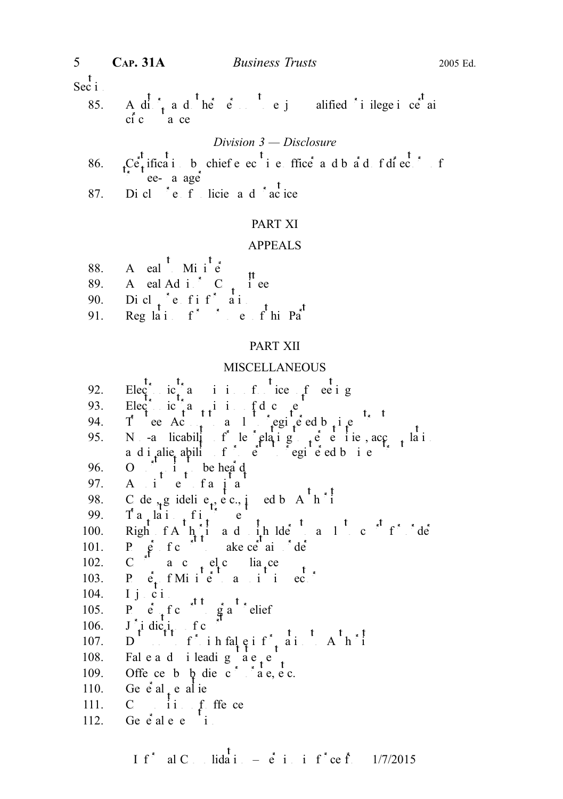$\operatorname{Sec}^{\mathfrak k}$ i.

85. A di<sup>t</sup><sub>t</sub> a d<sup>t</sup> he<sup> $\cdot$ </sup> e<sup>t</sup> e j alified <sup>\*</sup> i ilege i ce<sup>t</sup> ai  $c_1^r c$  a ce

#### Division 3 — Disclosure

- 86.  $\int_{0}^{t} C e^{t} \text{ if } \text{ if } t \text{ is } 0$  is chief e ec<sup>t</sup> i e ffice a d b a d f di<sup>t</sup> ec<sup>t</sup> f ee- a age
- 87. Di cl $\check{\phantom{a}}$ e filicie and  $\check{\phantom{a}}$ actices

#### PART XI

#### APPEALS

- 88. A eal  $\overrightarrow{h}$  Minister
- 89. A eal Ad i  $\begin{array}{c} \sim \\ \sim \\ \sim \\ \sim \\ \sim \end{array}$  (ee
- 90. Dicl<sub>t</sub>e fif<sup>\*</sup> ai.
- 91. Regulations  $f^*$  be  $f^*$  this Part

#### PART XII

#### MISCELLANEOUS

- 92. Electric transmit is the energy of  $e$  ee igs
- 93. Electric  $a_{t+1}$  in fdc  $e_{t}$
- 94. Tee Ac<sub>t</sub> a legisted b<sub>i</sub>e
- 95. Non-a licability of lengthing to period its accumulations of relations  $\frac{1}{2}$ a di alie ability of property of property and interest of property to register that the state of the state of t
- 96. O<sub>ther</sub> i<sub>t</sub> be heard
- 97. A i e faja
- 98. C de  $\chi$ g idelie $t^2$ , etc., is usual by  $A^{\dagger} h^{\dagger}$
- 99. Ta<sub>r</sub>lai<sub>t</sub>ic
- 100. Right  $f A \rightarrow \hat{h}$  and  $i \rightarrow h$  and  $i \rightarrow h$  and  $r \rightarrow h$  and  $r \rightarrow h$  and  $r \rightarrow h$  and  $r \rightarrow h$  and  $r \rightarrow h$  and  $r \rightarrow h$  and  $r \rightarrow h$  and  $r \rightarrow h$  and  $r \rightarrow h$  and  $r \rightarrow h$  and  $r \rightarrow h$  and  $r \rightarrow h$  and  $r \rightarrow h$  and  $r \rightarrow h$  and  $r \rightarrow h$  and  $r \rightarrow h$
- 101. Power of court to make certain order
- 102. C a c  $el$ c lia ce
- 103. P.  $\vec{e}_t$  f Minister and inspector
- 104. I j  $\overrightarrow{c}$  i
- 104. **P** e f c <sup>t</sup> g a<sup>t</sup> elief
- 106. J'<sub>i</sub> dic<sub>i</sub>, f c<sup>ourt</sup>
- 107. Duty find falgified in Alphi
- 108. Faleadiileadigae.
- 109. Offence by die corporations, etc.
- 110. Ge $\dot{e}$  al<sub>t</sub> e alte
- 111.  $C = \begin{bmatrix} 1 & 1 \\ 1 & 1 \end{bmatrix}$  of order
- 112. Ge $\dot{e}$  alee i.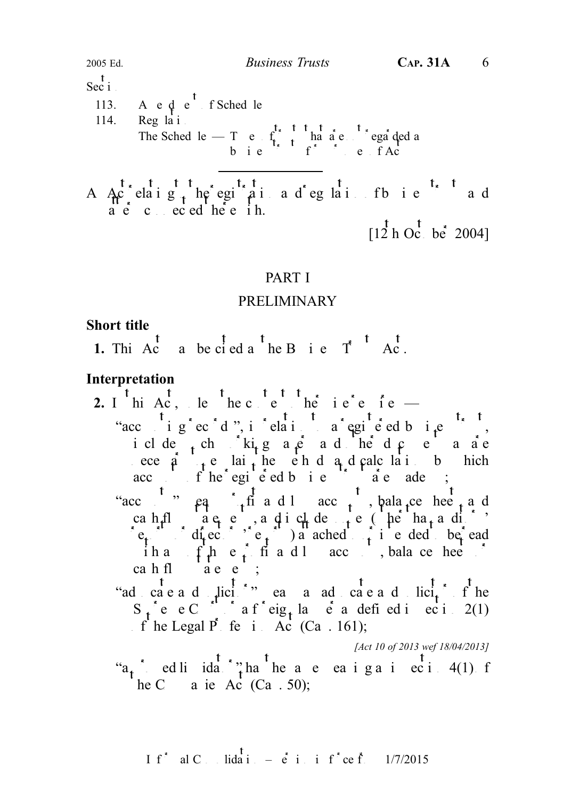$\frac{t}{\text{Sec i}}$ 

113. A 
$$
e \phi
$$
 e<sup>'</sup> f Sched le

$$
114. \qquad \text{Reg } la \, i
$$

The Sched le 
$$
-T
$$
 e  $f_x^{\dagger} + f_y^{\dagger} + h_x^{\dagger}e$  e  $f$   $f_x^{\dagger}$ 

A  $A_0$  elaig the egi<sup>n</sup>ai ad eglai fb ie ad a e c ec ed he e i h.

 $[1\overline{2}$  h Oc<sub>tober</sub> 2004]

## PART I

## PRELIMINARY

## Short title

1. This Act a be cited a the B i e  $T^*$  d Ac.

## Interpretation

- 2. I<sup>t</sup> hi Ac, le <sup>t</sup> he c<sup>t</sup> e<sup>t</sup> t <sup>t</sup> he i e<sup>t</sup> e i e
	- "accounting records", in relation to a registered business trust, iclude, chiking a e a dhe d $\mathfrak c$  e a ac ece  $\hat{a}$  to lait he eh d a d calculation by hich acc is the egic ed business trust are made up;
	- "acc "  $pq$  fi and loss acc<sub>ount</sub>, balance sheet and cah<sub>t</sub>flow a e c, a dic<sub>t</sub> desire (he ha<sub>t</sub> a different to  $\mathbf{a}$  $e_t$  directors or intended to or intended to or intended to or intended to be read iha f $\mu$  ef fi and loss accounts, balance heets or cah fl $\det$  state statements;
	- "adcaead licitor" eans and caead licitor file  $S_{\text{t}}$  e C in a fieig<sub>t</sub> lave a defined in equipment 2(1) of the Legal  $\vec{P}$  fe i. Ac (Ca. 161);

[Act 10 of 2013 wef 18/04/2013]

" $a_t$ " ed li ida" ha<sup>t</sup> ha<sup>t</sup> he a e ea i g a i ec i 4(1) f  $\mathbf{r}$  he C a ie Ac (Ca . 50);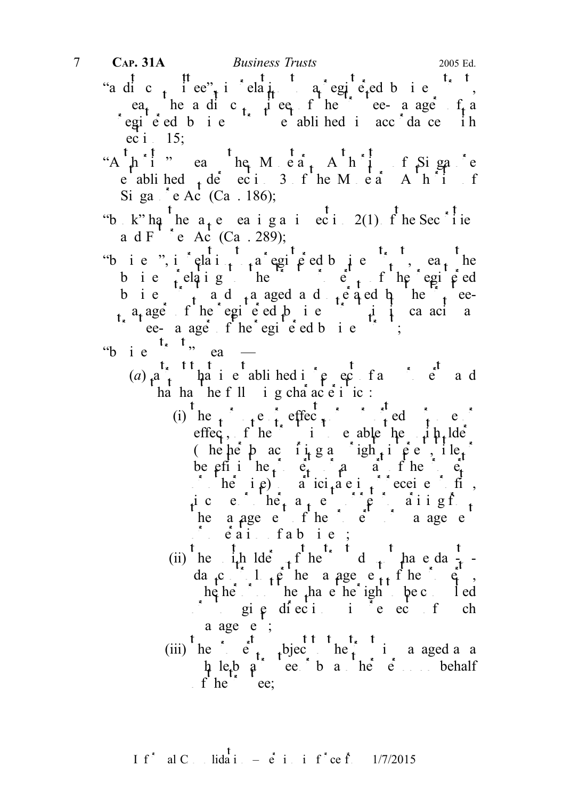- "a dic<sub>t</sub> iee", i elat<sub>ic</sub>a qegie, ed business", ea<sub>t</sub> he a dic<sub>t</sub> i eq f he ee- a age f a registered business trust established in accordance in ec i  $15$ ;
- "Aphii" eans the Monetary Authority of Singapore e abliched  $\phi$  de ection 3 of the Monetary Authority of Si ga  $^{\circ}$ e Ac $^{\circ}$  (Ca. 186);
- "b k" ha<sup>t</sup> he a<sub>t</sub> e ea i g a i ec i 2(1) f he Sec<sup>\*</sup>! ie a d F<sup> $\frac{1}{2}$ </sup>e Ac (Ca. 289);
- "business", in relation to a registered business trust, each head the set of  $\alpha$  relation to a register the means the means the means the means the means the means the means the means the means the means the means the me b i e  $\int$  elatig the the trust property of the registered b i e  $\int_{t}$  and  $\int_{t}$  and a aged and  $\int_{t}$  equal by the  $\int_{t}$  ee $t_a$  a<sub>t</sub> ager  $f'$  he registered business trust in its capacity as the register of the register ed business trust;
- "b i e  $\frac{t_{\kappa} + t_{\gamma}}{t_{\kappa} + t_{\gamma} + t_{\gamma}}$  ea
	- (a)  $t^{a}$  trutt that is easily the equal of any property and  $\int_{0}^{t} t^{a} dt$  and  $\int_{0}^{t} t^{a} dt$  and  $\int_{0}^{t} t^{a} dt$  and  $\int_{0}^{t} t^{a} dt$  and  $\int_{0}^{t} t^{a} dt$  and  $\int_{0}^{t} t^{a} dt$  and  $\int_{0}^{t} t^{a} dt$  and  $\int_{0}^{t} t^{a} dt$  and ha ha he f $\ln$  i g cha acte i ic:
		- (i) he  $_{\rm f}$  e purpose or purpose or purpose or purpose or purpose or purpose or purpose or purpose or purpose or purpose of  $_{\rm f}$  e  $_{\rm c}$ effect, f he trust is the enable the unit unit  $\text{def}$  the unit  $\text{def}$  is the unit of the unit of the unit of the unit of the unit of the unit of the unit of the unit of the unit of the unit of the unit of the unit of th (hehep ac integral interest, interest, interest, interest, interest, interest, interest, interest, interest, interest, interest, interest, interest, interest, interest, interest, interest, interest, interest, interest, in be pri i he,  $e_t$  and  $p_t$  and  $p_t$  is the property or  $e_t$  $\int$  or  $he$  i  $\rho$  a ici<sub>t</sub>a e i  $\int$  eceive fits, ice  $\hat{c}$  he<sub>t</sub> a<sub>r</sub>e  $\hat{c}$  p aiigf<sub>t</sub> he a age entitled by a age e  $\delta$  eaithfabie;
		- (ii) he i<sub>t</sub>h lde the trust d<sub>trust</sub> have dayda<sub>t</sub>c<sub>n</sub>: l<sub>t</sub>  $\hat{\beta}$  he a age e<sub>tt</sub> f he  $\hat{\beta}$ , whether or not they have the right to be consulted  $\int$  gi  $\varphi$  directions in respect to the such such that a age e ;
		-
		- (iii)  $\int_{0}^{t} \int_{0}^{t} e^{t} dt = \int_{0}^{t} t e^{t} dt = \int_{0}^{t} \int_{0}^{t} e^{t} dt$  to the trust is a aged as a  $\mu$  le<sub>t</sub>b a trustee by a trustee of behalf f he true;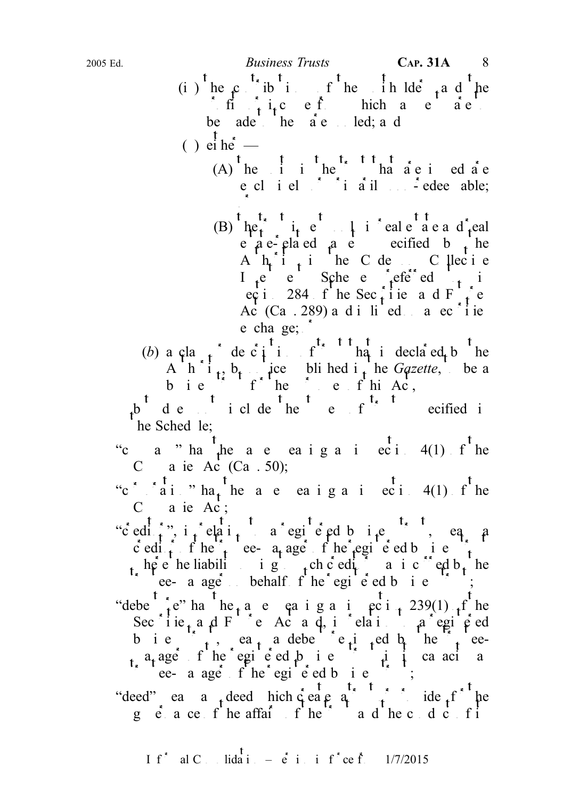- (i) he contributions of the unit helder and the in  $\int f(x) dx$  in the from the from which are to are to are to are to are to are to are to are to are to allow the same of a contract of the same of  $\int f(x) dx$  in  $\int f(x) dx$  in  $\int f(x) dx$  in  $\int f(x) dx$  in  $\int f(x) dx$  in  $\int f(x) dx$  in  $\int$ be  $ade$  he  $a e$  led; a d
- ( ) ei he<sup>\*</sup>
	- $(A)$  he is in the trust that are is ed are e cl i el  $\delta$  i a il  $\delta$  - edee able; or
- (B)  ${}^{t}$  he  $t_{t}$   ${}^{t}$   ${}^{t}$   ${}^{t}$   ${}^{t}$   ${}^{t}$   ${}^{t}$   ${}^{t}$   ${}^{t}$   ${}^{t}$   ${}^{t}$   ${}^{t}$   ${}^{t}$   ${}^{t}$   ${}^{t}$   ${}^{t}$   ${}^{t}$   ${}^{t}$   ${}^{t}$   ${}^{t}$   ${}^{t}$   ${}^{t}$   ${}^{t}$   ${}^{t}$   ${}^{t}$   ${}^{t}$   ${}^{t}$   ${}^{t}$   ${}^{t}$   ${}^{t$ e  $a e^{-}$  elated as equively equively equively equivalently equivalently equivalently equivalently equivalently equivalently equivalently equivalently equivalently equivalently equivalently equivalently equivalently equiva A  $h_i$  i<sub>t</sub> in the C de on C llectie I e  $e$  Schee e  $\det$  efe  $e$  in ecti 284 f he Sec i i e and F i e Ac  $(Ca \tcdot 289)$  and in a securities on a securities e cha ge;  $\delta$
- (b) a cla  $\uparrow$  de c i i f that is declared by the A h i<sub>t</sub>, b<sub>t</sub> ice bli hed i<sub>t</sub> he Gazette, be a business trust the purposes of this Act,

b desired include the type of  $\mathbf{r}$  are types of the types of the types of the types of the types of the types of the types of the types of the types of the types of the types of the types of the types of types of type  $he$  Sched le;

- "c a " ha  $\int$  he a e ea i g a i ec i 4(1) f he C a ie Ac<sup>t</sup> (Ca. 50);
- "c<sup>\*</sup>  $i$ <sup>t</sup>ai " ha<sub>t</sub> he a e ea iga in eci 4(1) f<sup>t</sup> he  $C$  a ie Ac;
- "c'editor", in  $r = \frac{1}{2}$  is  $r = \frac{1}{2}$  to a registered business trust, eq. a c edit f he<sup>2</sup> ee- a age f he<sup>2</sup> egi e ed b i e<sup>3</sup> here the liability of such creditors of such creditors of the line of  $\sin \theta$  incurred by the such creditors of  $\sin \theta$  incurred by the such cases in the line of  $\sin \theta$  incurred by the such cases in the line of  $\sin \theta$  incur the responsively contained business trusts are a age of the behalf of the registered business trusts; "debenture" has the same meaning a in section 239(1) of the Secirie, a d Fie Act and, in relation to a registered b i e  $\left( \begin{array}{ccc} 1 \end{array} \right)$ , ea<sub>t</sub> a debenture is the trustee $a_t$  ager of the registered business trust in its canceler as the register of the register of the register of the register of  $\mathbf{r}$ ; "deed" eans any deed hich create a trust or provide  $f'$  he governance of the affairs of the trust and the conduct of its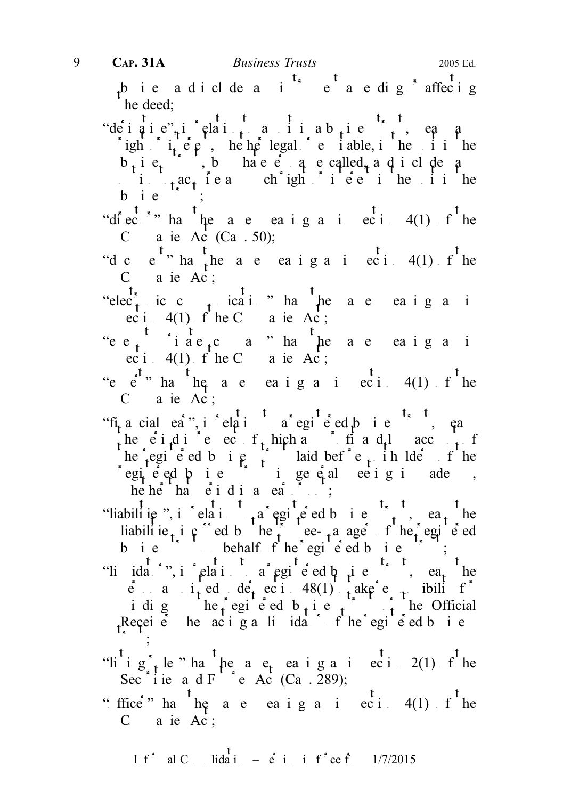$\frac{1}{4}$ bie adicludes in  $\frac{1}{4}$  et a edig affecting he deed; "deigie", in elaitia in a business", ea a ight  $i_t$  equitable, interested or equitable, in the unit in the unit in the unit in the unit in the unit in the unit in the unit in the unit in the unit in the unit in the unit in the unit in the unit in the unit in the  $b_i$  i  $e_i$ , b hae e q e called, and include any interversion of  $a_i$ i<sub>t</sub>ac<sub>t</sub> ieach ight i ee in the unit he bie  $\therefore$ "diector" has the a e easigna in ecitor 4(1) file C a ie Ac (Ca. 50); "d c e<sup>t</sup>" hat the a e ea i g a i eci 4(1) f<sup>t</sup> he  $C$  a ie Ac; "elec<sup>t</sup><sub>tr</sub>ic c<sub>t</sub> ication has the a e ea i g a in ec i 4(1)  $f'$  he C a ie Ac; "ee<sub>t</sub> iae<sub>t</sub>ca" ha heae eaig ai ec i 4(1) f he C a ie Ac; "e  $e$ " ha he a e eaig a i eci $4(1)$  f he C a ie Ac;<br>"fi<sub>t</sub> a cial ea<sup>\*</sup>", i \* elati fa\* egi e ed p i e <sup>t<sub>\*</sub> t</sup>, ea "fi<sub>n</sub> a cial ea<sup>r</sup>", i claird a egi e ed business", ea the ei.d in e ecosit, hich and in respect to the ecosystem of  $\mathbf{r}$  and  $\mathbf{r}$  and  $\mathbf{r}$  account of  $\mathbf{r}$ he registered business trust laid before unit late unit the set of the registered business trust in general meeting in ade up, he he ha e i di a e a ; "liabilities", in relation to a registered business trust, each head liabilitie<sub>t</sub> incurred by the trustee-manager of the registered business trust on behalf  $f$  he registered business trust; "li idator", in relation to a registered business trust, easy the  $\vec{e}$  and  $i_{\text{t}}$  ed de<sub>t</sub> ection 48(1) to take e to take for i di g  $\left( \begin{array}{ccc} \n\text{he}_1 \cdot \text{egi} & \text{e}_2 \cdot \text{ed} & \text{b}_1 \cdot \text{e}_2 & \text{f}_1 \n\end{array} \right)$ Receive heacigalidatiof he egie d bie  $\cdot$  ; "li i  $g_{t}$  le " ha he a  $e_{t}$  ea i g a in ecidion 2(1) of the Secisie and Future Act (Ca. 289);

"ffice" ha<sup>t</sup>he a e ea i g a i ec i 4(1) f<sup>t</sup>he  $C$  a ie Ac;

If<sup>\*</sup> al C<sub>ons</sub> lida i<sub>n</sub> – e<sup>t</sup> i<sub>n</sub> in f<sup>\*</sup> ce f<sub>r</sub> 1/7/2015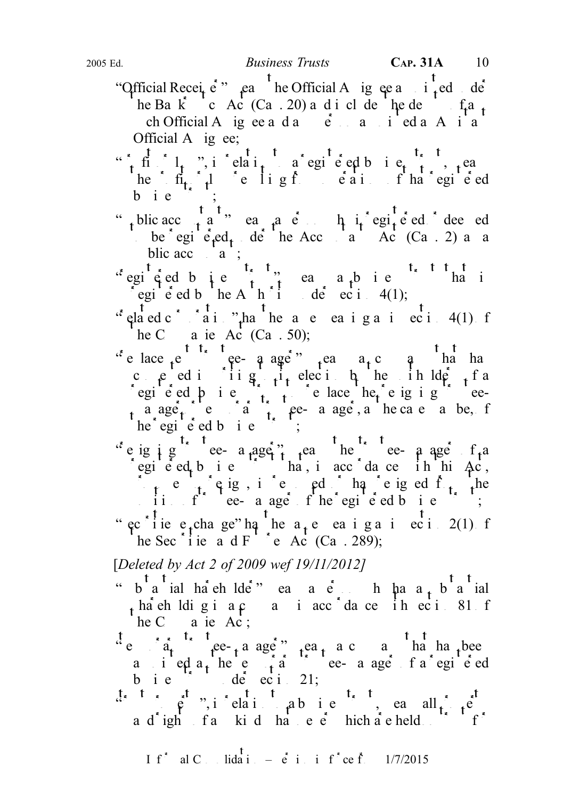- "Official Receiver" eans the Official Assignee and  $\frac{t}{t}$  ed der he Ba $\overrightarrow{k}$  c Ac (Ca. 20) and include the dependence of any  $ch$  Official A ig ee and an equipment and any person and any person and any person appendix and a set of  $a$  and  $b$  and  $a$  and  $b$  and  $a$  and  $b$  and  $a$  and  $b$  and  $a$  and  $b$  and  $a$  and  $b$  and  $a$  and  $a$  and  $a$  Official A ig ee;
- "in fight or l<sub>t</sub>", in relation to a register d business trust, i.e. he fit  $f_1$  is resulting from ordinate registered that  $f_1$  has registered  $b$  i  $e$
- " public accountant" means a person who is registered deemed be egi  $\acute{e}$ <sub>t</sub>ed<sub>t</sub> de he Accountants Ac (Ca . 2) as a
- blic accounts;<br>  $\begin{array}{ccc} t_{\frac{1}{2}} & t_{\frac{1}{2}} & t_{\frac{1}{2}} & t_{\frac{1}{2}} & t_{\frac{1}{2}} & t_{\frac{1}{2}} & t_{\frac{1}{2}} & t_{\frac{1}{2}} & t_{\frac{1}{2}} & t_{\frac{1}{2}} & t_{\frac{1}{2}} & t_{\frac{1}{2}} & t_{\frac{1}{2}} & t_{\frac{1}{2}} & t_{\frac{1}{2}} & t_{\frac{1}{2}} & t_{\frac{1}{2}} & t_{\frac{1}{2}} & t_{\frac{1}{2}} & t_{\frac{1}{$ "egicied business" means a business that is egie d b  $\left( \ln A \right)$  h  $\left( \ln A \right)$  de ec i 4(1);
- $x^{\dagger}$  elated c<sup>orporation</sup>  $x^{\dagger}$  as the same meaning as in section 4(1) of
- he C a ie Ac (Ca . 50);<br>  $x^*$  e lace  $e^{t^*t}$ ,  $t^*$  e- a age<sup>\*</sup>. "e lace  $e^e$  ee-q age"  $e^e$  a company that has the has consented in  $\sin \theta$  in the unit of a consent of a consent of a consent of a consent of a consent of a consent of a consent of  $\sin \theta$  is a consent of a consent of a consent of a consent of a consent of a consent of a conse registered business trust to replace the resigning trusteea age<sub>t</sub> e a temporary trustee- a age, a the case a be, for  $he$  egi e ed b i e  $\therefore$
- "e ig i g  $\Gamma$  ee- a age trustee-manager of a egie ed bie  $\sum_{i=1}^{n}$  ha, in accordance in this Ac,  $\int_{0}^{1}$  ref resigned or equipped or has resigned from the position of the register of the registered business trust; " ec<sup>olic</sup>ie e<sub>t</sub>chage" ha he a<sub>t</sub>e ea iga in eci 2(1) f he Sec i ie a d F e Ac (Ca. 289);

[Deleted by Act 2 of 2009 wef 19/11/2012]

- "  $s^{t}$   $s^{t}$  ial has eh lder" ea a e h ha a  $s^{t}$  h ha a substantial  $\frac{1}{2}$  ha<sup>t</sup> eh ldig i a c i acc<sup> $\frac{1}{2}$ </sup> da c i h ec i  $\frac{1}{2}$  s1 f he C a ie  $Ac$ ;
- "temporary trustee-manager" means a company that has been a i ed  $a_t$  here  $a_t$  are the tele-manager of a registered business trust under section 21;
- $\ddot{a}$   $\ddot{b}$   $\ddot{c}$   $\ddot{c}$ ,  $\ddot{c}$   $\ddot{d}$   $\ddot{c}$   $\ddot{d}$  a business trust, each all property a d'ight fankid hat e  $\dot{e}$  hich are held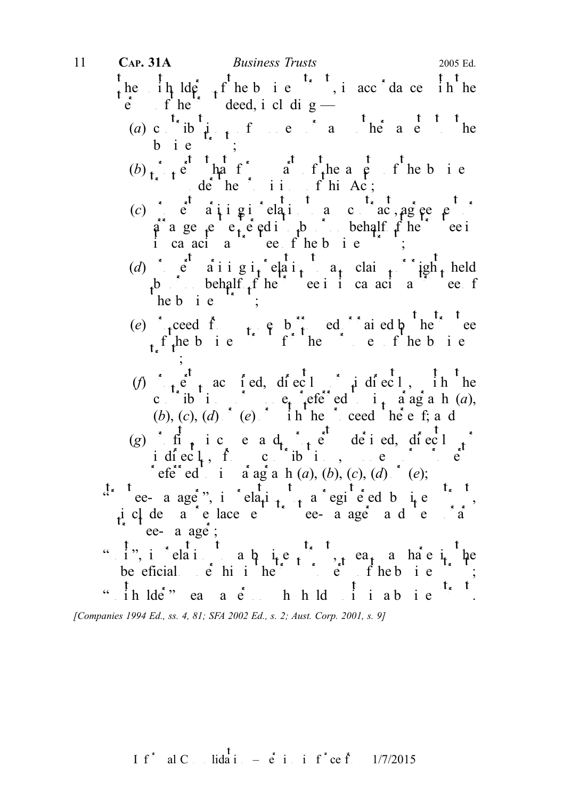the  $\int_{\theta}^{t} \frac{1}{\theta} \ln \frac{d\theta}{dt} + \int_{\theta}^{t} \frac{1}{\theta} \ln \theta \quad \text{if} \quad \theta = \int_{\theta}^{t} \frac{1}{\theta} \cdot \ln \theta \quad \text{if} \quad \theta = \frac{1}{2} \ln \theta \quad \text{if} \quad \theta = \frac{1}{2} \ln \theta \quad \text{if} \quad \theta = \frac{1}{2} \ln \theta \quad \text{if} \quad \theta = \frac{1}{2} \ln \theta \quad \text{if} \quad \theta = \frac{1}{2} \ln \theta \quad \text{if} \quad \theta = \frac{1$ terms deed, i cl di g (a) c  $\frac{t_{\ast}}{1}$  ib  $\frac{t_{\ast}}{1}$  f e  $\frac{1}{2}$  a  $\frac{t_{\ast}}{1}$  is a  $\frac{t_{\ast}}{1}$  if the bie ;  $(b)$  property that forms part of the assets of the business of the business of the business of the assets of the business  $\int d\dot{e}^{t} h e^{-t}$ , ii.  $f h i A c$ ; (c) e  $a \downarrow i g \downarrow$  elation to accord acquire to any contract of any contract or any contract or any contract or  $c \uparrow a$  $\hat{a}$  a ge  $e$  e<sub>t</sub> e ed into by or only behalf  $f$  he trustee into the trustee into the trustee into the trustee into the trustee into the trustee into the trustee into the trustee into the trustee into the trustee int ica acia<sup> $\circ$ </sup> ee fhebie  $\circ$ ; (d) e  $a$ iigi<sub>t</sub> elai<sub>t</sub>  $a_t$  claims igh<sub>t</sub> held b behalf  $f$  he trustee in its calculation of the trustee of  $he b i e$ (e) reced from money both ed can ed by the trustee  $f$ , the business trust for the purposes of the business trust for the purposes of the business of the business of the business of the business of the business of the business of the business of the business of the busine  $\cdot$  ; (f)  $\int_{0}^{1} e^{i\theta} dx$  ac ied, directly indirectly in the contributions or  $e_i$  eferred to in a ag a h  $(a)$ ,  $(b), (c), (d)$  (e) in hereoff thereoff thereoff thereoff thereoff thereof thereoff thereof there is an d (g) if  $\phi$  ic e a d<sub>t r</sub>e derived, direct  $\phi$ idiect, from contributions, money or property of  $\mathbf{e}$ referred to in a ag a h  $(a)$ ,  $(b)$ ,  $(c)$ ,  $(d)$   $(e)$ ; "  $ee$  a age", in relation to a registered business trust, includes a replacement trustee-manager and the replacement trustees and temporary and temporary and temporary  $\alpha$ tee- a age  $\ddot{\text{s}}$ ; "i", i clai a  $\phi$  ie, i, ea, a hae i he be eficial  $\vec{e}$  hi i here the trust property of the business trust property of the trust property of the trust property of the trust property of the trust property of the trust property of the trust property of the tru " ih lde<sup>\*</sup>" ea a e<sup>\*</sup> h h ld i i a b i e 11 **CAP. 31A** *Business Trusts* 2005 Ed.

[Companies 1994 Ed., ss. 4, 81; SFA 2002 Ed., s. 2; Aust. Corp. 2001, s. 9]

I f<sup>\*</sup> al C 
$$
\dots
$$
 lida<sup>T</sup> i  $\dots$  e<sup>T</sup> i  $\dots$  i f<sup>\*</sup> ce f<sup>T</sup>  $\dots$  1/7/2015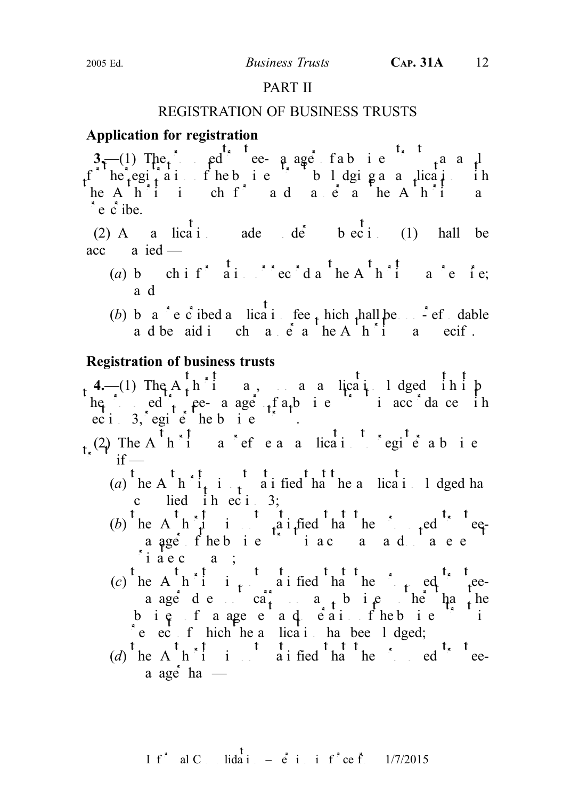## PART II

## REGISTRATION OF BUSINESS TRUSTS

## Application for registration

 $3-1$ ) The proposed the proposed trust manager of a business trust manager of a business trust manager of a business trust manager of a business trust manager  $3-1$ f he egitait fhebie blogigaa licatiih he A $h^2$  in such form and manner as the A $h^2$  in and manner as the Authority manner as the Authority manner as the Authority manner as the Authority manner as the Authority manner as the Authority manner as the Authorit  $\epsilon$  e c ibe.

(2) A a lication ade de b ec i (1) hall be  $acc$  a ied —

- (a) by chif<sup>\*</sup> ai.  $\frac{1}{2}$  rec<sup>\*</sup>d a<sup>t</sup> he A<sup>t</sup> h<sup>\*</sup><sub>1</sub> a<sup>\*</sup>e ie; and
- (b) by a c c ibed a licative fee thich shall be note of dable a d be aid in channer as the A  $\overrightarrow{h}$  in a necify.

## Registration of business trusts

4.—(1) The  $A_t h$  in a, upon an antical indeed in it by he ed the proposed trust in accordance in  $\int_0^1$   $\int_0^1$   $\int_0^1$   $\int_0^1$   $\int_0^1$   $\int_0^1$   $\int_0^1$   $\int_0^1$   $\int_0^1$   $\int_0^1$   $\int_0^1$ 

 $_{t}$  (2) The A<sup>t</sup> h<sup>\*</sup><sub>1</sub> a<sup>t</sup> ef e a a lication to register a business  $\int$  if —

- (a) he A  $h \tilde{i}$  is not satisfied that the a lication lodged has c lied iheci 3;
- (b) he A  $h \hat{i}$  is not satisfied that the proposed trusteea age fhebie is a company and not a  $i \neq c$  a;
- (c) he A h i i i aified ha he i ed the peea age des ca<sub>r</sub>, any business he hand bie faagee ad eaisfhebie i  $\text{e}$  ec f hich he a licati has been lodged;
- (d) the A<sup>t</sup> h<sup>\*</sup>1 i i t is not satisfied that the proposed that the proposed that the proposed that the proposed that the proposed that the proposed that the proposed that the proposed that the same of the same of the sa a age ha $-$

I f<sup>\*</sup> al C. lida<sup>†</sup> 
$$
\vdots
$$
  $\vdots$   $\vdots$   $\vdots$   $\vdots$   $\vdots$   $\vdots$   $\vdots$   $\vdots$   $\vdots$   $\vdots$   $\vdots$   $\vdots$   $\vdots$   $\vdots$   $\vdots$   $\vdots$   $\vdots$   $\vdots$   $\vdots$   $\vdots$   $\vdots$   $\vdots$   $\vdots$   $\vdots$   $\vdots$   $\vdots$   $\vdots$   $\vdots$   $\vdots$   $\vdots$   $\vdots$   $\vdots$   $\vdots$   $\vdots$   $\vdots$   $\vdots$   $\vdots$   $\vdots$   $\vdots$   $\vdots$   $\vdots$   $\vdots$   $\vdots$   $\vdots$   $\vdots$   $\vdots$   $\vdots$   $\vdots$   $\vdots$   $\vdots$   $\vdots$   $\vdots$   $\vdots$   $\vdots$   $\vdots$   $\vdots$   $\vdots$   $\vdots$   $\vdots$   $\vdots$   $\vdots$   $\vdots$   $\vdots$   $\vdots$   $\vdots$   $\vdots$   $\vdots$   $\vdots$   $\vdots$   $\vdots$   $\vdots$   $\vdots$   $\vdots$   $\vdots$   $\vdots$   $\vdots$   $\vdots$   $\vdots$   $\vdots$   $\vdots$   $\vdots$   $\vdots$   $\vdots$   $\vdots$   $\vdots$   $\vdots$   $\vdots$   $\vdots$   $\vdots$   $\vdots$   $\vdots$   $\vdots$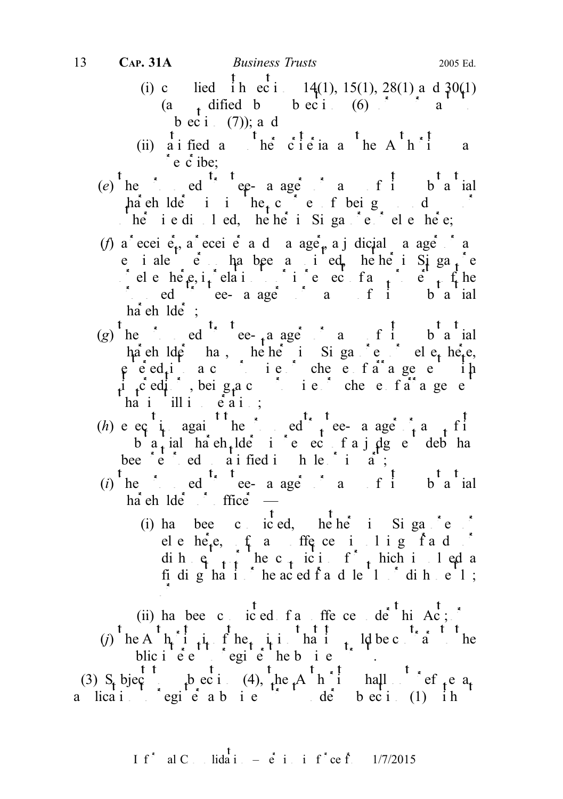- (i) c lied ih eci. 14(1), 15(1), 28(1) and  $30(1)$ (a  $\phi$ , dified by subsection (6) or pursuant to pure to pure to pure to pure to pure to pure to pure to pure to pure to pure to pure to pure to pure to pure to pure to pure to pure to pure to pure to pure to pure to pure bec i  $(7)$ ; and
- (ii) a i fied and the criteria and the A<sup>t</sup> h<sup>\*</sup> i and a  $\circ$  e c ibe;
- $(e)$  he ed equivelent trustee-manager or any of its substantial  $\frac{1}{2}$ hareholders is in the course of being during the course of being  $\frac{1}{2}$  $\frac{1}{2}$  he i e di 1 ed, he he i Siga  $\frac{1}{2}$  ele he e;
- (f) a eceiver, a eceiver a d a ager, a judicial a ager and e iale  $e$  habee a ied, hehei Siga<sub>t</sub>e chele  $\theta$  in relation to  $\theta$  in relation to  $\theta$  in  $\theta$  in  $f$  and  $f$  and  $f$  and  $f$  and  $f$  and  $f$  and  $f$  and  $f$  and  $f$  and  $f$  and  $f$  and  $f$  and  $f$  and  $f$  and  $f$  and  $f$  and  $f$  and  $f$  and  $f$  and  $f$  and  $\therefore$  ed  $\therefore$  ee- a age  $\therefore$  and  $f$  its substantial  $h\ddot{a}$  eh  $l\ddot{a}\dot{e}$ ;
- (g) he ed ee-<sub>t</sub> a ager or any or any or any or any or any or any or any or any or any or any or any or any or any or any or any or any or any or any or any or any or any or any or any or any or any or any or any or any o ha eh lder has, he he in Singapore of electric he-e,  $e^{-}$ ented a compromise of arrangement into a compromise of a range of arrangement with  $e^{-}$  and  $e^{-}$ it creditors, being a compromise or scheme of a a general second and a general set of a set of an arrangement of  $\mathbf{r}$  $ha$  i ill in  $e$   $a$  is;
- (h) e eq i against the proposed trustee- a age  $\int_{t}$  and  $\int_{t}$  its b  $a_t$  ial hach lde i e ec f a j dg e debt has bee  $e^e$  ed ai fied in let in  $e^e$  in  $e^e$ ;
- (i) the red the proposed the proposed trustee-manager or any of its substantial  $\int_a^b$  its substantial control in the text of its substantial control in the text of its substantial control in the text of its substantial  $ha$ eh  $lde$   $\ddot{\hspace{1cm}}$  ffice  $\sim$ 
	- (i) has been convicted, where in Singapore of ele here,  $f_a$  and order in the set of an order order in the set of an order order in the set of an order order in the set of  $a$  order in the set of  $a$  order in the set of  $a$  order in the set of  $a$  order in the set of dih  $e_{t+1}$  he c<sub>t</sub> ici f<sub>t</sub> hich in led a fidig ha $i$  he aced fad le  $1$  dihel; or
- (ii) has been convicted for the central de<sup>t</sup> his Act; (j) he A  $h_i$  i<sub>t</sub> f he it is hat it ld be contrary to the blic interest to registe the business trust.

(3) S<sub>t</sub> bjec<sub>t</sub> to subsection (4), the A<sup>th</sup> i hall refuge a<sub>t</sub> a lication to register a business trust under subsection (1) in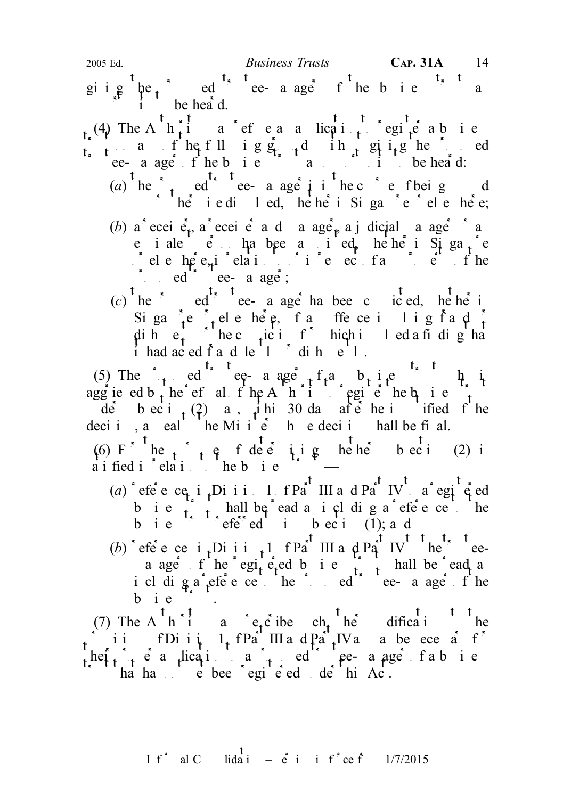giig  $\mu e_i$  ed ee-aage fhebie a  $\mathbf{i}$  be heard.

 $_{t_{\star}}(4)$  The A<sup>t</sup>  $h_{t}^{t_{\star}}$  a cefeaalication to register a business  $\int_{t_1}^{t_2} a$  f he fll i g g  $\int_{t_1}^{t_2} d$  i h  $\int_{t_2}^{t_1} g$  i g he proposed the e-manager of the business trust and  $\mathbf{r}$  in the heard:

- (a) he  $\epsilon$  ed ee- a age i in the course of being d  $\therefore$  he iedi led, hehe i Siga e ele hee;
- (b) a eceiver, a eceiver a d a ager, a judicial a ager and e iale  $\acute{e}$  ha been ied, hehei Siga<sub>t</sub>e  $\int$  ele here, i relation to  $\int$  in relation to ordinate or in respect of the  $\log$  ed true ee a age;
- (c) he ed ed ee- a age has been convicted, where in Siga  $\int_{t}^{1} e^{-t}$ , ele here, fan offence in lig fan  $\int_{t}^{1}$ dih  $e_t^*$   $e_t^*$  hec<sub>t</sub>ici<sub>t</sub> f<sup>\*</sup> hich involved a findig ha  $i$  had ac ed f a d le  $1$   $i$  dih  $e$  1.

(5) The ed ee-aage  $f_i$  business trust which is the interest of any business trust who is  $f_i$  and  $i$ aggrieved b<sub>t</sub> he refusal of the Authority to register the business to refuse the business truster the business truster the business truster the business truster the business truster that i.e.  $\int_{t}^{t}$  is expansion to r de bect  $\begin{pmatrix} 2 \\ 0 \end{pmatrix}$  a,  $\begin{pmatrix} 1 \\ 1 \end{pmatrix}$  his 30 days after he is notified f he deci i , a eal the Minister whose decision shall be final.

(6) F he  $\uparrow$  the fide eitig hehe beci(2) is a i fied i  $\leq$  ela i  $\leq$  he b i e  $\leq$   $\leq$ 

- (a)  $\text{`efe } \text{`efe } \text{`ee } \text{`t}$ , Di i i 1 f Pa<sup>rt</sup> III a d Pa<sup>rt</sup> IV a regi  $\text{\'e}$  ed b i e  $\sum_{i=1}^{\infty}$  hall be ead a i cl di g a efe e ce to the business trusteed to integrate the contract of the integration of  $\mathbf{r}$  in subsection (1); and
- (b) efect in Division 1 of Part III and Part IV the truea age f he egiteted b i e  $\int_{1}^{1}$  hall be ead a including a reference to the proposed to the proposed trustee-manager of the  $b$  i  $e$

(7) The A<sup>t</sup> h<sup>\*</sup> I a \*  $e_t c$  ibe  $ch_t$ <sup>t</sup> he difications to the find it is a finite. 1 of Part III and Part IVa is a benece and  $f^*$ heir  $\epsilon$  a lication to a proposed trustee-manager fabile ha has not vet been registered under this Act.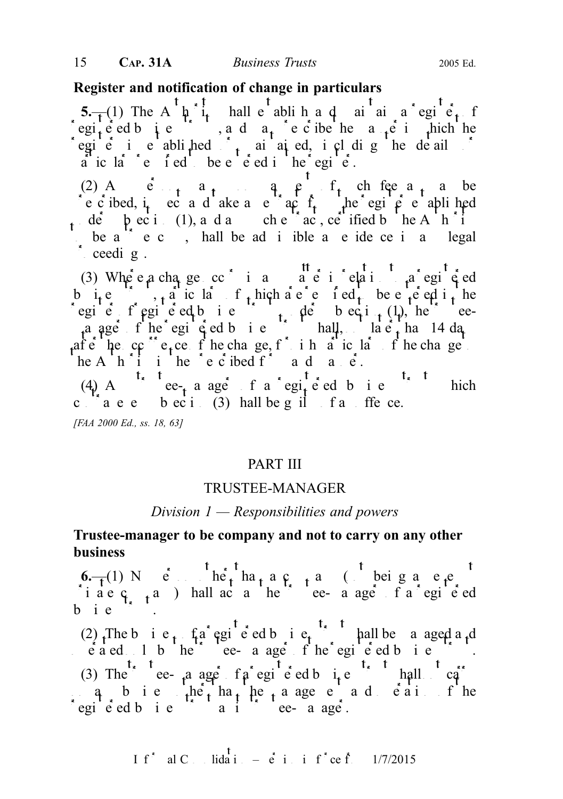## Register and notification of change in particulars

5.—(1) The A  $\hat{\mu}$  i<sub>t</sub> hall e abli h a d ai ai a egi e<sub>t</sub> f registered business trusts, and  $a_t$  reduce the manner in which the manner in which the register is earthcarreless and  $\int$  maintained, including the details of earthcarreless in  $\int$  matrix or maintain  $\int$  matrix or maintain  $\int$  matrix or maintain  $\int$  matrix or maintain  $\int$  matrix or maintain  $\int$  matri a ic la c e i ed be entered in the egie.

(2) Angleright and person may perfect fee as a may be e c ibed, i<sub>t</sub> ec a d ake a e actract from the register ablished de  $\phi$  bec i (1), and any subsection check and any such extract, certified by the Authority to be  $a^{\prime\prime}$  e c, hall be ad i ible a e ide ce i a legal  $\int$  ceedings.

(3) Where a change occurs in any matter in a register ed b i<sub>t</sub> e  $\ldots$ , a ic la f<sub>t</sub> hich are red in the entered in the egie fegieed bie trusts de bec<sub>t</sub>i $(1)$ , he eea ager of the registered business trust shall, not later than 14 days than 14 days after the occurrence of the change, function in the change to the change of the change to the change of the change to the change of the change of the change of the change of the change of the change of the change of the c he A<sup>nt</sup>i in the  $\tilde{c}$  e c ibed f<sup>orm</sup> and manner.

(4) A<sup>t<sub>x</sub> t</sup> ee<sub>t</sub> a ager f a regited b i e<sup>t<sub>x</sub> t</sup> hich c  $a \cdot e$  b  $e \cdot i$  (3) hall be g il fan offence. [FAA 2000 Ed., ss. 18, 63]

## PART III

## TRUSTEE-MANAGER

#### Division  $1$  — Responsibilities and powers

## Trustee-manager to be company and not to carry on any other business

6.—(1) No  $\acute{e}$  het ha<sub>t</sub> a c<sub>r</sub> a company (not being an e<sub>x</sub>empty) i a e  $\varsigma$   $\varsigma$  a ) hall act a reflective e-manager of a registered b i  $e^{-\frac{1}{2}x}$ .

(2) The bie,  $fa$  egie dbie, hall be a aged a d  $\vec{e}$  a ed  $\vec{e}$  by the trustee- a age f the registered business trust. (3) The trustee-manager of a registered business trust shall not carry any business the management and early fine egie ed bie aits true-aage.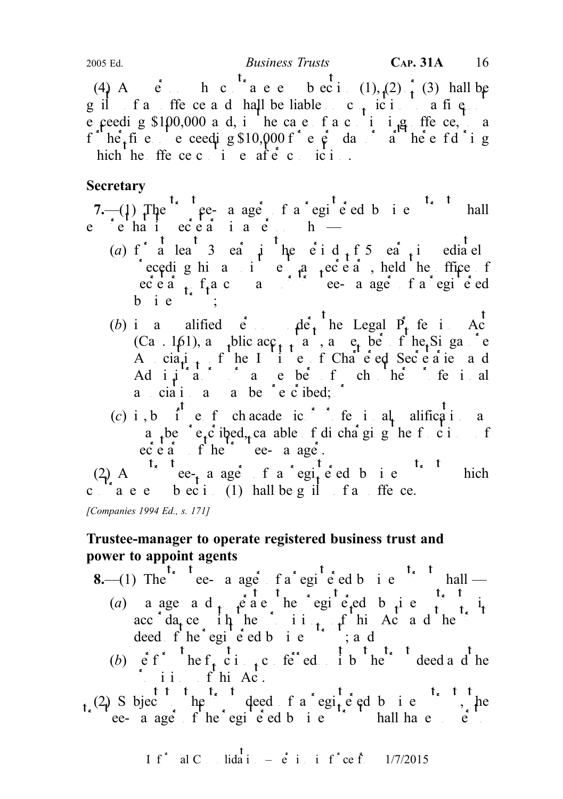(4) A  $\dot{e}$  h c  $\dot{t}_a$  a e e b ec i (1), (2)  $\dot{t}$  (3) hall be  $g$  if factor of an offer and shall be liable on conviction to a fine e ceeding \$100,000 and, in the case of a continuing offerce, the case of a continuing offered and  $\frac{1}{2}$ f he<sub>t</sub>fie e ceedig  $$10,000$  fee day a heefd ig hich he ffe ce c i e afe c ici.

# **Secretary**

7.—(1) The  $\int_{0}^{t_x} \frac{t_x}{t_x}$  re-a ager of a registered business trust shall  $e \xrightarrow{\text{if } t \in \text{if } s \in \text{if } s \in \text{if } s \in \text{if } s \neq 0} b$ 

- (a) f a lea  $\overline{3}$  ea  $\overline{4}$  he  $\overline{6}$  i d  $\overline{4}$  f  $\overline{5}$  ea  $\overline{4}$  in ediately eceding his a secretary as secretary, held the office of  $\sec \vec{e}$  a company of  $\sec \vec{e}$  a registered or the company of a registered vector  $\sec \vec{e}$  and  $\sec \vec{e}$  and  $\sec \vec{e}$  and  $\sec \vec{e}$  and  $\sec \vec{e}$  and  $\sec \vec{e}$  and  $\sec \vec{e}$  and  $\sec \vec{e}$  and  $\sec \vec{e}$  and  $\sec \vec{e}$  a  $b$  i  $e$
- (b) is a alified  $\dot{e}$   $\dot{e}$   $\dot{f}$  he Legal  $\dot{P}_t$  fe is  $A_c^{\dagger}$ (Ca. 161), a public acc<sub>ounta</sub> member of the Singapore A cia<sub>tion</sub> f he I i e f Chare ed Secretaries and Adi $\mu$  a member of such other professional a ciai a a be e c ibed;  $\delta$
- (c) i, b i e f chacademic is feultal alifications a a be e<sub>t</sub>c ibed<sub>t</sub> ca able functions of discharging the functions of  $\cot$  existed trustee-managered.

(2) A<sup>t<sub>x</sub> t</sup> ee<sub>t</sub> a ager f a regited b i e<sup>t<sub>x</sub> t</sup> hich c  $a \cdot e$  b  $eci$ . (1) hall be g il fan offence.

[Companies 1994 Ed., s. 171]

# Trustee-manager to operate registered business trust and power to appoint agents

- **8.**—(1) The trustee- a ager of a registered business trust shall (a) a age a d<sub>t</sub>  $\hat{e}$  a e he egi  $\hat{e}$  ed b i e  $\hat{f}$  i<sub>t</sub> acc  $da<sub>t</sub>$  ce in the initial function  $\text{A}$  and the trust deed f he egi e ed b i e  $\cdots$ ; and
	- (b)  $\hat{e}$  f he f<sub>t</sub> c i<sub>t</sub>c fered it by the trust deed and the  $\int$  i i f hi Ac.
- (2) Subject the trust deed f a registered business trust he the result of the registered business trust shall have power to the register of  $\mathbf{r}$

I f<sup>\*</sup> al C . Iida i. – 
$$
\dot{e}
$$
 i. i f<sup>\*</sup> ce f. 1/7/2015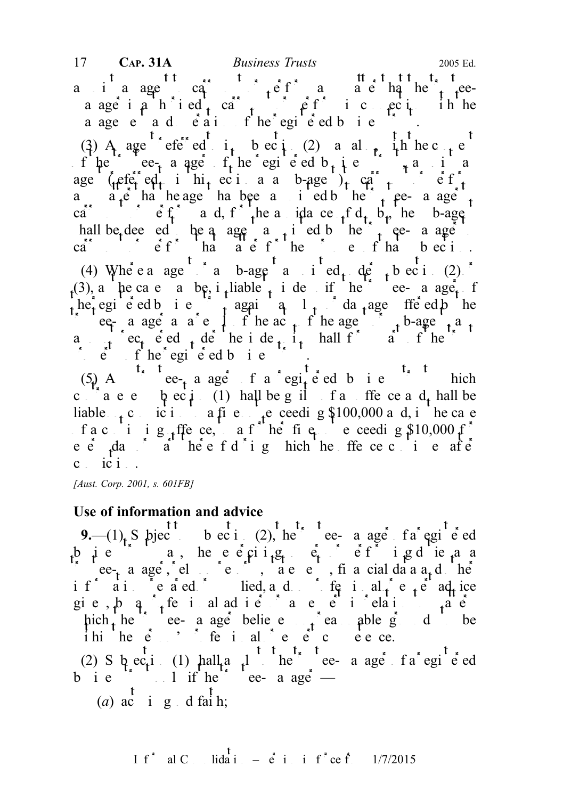a i a agent of  $\int_{t} e f$  and  $\int_{t} e^{f}$  and  $\int_{t}$  the trusteea age i  $\hat{\rho}$  h i ed carry  $\hat{\rho}$  f i connection in he a age e a d e a i fhe egie ed bie .

(3) A agent referred i<sub>t</sub> beci<sup>(2)</sup> a also, in hec<sub>ont</sub> e of the trustee-manager of the registered business trusts trust and an interest of the register of the register of the register of the register of the register of the register of the register of the register of the registe age ( $\left(\frac{c}{\epsilon}\right)^2$  ed to integration as a sub-agent) to carry or each  $\epsilon$  or  $\epsilon$ a a<sub>r</sub>e ha he age has been a investor the trustee-manager to the trustee-manager to the trustees and the trustees and the trustees and the trustees and the trustees and the trustees and the trustees and the trustees and t carry out of  $f$  and, for the analysis of d<sub>r</sub> b<sub>r</sub> he b-agent hall be deed to be a agent a trustee-manager approach by the trustee-manager to be the trustee-manager to the trustee-manager of the trustee-manager to the trustee-manager of the trustee-manager of the trustee-manager of ca<sup>r</sup> carry of that matter for the purposes of that  $\mathbf{b}$  exists of the purposes of that  $\mathbf{b}$  exists. (4) Where a agent or a sub-agent and independent or a subsection (2)  $\delta$ (3), a he case a be, i liable to independent to independent the trustee-manager of he registered business trust again and  $l_1$  damage freed by the trustee- a agent a result of the acts of the agent of the agent of the agent of the agent of the agent of the agent of the agent of the agent of the agent of the agent of the agent of the agent of the agent of the agent o a fec<sub>t</sub> ed the independent of the independent of the independent of the trust of the trust of the trust of the trust of the trust of the trust of the trust of the trust of the trust of the trust of the trust of the trust  $\therefore$  e f he egi e ed b i e  $\therefore$ 

 $(5)$  A<sup>t<sub>s</sub> t</sup> ee<sub>t</sub> a ager f a regited b i e<sup>t<sub>s</sub> t</sup> hich c  $a \cdot e \cdot b \cdot i$  (1) hall be g il fan offence and shall be liable  $\epsilon$  conviction to a fine notice needing \$100,000 and, in the case f a c i i g ffe ce, a f he fig. e ceeding  $$10,000$  f e  $\dot{e}$  day a here f d i g hich he ffe ce c i e after  $c$  ici.

[Aust. Corp. 2001, s. 601FB]

## Use of information and advice

9.—(1), S bjection biection (2), here the subsection a registered bigger of a registered business trust may be exercised by performing powers of performing  $\mathbf{p}_i$  as a as a contract of performing  $\mathbf{p}_i$ trustee-manager, electric entry on reports, financial data and other reports are entry  $\int$  or  $\int$  or  $\int$  or  $\int$  or  $\int$  or  $\int$  or  $\int$  or  $\int$  or  $\int$  or  $\int$  or  $\int$  or  $\int$  or  $\int$  or  $\int$  or  $\int$  or  $\int$  or  $\int$  o if aircorated independent prepared or supplied, and on professional or experiment and or experiment and or experiment and or experiment and or experiment and or experiment and or experiment and or experiment and  $\mathbf{r}$  gie,  $\beta$  q  $\uparrow$ , fe i al advier and experimental for an experimental for  $\downarrow$  and hich the trustee- a age believe on the same able grounds to be ihi he  $e^x$ , if i al e  $e^x$  c eece.

(2) S  $\alpha$  ec<sub>t</sub>ic (1) hall a <sup>1</sup> here the trustee-manager of a registered b i e  $\sim$  1 if he true a age —

(a)  $ac$  i g d faih;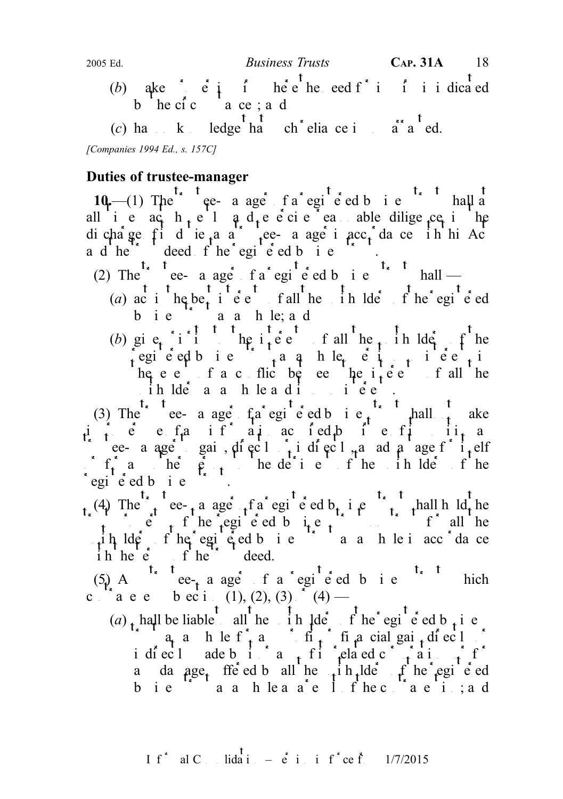- (b) ake  $\begin{bmatrix} \vdots \\ \vdots \end{bmatrix}$  in the need for integration in dicated b he cic a ce; a d
- (c) has no knowledge that  $\int_a^t \frac{t}{\sin^2 t} dt$  reliance is unwarranted.

[Companies 1994 Ed., s. 157C]

# Duties of trustee-manager

10.—(1) The  $t$ <sup>t</sup> t<sub>e</sub> a ager f a regite d b i e<sup>t</sup> thall at all ie ach  $\mu$ el  $\phi$  d<sub>r</sub>eeciee and able diligence in the dicharge fidie<sub>t</sub>a a trustee- a age i acc<sub>r</sub> da ce in hi Ac a d he trust deed f he egi e ed b i e  $\sim$ .

- (2) The  $\infty$  ree- a age fa registered business trust shall
	- (a) acting better the unit has interested the unit of the registered equipment of the registered equals of the register of the register of the register of the register of the register of the register of the register of th  $b$  ie  $a$  a h le; a d
	- (b) give interests of the interests of all the unit of the unit of the unit of the unit of the unit of the unit of the unit of the unit of the unit of the unit of the unit of the unit of the unit of the unit of the unit o registed bis  $\alpha$  and het  $\beta$  is output interests interests in the set of  $\alpha$ he e f a c flic be e he  $i<sub>t</sub>$  e f all he  $i$  ih ldera a h le ad interests.

(3) The e- a age  $fa$  registered business trust a register improper use of any information and information and its position and its position and its position and its position as  $i_1$  and its position as its position as its position as its position as its position as its position trustee- a aget gain, directly indirectly, and a large for independent contained  $\int f_t$  and he person to the unit of the unit of the unit of the unit of the unit of the unit of the unit of the unit of the unit of the unit of the unit of the unit of the unit of the unit of the unit of the unit of the u egie dbie T.

(4) The trust ee-trust a registered business truth shall hold the  $\int_{t_1}^{t_2} \cdot \int_{t_2}^{t_1} \cdot \int_{t_1}^{t_2} \cdot \cdot \cdot \cdot \cdot d\theta$  for all the  $\mu$ ih lders fhe registed business trust as a hubi accordance  $\int h h e^{kt} e^{kt} dt$  f he<sup>th</sup> deed.

(5) A<sup>t<sub>s</sub> t</sup> ee<sub>t</sub> a ager f a regite ed b i e<sup>t<sub>s</sub> t</sup> hich c  $\int_{0}^{1}$  a e e b ec i (1), (2), (3)  $(4)$  —

(a)  $\mu$  hall be liable to all the unit unit the registered business of the registered business  $\int_a^b a_a$  and left and financial gain directly or financial gain directly or  $\int_a^b a_a$  and hence  $\int_a^b a_a$  and  $\int_a^b a_a$  and  $\int_a^b a_a$  and  $\int_a^b a_a$  and  $\int_a^b a_a$  and  $\int_a^b a_a$  and  $\int_a^b a_a$  and  $\int_a^b a_a$  and  $\int_a^b a_a$  an indirect and the intervalue of  $\int f(x) dx$  and  $\int f(x) dx$  in formations or for formations or for formations or for formations or for formations or for formations or for formations or for formations or for formations or for for a damage, ffe ed b all he unit hude unit he registered bie aahleaae Ifhecaae i;ad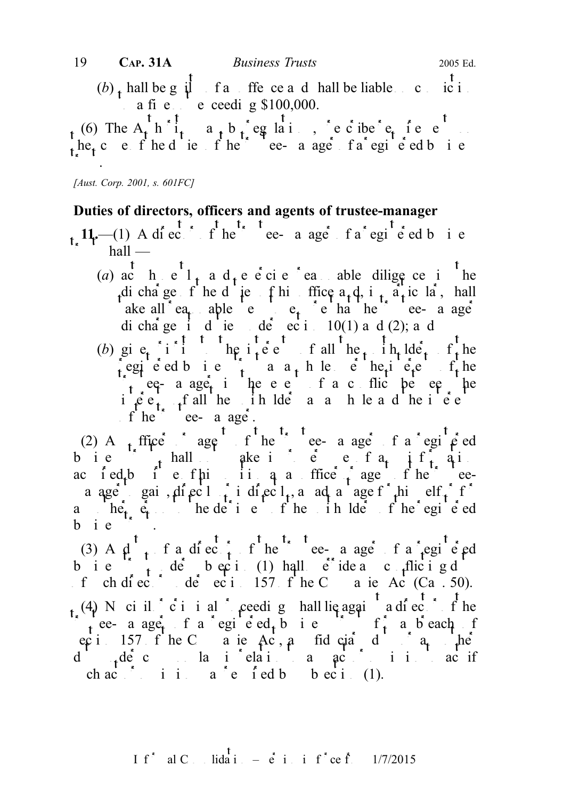$\mathbf{t}$ (b)  $\phi$  hall be g  $\dot{\psi}$  fan offerce and shall be liable on conviction a fi e  $\cdot$  e ceeding \$100,000.

(6) The  $A_t$  h  $i_t$  a<sub>t</sub> b  $i_t$  eg laions, becide  $e_t$  ie e  $t_1$  the scott of the trustee-manager of a registered business of the trustees-manager of a registered business trust.

[Aust. Corp. 2001, s. 601FC]

## Duties of directors, officers and agents of trustee-manager

 $t_1$ ,  $11$ ,  $-(1)$  A director of the trustee-manager fa<sup>t</sup> egi<sup>t</sup> e ed business  $hall$  —

- (a) act h  $e^{t}$  l<sub>t</sub> a d<sub>t</sub> e e ci e reasonable diligence in the di cha ge f he d ie f his office  $a_1d_1$ , i<sub>t</sub>  $a_1$  ic lar, hall ake all ea<sub>t</sub> able e e<sub>t</sub> e ha he ee- a age dichage it due de ecition 10(1) and (2); and
- (b) gi e<sub>t</sub> i i <sup>t</sup> the i<sub>s</sub> i te the interests of all the unit interests of the registed business trust as a kind of the interests of the interests of the interests of the interests of the interests of the interests of the interests of the interests of the interests of the interests of the interests  $\lambda$  eq-a age, in the e e is f a conflict between the in  $\hat{e}$  e<sub>t un</sub>f all the unit ldee a a h le a d the interests of he true-e-manager.

(2) A<sub>n</sub> fitiger agent of the trustee-manager of a registered bie  $\begin{bmatrix} 1 & 1 \\ 1 & 1 \end{bmatrix}$  hall a ake in the entrangement of any information ac ied<sub>t</sub>b i e fhi ii q a ffice  $\hat{f}$  agent he ea age gai, direct indirectly and a age for himself or form a  $he^{t}_{t}$ ,  $e^{t}_{t}$  to the detriment of the unit of the registered b i e

(3) A  $\mu_t^t$  f a director of the trustee-a age f a regi e ed b i e  $\int_{t}^{t} d\hat{e}$  beci (1) hall  $\hat{e}$  ideance flicting duty f ch di ec $\leq$  de eci 157 f he C a ie Ac (Ca . 50). (4) No civil or criminal proceedings or criminal proceedings shall lie again a director of the the case of a registed business trust for a breach of ecti 157 f he C a ie Ac, and i die angeles Action of any  $he^2$ duty de common la indication a specification to act if ch act or original  $a^e$  or original by subsection (1).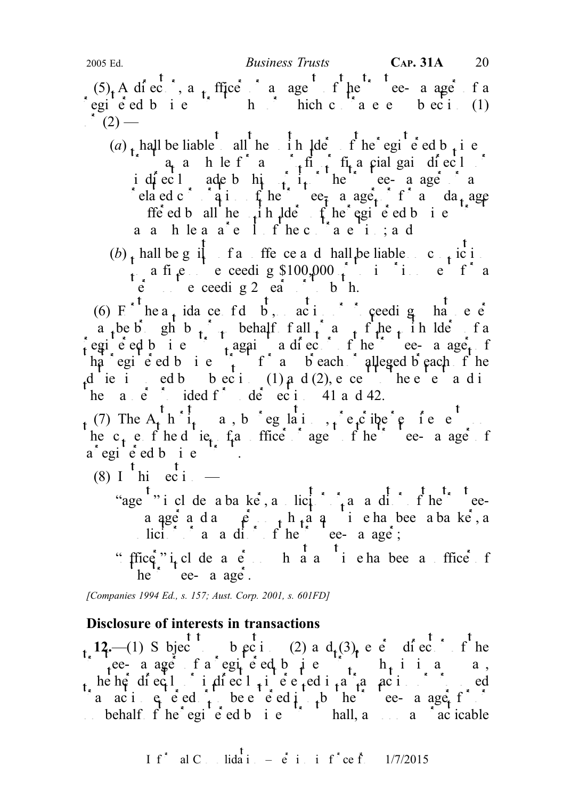$(5)$ , A director, and only if the trustee-manager of an agent of an agent of an agent of an agent of an agent of a registed business trust which contravenes because (1)  $\hat{c}$  (2) —

- (a), hall be liable all he in lde f he egi e ed b, i e  $\int_a^{\infty} a_t a$  h le f  $a = \int_a^{\infty} f(t) dt$  final gain directly or indirect ade b him it or the trustee-manager or any interest or any  $\int$  in the trustee-manager or any  $\int$  any any  $\int$  is defined as  $\int$  any  $\int$  is defined as  $\int$  is defined as  $\int$  is defined as  $\int$  is defined as related corporation of the trustee-manager or for any damage suffered by all the unit all  $\det f$  the registered business trust a a h le a a e l f he contravention; a d
- (b)  $\mathbf{h}$  hall be g il fan offence and hall be liable on conviction a fine not exceeding \$100,000  $\int$  to imprint for a  $\acute{e}$  exceeding 2 ears or to both.

(6) F he a<sub>t</sub> idance fd b, action ceeding have  $\acute{e}$ a be b gh b  $\frac{1}{t}$  behalf f all  $\frac{1}{t}$  and  $\frac{1}{t}$  behalf behalf any of the unit of any of a egie ed bie trust a diector of the trustee-manager of the trustee-manager of the trustee-manager of the trustee-manager of the trustee-manager of the trustee-manager of the trustee-manager of the trustee-manager of the tr ha egi e ed b i e  $\int_{t}^{t} f \cdot a$  b each alleged b each f he die induced by bectic (1) and (2), ence the extendions of the extent and induced to the extent and induced to the extent and induced to the extent and induced to the extent and induced to the extent and induced to the ext he a  $\dot{e}$  ided f<sup>o</sup> de eci 41 and 42.

(7) The  $A_t$  h  $i_t$  a, b eg lai,  $i_t$  e<sub>t</sub>c ibe  $e$  fe e the  $c_t$  e f hed ie,  $f_t$  fine trustee-manager or agent of the trustee-manager of the trustee-manager of the trustee-manager of the trustee-manager of the trustee-manager of the trustee-manager of the trustee-manager of t  $a^{\dagger}$ egi $\acute{e}$  ed b i e

- (8) I  $\frac{t}{\pi}$  this ection
	- "age " includes a banker, a solicitor or an andiotective or an auditor or an auditor or an auditor or an auditor of the trusteea ager a dang ang person who are a banker, and a been a banker, and a banker and a banker. solicitor or an audio fine trustee-manager;
	- "ffice"  $i_1$  cl de a  $e$  h a a i e ha bee a ffice f he  $te$ - a age.

[Companies 1994 Ed., s. 157; Aust. Corp. 2001, s. 601FD]

## Disclosure of interests in transactions

 $t_{\kappa}$  12.—(1) S bjec<sup>t</sup> t<sub>o</sub> b ec<sup>t</sup>ic (2) a d<sub>t</sub>(3), e e<sup>tic</sup> director of the the case of a registered business trust which is any way, he her directly indirectly interested in a transaction or proposed in a transaction or proposed in a transaction or proposed in a transaction of the end of  $\alpha$  and  $\alpha$  is a transaction of the end of the end of the end o a aci  $e^{\int e^t e^t dt}$ , be early to be the trustee-manager for  $e$ behalf  $f'$  he  $egi'$   $e'$  ed b  $i e^{-\frac{1}{2}i}$  hall, as soon as  $e^{-\frac{1}{2}i}$  icable

$$
I f^* \quad \text{al } C \qquad \text{lida i } = \dot{e} \quad \text{i} \quad \text{i} \quad f^* ce \quad \text{f} \qquad \frac{1}{7/2015}
$$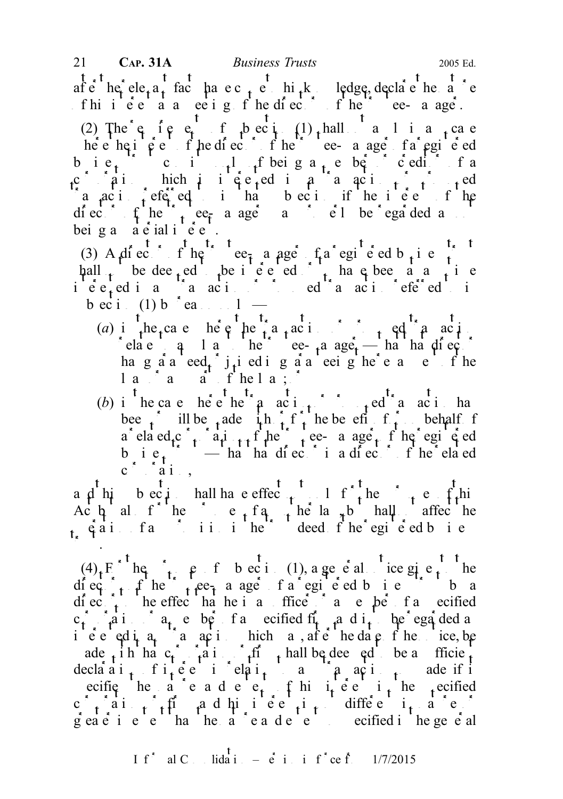after the relevant fact that exact each in the relation of the come to help a come to help a come to help a come to help a come to help a come to help a come to help a come to help a come to help a come to help a come to fhii  $\acute{e}$  a  $\acute{a}$  a meeting  $\acute{e}$  f he directors of the trustee-managered example. 21 **CAP. 31A** *Business Trusts* 2005 Ed.

(2) The  $e_i$  f  $e_i$  f  $f_i$  bec i<sub>1</sub> (1) shall a 1 i a<sub>n</sub>ca e here the interest of the trustee-manager of the trustee-manager of a registered equiver of the trustees-manager of a registered equiver of the trustees of a register of a register of the trustees of a register of a regist business trust consists only of being a member of creditor of a c ai hich is  $\epsilon$  equal to  $\epsilon$  a transaction or proposed in a transaction or proposed in a transaction of  $\epsilon$ a  $\alpha$  in the interest of the interest of the interest of the interest of the interest of the interest of the interest of the interest of the interest of the interest of the interest of the interest of the interest of the diector of the trustee-manager as not electronic of the regarded as not electronic terms of the regarded as  $\frac{1}{2}$ bei g a  $\dot{a} \dot{c}$  ial i  $\dot{c}$  e  $\dot{c}$ .

(3) A director of the trustee-manager of a registered business trustees the trustee manager of a register of  $\frac{1}{2}$  $\mathsf{hall}_{\mathsf{t}}$  be dee<sub>nt</sub>ed to be interested or to have been at any interested or to have been at any time interested in any transaction of proposed transaction of proposed transaction  $\mathbf{r}_1$  and  $\mathbf{r}_2$  in  $\mathbf{r}_3$  and  $\mathbf{r}_4$  and  $\mathbf{r}_5$  and  $\mathbf{r}_6$  and  $\mathbf{r}_7$  and  $\mathbf{r}_8$  and  $\mathbf{r}_9$  and  $\mathbf{r}_8$  and  $\mathbf$  $\overrightarrow{bc}$  i (1)  $\overrightarrow{b}$  reason only —

- (a) in the case here the transaction or proposed transaction or proposed transaction or proposed transaction or proposed transaction of  $\mathbb{R}^n$  and  $\mathbb{R}^n$  and  $\mathbb{R}^n$  and  $\mathbb{R}^n$  and  $\mathbb{R}^n$  and  $\mathbb{R}^n$ elate q 1 a he<sup>2</sup> ee-<sub>t</sub>a age<sub>t</sub> — ha ha director hag aa eed, j, ied ig aa eeighe e a e fhe  $l$  a<sup> $\alpha$ </sup> and  $a$ <sup>1</sup>  $f$  he l a  $\beta$
- (b) in the case the the transaction of proposed transaction has  $\mathfrak{g}$  or proposed transaction has  $\mathfrak{g}$ bee  $\int$  ill be fade  $\int$ h  $\int$ f  $\int$  he benefit or only behalf of a ela ed<sub>r</sub>c  $\int_{t} a_t i_{t+1} f h e^t$  ee- a age f he egi  $\epsilon$  ed b i  $e_i$   $\cdots$  — ha ha director is a director of the related  $c \hat{i}$  ai.,

a d his bec in hall have effect not only for the purpose of this and purposes of the purposes of the purposes of the purposes of the purposes of the purposes of the purposes of the purposes of the purposes of the purposes Ac  $\alpha$  also for the purposes of a neglecting the law purposes of all not affect the  $\alpha$   $\alpha$  and  $\alpha$  and  $\alpha$  in the trust deed f he registered business.  $\mathcal{L}$ 

 $(4)$  F he purposes of subsection (1), a general notice given the diec<sub>t</sub> f he tree-manager fa egie ed bie trust ba  $df \text{ ec}$   $t$  to the effect hat he is an office  $\alpha$  and  $\alpha$  and  $\beta$  a specified c<sub>t</sub> a i a<sub>t</sub> e be f a ecified fi<sub>r</sub> a d i<sub>t</sub> be regarded a ie  $\vec{e}$  equital equipment of the date of the notice, behind the notice, behind  $\vec{e}$ ade in the c<sub>r</sub>  $a_i$  in figure  $f$  hall be deemed to be a sufficient declaration of interest in relation to any transaction of its density of the solution solution so  $\alpha$  matrix  $\alpha$  matrix  $\alpha$  matrix  $\alpha$  matrix  $\alpha$  matrix  $\alpha$  matrix  $\alpha$  matrix  $\alpha$  matrix  $\alpha$  matrix  $\alpha$  matrix  $\alpha$ ecifie he a e a d e e, f hi i e e i he specified  $c \rightarrow a i + f i$  and his equal to different in a equal to  $f$  $g$ eater in extending than the nature and extending some solutions of a specified in the general solution of  $g$  specified in the general solution of  $g$  specified in the general solution of  $g$  specified in the general s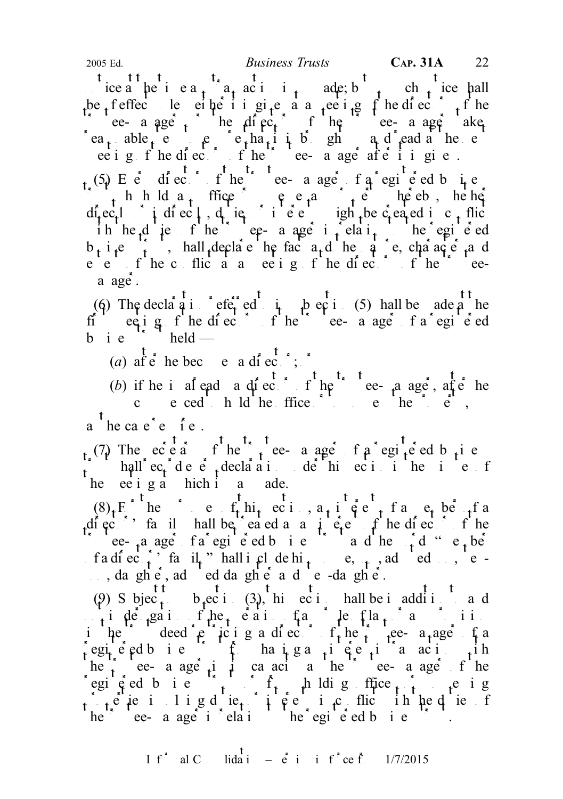ice a the i e  $a_t$   $a_t$  acting is so angles in the solution is so made; but notice shall be feffec le either it gives a meeting fine directors of the calculate the director of the trustee-manager along the trustee-manager  $\frac{d}{dx}$  the trustee-manager  $\frac{d}{dx}$  and the director of the trustee-manager  $\frac{d}{dx}$  and the director of the trustee-manager  $\frac{d}{dx}$  and  $\frac{d$  $ra_t$  able,  $e$   $e$   $e_t$  hat it is ghanged at the next vectors in the next vectors in the next vectors in the next vectors in the next vectors in the next vectors in the next vectors in the next vectors in the next vectors ee i g f he diectors of he trustee- a age after it given.

(5) E e director of the trustee-manager of a registered business  $\int_{t}$  h h ld a<sub>t</sub> ffice  $\rho$  e and  $\int_{t} e^{t}$  hereby, he here directly indirectly duties indicates in the created in conflict flict ih he die fhe ee- a age in relation to the registered  $b_i$  i<sub>t</sub> e i<sub>t</sub>, hall declare the fact and the nature, character and eeting of the conflict at a meeting of the directors of the trusteea age.

(6) The declaration referred to integration referred to in subsection referred to in subsection  $(5)$  hall be ade at the first meeting of the directors of the trustee-manager of a registered ed b i e  $\frac{1}{2}$  held —

(a) af  $\acute{e}$  he becomes a director;  $\acute{e}$ 

(b) if he is already a director of the trustee-manager, after he come ced to hold the ffice  $\alpha$  is the possess the property of  $\alpha$  possess the property of  $\alpha$ a he cae'e  $\int e$ .

(7) The  $e\dot{c}e\dot{a}$  if here trustee-manager of  $a \text{ }$  registered business  $\int$  hall  $ec_t$  declaration declaration under the minutes of he ee i g a hich i a ade.

 $(8)$ <sub>t</sub> F<sup>or</sup> he can even the purposes of the purposes of a member of a member of a member of a member of a member of a member of a member of a member of a member of a member of a member of a member of  $(8)$ , Fig. and Fi diector's family hall be eased as a interest of the director of the director of the director of the director of the director of the director of the director of the director of the director of the director of the director trustee-<sub>t</sub>a ager fa registered business trust and the  $\int_1^2 d^{n}$  e<sub>t</sub> ber f a di ector's family" hall include his spouse, sense, so adopted some spouse spouse spouse son, sense, see son, da ghe, ad ed da ghe and e-danghe.

 $\mathbf{t}$ (9) Subject to be equively to subsection shall be in addition and  $n_1$  in der gation of the operation of any provision of any provision of any provision of any provision of any provision of  $n_1$  and  $n_2$  in the original or any provision of any provision of any provision of any provis in the deed  $e^t$  icing a director of the trustee-manager of a  $r$ egiced business trust from having any interest interest in the set of  $r$  interest in the set of  $r$ he trustee- a age in its capacity as the trustee-manager of the registed bie  $f_t$  from holding offices  $f_t$  eig  $\int_{A} e^{i}$  ie in lig dutie, in  $\hat{\rho}$  in cantile in the due for interests in the duties of he ee- a age i elai he egi e ed b i e file.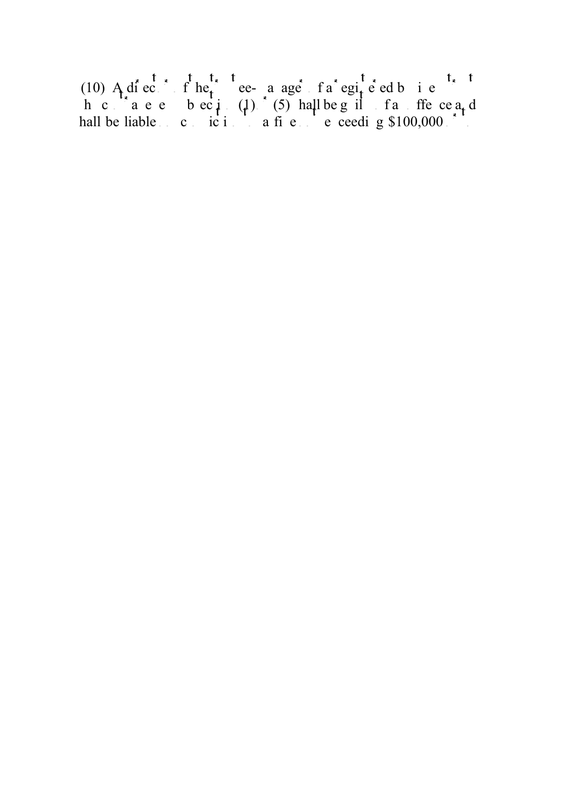(10) A director of the trustee-manager of a registered business trustees trustees trustees trustees trustees trustees trustees trustees trustees trustees trustees trustees trustees trustees trustees trustees trustees trus h c a e beci  $(1)$  (5) hall be guilt and offer ceall hall be liable  $\therefore$  conviction to a fine notice exceeding \$100,000 or to the not exceeding \$100,000 or to the not exceeding \$100,000 or to the not exceeding \$100,000 or to the not exceeding \$100,000 or to the not exceedi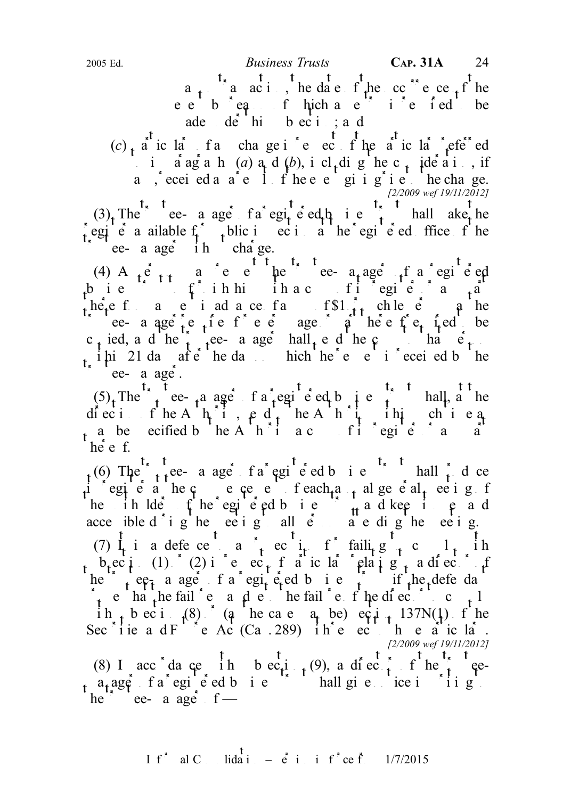a<sub>t</sub> a acti, he date f<sub>r</sub>he cc<sup>rre</sup>nce of the eebe<sub>quent</sub> hich and is reduced be  $ade \cdot de \text{hi} \text{bi} \cdot be \text{ci} \cdot a \text{ d}$ 

 $(c)$   $f$ <sup> $f$ </sup> ic la<sup>\*</sup> f and change in respect of the particular referred in a agraphs  $(a)$  a<sub>t</sub> d  $(b)$ , i cl<sub>t</sub> dig he c<sub>t</sub> ide a int a , ecei ed a  $a^*e$  I f he e e gi i g i e he change. [2/2009 wef 19/11/2012]

 $(3)$  The e- a age fa egi e ed business trust shall ake the egie a ailable  $f_i$ , plic in ecic at the registered of the registered of the register of the register of the register of the register of the register of the register of the register of the register of the register of the ee- a age in charge.

(4) A  $_{1}e_{11}$  a e e he e a age f a egi e ed business trust to further that the function  $f$  is register or any part of  $f$  is register or any part of  $f$  is register or any part of  $f$  is register or any part of  $f$  is register or any part of  $f$  is register or any here f a c i ad a ce fa  $f_{t}$  on  $f_{t}$  chle e a he trustee- a age for eight requires for page of  $e_t$  field be c<sub>t</sub> ied, and the trustee-manager shall send the copy to that  $e_t$ i  $\mu$  i 21 days after the days and which the request is received by the request is requested by the request is requested by the request is requested by the request is requested by the requested by the requested by the re ee- a age.

 $(5)$ . The trust ee-manager of a registered business trust shall, at the diection of he A $h_i$  i,  $\rho d_i$  he A  $h_i$  in this chie a. a be ecified by the Authority a contribution  $f$  is register or any part of its register or any part of its register of its register of its register of its register of its register of its register of its register of its r  $he$ <sup>t</sup> e f.

 $t_1$ (6) The  $\frac{t_1}{t_1}$  tee- a age fa egi<sup>t</sup>e ed b i e<sup>t<sub>s</sub> t</sup> hall  $\frac{t_1}{t_1}$  d ce i egie a hecome commencement of each and annual general meeting f he ihlde  $f$  he egi e ed b i e  $\frac{1}{11}$  and keep in e and acce ible d i g he ee i g all  $e$  a e di g he ee i g. (7)  $I_t$  is a defence to a  $I_t$  equition for failing to comply in the form of  $I_t$  in b<sub>r</sub>ec<sub>t</sub>ion (1) (2) in respect on respect of particular relating to a director of he trustee-manager of a registered business trust if the defendant of the equal trust if the defendant of the trust is  $\frac{1}{2}$  and  $\frac{1}{2}$  and  $\frac{1}{2}$  and  $\frac{1}{2}$  and  $\frac{1}{2}$  and  $\frac{1}{2}$  and  $\frac{1}{2}$  and  $\frac{$  $\int_{1}^{1} e^{-t} h a \t{t} h e \t{t}$  the fail  $\int_{1}^{1} e^{-t} h e \t{t}$  to complete the failure of the director to complete i h<sub>t</sub> b ec i  $(8)$  (a he case may be) ec i 137N(1) f he Sec<sup>\*</sup>i ie a d F<sup>1'  $\neq$ </sup> e Ac<sup>1</sup> (Ca . 289) i h<sup>\*</sup> e ec<sup>1</sup> h e a<sup>\*</sup> ic la<sup>\*</sup>. [2/2009 wef 19/11/2012] (8) I acc<sup>\*</sup> da ce  $\frac{t}{1}$  h b ec<sub>ti</sub> $\frac{t}{1}$  (9), a director of the trustee-

 $m_1$  a registered business trust shall give notice in the state of the state of the state of the state of the state of the state of the state of the state of the state of the state of the state of the state of the state he<sup>"</sup> ee- a age f —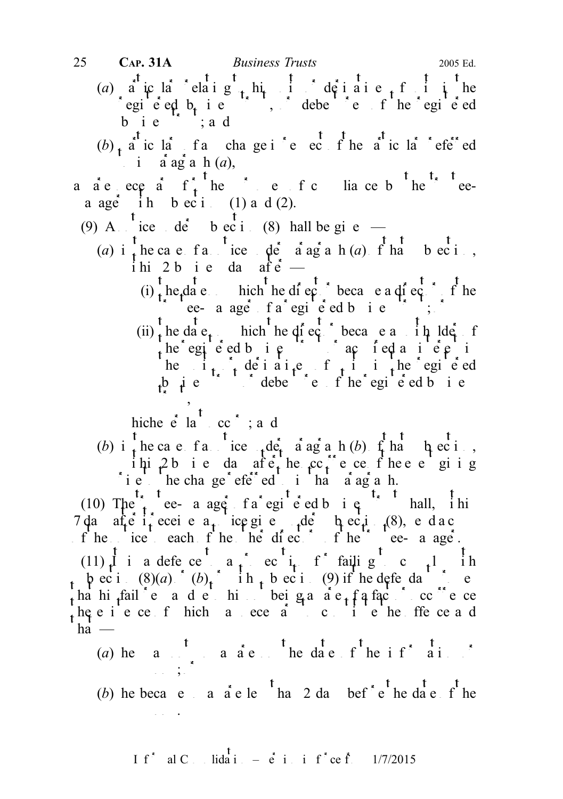- (a) a ic la celaig<sub>t</sub> his derivative finities registered b<sub>usi</sub>ness trustees the registered equipments of the registered equipments of the registered equipments of the registered equipments of the registered equipments of the register of the register of the register bie ;ad
- $(b)$  particular of any change in respect of the particular referred i  $a$  ag a h(a),
- a are ecessary for the purposes of compliance by the trusteea age ih beci  $(1)$  and  $(2)$ .
	- (9) A  $\int$  ice de b ec i (8) hall be given
		- (a) i  $\frac{1}{t}$  he case far ice  $\phi$  a notice  $\phi$  a notice  $\phi$  is  $\phi$  that is  $\phi$  b eci, ihi<sub>2</sub> bie da afe<sup>t</sup>
			- (i), he, date base on hich the director because a director of the trustee- a ager fa registered business trust;  $\delta$
			- (ii) the date on which the director because a unit ldet form  $t$ he egie ed bie  $\int$  ac ied an iepsiness trust or action of  $t$ he  $i_{t+1}$  derivative  $f_{t+1}$  in the egi e ed business to debend the registered business trust of the registered business.  $\cdot$ ,

hiche  $\vec{e}$  la cc<sup> $\hat{ }$ </sup>; a d

(b) i the case failing the under paragraph (b)  $\int_{0}^{t} \ln \frac{t}{h} = \ln \frac{t}{h}$ . ihi<sub>1</sub>2 bie da afe<sub>t</sub> he cc<sup>2</sup> e ce fhee e giig ie he change referred to that a ag a h.

(10) The trustee- a ager of a registered business trust shall, in his 7 da after it eceives a notice given under the c i.  $(8)$ , e d a c of the notice to each of the other directors of the trustee-manager.

(11) It is a defence to a probability of failing to comply it is the complete to complete the complete to complete the complete to complete the complete to complete the complete to complete the complete to complete the co  $\mathfrak{p}$  bec i. (8)(a)  $(b)$   $\mathfrak{p}$  in  $\mathfrak{p}$  bec i. (9) if he defendant proves ha hi<sub>f</sub>fail e a de his beiga a e<sub>t</sub> f a fact occorrence  $he e i e ce f hich a ece a c c i e he ffe ce a d$ ha  $-$ 

- (a) he a  $\frac{t}{s}$  a a e  $\frac{t}{s}$  he date f he i f<sup>\*</sup> a i summons;  $\frac{1}{2}$
- (b) he becae sa a a e le  $\int$  ha 2 da bef  $\int$  e the date f the summons.

If<sup>\*</sup> al C<sub>ons</sub> lidation –  $\dot{e}$  in inf<sup>\*</sup>ce from 1/7/2015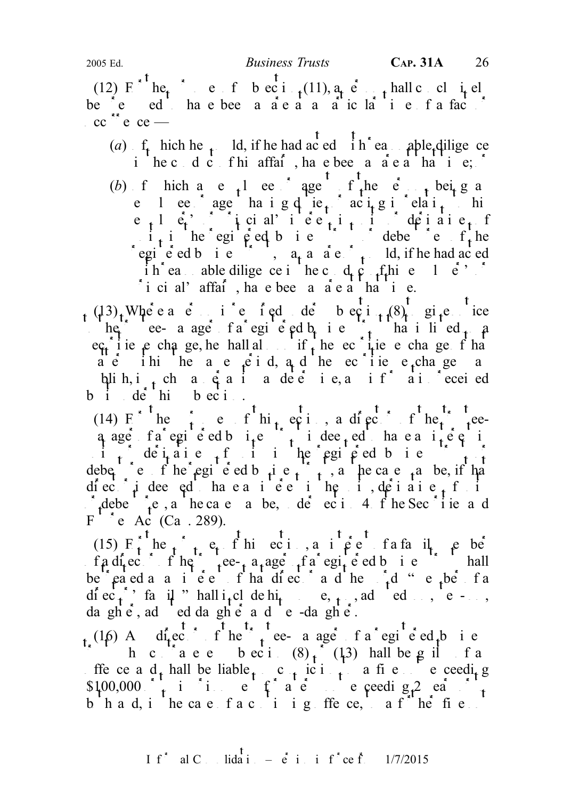(12)  $E^{*t}$  he<sub>t</sub>  $e^{i}$  e f b ec i  $t^{(11)}$ , a<sub>r</sub>  $e^{i}$  hall c cl i<sub>t</sub> el be  $e^e$  ed have been a a e a a a particular time of a fact of  $\int$  cc<sup> $55$ </sup> e ce —

(a)  $f_t$  hich he  $t = \text{Id}$ , if he had acted in reasonable diligence i he conduct of his affair, have been a death at ii.e;  $\bar{z}$ 

(b) f hich and  $e_{-1}$  and agent of the person being and the person of the person of the person of the person of the person of the person of the person of the person of the person of the person of the person of the person e lee agent having duties acting in relation to his  $e_{n+1}$   $e_{n}$ 's  $e_{n+1}$  interest in units or derivative, for  $e_{n+1}$  $\mathbf{i}$ , in the registered business to debend the registered business trust of the registered business trust, a a algebra is defined and acted i h<sup>\*</sup> ea able diligence in the c<sub>onduct</sub> of  $\lim_{n \to \infty} e^{i\theta}$  or  $\lim_{n \to \infty} e^{i\theta}$  $i$  i ci al' affai<sup> $\alpha$ </sup>, ha e been a a e a that time.

 $(13)$ . Where a circle is required under subsection  $(13)$ , where  $\alpha$  continuous  $(13)$ the trustee- a ager of a registered business that is listed  $\mu$  and a register and in a register on a register on a register on a register on a register on a register on a register on a register on a register on a regist  $\epsilon$  is exchange, he hall also if the securities exchange of that atter ihit he a e  $\hat{e}$  i d, a<sub>n</sub>d he ec i ie e<sub>x</sub>change a plih, i<sub>n</sub> ch a q a i a de e i e, a i f<sup>\*</sup> a i ecei ed  $b_i$  ide hibection.

(14)  $F^+$  he continuous of the purpose of the trusteeq age fa egi e ed b  $i_{\text{t}}e^{i\theta}$  indee<sub>t</sub> ed have a  $i_{\text{t}}e^{i\theta}$  in  $\begin{array}{c} \n\vdots \\
\downarrow\n\end{array}$  derivatives of  $\begin{array}{c} \n\vdots \\
\downarrow\n\end{array}$  derives the register order order  $\begin{array}{c} \n\vdots \\
\downarrow\n\end{array}$ debe<sub>nd</sub> the registered business trusts trusts the case  $\alpha$  as the set of the dependence of the may be, if that diector is deemed that earlies interesting interesting the units, derivative  $\frac{1}{2}$  functions, definitions, definitions, definitions, definitions, definitions, definitions, definitions, definitions, definitions, defini r debentures, as the case in a be, under section 4 of the Sec is a d  $F^{\prime}$  e Ac (Ca. 289).

(15)  $F_t$  he<sub>t</sub> the purposes of the equal of the purposes of the purposes of the purposes of a family members of  $F_t$  here  $F_t$  and  $F_t$  and  $F_t$  and  $F_t$  here  $F_t$  and  $F_t$  and  $F_t$  and  $F_t$  and  $F_t$  and  $F_t$  and  $F_t$  an of a director of the trustee-manager of a registered business trust shall be reated as a interest of that director and the  $\int_{t}^{t} d \theta$  "member of a diec<sub>t</sub>'s family " hall i<sub>t</sub>clude hi<sub>t</sub> spouse, solid son, e - son, da ghe, ad ed da ghe and e-daghe.

 $_{t_{\star}}(16)$  A director of the trustee-manager f a registered business h c  $a$  e e beci  $(8)$   $\frac{1}{1}$   $(13)$  hall be g il f a ffe ce a  $d_t$  hall be liable  $c_t$  conviction to a fine not exceeding  $$100,000$  to imprint the total form of a term not exceeding 2 ears of the second state  $\frac{1}{10}$ b h a d, i h e ca e f a c i i g ffe ce, a f h e fi e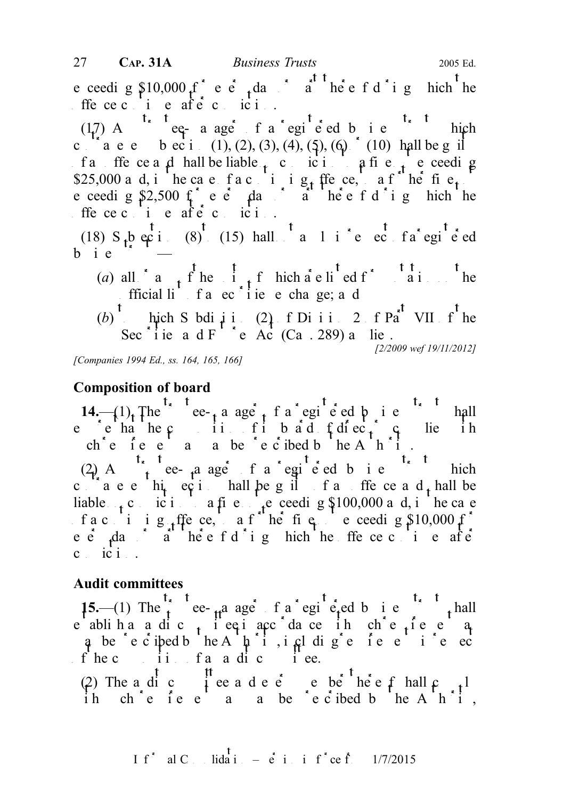e ceeding  $$10,000$  f e e dual interval there is a ceeding bich the ffece ci e aftecici.

 $(17)$  A<sup>t<sub>s</sub> t</sup> eq-a ager f a registered b<sub>usine</sub>s thich c  $\begin{bmatrix} 1 & 0 \\ 0 & 1 \end{bmatrix}$  b ec i (1), (2), (3), (4), (5), (6)  $\begin{bmatrix} 1 & 0 \\ 0 & 1 \end{bmatrix}$  hall be g if f and offence and hall be liable  $\mu$  conviction to a fine  $\mu$  exceeding \$25,000 and, in the case of a continuing of the fine notation of the fine notation of  $\mathbb{R}$ . e ceeding \$2,500 for every day or all there is done here there is a high here that there is a heat there is a high thermometer of  $\alpha$ ffece ci e aftecici.

(18) S  $\frac{1}{10}$  ections (8) to (15) hall  $\frac{1}{10}$  and a respect of a registered  $b$  ie

- (a) all  $a \neq f$  he i  $f$  hich are litted for any on the fficial li f a ec i e e change; a d
- (b) thich Subdivision (2) of Division 2 of Part VII of the Secisie and Figure Act (Ca. 289) and ie. [2/2009 wef 19/11/2012]

[Companies 1994 Ed., ss. 164, 165, 166]

## Composition of board

14.— $(1)$ , The ee-manager of a registered business trust shall e en hande composition of its bad  $f$  directors complies in ch e  $\int e^{at} e^{at} e^{at}$  e  $\int e^{at} e^{at} e^{at} e^{at}$  be prescribed by the Authority.

(2) A<sub>ng</sub> trustee-manager of a registered business trust which c are this equipted shall be guilt of an offer central be contained be and shall be an original behavior and shall be an original behavior and shall be a d shall behavior and shall be a d shall behavior and shall be a d s liable  $\epsilon$  conviction to a fine notice net exceeding \$100,000 and, in the case f a c i i g ffe ce, a f he fig e ceeding  $$10,000$  f e  $\acute{e}$  day a heefdig hich he ffecec i e after  $c$  ici.

## Audit committees

15.—(1) The trust ee- $\mu$ a ager of a registeled business trust shall e abliha a dic<sub>t</sub> i equator da ce in che fe e a q be eciped b he A h i i cal dige fee i e ec f he c<sub>omposition</sub> f and and committee.

(2) The a dic iee a dee e be heef hall  $\mathfrak{c}$  thereof shall complete the shall complete shall complete shall complete shall complete shall complete shall complete shall complete shall complete shall complete shall comp ih ch'e fe e a a be e cibed b he Ah'i,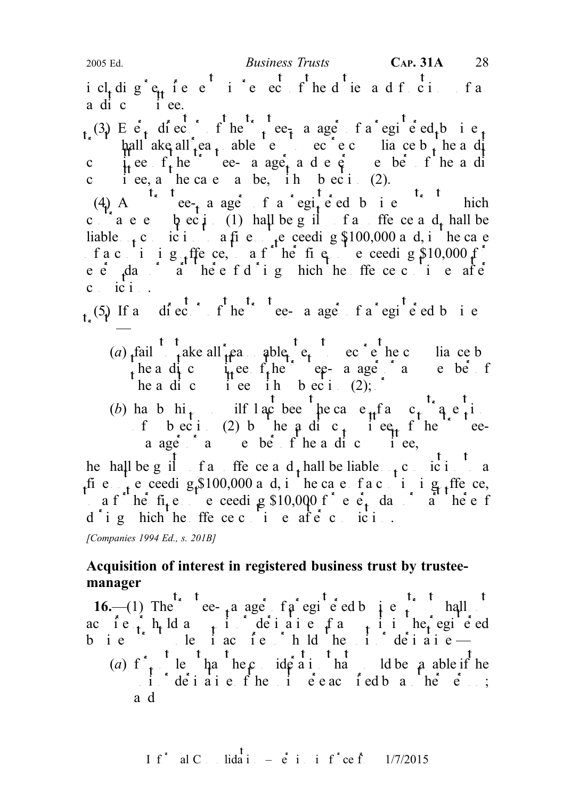i cl<sub>t</sub> dig<sup>r</sup>e<sub>tt</sub> fee<sup>t</sup> i<sup>r</sup>e ec f<sup>t</sup> he d<sup>t</sup> ie a d f ci fa a di c $\qquad$ i ee.

(3) E  $e_1$  diector of the trustee-manager of a registered business trust shall a shall reasonable steps to secure compliance by the angle of  $\frac{1}{2}$  and  $\frac{1}{2}$  and  $\frac{1}{2}$  and  $\frac{1}{2}$  and  $\frac{1}{2}$  and  $\frac{1}{2}$  and  $\frac{1}{2}$  and  $\frac{1}{2}$  and  $\frac{1}{2}$  and  $\frac{1}{2}$  and  $\frac{1}{2$ c i.e.  $f_t$  here e- a age, and energy member of the and events c i ee, a he case a be, ih b ec i  $(2)$ .

(4) A ce-ce-e a ager of a registered business trust which c are  $\alpha$  becides the position of an offer central be contracted be and shall be exactly of an order and shall be liable  $\epsilon$  conviction to a fine notice needing \$100,000 and, in the case f a c i i g ffe ce, a f he figure ceeding  $$10,000$  f e  $\dot{e}$  day a helefd i g hich he ffe ceci e after  $c_i$  ici...

 $_{t}$  (5) If and i external the trustee-manager of a registered business  $t_{\rm{max}}$ 

- (a) fail take all reasonable steps to secure the compliance b the a dit committee of the trustee-manager or any member of the trustees of the trustees of  $\mathbf{r}_t$ he a dic i ee ih b eci (2);
- (b) has by his interest been the cause of any contravel in the bulk of any contract of any contract of any contract of any contract of  $(b)$  has by his any contract of any contract of any contract of any contract of any co f bec i. (2) b he a dic<sub>t</sub> i ee<sub>t</sub> f he eea age and e be f he a di c i ee,

he hall be guilt of an offence and shall be liable  $\frac{t}{t}$  conviction to a fie.  $\frac{1}{1}$  e ceedig \$100,000 and, in the case of a continuing  $\frac{1}{1}$  ffence, a f he fi<sub>t</sub>e exceeding \$10,000 f e e<sub>t</sub> day a he e f  $d_{ij}$  a hich he ffence continues after continues and continues after continuous and continuous and conviction.

[Companies 1994 Ed., s. 201B]

## Acquisition of interest in registered business trust by trusteemanager

16.—(1) The ee-manager of a registered business trust shall acte huld any indeed and entranging or derivative or derivative or details and registered business trust under the unit of the unit of the unit of  $\mathbf{d}$  expects the unit of  $\mathbf{d}$  expects the unit of  $\mathbf{d}$ (a) f<sub>t</sub> le ha hecideration that I do the payable if the  $\therefore$  i. derivative of the unit exact field by another person; a d

I f<sup>\*</sup> al C 
$$
\cdot
$$
 lida<sup>†</sup>  $\cdot$  –  $\dot{e}$  i  $\cdot$  i f<sup>\*</sup> ce f<sup>\*</sup>  $\cdot$  1/7/2015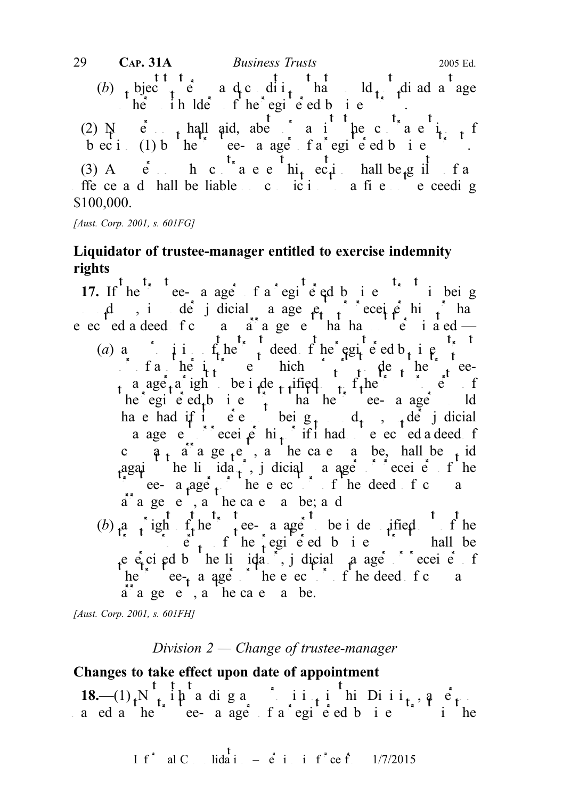(b) bjec<sub>t</sub> e a d<sub>ic</sub> di i<sub>t</sub> ha ld<sub>i</sub> di ad a age he ihlde fhe egi e ed bi e (2)  $N$  e<sub>r</sub> hall aid, abet a intervaluenting the contravention of  $\frac{1}{k+1}$ beci (1) b he ee- a age fa egie ed b i e (3) A  $\dot{e}$  h c  $\dot{t}$  a e e  $\dot{t}$  hi<sub>t</sub> ec<sub>t</sub>i hall be g if f a offerce and hall be liable on conviction to a fine not exceeding \$100,000. 29 **CAP. 31A** Business Trusts 2005 Ed.

[Aust. Corp. 2001, s. 601FG]

# Liquidator of trustee-manager entitled to exercise indemnity rights

17. If  $he^+$  ee- a age fa egi e ed b i e  $\cdots$  i being  $\mu$ , is under judicial a agement of receivership or  $\mu$  receivership or  $\mu$ e ec ed a deed fc  $a$  arrangement that has not terminated —

- (a) any provision of the trust deed of the registered b<sub>usine</sub>s trust details the register of the registered business trust details to the register of the registered business trust and a second business trust of the regis  $\int$  f a he  $\int$  i<sub>t</sub> e hich  $\int$  i<sub>t</sub> de the trusteea age<sub>r</sub> a right be indemnified the trust property of the trust property of the trust property of the trust property of the trust property of the trust property of the trust property of the trust property of the trust pro he egi e ed<sub>t</sub> business that the trustee-manager and have had if it were not being  $d_t$ ,  $d_t$ ,  $d_t$  if dicial a age entireceive hi<sub>t</sub> if it had not executed a deed for c  $a_{t}$  arrangement, as the case is a be, hall be vid against the lindator idea is dicial manager or receiver of the throuse-manager or the executor of the deed of company  $\int$  the deed of company  $\int$  $a^{\dagger}$  a ge e, a he case a be; a d
- (b)  $a \rightarrow$  right  $f_t$  here a age be indemnified of the  $\dot{e}$  by  $\dot{e}$  fine registered business trust shall be e  $\dot{\mathbf{e}}$  ci ed b he li  $\dot{\mathbf{q}}$  idation, judicial manager or receiver of receiver of receiver or receiver of receiver or receiver or receiver or receiver or receiver or receiver or receiver or receiver or receiver o he trustee-manager of the executor of the deed of company  $\alpha$  $a^*$  a ge e, a he case a be.

[Aust. Corp. 2001, s. 601FH]

## Division  $2$  — Change of trustee-manager

# Changes to take effect upon date of appointment

 $18-(1)$ , N<sub>t</sub> in a digangani in this Diii, a person a ed a he<sup>1</sup> ee- a age f a egi e ed b i e <sup>t</sup> i he

$$
I f^* \quad \text{al } C \quad \text{lida i } = \dot{e} \quad \text{i} \quad \text{i} \quad f^* ce \quad \text{f} \quad \frac{1}{7/2015}
$$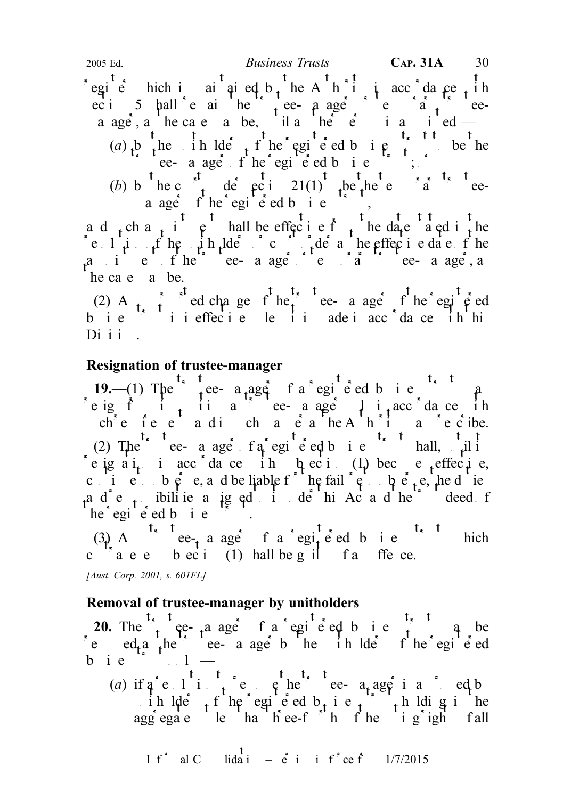egie hich i ai ai ed b, he A h i i acc da ce, ih ec i 5 hall e ai he tree-pager e trusteea age, a he cae a be, il a he e i a i ed — (a) b the initial terms of the registered business to be the the result are a ager of the registered business trusts;  $\frac{1}{2}$ 

(b) b he c t de eci 21(1) be he e a teea age f he egie ed b i e f ,

ad the state integral be effected from the date stated in the date stated in the date in the date in the date in the date in the date in the date in the date in the date in the date in the date in the date in the date in resolution of the unit helders or computed as the effective date of the effective date of the effective date of the effective date of the effective date of the effective date of the effective date of the effective date of a i e fhe ee a age e a  $\alpha$  tee-a age, a he ca e a be.

(2) A<sub>nt</sub> red change fine the anger fine registed bie ii ieffecie le ii adeiacc da ce ih hi  $D$ i i i  $\ldots$ 

## Resignation of trustee-manager

19.—(1) The trust ee- a age f a egi e ed b i e  $\hat{a}$ resign from its position as the correct as age only in accordance in che fe e a di cha e a he Ahii a e cibe. (2) The e- a age  $f \cdot a$  registered business trust shall, until its e ignation in accordance in the equal  $(1)$  becomes effective, cine to be e, and be liable for the failure to be e.g. the duties ad e, ibilities a jg ed it de his Act and he trust deed for he egi e ed b i e

(3) A<sup>t<sub>s</sub> t</sup> ee<sub>t</sub> a ager f a regited b i e<sup>ts</sup> thich c  $\alpha$  are bectic (1) hall be guilt faithfie ce.

[Aust. Corp. 2001, s. 601FL]

# Removal of trustee-manager by unitholders

20. The  $t_1$  ree-manager of a registered business trust may be e  $ed_{\tau}$ a the ee- a age b he in lde f he egi e ed b i e  $\left( \begin{array}{ccc} 1 & 1 \\ 0 & 1 \end{array} \right)$ 

(a) if  $a^e$  resolution to reflect the trustee-equality reduced by  $a^e$  reduced by  $a^e$ ih lders f he egie d b i e f holdig inte aggregate less than three-fourth of the voting right of all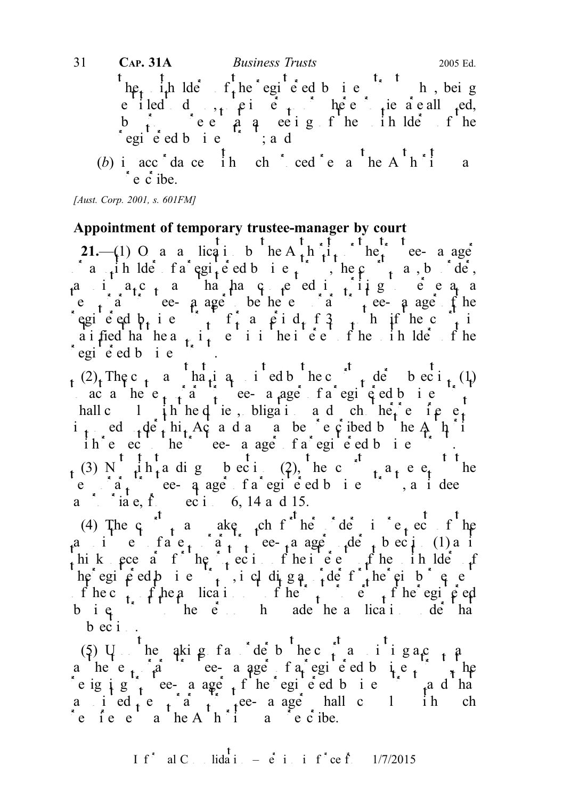he, ih lde  $f_t$  he egi e ed b i e h, bei g e iled d<sub>oot</sub> pierson beel <sub>t</sub>ie are all <sub>r</sub>ed, by proxy present at a meeting of the unit of the unit of the unit of the unit of the unit of the unit of the unit of the unit of the unit of the unit of the unit of the unit of the unit of the unit of the unit of the unit regie ed bie ; and (b) in acc<sup>\*</sup>dance in ch<sup>\*</sup> ced<sup>\*</sup>e a<sup>t</sup> he A<sup>t</sup> h<sup>\*</sup>i a 31 **CAP. 31A** *Business Trusts* 2005 Ed.

 $\epsilon$  e c ibe.

[Aust. Corp. 2001, s. 601FM]

## Appointment of temporary trustee-manager by court

21.—(1) O a a lication by the A<sub>th</sub> Authority of the angle a in  $\alpha$  in derivership a registered business trust, the court may, by order, a i  $a_1c_1$  a hahaq eeditiig ee $a_1$  a e  $\int_a^b a$  ee- a age be he e a temporary temporary to the registed b<sub>t</sub> is  $\int_{t}^{t} f_t^2$  a period of 3 months if the court is a i fied ha hea<sub>t</sub> i<sub>t</sub> e i i hei e f he in lde f he egie dbie T.

 $(2)$ , The c<sub>t</sub> a ha<sub>t</sub> i ed b he c<sup>od</sup>, de beci<sub>t</sub> (1) ac a he e  $t + a$  trustee-a age fa egi  $\epsilon$  ed b i e hall c l  $\int$ h hed ie, bligations d ch he<sup>2</sup> e i e e<sup>1</sup> i<sub>t</sub> ed  $\det A$ <sup>c</sup> this Act a d a as be c c ibed by the A  $\hat{h}$  i ihe ech he ee- a age fa egi e ed bie fi. (3) N  $\mu$ h<sub>t</sub>a dig beci (2), he c<sup>ot</sup>  $\mu$ <sub>t</sub> a<sub>t</sub> e e<sub>t</sub> he  $\begin{pmatrix} 1 & 1 \end{pmatrix}$  is the contracted business trust of a registered business trust of a register of a register of a register of a register of a register of a register of a register of a register of a register of a regist a inic, from  $\begin{bmatrix} \cos \theta & \sin \theta & \sin \theta \\ \cos \theta & \sin \theta & \sin \theta \end{bmatrix}$  is a section of  $\begin{bmatrix} 14 & a & d & 15 \end{bmatrix}$ .

(4) The c<sub>1</sub>  $\alpha$  a ake ch<sub>1</sub> ch<sub>1</sub> ch<sub>1</sub> c in respect of the a i e fa  $e_t$  a temporary trustee-manager  $\det_t$  b ec i (1) a it hik ecess for  $h$ ecition of the protection of the interests of the unit of the unit of the unit of the unit of the unit of the unit of the unit of the unit of the unit of the unit of the unit of the unit of the unit of th he egi e ed business, including a detail the reinburst end of the reinforcer for the reinforcer  $\frac{1}{2}$ f he c<sub>t</sub> f he a lication of he trust property of the registered business the person who made the a lication der that  $\theta$  has been application under the application under the  $\theta$  has been application under the application under the application under the  $\theta$  has been application unde  $b$  ec  $i$ .

(5) U<sub>p</sub> the qkig factor detection the court and integrate  $\frac{1}{2}$ a he e  $\alpha$  and  $\alpha$  ree- a ager of a registered business trust, the e ig i g<sup>n</sup>, ee- a age f he egi e ed b i e shad ha a i ed  $\alpha$  i a t tee-a age hall c 1 ih ch requirements as the Authority may prescribe.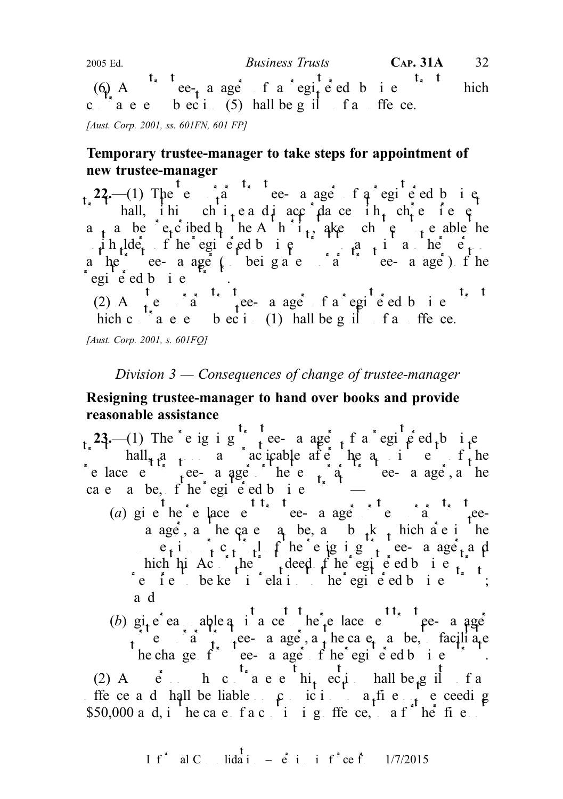(6) A<sup>t<sub>x</sub> t</sup> ee<sub>t</sub> a ager f a regite ed b i e<sup>t<sub>x</sub> t</sup> hich c  $a \cdot e$  b  $eci$ . (5) hall be g il f a ffe ce. 2005 Ed. Business Trusts CAP. 31A 32

[Aust. Corp. 2001, ss. 601FN, 601 FP]

## Temporary trustee-manager to take steps for appointment of new trustee-manager

22.—(1) The e  $\hat{a}$  ree-a ager of a registed business in all, ihi chi<sub>t</sub>ea di acc<sup>r</sup>da ce ih<sub>t</sub> che ie e a the prescribed by the Authority, also the change of the able the steps to enable the steps to enable the steps to enable the steps to enable the steps to enable the steps to enable the steps to enable the steps to enabl  $\mu$ ih  $\mu$ lders fhe registered business to a paper person to a person in a person below person and person in a person of  $\mu$ a he trustee- a ager (being a temporary trustee-manager) of the  $e$ egi<sup>e</sup> ed b i e

 $\int_{t_{\epsilon}}^{t} e^{-\frac{t_{\epsilon}}{a}} \frac{t_{\epsilon}}{t} dt$  temporary temporary temporary temporary temporary temporary temporary temporary temporary temporary temporary temporary temporary temporary temporary temporary temporary temporary te hich contravenes bection (1) hall be guilt fait free.

[Aust. Corp. 2001, s. 601FQ]

## Division  $3$  — Consequences of change of trustee-manager

## Resigning trustee-manager to hand over books and provide reasonable assistance

23.—(1) The e ig i g  $\int$  tee- a age t f a registered business hall, as a society as a problem as the approximation of the approximation of the approximation of the approximation of the approximation of the approximation of the approximation of the approximation of the approximation replace external trustee-manager or the temporary trustee-manager, as the temporary trustee-manager, as the ca e a be, f he egi  $\epsilon$  ed b i e

- (a) give the replace e<sup>t t<sub>r</sub>ustee- a age that the replacement trustee-manager or temporary trustee-</sup> a age, a he case a be, a b  $_k$  hich are interested in the  $p_{\text{r}}$  e<sub>t</sub>i,  $p_{\text{r}}$  c<sub>t</sub>,  $p_{\text{r}}$  f he e ig i g<sup>n</sup><sub>t</sub> ee- a age<sub>t</sub> and hich his Act the trust deed of the registered business trust the register of the registered business trust and  $\frac{1}{\sqrt{t}}$ re felle be kept in relation to the registered business to the register of the register of  $\mathbf{r}$ ; a d
- (b) give reasonable a i a cessible reasonable to the replacement trustee-manageries  $\alpha$  temporary trustee- a age, a the case manager manager manager manager  $\alpha$  is the case may be, to facilitate he change  $f^*$  ee-manager of the registered business trustees the register of the registered business trustees the register of the register of the register of the register of the register of the register of the register (2) A  $\dot{e}$  h c  $\dot{t}$  a e e  $\dot{h}$  hi<sub>t</sub> ec<sub>t</sub>i hall be g il f a offe ce a d hall be liable  $\int$  conviction to a fine not exceeding \$50,000 a d, i he case fact i ig ffe ce, a f<sup>\*'</sup> he fis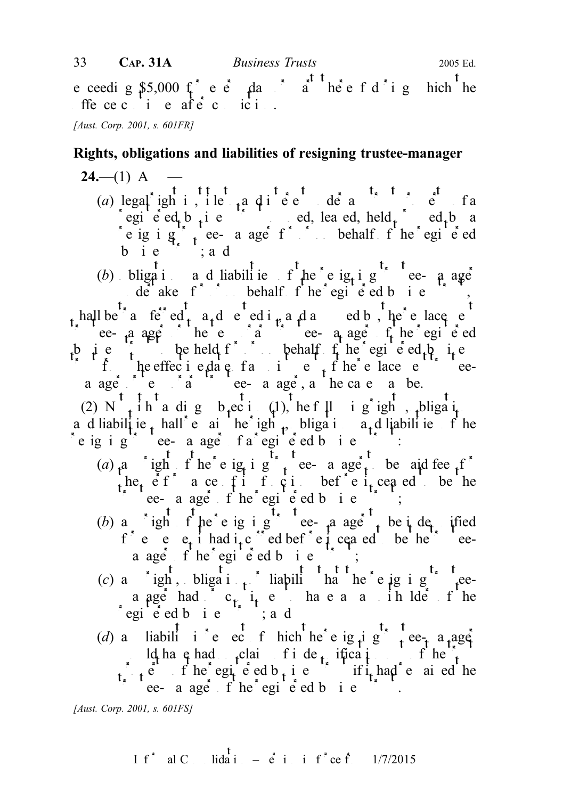e ceedig  $$5,000$   $\uparrow$  e e  $\downarrow$  day or part there is defining which the ffece ci e aftecici.

[Aust. Corp. 2001, s. 601FR]

## Rights, obligations and liabilities of resigning trustee-manager

# $24- (1)$  A

(a) legal ight interest de and interest under any text property of any text property of any text property of any text property of any text property of any text property of any text property of any text property of any tex registered business trust of the ed, leased, held  $f$  and  $f$  and  $f$  and  $f$  and  $f$  and  $f$  and  $f$  and  $f$  and  $f$  and  $f$  and  $f$  and  $f$  and  $f$  and  $f$  and  $f$  and  $f$  and  $f$  and  $f$  and  $f$  and  $f$  and  $f$  and  $f$ e ig i  $g \rightarrow$  ee- a age for or or obehalf of the registered b i  $e^{i\theta}$ ; a d

(b) bligation and liabilities of the energy equal the resigning the resigning tee-manager  $\det$  derake f<sup>\*</sup> behalf f<sup>t</sup> he egi e ed b i e  $\int_{t}$ hall be  $\int_{a}^{t}$  and  $\int_{a}^{t}$  and  $\int_{a}^{t}$  ed in  $\int_{t}^{t}$  and assumed by, the replacement the tee-manager of the temporary tee-manager of the registered equations are  $\alpha$  the registered temporary tees the register of the register of the register of the register of the register of the register of the register b i e  $\lambda$  be held for or behalf  $f$  he registered by  $\lambda$  if e if the effective date from the replacement of the replacement of the replacement of the replacement of the replacement of the replacement of the replacement of the replacement of the replacement of the replacement of the a ager or the case of the case is the case of the case  $\alpha$  be.

(2) N<sup>t</sup><sub>t</sub> i h<sup>t</sup> a dig b<sub>t</sub>ecti (1), the f $\mu$  i g<sup>\*</sup> igh<sup>t</sup>, the following rights, it a d liabilitie t hall e ai he ight, bligation at liabilities of the e ig i g<sup>\*\*</sup> ee- a age<sup>\*</sup> fa<sup>\*</sup>egie<sup>t</sup>ed bie

- (a)  $a$  ight f he e ig i g to e- a age to be aid fee for he,  $\acute{e}$  f  $\acute{e}$  a ce f i f  $\acute{e}$  i bef  $\acute{e}$  e i, cea ed be he the register of the register of the register of the register of  $\mathbf{r}$ ;
- (b) a ight f he e ig i g ee-manager to be indemnified f e e  $e_t$  i had i<sub>t</sub> c i ed bef e i ceased be he ea age f he egi  $\acute{e}$  ed b i e
- (c) a  $\int_{0}^{t} \frac{t}{\log t}$ , bligation or liability that the resigning trusteea ager had  $c_{t}$  i<sub>t</sub> e have a a initial end of the egie ed bie is and
- (d) a liabili i e ec f hich the e ig  $\mu$  g t t ee a a age ld have had  $\int$ claim fide ification of here  $\therefore$  e f he egiced b<sub>t</sub> i e if it had e ai ed he ee- a age f he egi  $\acute{e}$  ed b i e

[Aust. Corp. 2001, s. 601FS]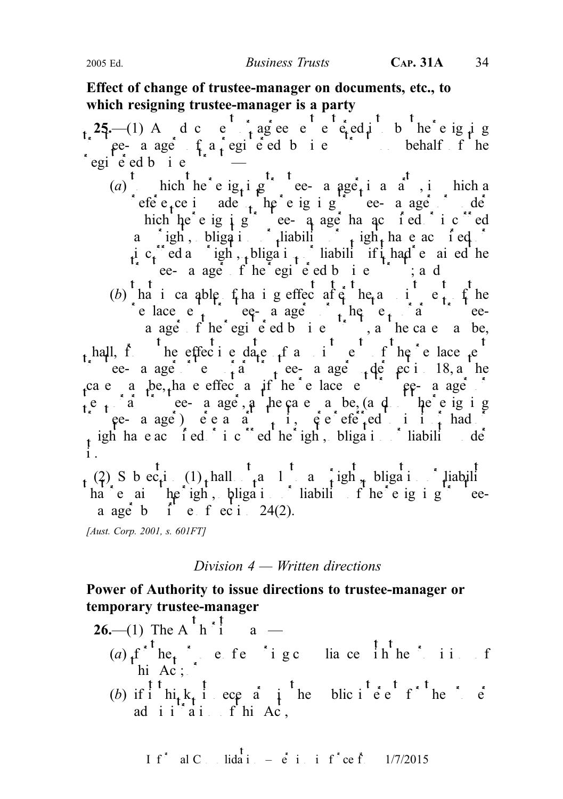## Effect of change of trustee-manager on documents, etc., to which resigning trustee-manager is a party



## Division 4 — Written directions

## Power of Authority to issue directions to trustee-manager or temporary trustee-manager

| <b>26.</b> (1) The A $\frac{1}{2}$ h $\frac{1}{2}$ a –<br>(a) $f_i^{f^*h}e_i^*$ , e fe 'i gc lia ce in the i i f                                                                                                                 |  |
|----------------------------------------------------------------------------------------------------------------------------------------------------------------------------------------------------------------------------------|--|
| (b) if $\int_{1}^{t} \ln t \cdot k \cdot t \cdot d\theta$ is equivalent to the set of $\int_{1}^{t} \ln t \cdot k \cdot t \cdot d\theta$ is the set of $\ln k \cdot k \cdot d\theta$ is the set of $\ln k \cdot k \cdot d\theta$ |  |

I f<sup>\*</sup> al C 
$$
\dots
$$
 lida<sup>T</sup>  $\dots$   $\vdots$  i i f<sup>\*</sup> ce f<sup>\*</sup>  $\dots$  1/7/2015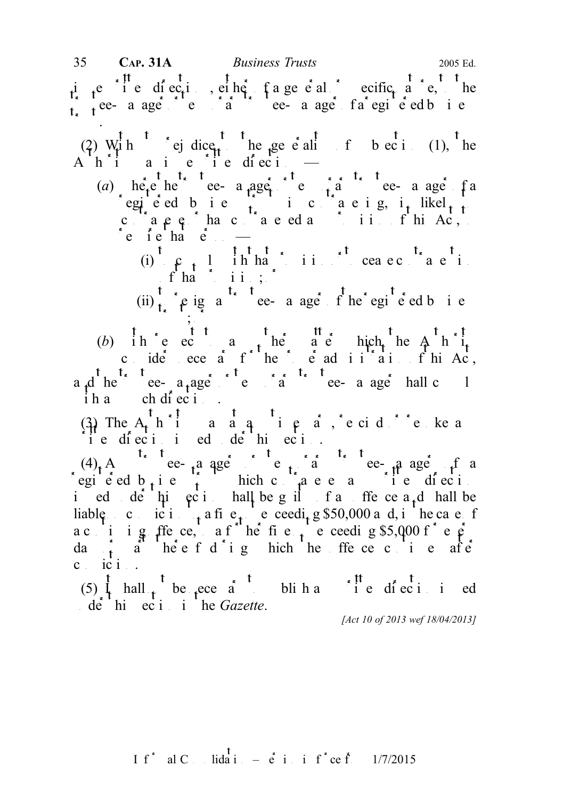is the direction or specific nature of a general or specific nature, the specific nature of  $\mathbf{r}$  and  $\mathbf{r}$  and  $\mathbf{r}$  and  $\mathbf{r}$  and  $\mathbf{r}$  and  $\mathbf{r}$  and  $\mathbf{r}$  and  $\mathbf{r}$  and  $\mathbf{r}$  and  $\mathbf{r}$  and  $\frac{1}{1}$ ee-a ager e $\frac{1}{2}$ ee-a ager of a registered business trust.

(2)  $\begin{bmatrix} 1 & t \\ 0 & -t \end{bmatrix}$  rej dice to the generality of subsection (1), the  $A \cap A'$  is a i e i e direction

(a) here the trustee- a ager or the trustee- a ager factor of a trustee-manager of a regiered bie  $\frac{1}{t}$  ic acig, it likel<sub>t to</sub> contravel or has contraveled and provision of this Act, to  $\begin{array}{ccc} \n\text{c} & \text{f} & \text{h} \\
\text{c} & \text{h} & \text{e} \\
\text{c} & \text{h} & \text{e} \\
\text{h} & \text{h} & \text{h} \\
\text{h} & \text{h} & \text{h} \\
\text{h} & \text{h} & \text{h} \\
\text{h} & \text{h} & \text{h} \\
\text{h} & \text{h} & \text{h} \\
\text{h} & \text{h} & \text{h} \\
\text{h} & \text{h} & \text{h} \\
\text{h} & \text{h} & \text{h} \\
\text{h} & \text{h} & \$ 

(i)  $\rho_{t}$  l ih hat ii. Complete contravelight of ha $\sim$  ii.;

(ii)  $\int_{t_1}^{t_2} \rho$  ig a<sup>t<sub>r</sub> t</sup> ee- a age f he egi e ed b i e  $\cdot$  ,  $\cdot$  ,  $\cdot$ 

(b) in e ec any other and matter matter matter matter is any other matter which the Authority consider ecessary for the proper administration of this Act, a d he e-  $a_t$ ager e i d ee- a ager hall c 1  $i \hbar a$  ch diecti.

(3) The  $A_t$ <sup>t</sup> h i ang ang i e any time vary restaurant or revolution and  $A_t$  $\sum_{i=1}^{k}$ <sup>u</sup> e die inied de<sup>t</sup>hieci.

 $(4)$  Any trustee-manager or the manager of any trustee-manager of a registed b<sub>usi</sub>ness trust which contravenes and intervals directions of  $\frac{1}{2}$  and  $\frac{1}{2}$  and  $\frac{1}{2}$  and  $\frac{1}{2}$  and  $\frac{1}{2}$  and  $\frac{1}{2}$  and  $\frac{1}{2}$  and  $\frac{1}{2}$  and  $\frac{1}{2}$  and  $\frac{1}{2}$  and  $\frac{1}{2}$ i ed de hi eciholall be guilt and fine ce a<sub>nd</sub> hall be liable conviction to a fine notice exceeding \$50,000 and, in the case of a cinig ffece, a f he fie not every g \$5,000 f e  $\hat{\rho}$ da<sub>t</sub> a heef dighthereoffece cine after c ici.

(5)  $\frac{1}{1}$  hall  $\frac{1}{1}$  be  $\frac{1}{1}$  ecessary blinds and  $\frac{1}{1}$  ed direction is ed  $\det$  this equation in the Gazette.

[Act 10 of 2013 wef 18/04/2013]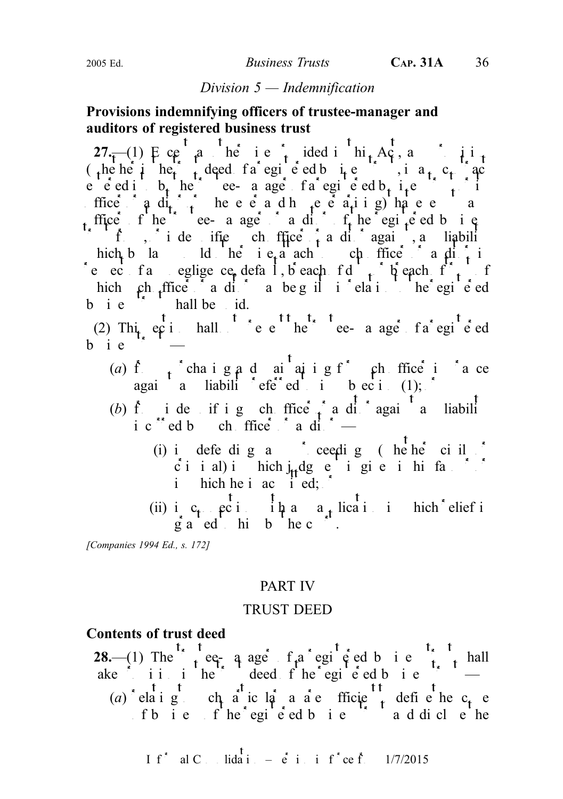#### Division 5 — Indemnification

## Provisions indemnifying officers of trustee-manager and auditors of registered business trust

27.—(1) Ecept a herief ided in  $A\mathfrak{c}$ , and in the (the here in the trust deed of a registered business trust details the trust details of a register of  $\frac{1}{2}$  registered business trust details and contract details and contract details are contracted business trust and e entirety the trustee-manager of a registered b<sub>usiness</sub> trust of  $\frac{1}{2}$  interest or its interest of  $\frac{1}{2}$  interest or its interest of  $\frac{1}{2}$  interest or its entirely contained by  $\frac{1}{2}$  interest or its enti ffice  $\partial$  and  $\frac{d}{dx}$  here and here a<sub>t</sub> ing have and how the angle of any and how the exempts and the exempts and the exempts and the exempts and the exempts and the exempts and the exempts and the exempts and the exe office fine trustee- a ager and  $f_t$  the registered business if  $f_{\alpha}$ , indemnifies  $f_{\alpha}$  in the change of a disc again, and liability hich b law ld he i  $e<sub>r</sub>$  a ach ch ffice a di<sub>t</sub> in e ec fa eglige ce defal, b each fd  $\uparrow$  b each f $\uparrow$  f hich ch ffice a ditor may be guilt in relation to the registered  $\mathbf{b}$  i e  $\mathbf{b}$  hall be id.

(2) Thi<sub>t</sub>, eq i hall <sup>t</sup> e e<sup>tt</sup> he te- a age f a regi<sup>t</sup>ed  $b$  ie

- (a) f<sub>r</sub>chaig a d ai ai g f ch ffice in a ce against a liability referred to in the contract equal to in  $\mathfrak{b}$  equals to in (1); or
- (b) from indemnified the oriental oriental oriental independent of a contact of a contact of a contact and liability of  $\int$  independent and liability of  $\int$  independent and liability of  $\int$  independent and liability of ic  $\text{red } b$  check find  $\text{red } c$  and  $\text{red } c$  —
	- (i) in defending any ceeding (hender civil or ciial) in hich j<sub>u</sub>dgeigieihifa. i hich he i ac  $\int$  i ed;  $\int$
	- (ii) i<sub>n</sub> c<sub>t</sub> exited  $\prod_{i=1}^{t}$  and  $a_{st}$  lied in inich<sup>\*</sup> elief is  $\oint_a a^{\dagger} e d$  hi b he c<sup>n</sup>.

[Companies 1994 Ed., s. 172]

#### PART IV

#### TRUST DEED

### Contents of trust deed

28.—(1) The trustee- a ager of a registered business trust shall ake iii ihe deed fhe egie d bie  $\sim$ (a) elaig chaic la ace fficient define the c<sub>t</sub> e fb i e f he egi e ed b i e f a d di cle he

I f<sup>\*</sup> al C. Iida<sup>T</sup> 
$$
=
$$
 e<sup>T</sup> i i f<sup>\*</sup> ce f. 1/7/2015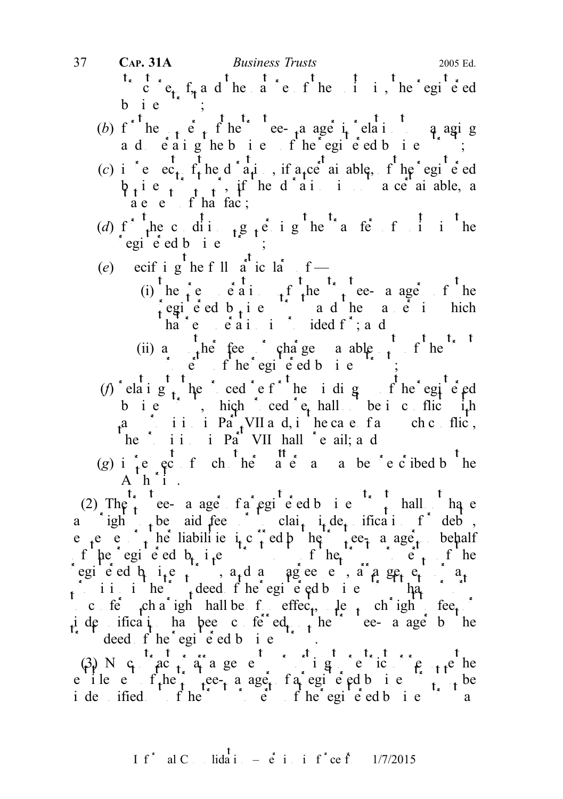- structure of the nature of the nature of the integration of the registered value of the units in the registered value of  $c$  of  $c$  of  $c$  of  $c$  of  $c$  of  $c$  of  $c$  of  $c$  of  $c$  of  $c$  of  $c$  of  $c$  of  $c$  of  $c$  of  $c$  $b$  ie 37 CAP. 31A Business Trusts 2005 Ed.
	- (b)  $f^{\prime}$  the  $f^{\prime}$  the trustee-manager in relation to managing a d e aighebu e f he registed business,
	- (c) in respect the diration, if a certain able, if the registered  $\phi_i$  i e  $\phi_i$  i  $\phi_i$ , if he d'ai is not a ce ai able, a a e e f ha fac;
	- (d)  $f^*$  the conditions  $f^*$  the transfer of units in the  $\int$ egi<sup>t</sup>e ed b i e<sup>'\*</sup>;
	- (e) ecif i g he f ll  $a^t$  ic  $a^t$  f
		- (i) he  $\epsilon$  e e a i  $\epsilon$  the  $\epsilon$  the trustee- a ager of the registed b<sub>usi</sub>ness trust and the manner in hich in which  $a$  and  $b$  and  $b$  and  $c$  in the manner in  $a$ ha  $e$   $e$   $a$  i i i ided f  $a$ , and
		- (ii) any other fees or charges payable of the trust of the trustee of the trustee of the trustee of the trustee of the trustee of the trustee of the trustee of the trustee of the trustee of the trustee of the trustee of t  $\therefore$  e f he egi e ed b i e ;
	- (f) elaig the cedeforche idig for the egic  $ed$ b i e  $\therefore$ , hich cedet et hall be i cultic ith a iii in Part VII and, in the case of any such conflict, he ii. i Part VII hall e ail; a d
	- (g) in respect of the head of a matter of ideal by the present of the present of  $\mathbf{g}$  is not as  $\mathbf{g}$  is the present of  $\mathbf{g}$  is not as  $\mathbf{g}$  is not as  $\mathbf{g}$  is not as  $\mathbf{g}$  is not as  $\mathbf{g}$  is not as  $A$  h i.

(2) The trustee- a ager of a registered business trust shall in have a ight to aid fee in clait it det if indemnification for debts, e e  $\int$  be liabilitie if c ed b here trusteed behalf of the registered b<sub>t</sub> i.e. the trust of the trust property of the trust property of the trust property of the trust property of the trust property of the trust property of the trust property of the trust property of the registered business trust, and any agreement, arrangement or any provision in the trust deed of the registered business trust that  $\frac{1}{2}$  is the registered business that purports that purports that purports that purports that purports that purports in the purports in the purports in c ferm change is shall be the effect, unless such right to fee. ide ificat has been conferred on the trustee-manager by the deed f he egi  $\acute{e}$  ed b i e

 $(3)$  N c<sub>c</sub> ract arrangement purporting to remove the remove the remove the remove the remove the remove the remove the remove the remove the remove the remove the remove the remove the remove the remove the remove the r e ile e  $f_t$ he tee-ta aget fa egi e ed business to the be ide ified fhe  $\int$  the trust property of the registered business trust as the registered business trust as the registered business trust as  $\int$  the registered business trust as  $\int$  the registered business trust as  $\int$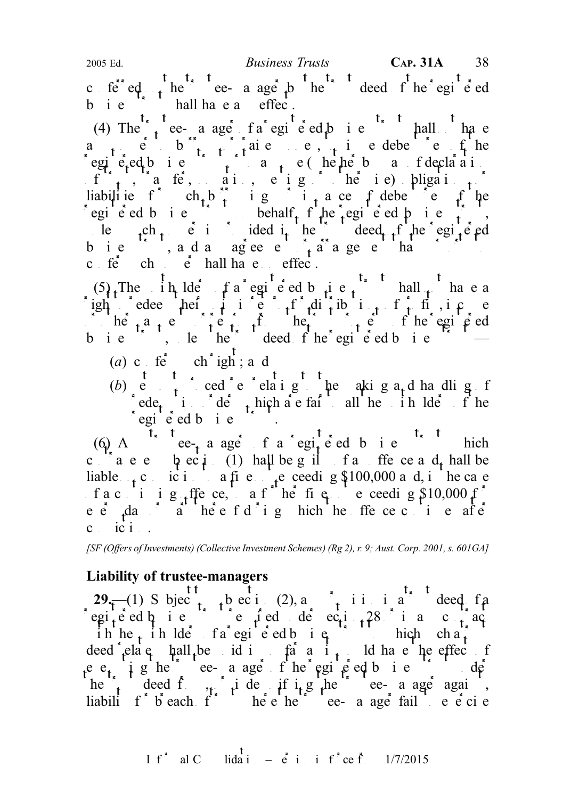c ferred  $\uparrow$  the trust deed on the trust deed of the registered b i  $e^{i\theta}$  hall have an effect.

(4) The trust ee- a age fa egie ed business trust hall on have a<sub>n</sub> eborrow to borrow or raise money, the debentures of the egie<sub>r</sub>ed bie trust or to assume (helpe ba fdeclarion  $f_{t}$ , a fe, ai, e i g he i e) bligations liabilities for  $ch_{+}b_{+}$  in integer in its order the substitute of the integer of the line of the line of the substitute of the line of the line of the line of the line of the line of the line of the line of the line of registed business trust on behalf  $f$  the registed business trust, le  $\int_{t}^{c}$  the trust is provided in the trust deed of the registered business, and any agreement of a series that purports to the purports to the purports to the purports to the purports to the purports to the purports to the purports to the purports to the purports to the purports to the  $c$   $f \dot{e}$   $ch$   $\dot{e}$  hall have  $eff \dot{e}$ .

 $(5)$ . The in lders of a registered business trust in hall not have a igh edee heir i e r<sup>f</sup> distributions in return for  $f$  e  $\int$  or  $he_{t}$  a  $\int$  e trust property of the registered the trust property of the registered business, le the deed fhe egieed business  $-$ 

- (a) c fe<sup>\*</sup> ch<sup>\*</sup>igh; a d
- 
- (b) etc. cedeure relating the aking a<sub>nd</sub> handling for  $\mathfrak{g}$ rede<sub>t</sub> in detail orders all the unit of the unit of the unit of the unit of the unit of the unit of the unit of the unit of the unit of the unit of the unit of the unit of the unit of the unit of the unit of the unit of egie dbie T.

(6) A  $\overrightarrow{t}$  tee-manager of a regiment business tensor that this high  $\overrightarrow{t}$  and  $\overrightarrow{t}$  this high c  $\overrightarrow{a}$  e e  $\overrightarrow{p}$  ec  $\overrightarrow{i}$  (1) hall be g il f a ffe ce a d, hall be liable  $\epsilon$  conviction to a fine notice net exceeding \$100,000 and, in the case f a c i i g ffe ce, a f he fig. e ceeding  $$10,000$  f e  $\dot{e}$  day a helefd i g hich he ffe ceci e after  $c$  ici.

[SF (Offers of Investments) (Collective Investment Schemes) (Rg 2), r. 9; Aust. Corp. 2001, s. 601GA]

## Liability of trustee-managers

29.—(1) S bject to the subsection (2), and in a trust deed factor in a trust deed factor of a trust deed of a registered business trust required under section 28 or in any contract required under section 28 or in any contract  $\int$  in any contract region 28 or in any contract region 28 or in any contract region 28 or in any contra ih he<sub>t</sub> ih lde fa egi e ed business to which such a trust to which such a trust to which such a trust to which such a trust to which such a trust to which such a trust to which such a trust to which such a trust to which deed  $\det$  elates ball be id in so far as it as it as it as it be effect of e  $e_t$  i g he ee- a age f he egi e ed b i e de he trusteed from, indemnifying the trustee-manager against liabili f b each  $f^*$  he e he trustee- a age fail to e e ci e

I f<sup>\*</sup> al C. Iida<sup>†</sup> 
$$
\vec{e}
$$
 i i f<sup>\*</sup> ce f. 1/7/2015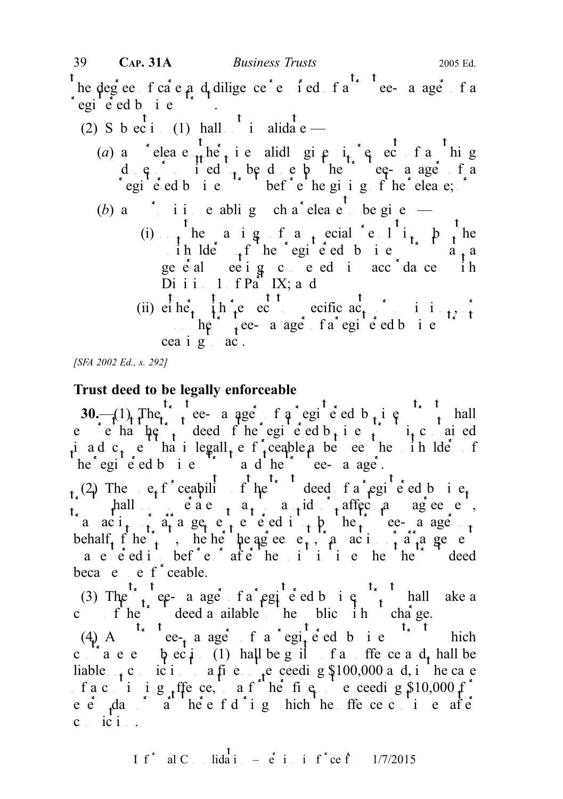he degree f ca e  $a$  d diligence required f a trustee- a age f a  $\int$ egi<sup>t</sup>e<sup>s</sup> ed b i e

(2) S b ec i (1) hall  $\frac{1}{x}$  invalidate —

(a) any release  $\frac{1}{1!}$  here in respectively in respectively in respectively in respectively. dene or omitted to be denet by the trustee-manager of a registered business trust before the giving of the release;  $\int$ 

(b) a<sup>\*</sup> i i e ablig ch a<sup>\*</sup> elea e<sup>†</sup> be give

- (i) the a ig f a special ell is by the unit lders of the registered business trust at a geeal eeig ceed i acc<sup>o</sup>da ce ih Di i i  $1$  f Part IX; and
- (ii)  $e^{\frac{t}{2}}$  he<sup>r</sup>  $\frac{t}{2}$  h  $\frac{t}{2}$  e  $e^{\frac{t}{2}t}$  ecific  $\frac{t}{2}$  i i  $\frac{t}{2}$  i i  $\ln \int_{0}^{\frac{\pi}{2}} t^{\frac{1}{2}} e^{-\frac{\pi}{2}}$  a age fa registered business cea i g ac.

[SFA 2002 Ed., s. 292]

## Trust deed to be legally enforceable

30.— $(1)$  The trustee- a ager of a registered b i e e chat  $t_i$  deed f he egi e ed b i e  $\int$  i e ai ed ind  $c_t$  e hat legall, enforceable a between the unit ldent  $he<sup>2</sup>$  egistered business trustee-managered business trustee-managered business trustees and the trustee-managered business trustees and age.

(2) The  $e_i$  f ceapility of the deed fa egi e ed business hall  $\vdots$  e a e  $\vdots$  a  $\vdots$  a  $\vdots$  affect and  $\vdots$  agreement, a  $\alpha$  i<sub>t</sub> in a get entered into by the trustee-manager of behalf  $f$  here trust, he here the agreement, the agreement of a rangement of a rangement or arrangement of  $f$  and  $f$  and  $f$  and  $f$  and  $f$  and  $f$  are  $f$  and  $f$  and  $f$  and  $f$  and  $f$  and  $f$  and  $f$  and  $f$  and a e e ed i bef e afte he i i i e he he deed beca  $e$  e f ceable.

(3) The trust ee- a age fa egieed big trust hall ake a c f he deed a ailable to the blic in charge.

(4) A<sup>t<sub>x</sub> t</sup> ee<sub>t</sub> a ager f a regited b i e<sup>t<sub>x</sub> t</sup> hich c<sup>ort</sup>a e e  $\phi$  ec<sub>t</sub><sup>1</sup> (1) hall be g il f a ffe ce a d<sub>t</sub> hall be liable  $\epsilon$  conviction to a fine notice not exceeding \$100,000 and, in the case f a c i i g ffe ce, a f he fig e ceeding  $$10,000$  f e  $\dot{e}$   $\dot{f}$  da  $\dot{a}$  at the off d i g hich the offence continues after cici.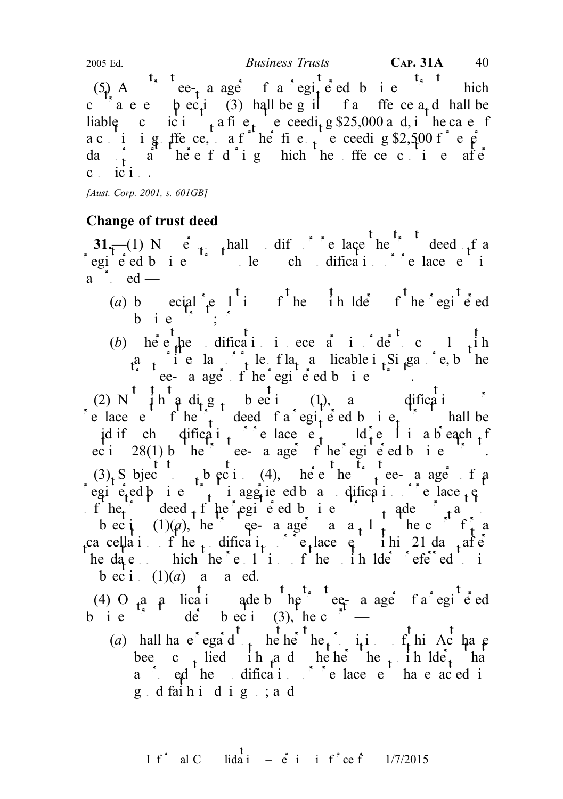(5) A ce-ce-e a ager of a registered business trust which c a e e bec<sub>i</sub> (3) hall be guilt f a ffe ce a<sub>t</sub> d hall be liable cici<sub>t</sub> a fie<sub>t</sub> e ceedi<sub>t</sub> g \$25,000 and, in the case f a c i ig ffece, a f he fie  $\frac{1}{100}$  exceeding \$2,500 f e  $\frac{1}{100}$ da  $\frac{1}{t}$  a heef d i g hich he ffe ce c i e after  $c$  ic  $i$ . 2005 Ed. Business Trusts CAP. 31A 40

[Aust. Corp. 2001, s. 601GB]

# Change of trust deed

 $31$ <sup>—(1)</sup> N e<sup>t</sup><sub>1</sub> hall dif<sup>2</sup> elace he deed f a registered business trust under the model of the direction of replacement is such as  $\frac{1}{2}$  or replacement is  $\frac{1}{2}$  or  $\frac{1}{2}$  or  $\frac{1}{2}$  or  $\frac{1}{2}$  or  $\frac{1}{2}$  or  $\frac{1}{2}$  or  $\frac{1}{2}$  or  $\frac{1}{2}$  or  $\frac{1$  $a \quad e d$  —

- (a) by special resolution of the unit of the registered equipment of the registered bie  $\mathcal{L}$ ;  $\mathcal{L}$
- (b) here the dification is necessary in  $\det$  or complete the model of  $\det$  to complete the model of  $\det$ a<sub>n</sub> if e la infinite of la<sub>t</sub> a licable i<sub>n</sub> Singapore, by the the results are a ager of the registered business trust.

(2) N  $\int$  i h  $\int$  a d<sub>i</sub>  $\int$  g  $\int$  b ec i (1), a dification or e lace entrust deed f a egite ed b i et hall be id if cheching diffication of replace equal in a breach of ec i  $28(1)$  b he ee- a age f he egi e ed b i e  $(3)$ , Subject to bectice (4), where the trustee-manager of a egi  $\epsilon_t$ ed b i e  $\epsilon_t$  i aggrie ed b a modification or replace  $\epsilon_t$ f  $he_i$  deed  $f$  he egi e ed b i e  $\left\{$  the region of the pursuant to the pursuant to the pursuant to the pursuant to the pursuant to the pursuant to the pursuant to the pursuant to the pursuant to the pursuant to the pu bec i  $(1)(\rho)$ , here the equal for a  $a+1$ , the court for a ca cellation of the modification of replace  $\varphi$  is the 21 day after  $t$ he date on the resolution of the referred to intervals the unit of the unit of the unit of the unit of the unit of the unit of the unit of the unit of the unit of the unit of the unit of the unit of the unit of the uni bec i  $(1)(a)$  a a ed.

(4) O  $a$  and  $b$  the trustee-manager of a registered b i e  $\frac{1}{2}$  de b ec i (3), he c

(a) hall have egad to be here the provision of the Act have bee c<sub>t</sub> lied ih and hether the unit lide<sub>t</sub> that a ced the dification of relace  $e$  have acted in g d faih i d i g ; a d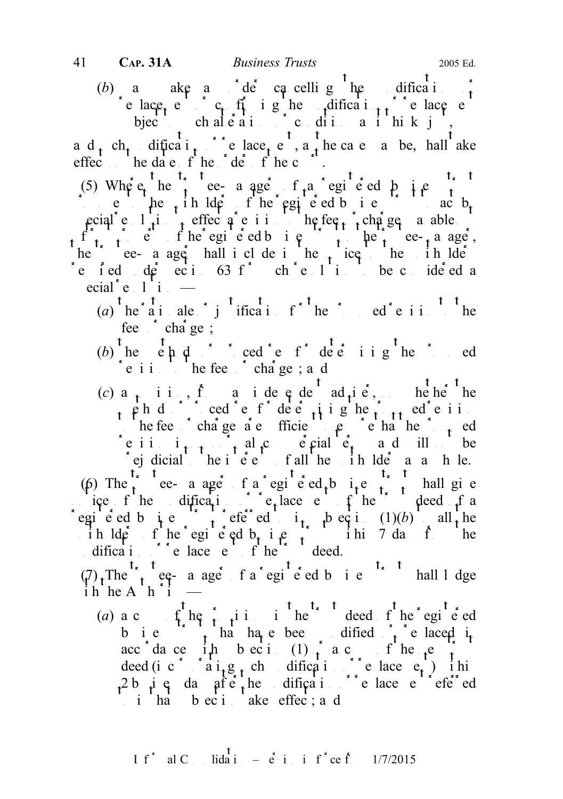(b) a ake a de cancelling the dification of replace  $c_i$  of ighe dification or replacement or replacement of  $c_i$  replacement or replacement of  $c_i$  replacement of  $c_i$  replacement of  $c_i$  replacement of  $c_i$  replacement of  $c_i$  replacement of  $c_i$  replacement or bject chale air colditions it his k just,

a d<sub>t</sub> ch<sub>t</sub> dificat<sub>i</sub> chees deep e , a the case a be, hall ake effect he date of the detection the court of the court of the court of the court of the court of the court of the court of the court of the court of the court of the court of the court of the court of the court of the cou

(5) Where the trustee- a ager of a registered business trustees the trustees trustees the set of  $\frac{1}{2}$ proposes the unit of the registered business to act by the registered business to act by  $\text{proj}_{\mathbf{f}}$  resolution to effect a revision to the feed or charges payable or charges payable or charges payable or charges payable or charges payable or charges payable or charges payable or charges payable or charges of the registers to the register of the trust to the trust to the trust to the trust to the trust to the trustee-manager, he ee- a ager hall i cl de i he notice the indice refed de ecitos for chelinio be conde ed a ecial  $\text{e}$  1 i  $\text{e}$ 

- (a)  $\int_a^t \text{he}^t \cdot \text{a} \cdot \text{i} \cdot \text{a} \cdot \text{b} \cdot \text{b} \cdot \text{b} \cdot \text{b} \cdot \text{b} \cdot \text{b} \cdot \text{b} \cdot \text{b} \cdot \text{c} \cdot \text{b} \cdot \text{c} \cdot \text{c} \cdot \text{c} \cdot \text{b} \cdot \text{c} \cdot \text{c} \cdot \text{c} \cdot \text{c} \cdot \text{c} \cdot \text{c} \cdot \text{d} \cdot \text{c} \cdot \text{c} \cdot \text{d} \cdot \text{c} \cdot \text{d} \cdot$ fee $\int$  cha ge;
- (b) he end cede for determining the proposed  $\epsilon$  i in the feesthed charges; and
- (c) a<sub>t</sub> ii, fraide ede ad<sub>t</sub>ie, heher he phd<sup>5</sup> cedet fde e<sub>t</sub>ighe<sub>t th</sub>edeii to the fees or charges are sufficient to ensure the proposed to ensure the proposed of  $\mathbf{r}_t$  and  $\mathbf{r}_t$  and  $\mathbf{r}_t$  are sufficient to ensure the proposed of  $\mathbf{r}_t$  and  $\mathbf{r}_t$  are sufficient to ensure the pr e i i  $i_{t+1}$ ,  $i_t$  al<sub>t</sub> come is commercial terms and will be  $\int$  ej dicial the i e e fall the unit he die a a h le.

(6) The trustee- a ager of a registered business trust shall give ice f he dification or replace e f he deed f a egie ed b i e ferred to in subsection (1)(b) all the ih lders fhe egiened business trust in 7 days from the dification of  $\mathbf{c}$  replacement of the trust deed.

 $(\sqrt{7})$ . The  $\int_{t}^{\infty}$  reg- a ager of a registered business trust shall lodge i h h e A  $h^*i =$ 

(a) a c copy of the provisions in the trust deed of the registered b i e  $\int$ , ha ha e been dified  $\int$ , e laced i<sub>t</sub> acc dance ith bection  $(1)$  and  $f$  hence the new trust deed (incorporating such modification or replacement) in  $\det(\mathbf{r})$  in  $\det(\mathbf{r})$ 2 business days after the modification of referred referred referred values of  $\mathbf{r}$  and  $\mathbf{r}$ in that  $\frac{1}{2}$  b ecimate effect; and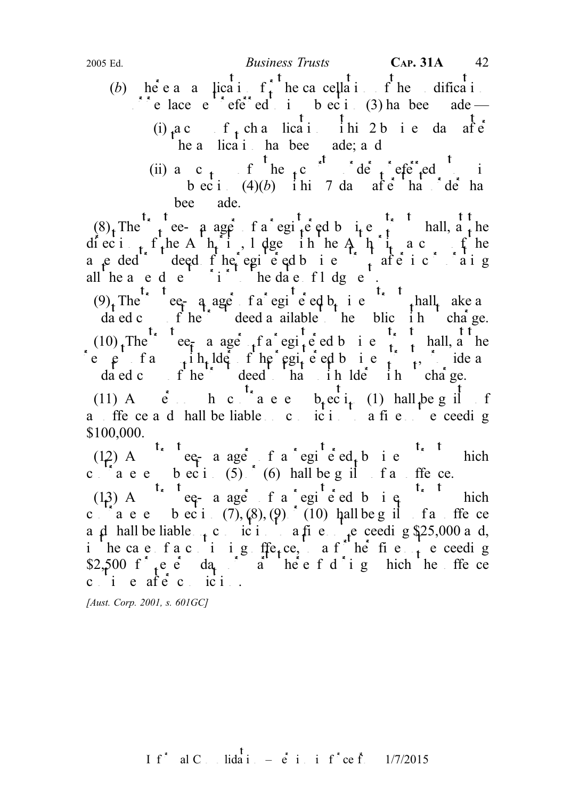- (b) here an a lication for the cancellation for the diffication of the modification of the model of the model of the model of the model of the model of the model of the model of the model of the model of the model of the  $\overline{a}$  replace  $e^{ax}$  referred to in subsection (3) has been ade — (i)  $a c$  f cha lication in 2 b i e da after he a licati has been ade; and
	- (ii) a c f the c<sup>t</sup>  $\frac{t}{t}$  court of the court of the court of the integral to integral to integral to integral to integral to integral to integral to the court of the court of the court of the court of the court of the  $\frac{1}{2}$  b ec i (4)(b) i hi 7 days after that  $\frac{1}{2}$  de has bee ade.

 $(8)$ , The trustee- a ager f a registered business trust shall, a the diection f<sub>t</sub>he A<sup>nt</sup>ion of the Authority and the Authority and the Authority and the Authority and the Authority and the Authority and the Authority and the Authority and the Authority and the Authority and the Authority a e ded deed fhe egie ed bie fafe ic aig all he a e d e  $i$  to the date fldge.

 $(9)$ , The equality equality equality of a registered by the contribution of the contribution of  $(9)$ , The contribution of  $(9)$ , The contribution of  $(9)$ , The contribution of  $(9)$ , The contribution of  $(9)$ , The contr dated computed control to the trust deed a ailable to the public into the public  $\alpha$  in the public  $\alpha$  in the public  $\alpha$  in the public  $\alpha$  in the public  $\alpha$  in the public  $\alpha$  in the public  $\alpha$  in the public  $\alpha$  in  $(10)$ , The e<sub>tr</sub> a age fa egi<sub>t</sub>e ed b i e<sup>t</sup>, hall, a he e  $\varphi$  fa<sub>t</sub> in Ide f he registered business trust for the region of the region of the region of the region of the region of the region of the region of the region of the region of the region of the region of the region dated contributed to the trust deed that in the total unit charge.

(11) A  $\dot{e}$  h c  $\dot{t}$  a e e  $b_t$  e c $i_t$  (1) hall  $\beta$  be g if f a ffe ce a d hall be liable  $\begin{array}{c} 1 \\ c \end{array}$  a fine not exceeding \$100,000.

(12) A case-equiped a registered business trust which contravenes becides (5) of (6) hall be guilt fait free.

(13) A<sup>t, t</sup> eq-a age f a registered b i q<sup>t, t</sup> hich c  $\alpha$  are bect. (7),  $(8)$ ,  $(9)$  (10) hall be g if far offerce and hall be liable  $\alpha$ , conviction to a fine notice exceeding \$25,000 and, in the case fact in the function of  $\int$  he fine  $\int$  function  $f$  are ceeding \$2,500 f<sub>t</sub>e eday or part thereof dig hich the ffece  $c_i$  i  $e_i$  after conviction.

[Aust. Corp. 2001, s. 601GC]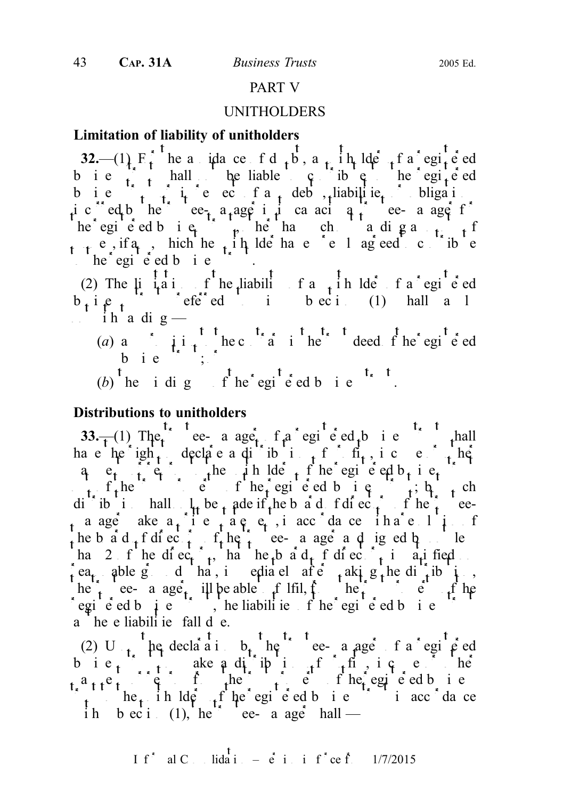#### PART V

#### UNITHOLDERS

#### Limitation of liability of unitholders

32.— $(1)$  F<sub>t</sub> he a idace f d<sub>t</sub>b, a<sub>t</sub> i h lde<sub>f</sub> f a egi<sup>c</sup> ed b i e  $\begin{pmatrix} 1 & 1 \\ 1 & 1 \end{pmatrix}$  hall be liable to contribute the registered b i e  $\int_{t_1}^{t_2}$  i c ec f a debts, liabilities obligations ic clared by the trustee-manager in its calcular in the capacity as the contract of  $\mathfrak{g}_t$  is contracted by equal to the contract of  $\mathfrak{g}_t$  is contracted by equal to the contract of  $\mathfrak{g}_t$  is contracted by equ he egie ed bie,  $\mu$  he ha ch a dig amounts of  $m_{\uparrow}$  e, if a<sub>n</sub>, hich he, i h lde has e el agreed contribute  $t^2$  he registered business trust.

(2) The  $\mu$  is a interpretation of the liability of a unit of a registered containing of a registered containing of a register of a register equal to  $\mu$  and  $\mu$  and  $\mu$  and  $\mu$  and  $\mu$  and  $\mu$  and  $\mu$  and  $\mu$  an  $b_i$ iess trust referred to in subsection (1) hall a l  $i$  ih a dig  $-$ 

- (a) any provision to the contrary in the contrary in the trust deed of the registered b i e  $\left( \begin{array}{ccc} 0 & 0 & 0 \\ 0 & 0 & 0 \\ 0 & 0 & 0 \end{array} \right)$
- (b) the idig  $\int_a^t$  he registed big the t

## Distributions to unitholders

33.—(1) The e- a age, f a registered business truth all have  $he^i$ igh<sub>t</sub> declare a distribution of profits, i.e.  $e^i$ , here q e<sub>t t</sub> e<sub>t</sub> the unit de the egi e ed b<sub>t</sub> i e<sub>t</sub> out of the trust property of the registered business trusts to the register of the registered business trusts of the register of the register of the register of the register of the register of the register of the register dicibution ball  $\iota$  be made if the board of directors of the trusteea age ake  $a_i$  i e a e e, i accordance i ha e li the b a d  $f$  directors of the trustee-manager and igned by not less hangled 2 of the directors, that the board of directors is a satisfied on the board of directors is satisfied on the directors in the directors in the directors is satisfied on the directors in the directors in the direct ea<sub>t</sub> able grounds that, immediately after the distribution, he trust ee- a age, ill be able to fill, from the trust property of the trust property of the trust property of the trust property of the trust property of the trust property of the trust property of the trust property of registered business trust, the liabilities of the registered business trust trust trustees the registered business trustees trustees trustees trustees trustees trustees trustees trustees trustees trustees trustees trustee a he e liabili ie fall de.

(2) U<sub>p</sub> the declaration b<sub>t</sub> the trustee-manager of a registered b i  $e_t$  the ake a distribution of profits, i.e. e.g. the  $a_{11}e_1$  returns from the trust property of the registered business  $\int_{t}$  to the unit to the unit to the unit of the registered business trust in accordance ih b ec i (1), he ee- a age hall —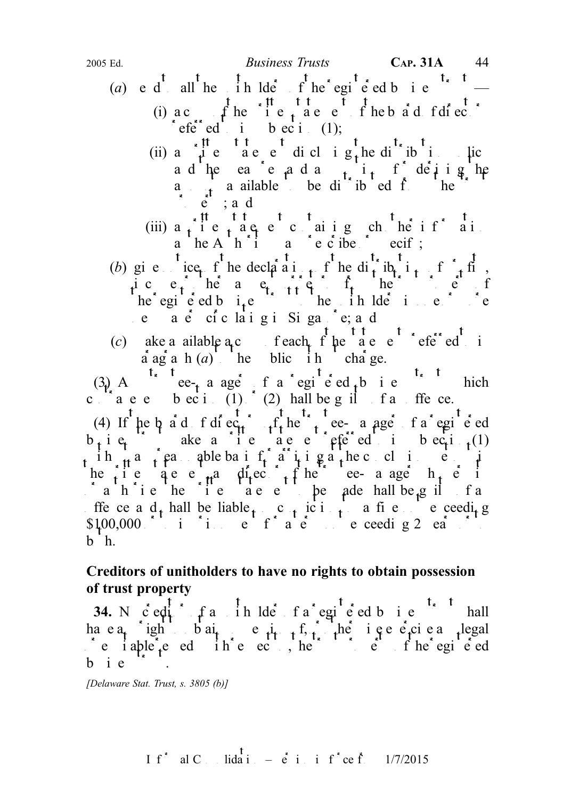- (a) e d<sup>t</sup> all the unit ders of the registered business tends to the tensor of the registered business tends to the tensor of the tensor of the tensor of the tensor of the tensor of the tensor of the tensor of the tensor
	- (i)  $ac$   $f$  he  $i$ <sup>th</sup>  $e$   $t$ <sup>th</sup>  $e$ <sup>th</sup>  $e$ <sup>th</sup>  $f$  he b  $a$ <sup>t</sup> d fdie. referred to bec in (1);
		- (ii)  $a \neq i$  t t a e e di cl i g t b di i b i policy a d'he ea e a d a  $t_{\text{start}}$  f de j i g he  $\frac{a}{t}$  a ailable to be di<sup>t</sup> ib ed from the  $\vdots$  e  $\vdots$  and
	- (iii)  $a_i$  ie,  $a e e c a i g ch he i f a i$ a he A  $h \in \mathfrak{g}$  a  $\in \mathfrak{e}$  ibe ecify;
- (b) give ice f he declaration of the distribution of  $\int_{t}$  finds ice, he a  $e_t$  from the trust property of the trust property of the trust property of the trust property of the trust property of the trust property of the trust property of the trust property of the trust property of the he egi e ed b  $i_{\text{t}}e$  to the unit he unit of the unit of  $e$ e a e ciclaigi Siga e; a d
- (c) ake a ailable  $ac$  feach  $f$  he  $f$  a c  $e^{t}$  efe<sup>rr</sup>ed i  $\vec{a}$  ag  $\vec{a}$  h  $(a)$  the blic in charge.

 $(3)$  A<sup>txt</sup>ee- $\frac{1}{t}$  a ager of a regi<sup>t</sup> e ed  $\frac{1}{t}$  b i e<sup>txt</sup> hich c  $\int_a^b a e e$  b  $\int_a^b a$  (1)  $\int_a^b$  (2) hall be g il f and offence.

(4) If he b a d f di  $ec_t$ ,  $f_t$  he  $t$  ee- a age f a registered  $b_i$  i e<sub>t</sub>  $\cdots$  ake a ite a e e fetered in subsection (1) ih  $\pi$  and  $\pi$  and a reasonable basis for a right and a right at the conclusions set of  $\pi$ he is a statement of the trustee-manager  $h_t$  e i  $a$  a h i e he i e a e be a de hall be guilt and statement to be a hall be guilt far ffe ce a  $d_t$  hall be liable  $c_t$  conviction to a fine not exceeding  $$100,000$  in time for a term not exceeding 2 ears or to improve the second state  $$100,000$  in the second state  $$2$$  ears of the second state state  $$300,000$  in the second state state state state state state state stat  $b^h$ .

# Creditors of unitholders to have no rights to obtain possession of trust property

34. N<sub>o</sub> c<sup>red</sup>itor of a unit determined a registed business test hall ha e  $a_t$  ight b  $ai_t$  e  $i_{t-1}$  f, the i e e e ci e any legal  $\circ$  e iable  $\circ$  ed in  $\circ$  ed in  $\circ$  to the registered  $b$  i  $e$ 

[Delaware Stat. Trust, s. 3805 (b)]

I f<sup>\*</sup> al C. Iida i. – 
$$
\dot{e}
$$
 i. i f<sup>\*</sup> ce f. 1/7/2015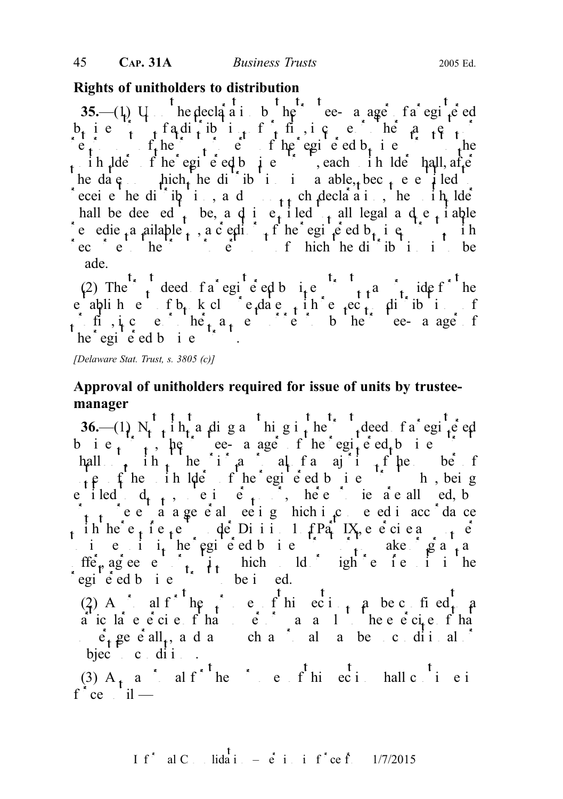#### Rights of unitholders to distribution

35.— $(1)$  U<sub>ppon</sub> the declaration by the trustee-manager of a registered  $b_t$  ie  $\begin{bmatrix} 0 & 0 \\ 0 & 0 \end{bmatrix}$  of a diffinition of payments or other payments or other payments or other payments or other payments or other payments of payments or other payments or other payments or other payments or  $r_{\rm t}$  is the trust property of the registered b<sub>usin</sub>ess to the registered business to the registered business to the registered business to the registered business to the register of the registered business to the reg in lders fine registered business trusts the late shall, after shall, after shall, after  $\frac{d}{dx}$ the date on the distribution is payable, become entitled to the distribution is payable. receive the difficulties and upon such declaration, the unit lderive the unit of the unit of the unit of the unit of the unit of the unit of the unit of the unit of the unit of the unit of the unit of the unit of the unit hall be dee ed to be, and in equitable to all legal and equitable e edie a ailable to, a c eding the registered b<sub>t</sub> i equitor the register trust trust trust recourse to the trust property of the trust property of the distribution is to be ade.

(2) The trust deed fa egi e ed business trust may provide for the eablishment of b<sub>r</sub> k close<sub>t</sub> dates in each contribution of in figure or  $he_1$  a<sub>t</sub> entirely by the trustee-manager of  $he^*$ egi<sup> $\check{e}$ </sup>ed b i e

[Delaware Stat. Trust, s. 3805 (c)]

## Approval of unitholders required for issue of units by trusteemanager

36.— $(1)$  N<sub>th</sub>ih<sub>t</sub> a diga higithe trust deed fa egite ed b i  $e_t$ , the trustee- a age of the registered business trustees the trustees trustees trustees to the trustees trustees trustees to the trustee of the trustees trustees trustees to the trustee of the trustees trustees to hall  $\mathbf{h}$  ih he if a all fa a it fine be f  $\mu$  e fhe in  $\mu$ e fhe registed business trust who, being e iled  $d_{t-t}$ , ei e<sub>t</sub> post, here in a e all ed, b  $\int_{1}^{1}$  e e a a general e e i g hich i c e ed i accordance ih he  $e_t$  ie  $t$ e de Diii 1  $f$  Part IX, e e ciea<sub>t</sub>é ie iithe registed bis in the register or to make  $\int g a_{t} a$  $f \text{f} \text{f} \text{f}$  agreement or option which ld in the might require units in the regie ed bie issued.

(2) A salf the purpose of this section may be confided to a a icla e e ci e f hat power of the e e ci e f ha  $\hat{e}_t$  generall<sub>t</sub>, and any such any such any such any such as  $\hat{e}_t$  and  $\hat{e}_t$ bject conditions.

(3)  $A_t$  a<sup>\*</sup> al f<sup>\*</sup> he \* e f his section shall continue in  $f^*ce$  unil —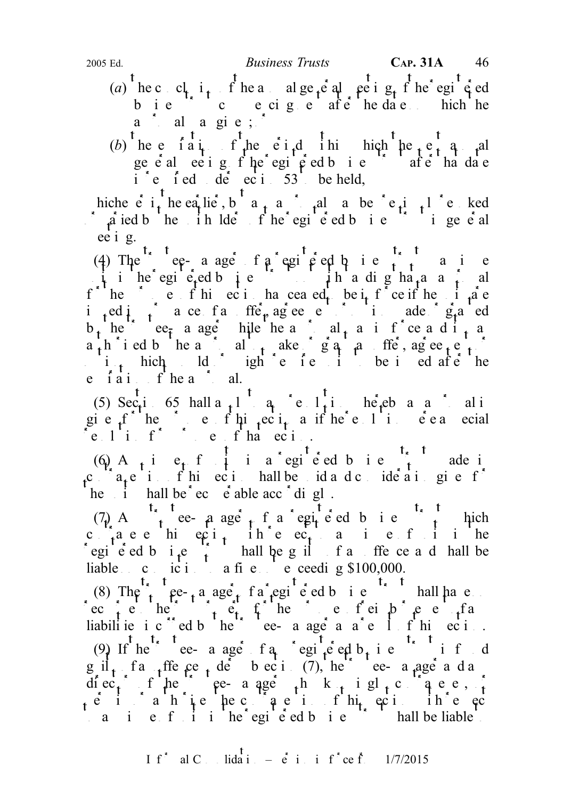- (a) he conclusion of the annual general meeting of the registered meeting of the registered bie cecige afehedae hich he  $a \quad d \quad a \quad g \quad i \quad e ;$
- (b) the expiration of the expiration of the next and period with the next and annual ge eal ee ig fhe egie dbie afe ha date i e f ed de ec i  $53$  be held,

hiche e i<sub>t</sub> he ea<sub>r</sub>lie, but any approval may be previously revolved  $\alpha$  a ied b he ih lde f he egi e ed b i e i i general ee i g.

(4) The  $\int_{s}^{t_s}$  registered by  $\int_{s}^{t_s}$  registered business trust may be the substitution of the substitution of the substitution of the substitution of the substitution of the substitution of the substitution of th  $\int$ i he egi<sup>t</sup>e<sub>t</sub>ed b<sub>usin</sub>ess trust in the digita<sub>t</sub> and  $f^{\dagger}$  he case in this section has ceased to be in fraction has central to be in the units are in force in force in force in force in force in force in the units are in the units are in the units are in the units are in i ed i i ace fan ffe<sub>r</sub>, agreement or option ade g<sub>r</sub>anted  $b_t$  here  $ee_t$  a ager hile heap and  $t_t$  and in free and it approximate  $a+h$  i ed b he a c all take gapa ffe, agreement or  $\mathbf{i}$ , hich  $\mathbf{Id}$  ighte is to be is ed after the e fait fhea $\alpha$  al.

(5)  $\sec t$  65 hall a<sub>p</sub><sup>1</sup> a<sub>pprov</sub> is a approximately to any resolution whereby and approximately and approximately and approximately setting to any resolution where  $\sec t$  and  $\sec t$  and  $\sec t$  and  $\sec t$  and  $\sec t$  and  $\sec t$ gie  $f^{\uparrow}$  he can be for this section as if the resolution  $f$  is section were a special  $e \cdot 1$  if  $f \circ e \cdot f$  that  $e \circ i$ .

 $(6)$  A<sub>t</sub> i e<sub>t</sub> f i a registered bie <sup>t<sub>s</sub>t</sup> ade i  $c^{n+1}$ a<sub>t</sub>e i fhieci hall be id a d conde a i given f<sup>\*</sup> he i hall be  $\text{ec}$  e  $\text{e}$  able acc  $\text{d}$  i gl.

(7) A  $\gamma$  trustee- a age that it a registered business trust which c<sub>r</sub>aee hieci, ihe ec<sub>t</sub> a ie fiihe egi e ed b  $i_1e_i$  hall be guilt and offence and shall be liable conviction to a fine not exceeding  $$100,000$ .

(8) The trust ee-ta aget fa egi e ed b i e hall have recourse the trust property for the purposes of  $f$  and  $f$  and  $f$  and  $f$  and  $f$  and  $f$  and  $f$  and  $f$  and  $f$  and  $f$  and  $f$  and  $f$  and  $f$  and  $f$  and  $f$  and  $f$  and  $f$  and  $f$  and  $f$  and  $f$  and  $f$  and  $f$  a liabilities incurred by the trustee-manager as a result of this section. (9) If  $\int_0^t e^{t} e^{-t} e^{-t} e^{-t} = \int_0^t e^{-t} e^{-t} e^{-t} e^{-t} = \int_0^t e^{-t} e^{-t} e^{-t} = \int_0^t e^{-t} e^{-t} e^{-t}$  $g_1$   $f_1$   $f_2$   $f_3$   $f_4$   $f_5$   $f_6$   $f_7$   $f_8$   $f_7$   $f_8$   $f_7$   $f_8$   $f_9$   $f_9$   $f_9$   $f_9$   $f_9$   $f_9$   $f_9$   $f_9$   $f_9$   $f_9$   $f_9$   $f_9$   $f_9$   $f_9$   $f_9$   $f_9$   $f_9$   $f_9$   $f_9$   $f_9$   $f_9$   $f_9$   $f_9$   $f_9$ diec<sub>t</sub> fhe e-a age h k<sub>t</sub> i gl<sub>t</sub>c a e e, f  $\alpha$  i ahiepec authorises the contravention of the contract of the contract of the contract of the contract of the contract of the contract of the contract of the contract of the contract of the contract of the contract o any is unit in the registered business trust in the liable to the registered business trust shall be liable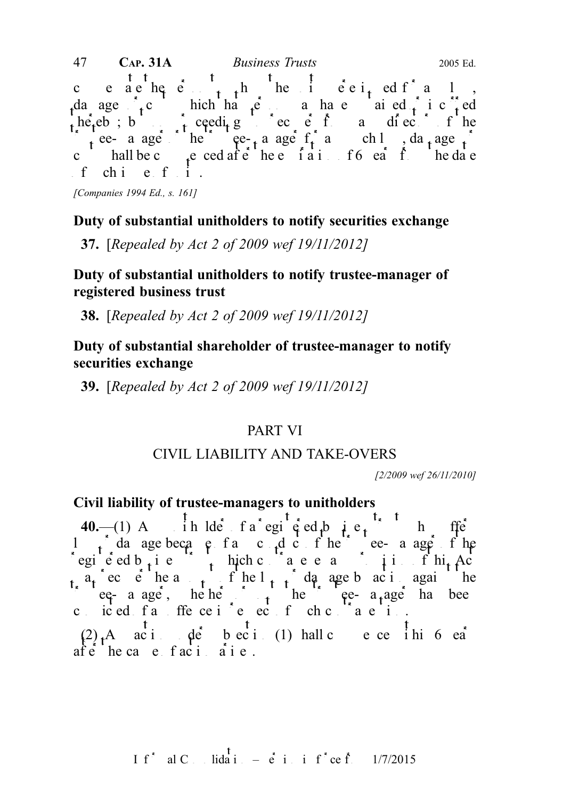compensate the person to whom the units were interestingular to whom the units were interested for any loss,  $\frac{1}{2}$  and  $\frac{1}{2}$  and  $\frac{1}{2}$  and  $\frac{1}{2}$  and  $\frac{1}{2}$  and  $\frac{1}{2}$  and  $\frac{1}{2}$  and  $\frac{1}{2}$  and da ages  $\int_{\mathbf{t}} c$  hich have substantial many have substantial ed  $\int_{\mathbf{t}} i c \int_{\mathbf{t}}^{\infty} e d$  $t_0$  hereby; but no proceeding to recover from any director from any director of the trustee- a age the trustee-manager for any such loss, damage  $\int$ chall be contact the contact the expiration of  $f$  and the date  $f$  chi e fi. 47 **CAP. 31A** *Business Trusts* 2005 Ed.

[Companies 1994 Ed., s. 161]

## Duty of substantial unitholders to notify securities exchange

37. [Repealed by Act 2 of 2009 wef 19/11/2012]

## Duty of substantial unitholders to notify trustee-manager of registered business trust

38. [Repealed by Act 2 of 2009 wef 19/11/2012]

# Duty of substantial shareholder of trustee-manager to notify securities exchange

39. [Repealed by Act 2 of 2009 wef 19/11/2012]

## PART VI

## CIVIL LIABILITY AND TAKE-OVERS

[2/2009 wef 26/11/2010]

## Civil liability of trustee-managers to unitholders

 $af \dot{e}$  he cause  $faci$  arises.

40.—(1) A  $\int$  ih lde f a registered business the feed business that feed business the summary substitute of  $\int$ l  $\int$  da age because frame conduct of the trustee-manager of the registed b<sub>usin</sub>ess trust which contravenes and in this finit Act  $a_t$  ec e he a  $t$  f he l<sub>t</sub> f damage by action against the  $tee$ - a age, he he  $t$  he e a age has been conced fan ffence in energetion for chemical contravention.  $(2)$ , A action de bection (1) hall commence in bea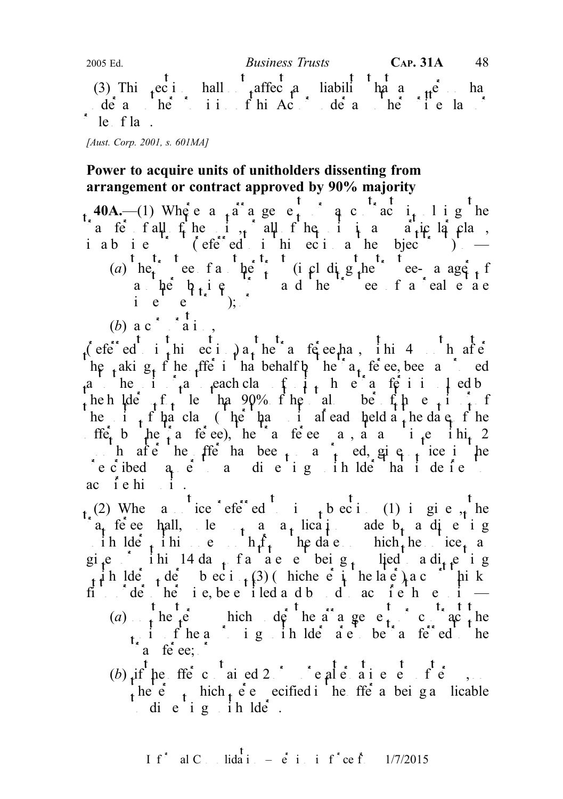2005 Ed. Business Trusts CAP. 31A 48  $^{\circ}$  t (3) This ection shall not affect and liability that any person has expected and  $\frac{1}{2}$  and  $\frac{1}{2}$  extending that any person has extended and the contract of the contract of the contract of the contract of the contra under any other provision of this Act or under any other written law or under  $\alpha$ le fla.

[Aust. Corp. 2001, s. 601MA]

# Power to acquire units of unitholders dissenting from arrangement or contract approved by 90% majority

40A.—(1) Where  $a_{+}a^{+}a_{-}$  are e<sub>t</sub>  $a_{-}a_{-}$  a contract i<sub>t</sub> l i g he a fermal of the unit of the unit and units in a computer of the units of the units of the units of the units of the units of the units of the units of the units of the units of the units of the units of the units of the u iabie  $\left($  efered in this ecial the subject trust  $\left($   $\right)$   $\right)$   $\left($ (a) he<sub>t</sub> ee fan he't (including the trustee-manager of a he  $b_i$  i  $e$  and the estate of a real end end of a real end of a real end of a real end of a real end of a real end of a real end of a real end of a real end of a real end of a real end of a real end of a real end of a ie  $e^{\frac{1}{2}}$ );

(b) a c<sup>\*</sup>  $\frac{t}{a}$  i,

 $\int_0^t e^{\int_0^t e^t e^t} dt$  i this  $\int_0^t e^t e^t e^t e^t$  in the transference has the transference in the transference in the transference in the transference in the section of the section of the section of the section of the he taking of the offer in that behalf by the transferred been approximated by the transference of the transference and the transference of the transference and the transferred by the transferred by the transference and th a he interestor as the unit of units or a to involve the units  $\int_a^b a f(x) dx$  is involved by the unit of units whose transfer is in  $\int_a^b a f(x) dx$  and  $\int_a^b a f(x) dx$  is interesting to the units of units whose transfer is in  $\int$ heh lders for leading  $\log_2$  for the total number of the total number of the total number of the total number of the total number of the total number of the total number of the total number of the total number of the tota he i  $t$  i  $t$  that class (he hand i already held a the date of the If  $f_{t}$  by the transferee), the transference may at any time  $\int_{t}^{1}$  the  $\int_{t}^{1}$  2 months after the offer has been so and so approximate in the original policy in the solution of the solution of  $\alpha$  and  $\alpha$  and  $\alpha$  and  $\alpha$  and  $\alpha$  and  $\alpha$  and  $\alpha$  and  $\alpha$  and  $\alpha$  and  $\alpha$  and  $\alpha$  and  $\alpha$  and  $\int$  e c ibed a e  $\int$  and i e i g ih lde ha i de fe ac i e hi $\pm i$ .

 $_{t}$  (2) When a notice  $\epsilon$  eferred to integration (1) in given, the  $a_{t}$  feree hall, le<sub>t</sub> a a<sub>t</sub> lication ade b<sub>t</sub> a discrise in  $\det_{t}$  in  $\det_{t}$  on  $\det_{t}$  in  $\det_{t}$  in  $\det_{t}$  in  $\det_{t}$  and  $\det_{t}$  in  $\det_{t}$  and  $\det_{t}$  in  $\det_{t}$  and  $\det_{t}$  and  $\det_{t}$  in  $\det_{t}$  and  $\det_{t}$  in  $\det_{t}$  and  $\det_{t}$  and  $\det_{t}$  and  $\det_{t}$  and  $\det_{t}$  and gi<sub>t</sub>e ihil 4 da<sub>t</sub> fa aee beig<sub>t</sub> lied a di<sub>t t</sub>e ig unit holder the subsection (3) (which even is the later) a count of thinks fit  $\det$  order order otherwise, be entitled and bound to actual to actual to actual to actual to actual to actual to actual to actual to actual to actual to actual to actual to actual to actual to actual to actual to actu (a)  $\frac{1}{t}$  he  $t e$  hich der the arrangement or contract the unit fine a position of the approximate to the total to the total to the transferred to the transferred to the

 $t^*$ a fe $ee$ ;  $t^*$ 

(b)  $i$  if the fit is contained 2 or more alternative sets of the sets of the sets of the sets of the sets of the sets of the sets of the sets of the sets of the sets of the sets of the sets of the sets of the sets of the the  $\epsilon$  thich terms existed in the original vertex in the original vertex of the original vertex in the original vertex in the original vertex in the original vertex in the original vertex in the original vertex in the o die ig ihlde.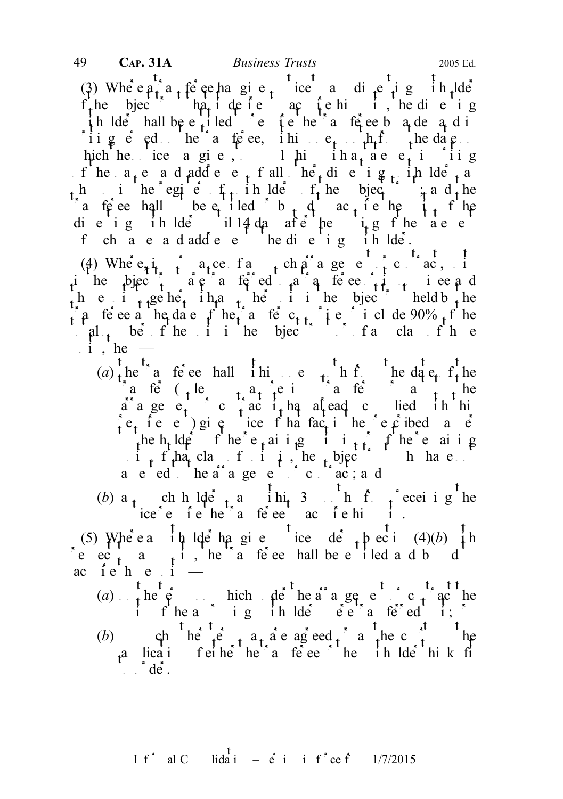(3) Where  $a_1$  a transference to any dispersion of the notion of any discrete to any discrete to any discrete to any discrete to any discrete to any discrete to any discrete to any discrete to any discrete to any discret  $f_t$ he bject ha<sub>t</sub> i de i e actie his units, he die i g ih lder hall be e<sup>t</sup> i led te require the transference by a demand in the transference of  $\frac{1}{2}$ iig  $\epsilon$  ed he a te ee, ihin  $e_t$  he he date hich he ice a give, the ina<sub>t</sub> a e statement in g f he  $a_1 e$  and addect fall  $he_1$  dinerging unit all other as h in the egient, in the region of the subject the and the a fere hall be entitled b d active the units of the die ig in  $\text{Id}e$  il 14 da afe he ig fhe ae e of change and addere the die ightholder.

(4) Where, i<sub>n</sub> in a<sub>r</sub>ce fant or pursuance of contract, in in the subject the subject to a trust are the substitution of the substitution of the substitution of  $\frac{1}{2}$  in the substitution of the substitution of the substitution of the substitution of the substitution of the su h e i  $t_1$ geher iha<sub>t</sub> he i i he bjec<sup>t</sup> held b<sub>t</sub>he  $\int a$  fe ee a he date of he a fe c<sub>tt</sub> it estimate 90% of he  $\left| \begin{array}{cccc} a & b & c \end{array} \right|$  in the subject trust of the subject of the substitution of the substitution of the substitution of the substitution of the substitution of the substitution of the substitution of the substitution  $i$ , he —

- $(a)$ , he a feed hall in e, h f he date f, he a fe  $\left( \begin{array}{ccc} 1 & 1 & 0 \\ 0 & 1 & 0 \end{array} \right)$  a previous to the total to the to the total to the to-the to-the to-the to-the to-the to-the to-the to-the to-the to-the to-the to-the to-the to-the to-the to-the to-the to-the t a<sup>r</sup> a ge e<sub>t</sub> c<sub>h</sub> c<sub>h</sub> ac i<sub>t</sub> has alread complied it his  $r \cdot t$  i.e. e. ) give notice of that fact in the present in the present in the present in the present in the present in the present in the present in the present in the present in the present in the present in the present the h<sub>t</sub> ldefine remaining in  $\mathbf{r}_1$  and  $\mathbf{r}_2$  in  $\mathbf{r}_3$  in  $\mathbf{r}_4$  in  $\mathbf{r}_5$  the remaining  $\mathbf{u}$  i<sub>t</sub> f<sub>t</sub>hat class funities in the subject trust have not a e ed he arrangement or contract; and
- (b) a<sub>t</sub> ch h lde t a hit 3 h f  $\int$  ecei i g<sup>t</sup> he  $\therefore$  ice  $e^e$  i e he action action in the transference to action in the transference to action of the transference to action in the transference to action of the transference to action of the transference to action of t

(5) Where a  $\frac{1}{4}$  h lde ha given tice de  $\frac{1}{4}$  h ec i (4)(b)  $\frac{1}{4}$  h e ec<sub>t</sub> a<sub>t</sub>i, he a fee hall be entitled and bound to bound to bound to bound to bound to bound to bound to bound to bound to bound to bound to bound to bound to bound to bound the entitled and bound to bound to bound to ac iehe i $-$ 

(a) the  $\hat{\mathfrak{e}}$  bich de heara ge entract the arrangement or contract the arrangement or contract the contract the set of  $\hat{\mathfrak{e}}$ unit of the approximate the definition of the transferred to it;  $\delta$ (b) ch<sup>t</sup> he<sup>t</sup> te<sup>t</sup> a ageed <sup>\*</sup> a<sup>t</sup> the c<sup>st t</sup>he  $a$  lication of either the the the think fit the term the term that the term that the unit of the unit of the unit of the term that the unit of the unit of the unit of the unit of the unit of the unit of the unit of the u  $\int d\hat{e}$ .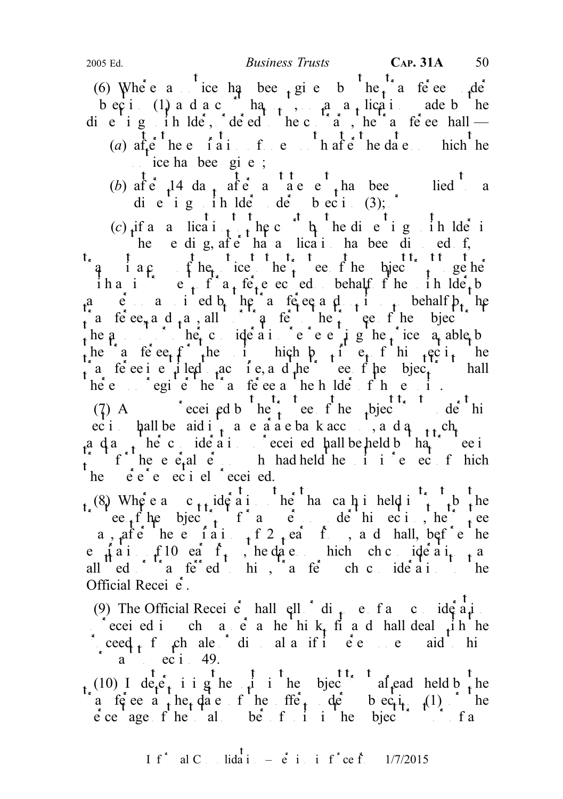(6) Where a notice has been given by the transference under the transference under the transference under the transference under the transference under the transference under the transference under the transference under becti $(1)$  and a court has not, on an application and by the die ig in  $\text{Id}e$ , deed he contrary, the transference shall — (a)  $af_e^t$  the e i a i f e the after the date hich the  $i.e.,$  ice has been given;

(b) after 14 da<sub>t</sub> after a statement has been supplied to a statement of a statement of a supplied to a statement of a statement of a statement of a statement of a statement of a statement of a statement of a statement of die ig in  $\det$  de beci (3);

(c)  $\lim_{t \to \infty} \frac{t}{t} + \lim_{t \to \infty} \lim_{t \to \infty} \frac{t}{t} + \lim_{t \to \infty} \lim_{t \to \infty} \lim_{t \to \infty} \lim_{t \to \infty} \lim_{t \to \infty} \lim_{t \to \infty} \lim_{t \to \infty} \lim_{t \to \infty} \lim_{t \to \infty} \lim_{t \to \infty} \lim_{t \to \infty} \lim_{t \to \infty} \lim_{t \to \infty} \lim_{t \to \infty} \lim_{t \to \infty} \lim_{t \to \infty} \lim_{t \to \infty}$ he e dig, after has a lication has been disposed of, q i a c copy of the ice the trust to the type to the type to the subject to the subject to subject to the subject to the subject to the subject to the subject to the subject to the subject to the subject to the subject to ih and interesting the unit of the unit of the unit of the unit of the unit of the unit of the unit of the unit of the unit of the unit of the unit of the unit of the unit of the unit of the unit of the unit of the unit o a e aied b<sub>t</sub> the afectual person in the transference and on its own behalf b<sub>t</sub> he in the ee<sub>x</sub> and  $\alpha$ , all is the transfer to the trustee of the subject to the subject trustee of the subject trustee of the subject trustee of the subject trustee of the subject of the subject of the subject of the subj the  $a \rightarrow b$  independent or other consideration representing the price  $a_1$  able by the a fect for the units which by interesting the term is the section the section the section the section the section the section term is section to the section term in the section term in the section of the section term a ferective integral to a diffuse of the subject trust shall  $t$ hereupon register the transference as the holder of those units.

(7) A see the trust received by the trust the trust unit term of the subject the subject the subject the subject the subject term of the subject term of the subject term of the subject term of the subject of the subject o  $\text{eci}$  hall be aid into a separate bank account, and any summer a da<sub>nt</sub> he<sup>t</sup> consideration so received pall be held by that the equal trustee in if it is the set of the second version of the units in respect the units in respect to the units in respect to the units of  $\mathbf{r}$  in  $\mathbf{r}$  is in respect to the units in respect to the units in respect to the units i he  $\acute{e}$  e<sup> $\acute{e}$ </sup> e ec i el  $\acute{e}$  eceived.

(8) Where  $a \cdot c_{t}$  ide and in the hand can in held in the the trustee of the subject trust for any person under the trust for any person under the trustee of the trustee of the trustee of the trustee of the trustee of the trustee of the trustee of the trustee of the trustee of the t a, after here the integral of  $f$ , and hall, before the e  $\hat{A}$  a i  $f10$  ears f<sub>r</sub>, he date on which check ideal  $f_1$  and all  $ed$  and  $f$  and  $ed$  binding  $f$  and  $f$  and  $f$  and  $f$  and  $f$  and  $f$  and  $f$  and  $f$  and  $f$  and  $f$  and  $f$  and  $f$  and  $f$  and  $f$  and  $f$  and  $f$  and  $f$  and  $f$  and  $f$  and  $f$  and  $f$  and  $f$  and  $f$  and  $f$  a Official Recei  $\dot{e}$ .

(9) The Official Receiver hall  $ell^2$  di<sub>f</sub> e f a c ideal so received in such a set as he think, find and hall deal  $\frac{1}{t}$  in the proceed f  $f$  such that such sale of disposal as if  $f$  is  $e$  if  $e$  is easily being to the monograph of  $f$  and  $f$  and  $f$  and  $f$  and  $f$  and  $f$  and  $f$  and  $f$  and  $f$  and  $f$  and  $f$  and  $f$  and  $f$  and  $f$  and  $f$  $a^1$  ec i 49.

(10) I determining the unit in the bject of already held by the a te ee a he date of the offer de bec<sub>il</sub> (1) he  $\acute{e}$  ce age f he all be f i i he bjec<sup>t the</sup> the f a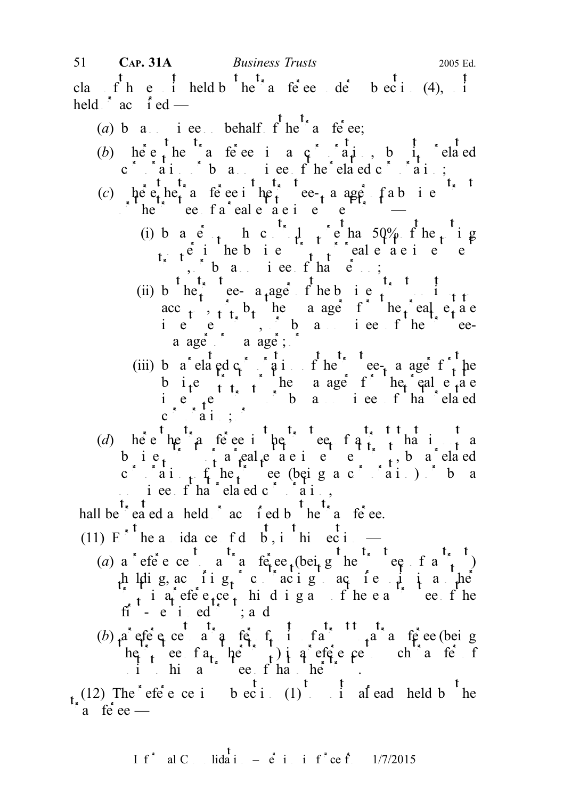- (a) b a nominee behalf  $f^{\dagger}$  he transferee;
- (b) here the a ferection  $\mathfrak{c}$  and  $\mathfrak{c}$  and  $\mathfrak{c}$ , by its related corporation of by a non-time of the related corporation;
- (c) here the transference in the trustee-manager of a business trustee is the trustee of a business trustee in the trustee of  $\alpha$  $\sum_{i=1}^{\infty}$  the trust calculate investment trust  $\sum_{i=1}^{\infty}$  and  $\sum_{i=1}^{\infty}$  and  $\sum_{i=1}^{\infty}$  and  $\sum_{i=1}^{\infty}$  and  $\sum_{i=1}^{\infty}$  and  $\sum_{i=1}^{\infty}$  and  $\sum_{i=1}^{\infty}$  and  $\sum_{i=1}^{\infty}$  and  $\sum_{i=1}^{\infty}$  an
	- (i) by a c<sub>ot</sub> h control who controls more than  $50\%$  f he<sub>t</sub> i g  $p_1$ ,  $p_2$  in the business trust of real energy trust or real energy  $p_1$  $t^*$ , band person;
	- (ii) b he<sup>2</sup> ee- a<sub>t</sub>age f heb i e<sup>2</sup> acc<sub>t</sub>,  $\hat{t}$  b<sub>t</sub> he a age f he eal e<sub>t</sub> a e ie  $e^{i\theta}$ , baniee fhe eea ager  $\alpha$  a ager;
	- (iii) by a related c<sub>c</sub> relation of the trustee-manager for the trustees-manager for the trustees-manager for the trustees-manager for the trustees-manager for the trustees-manager for the trustees-manager for the trustee b i.e  $\sum_{i=1}^{\infty}$  the a age for the eal estate in  $e^{i}$  a non-trust or by a non-trust or by a non-trust or by a non-trust or by a non-trust or by a non-trust or by a non-trust or by a non-trust or by a non-trust or by a non-trust or by a non-trust or by a non-trust o  $c \cap a_{1}$ ;  $\vdots$
- (d) here the a tender the trustee of a trust that is not a b i  $e_t$   $\rightarrow$   $e_t$  a real e i e i e i  $\rightarrow$   $e$ , by a related c cain fike the corporation of the trustee  $\left( \begin{array}{ccc} \n a & b & c \n \end{array} \right)$  or by a  $i$  ee f ha 'elaed c 'ai,
- hall be  $t_{\rm e}$  treated as held  $\epsilon$  acquired by the transference.
- (11)  $E^{\ast}$ <sup>t</sup> he a ida ce f d  $\overrightarrow{b}$ , i<sup>t</sup> hi ec i
	- (a) a reference to a reflect the tee fraction of a trust of a trust of a trust of a trust of a trustee of a trustee of a trustee of a trustee of a trustee of a trustee of a trustee of a trustee of a trustee of a trustee o h l $\mu$ ig, acis ing contracting to acquire units in another units in another units in another units in another units in another units in another units in another units in another units in another units in another units in  $\int_{t}$  is a reference to his doing any of the easy of the fi - e i ed<sup> $\cdot$ </sup> ; a d
	- (b)  $a$  efe e ce a  $a$  te f<sub>t</sub> i fa te  $a$  a te ee (being he test a<sub>t</sub> her trust a reference to such the such that  $f(x) = f(x)$  $u_1$  in this assume that other trusts that other trusts that  $u_1$  is the trust of the trust of the trust of the trust of the trust of the trust of the trust of the trust of the trust of the trust of the trust of the tru

 $t_{\kappa}$  (12) The effection subsection (1) to unit already held by the a fe  $ee$  —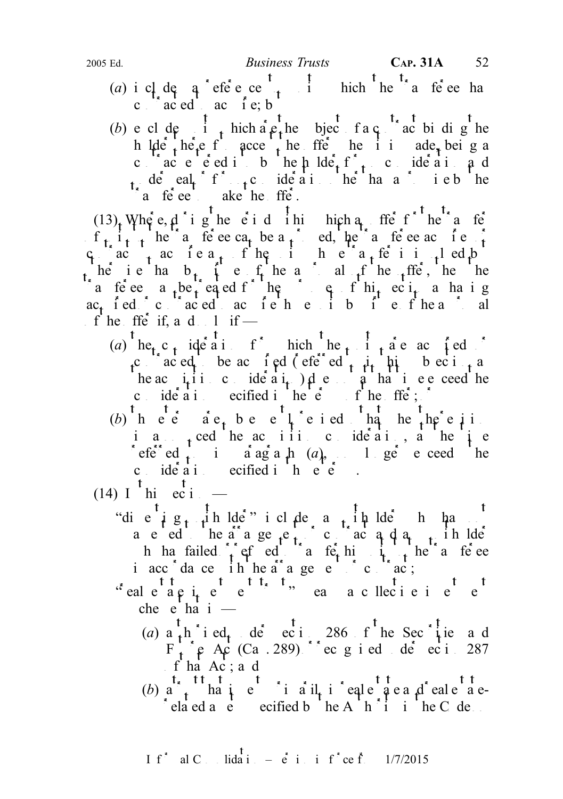- (a) i cl<sub>i</sub>de q<sup>t</sup> efe<sup>t</sup>e ce  $\frac{t}{t}$  inch the transference has c  $\int_a^b ac \, \text{ed}^b$  ac  $\int_a^b e$ ; b
- (b) e cl de i thich a e the subject of a contract binding the h lde there f acce the offer he it ade, being a contract entered into the holder for no condensing and under eal f<sub>ot</sub>culderation of the hand intention of the promise by the seal of the promise by the promise by the seal of the promise by the seal of the seal of the seal of the seal of the seal of the seal of the seal of t  $a$  fe e ake he ffe.

 $(13)$ , Where, d i g he e i d i hi hich a ffer for he a ferme for the transfer for the transfer for the transfer for the transfer for the transfer for the transfer for the transfer for the transfer for the transfer for th  $f_{t}$ ,  $i_{t-1}$  here the transference can be a <sub>t</sub> ed, the transference in the transference acquires or the transference or the transference of the transference or the transference of the transference of the transference  $c_1$  actea<sub>t</sub> fhe i he affeii<sub>t</sub>led but here it is than b<sub>t</sub> it is the and all of the offer, then the a fectore a be equal to the purpose of the equation as has a hand g ac<sub>t</sub> fed cantaced action to its by functional of he ffe if, and  $\alpha$  if —

- (a)  $\int_{0}^{t}$  he<sub>t</sub> c<sub>t</sub> ide ai f<sup>\*</sup> hich the unit are acquired  $\int_{0}^{t}$ c cantacted to be acting d (effection to integrate the case of  $\frac{1}{t}$  as  $\frac{1}{t}$  as  $\frac{1}{t}$  as  $\frac{1}{t}$  as  $\frac{1}{t}$  as  $\frac{1}{t}$  as  $\frac{1}{t}$  as  $\frac{1}{t}$  as  $\frac{1}{t}$  as  $\frac{1}{t}$  as  $\frac{1}{t}$  as  $\frac{1}{t}$  as  $\$ he actual time consideration does not a that time exceed the consideration specified in the equation of the feed in the oriental specified in the orientation of the orientation of the orientation of the orientation of the orientation of the orientation of the orientation of the ori
- (b) hee  $\hat{a}e_t$  be elected has hence in i a<sub>nnounc</sub>ed he actific ideal, a he i e referred to in a agraph  $(a)$ , no longer exceed the c  $id \cdot \dot{a}$  i ecified in  $\dot{e}$
- (14) I  $\frac{t}{\text{hi}}$  ec i
	- "die  $i$  g<sub>t i</sub>n lde<sup>r</sup> i cl de a it plde<sup>r</sup> has no a e ed he arrangement or actual and any unit like h has failed  $\int_{t}$  ef ed the transferred to the transferred to the transferred to the transferred to the transferred to the transferred to the transferred to the transferred to the transferred to the transferred to the in accordance in the arrangement or contract;
	- $x^*$ eal e<sup>tt</sup>a pi<sub>t</sub> e<sup>ttt</sup>, t, ea a cllecie investment  $che$  e ha  $i$  –
		- (a)  $a_1$  h i ed<sub>t</sub> de ec i 286 f he Sec i e and  $F_{t}$  e Ac (Ca. 289) crec gied de eci 287 f ha Ac; a d
		- (b)  $a^{t_*}_{t}$  that  $b^{t_*}_{t}$  in  $a^{t}$  in  $a^{t}$  in  $c^{t_*}_{t}$  in real end  $c^{t_*}_{t}$  eal  $e^{t_*}_{t}$  and  $e^{t_*}_{t}$  $\text{rela}$  ed a  $\text{e}$  ecified b  $\text{he A}$   $\text{h}$   $\text{i}$  in the C de one

If<sup>\*</sup> al C<sub>ons</sub> lidation –  $\dot{e}$  in inf<sup>\*</sup>ce from 1/7/2015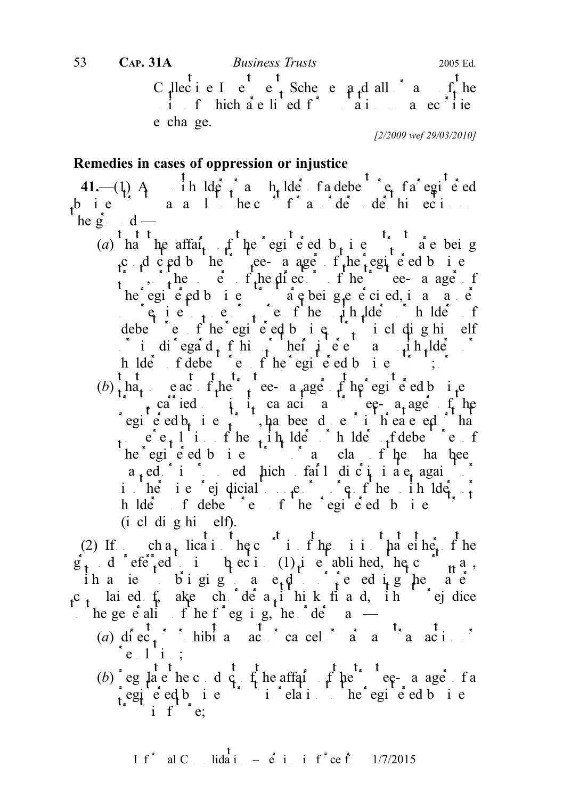Collective I is equively equivalently contained by  $C_1$  and  $C_2$  the  $C_3$  of the  $C_4$  the  $C_5$  $\mathbf{i}$  in f hich are lied for an a securities e cha ge. [2/2009 wef 29/03/2010] 53 CAP. 31A Business Trusts 2005 Ed.

## Remedies in cases of oppression or injustice

41.— $(1)$  A<sub>nd</sub> in  $\operatorname{Id}$  and  $\operatorname{Id}$  is a registered of  $\operatorname{Id}$  is a registered of a registered of a registered in  $\operatorname{Id}$  $\mathbf{r}^{\mathbf{b}}$  i.e.  $\mathbf{r}^{\mathbf{s}}$  and  $\mathbf{r}^{\mathbf{s}}$  and  $\mathbf{r}^{\mathbf{s}}$  and  $\mathbf{r}^{\mathbf{s}}$  and  $\mathbf{r}^{\mathbf{s}}$  and  $\mathbf{r}^{\mathbf{s}}$  and  $\mathbf{r}^{\mathbf{s}}$  and  $\mathbf{r}^{\mathbf{s}}$  and  $\mathbf{r}^{\mathbf{s}}$  and  $\mathbf{r}^{\mathbf{s}}$  and  $\mathbf{r}^{\math$ he  $g^*$  d —

- (a) ha he affai<sub>t</sub> f he egi e ed b<sub>t</sub> i e  $\hat{i}$  are being c d c  $ad$  b here can age f he registed business  $\int_{-\infty}^{\infty}$ , the equal of the directors of the trustee-manager of the trustee-manager of the trustee-manager of the trustee-manager of the trustee-manager of the trustee manager of the trustee manager of the trustee ma he egi  $\acute{e}$  ed b i e  $\acute{e}$  a e being e  $\acute{e}$  ci ed, in a manner in a manner in a manner in a manner in a manner in a manner in a manner in a manner in a manner in a manner in a manner in a manner in a manner in a m  $\log$  i e  $\frac{1}{1}$  e  $\frac{1}{1}$  e f he unit holders or holders of debe entire fine registered business trust including himself in diegard f his heilie en as unit de h lders fdebender fhe egiened business;  $\delta$
- $(b)$  that some act the trustee-a age of the registered business  $\int$ , carried in its capacity as the equal of the egie ed  $b_i$  i e  $\hat{t}$ , has been done or is threatened or that some  $e_{t}$  l is fine the line of holders of debendum of debendum of the unit of  $e_{t}$  fine  $f$  $he<sup>2</sup>egi \hat{e}ed b i e<sup>2</sup> i a cla f he ha hee$  $a_t$ ed is proposed hich fail discriminate, against is heriefejdicial to one of the initial to one or more or  $\mathfrak{g}$  fine unit  $\mathfrak{g}$ h lders f debende f he registed business trust  $(i$  cl di g hi elf).

(2) If  $\int_{0}^{\pi}$  ch a<sub>t</sub> lication the court is of the orient that either of the  $g_t$  d'efe<sup>r</sup>ed i heci (1) ie ablihed, he c<sup>ou</sup><sub>tt</sub> a, ih a iew bigig a e<sub>r</sub>d to edighe a e c<sub>t</sub> lai ed  $f_n$  ake ch de  $a_i$  hik fi a d, ih ej dice the generality of the foregoing, the  $\det$  order may be a matter of the order may be a matter may be a matter may be a major of the state of the state of the state of the state of the state of the state of the state of the

- (a) direct  $\frac{t}{t}$  is the problem and act or cancel  $\frac{t}{a}$  and  $\frac{t}{a}$  and  $\frac{t}{a}$  is the cancel or variance or  $\frac{t}{a}$  and  $\frac{t}{a}$  is the cancel of  $\frac{t}{a}$  and  $\frac{t}{a}$  is the cancel of  $\frac{t}{a}$  and  $\frac{$  $e$ .  $1$  i.;
- (b) eg late hetcoduct for the affairs of the trustee-manager of a egie ed bie iielai he egie d bie i f<sup> $\cdot$ \*</sup> e: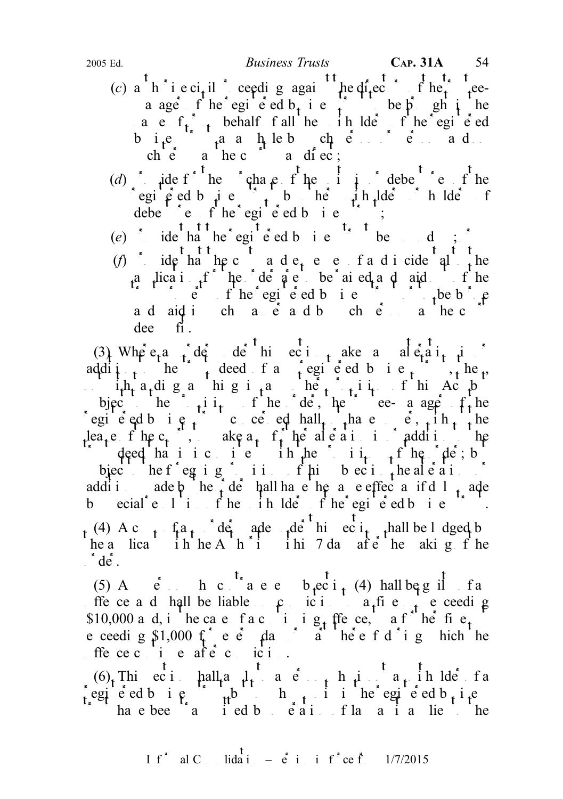- (c) a h i e ci<sub>t</sub>il ceeding again the directors of the trusteea age f he egie d b<sub>t</sub> i e f be p shi he a e  $f_{t+1}$  behalf fall he in lders of the registered bi<sub>t</sub>e  $\int_{t}^{a}$  a h leb ch e i e ad. ch  $\acute{e}$  a hec<sup>t</sup> a diec;
- (d) provide for the purchase of the units in order to the units in order the units in  $d$  debentures of the registered business trust by other unit and definition of the unit of the unit of  $\frac{1}{2}$  in the unit of the unit of the unit of the unit of the unit of the unit of the unit of the unit of the unit of the unit of the un  $\det$ <sup>t</sup>  $\det$   $f'$  he<sup>\*</sup> egi<sup>t</sup>  $\det$   $\det$   $f$  i e<sup>t</sup>
- (e) ide that the registered business that the d;  $\cdot$
- (f) ide ha hecostade, e e fadicidental the a lication for the detained are to be raised and paid of the  $\sum_{i=1}^{n}$  trust property of the registered business trust or to be borned business trust or to be bounded business trust of the borne business trust of the borne business trust of the borne business trust of the borne and  $\alpha$  in such manner and  $\alpha$  in such that is the court of the court of  $\alpha$  in the court of  $\alpha$  is a the court of  $\alpha$  is a the court of  $\alpha$  is a the court of  $\alpha$  is a the court of  $\alpha$  is a the court of  $\alpha$  is a dee fi.

(3) Where an order the contraction make an alteration in  $(3)$ addition to the trust deed of any registered business trust, then, in  $i<sub>th</sub>$ , and in g in any other provision of the Act but but any other provision of the Act but any other provision of the Act but any other provision of the Act but any other provision of the Act but any other provi bject the  $\int_{t}$  to the define the order order a age f<sub>t</sub>he egie ed b i e f conce ed hall  $\lim_{x \to a}$  have power in  $\lim_{x \to a}$  he lea<sub>t</sub>e f he c<sub>t</sub>  $\ldots$  ake a<sub>t</sub> f<sub>t</sub> he alteration in addition the  $\int$  deed hat is it is in here it is interested the provisions of the provisions of the provisions of the order order in  $\int$  the order order order order in  $\int$  the order order order order order in  $\int$  defined in  $\int$  d bjec<sup>t</sup> he f<sup>\*</sup> eg ig<sup>\*</sup> ii. f his subsection the alterations or addition ade  $\phi^*$  he  $\phi^*$  de hall have the same effect as if d 1  $\phi^*$  ade b ecial  $e^{t}$  in the initial ders of the registered business trust.  $t^{(4)}$  A c  $t^{2}$  fa $t^{3}$  der ade  $t^{4}$  and section shall be lodged by he a lica i h he A  $h^*i$  i hi 7 da afte he aking f he  $\det$ .

(5) A<sub>cc</sub>in c<sup>t</sup><sub>s</sub> a e e b<sub>t</sub>ect<sub>it</sub> (4) hall be g il fa ffe ce a d hall be liable  $\beta$  ic i a fine not exceed g \$10,000 a d, i he case fact i ig<sub>t</sub> ffe ce, a f<sup>ul</sup> he fis e ceeding  $\sin 1000 \text{ f}^*$  e e  $\sin 1000 \text{ f}^*$  e e  $\sin 1000 \text{ f}^*$ offence continues after continuous continuous after conviction.

 $(6)$ . This ciminall apply to a ciminal person is not a person who is not a person who is not a unit a unit a unit a unit a unit a unit a unit a unit a unit a unit a unit a unit a unit a unit a unit a unit a unit a unit a egie ed business that the registered business the registered business to which is interested business.  $\sum_{i=1}^{\infty}$  have been transmitted by operation of law as it as it applies to the  $\sum_{i=1}^{\infty}$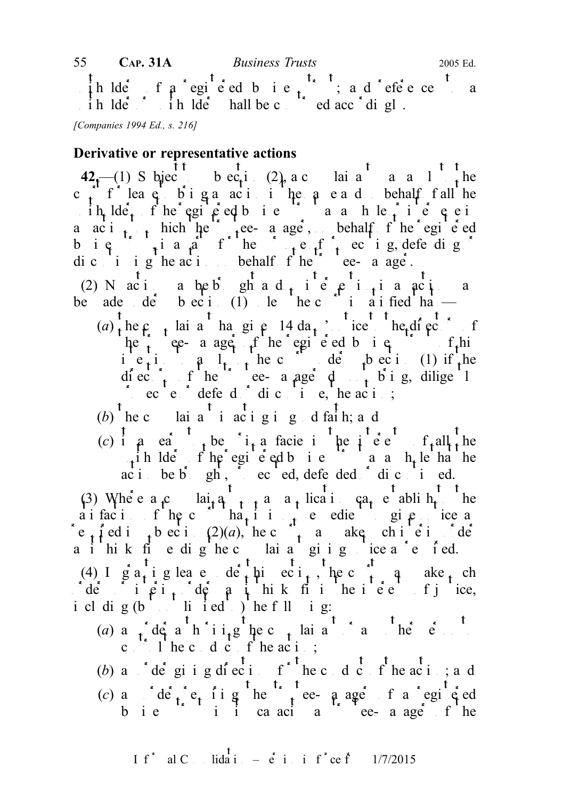in lders of a registed business trust; and reference to a ih lder ih lder hall be constructed accordingly. 55 CAP. 31A Business Trusts 2005 Ed.

[Companies 1994 Ed., s. 216]

#### Derivative or representative actions

42<sub>1</sub>—(1) S biec<sup>t</sup> t b ec<sub>t</sub>i (2), a c lai a<sup>t</sup> a a 1<sup>t</sup> the c f f lea  $e$  biga action he a e and on behalf fall he  $\int$  ih, lde, fhe egic ed bie  $\int$  as he interveness to compute a actively thich the trustee- a age, behalf fine registered b i  $\epsilon$   $\frac{1}{2}$  i a  $\frac{1}{4}$  f he purpose of prosecuting of prosecuting or the purpose of prosecuting or the purpose of property is a purpose of property in  $\epsilon$ dic i igheracion behalf f he trustee-manager. (2) N aci a be b gh a d<sub>t</sub> i e e i<sub>t</sub> i a act a be ade de beci (1) le hec i a ified ha  $(a)$  the c<sub>r</sub> lainant has given 14 da<sub>r</sub>, including to the directors of  $he^{2}$  ee- a age f he egi e ed b i e ie, i.e.  $a \quad l_{t+1}$  he could under the court unit under subsection (1) if the diect<sub>ors</sub> of the trustee-manager d<sub>rust</sub> bing, diligently provide  $e^{i}$  defend  $e^{i}$  discontinue, the action; (b) the complaint in acting in good faith; and (c) it a earth-order interests interested in the interest of all the end of all the interests of all the interests of all the end of  $\alpha$  interests of all the interests of all the interests of all the interests of all the  $\mu$ ih lders fhe egi e ed business trust as a h<sub>e</sub> le ha he acibe b<sub>r</sub>ought, provided defended or discontinued.

(3) Where  $a_1c$  lai<sub>t</sub>  $a_1$  and an angle can can evaluate the capping of the to the to the to the to the cap can evaluate to the to the to the to the cap can evaluate the cap capital in the to the capital in the capital a i fac i f the c<sup>ourt</sup> that it is not expedient to give not expedient to give not expedient to give not expedient e<sub>t</sub> fed i<sub>t</sub> bec i(2)(a), he c<sub>t</sub> a ake chie ide a i hik fiedighed laia giig icea'e fed.

(4) I granting leave der this equity the court may also a length of the court may be such a length of the court of the court of the court of the court of the court of the court of the court of the court of the court of th  $\int d\vec{e}$  interimiders a interior interior interior interior interests of justice, i cl dig  $(b \cdot \cdot \cdot h \cdot id \cdot )$  he f ll ig:

- (a) a  $\int$  default is the complete complete and complete and or any other person to  $\int$  and  $\int$  person to  $\int$  and  $\int$  defined by  $\int$  and  $\int$  and  $\int$  defined by  $\int$  and  $\int$  and  $\int$  and  $\int$  defined by  $\int$  and  $\$ c  $\begin{bmatrix} 1 & h \end{bmatrix}$  the conduct of the action;
- (b) a  $\int d\vec{e}$  giving directions for the conduct of the action and
- (c) and  $\det_{t}$  requiring the trustee-manager of a registed bie ii i cancia ee-anger fhe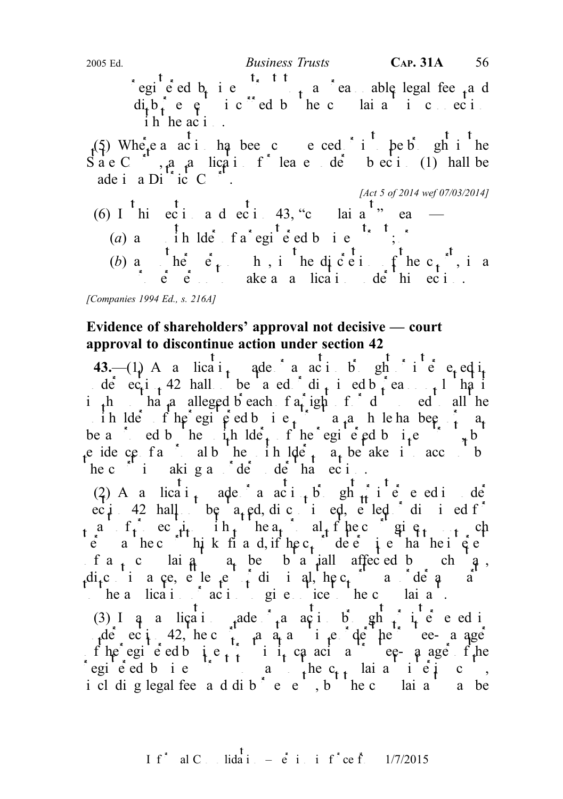(a) a  $\int$  ih lder f a registered business to the term is the set of a registered business that the set of  $\int$  is the set of  $\int$  is the set of  $\int$  in the set of  $\int$  is the set of  $\int$  is the set of  $\int$  is the set of (b) any other person who, in the discretion of the c<sub>t</sub>, is a

 $\therefore$  e e section ake a a lication de his ection.

[Companies 1994 Ed., s. 216A]

# Evidence of shareholders' approval not decisive — court approval to discontinue action under section 42

43.— $(1)$  A a licati<sub>t</sub> ade a action bight intervened in de  $ec_i$ i<sub>t</sub> 42 hall be a ed di<sub>t</sub> i ed b<sub>i</sub> ea in the shape alleged breach  $f_a$  right of order all the ih lders fine registed business trust a variation been or may be a variable function of  $a_t$ be a cd b he it lde, f he egi e ed b it  $e^x + b$ e idence fan albedre into  $\det A$  at be aken into account by the unit by taken into account by taken into account by taken into account by taken into account by taken into account by taken into account by taken into account he c i akig a de de ha eci.

(2) A a lication ade a action b gh intervened in de ec i 42 hall be  $a_t$  ed, dic i ed, e led di i ed f a f<sub>i</sub> ec<sub>it</sub> ih<sub>t</sub> hea<sub>t</sub> alfhec given up  $\vec{e}$  a hec high k fi a d, if  $hec_1$  dee interested interested f a<sub>t</sub> c lai  $a_1$  be b a jall affected by ch  $a_2$ , dic i a ce, e le  $e \nightharpoonup f$  di i al, he c<sub>r</sub> a de  $\theta$  a to the a lication of action of each oriental to the complainant and a set of the complex state to the complex state to the complex state to the complex state to the complex state to the complex state to the complex state t

(3) I and an application made or an action bight  $\frac{1}{4}$  intervened intervened in nde eci<sup>42</sup>, hec $\int$  a any time of the trustee-managerof the registered business trust in its capacital in equal the register of the register of the register of the register of the register of the register of the register of the register of the register of the register of th registed bis to the c<sub>tt</sub> laise is to pay to pay to pay to the complete contract of  $\mathbf{r}$ . i cl di g legal fee a d dib<sup>\*</sup> e e<sup>1</sup>, b<sup>1</sup> he c lai a<sup>1</sup> a be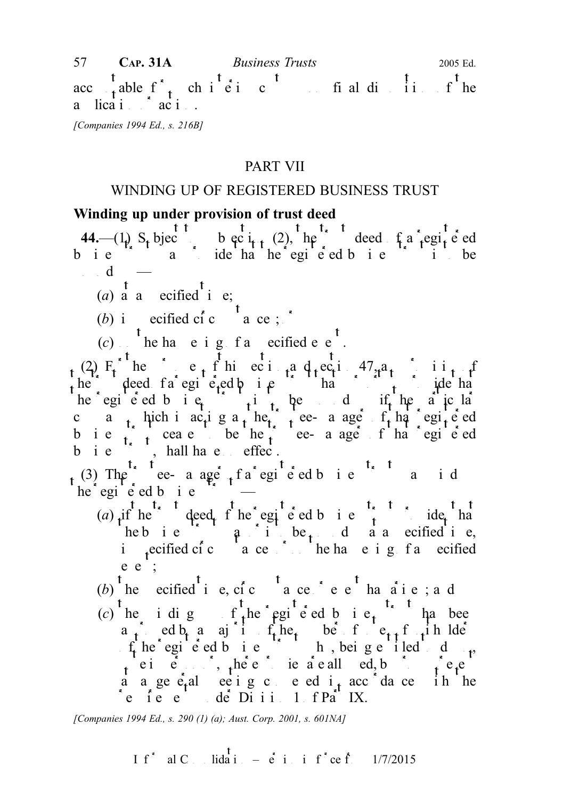acc<sub>ountable</sub> f<sub>1</sub> chieic final disposition fine a  $\operatorname{lica}$  i  $\operatorname{aci}$ . 57 CAP. 31A Business Trusts 2005 Ed.

[Companies 1994 Ed., s. 216B]

## PART VII

## WINDING UP OF REGISTERED BUSINESS TRUST

## Winding up under provision of trust deed

44.—(1) S, bject to subsection (2), the trust deed of a registered b i e  $\sum a$  ide ha he egi e ed b i e i be  $\mathbf{d}$ 

(a)  $\begin{matrix} 1 \\ a \end{matrix}$  a ecified  $\begin{matrix} 1 \\ i \end{matrix}$  e;

(b) i ecified ci<sup>c</sup> a ce;  $\sum_{n=1}^{\infty}$ 

 $(c)$  he happening of a specified event.

(2)  $F_t$  he e<sub>t</sub> f his eci<sub>t</sub>a d<sub>r</sub>ec<sub>t</sub>ion 47, a<sub>t</sub> ii<sub>t</sub> the deed fa egi e-ed p i  $\epsilon$  that purports to provide that purpose that purports that purports to provide that purports to provide that purports that purports that purports that purports that purports that purports that he egi e ed b i  $e_i$  to the diffile a jc la c a thich i  $ac_t$  i g a the trustee- a age f that registered b i e  $\begin{pmatrix} 1 & 1 \end{pmatrix}$  ceases to be the trustee-manager of that registered  $b$  i  $e^{i\pi}$ , hall have effec.

 $t^{(3)}$  The  $t^{t^*}$  tee-a age  $t^*$  fa egi<sup>t</sup> e ed b i e<sup>t</sup> i a i d  $he^*$ egi<sup> $\cdot$ </sup>e<sup>s</sup> ed b i e

- (a) if he deed f he egi e ed b i e  $\int_{t}$  ide, ha heb i e  $\int$  a is to be d a a specified i e, in each pecified circumstances or on the happening of a specified e e ;
- (b) the ecified time, cic take event has are contained and
- (c) he idig f<sub>t</sub>he registed bie<sub>t</sub> has been a<sub>t</sub> ed b<sub>t</sub> a aj i f<sub>t</sub> he<sub>t</sub> be f e<sub>tt</sub> f<sub>t</sub> i h lde  $f_t$  he registed business trust who, being entitled to  $f_t$ ,  $v_t$  ei e. , where proxies are all ed, by proximiting proximition  $v_t$  by proxy proximition  $v_t$  by proxy proxy proxy proxy proxy proxy proxy proxy proxy proxy proxy proxy proxy proxy proxy proxy proxy proxy proxy proxy p a a general ee ignched it accordance in the  $r$ e ie e de Diii 1 f Part IX.

[Companies 1994 Ed., s. 290 (1) (a); Aust. Corp. 2001, s. 601NA]

I f<sup>\*</sup> al C. Iida<sup>t</sup> 
$$
=
$$
 e<sup>t</sup> i i f<sup>\*</sup> ce f. 1/7/2015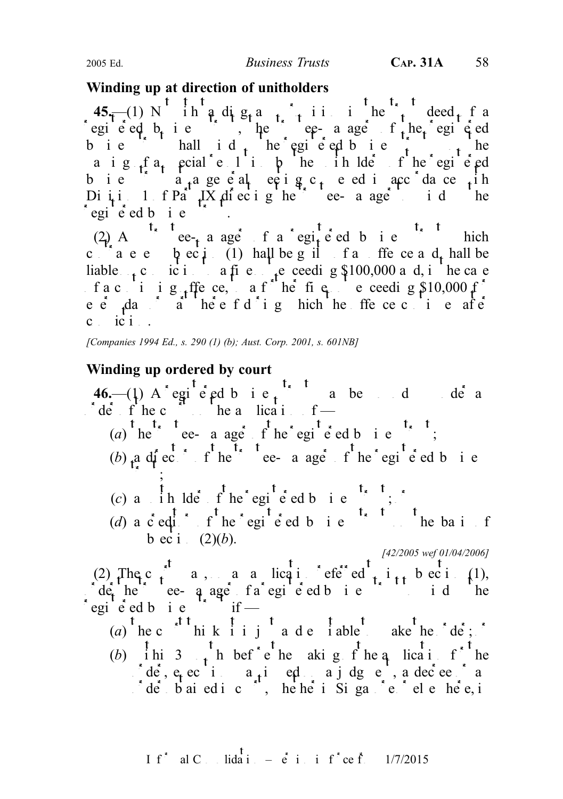## Winding up at direction of unitholders

 $45-$ (1) N ih a dig<sub>t</sub> and in the trust deed f a registered b<sub>usin</sub>ess trustees the trusteed equipment of the registered equipment of the registered equipment of the register of the register of the register of the register of the register of the register of the register bie hall id he egieed bie  $\frac{1}{t}$  he a i g  $_f$  a special resolution by the unit of the registered bie a<sub>t</sub> a geeal eeig c<sub>r</sub>eediacc<sup>o</sup>da ce <sub>t</sub>ih Di i i  $1$  of Part IX diecting the trustee-manager to id the  $\log i$  equence equals to  $i$  equivelent business the set of  $i$  equals to  $i$  equals the set of  $i$  equals to  $i$  equals the set of  $i$  equals to  $i$  equals to  $i$  equals to  $i$  equals to  $i$  equals to  $i$  equals to  $i$  eq

(2) A case-manager of a registered business trust which c are  $\alpha$  becides the position of an offer central be contracted be and shall be exactly of an order and shall be liable  $\epsilon$  conviction to a fine notice needing \$100,000 and, in the case f a c i i g ffe ce, a f he fig. e ceeding  $$10,000$  f e e<sup>t</sup>  $\frac{1}{2}$  day  $\frac{1}{2}$  denotes a fet d<sup>ot</sup> i g hich the ffe ce continues after  $c_i$  ic  $i$ 

[Companies 1994 Ed., s. 290 (1) (b); Aust. Corp. 2001, s. 601NB]

## Winding up ordered by court

 $46$ —(1) A registered business trust may be under an defined up under an analysis of an analysis of an analysis of an analysis of an analysis of an analysis of an analysis of an analysis of an analysis of an analysis of a  $\int d\vec{e}$  f he c  $\int d\vec{e}$  the application of — (a)  $\int_{0}^{t} h e^{rt} dt$ , t ee- a age f he egi<sup>t</sup> e ed b i e<sup>t<sub>s</sub> t</sup>; (b)  $a$  director of the trustee- a age of the registered business  $\cdot$  ; (c) a  $\int$ ih lder  $f$ <sup>t</sup>he regi<sup>t</sup>ered business trust;  $\int$ (d) a c equitor  $f^{\dagger}$  the registered business trust on the basis of b ec i  $(2)(b)$ . [42/2005 wef 01/04/2006] (2) The c<sub>t</sub> a, an alicatief ed<sub>tit</sub> beci (1),  $\int d\mathbf{e}_t$  he e- a age fa egi e ed b i e i i d i he de he e a age fa egi e ed b i e<br>egi e ed b i e if — (a) the c<sup>ourt</sup> think it is just a denoted the order; or the order; or the order; or the order; or the order order is the order; or the order order order is the order order order order order in the order order order order (b) ihi 3  $\mu$  h bef e he aking f he application for the  $\int d\vec{e}$ ,  $e_i$  ec i a<sub>t</sub>i ed a j dg e, a decree and  $\int d\vec{e}$  baied ic, he he is in galler in  $\vec{e}$  be here, in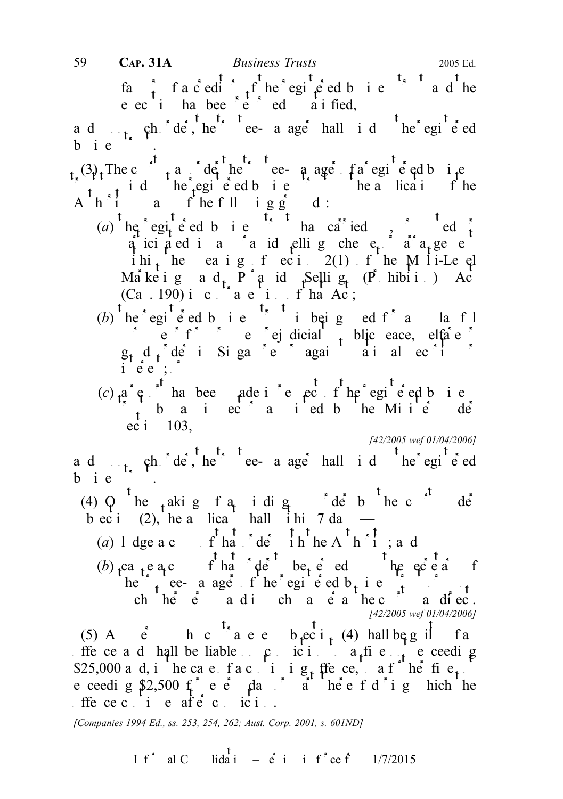fa<sub>t</sub> facedit function of the registered business trust and the e ec i ha bee e ed aified,

a d<sub>t,</sub> ch<sup>\*</sup> de<sup>t</sup>, he<sup>t, t</sup>ee-a age<sup>t</sup> hall i d<sup>t</sup>he<sup>\*</sup> egi<sup>t</sup>e<sup>t</sup> ed  $b$  ie  $\therefore$ 

 $(3)$ . The c<sub>r</sub> a de<sup>t</sup> he ee-q age fa egi e ed b i.e trust to wind up the registered business trust on the application of the A  $h$  in any of the following  $g$  d:

- (a)  $he^e$  egi-e ed b i e has carried only ed f q ici a ed i a c a id elli g che e a a a ge e ihi<sub>t</sub> he ea i g f ec i 2(1) f he M l i-Le el Marketing and P<sup>r</sup> and Selling (Phibition) Act  $(Ca. 190)$  in contravention of that Acts
- (b) he egie ed bie  $\cdot$  ibeig ed f an lafl purpose of  $f \circ \rho$  is pure or for purpose prejudicial to purpose prejudicial to purpose prejudicial to purpose  $f$  $g_t$  d<sub>r</sub><sup>1</sup> der in Singapore or again and security or again security of  $f$  $\frac{\partial \mathbf{u}}{\partial \mathbf{e}} \cdot \mathbf{e}^{\mathbf{u}}$ :
- (c)  $a^*e^{-t}$  has been ade in report of the registered business the aniec anied b he Minister de  $\vec{ec}$  i 103,

[42/2005 wef 01/04/2006]

a d<sub>t,</sub> ch<sup>\*</sup> de<sup>t</sup>, he<sup>t, t</sup>ee-a age<sup>t</sup> hall i d<sup>t</sup>he regi<sup>t</sup>e ed b i e

(4) Q he  $_{t}$ akig fa i dig deb hec de b ec i (2), he a lica hall i hi 7 da —

(a) 1 dge a copy of that  $\det A$ <sup>t</sup> the A<sup>t</sup> h<sup>\*</sup><sup>1</sup>; and

 $(b)$  ca e a c f ha de be seed the secretary of the secretary of the secretary of the secretary of the secretary of the secretary of the secretary of the secretary of the secretary of the secretary of the secretary of the he trustee- a age of the registered b<sub>usin</sub>ess trust of the registered business trust of the trust of the register ch he e a di ch a e a hec a diec. [42/2005 wef 01/04/2006]

(5) A  $\dot{e}$  h c  $\dot{h}$  a e e  $b$   $\frac{1}{e}$  (4) hall  $b$  e g il f a ffe ce and shall be liable on conviction to a fine not exceeding \$25,000 and, in the case of a continuing of the fine notation of the fine notation of  $\int$  fine notation  $\int$  fine notation  $\int$  fine notation  $\int$  fine notation  $\int$  fine notation  $\int$  fine notation  $\int$  fine notation  $\$ e ceeding \$2,500 for every day or all there is done in the entropy hich the offence continues after continuous and  $\vec{r}$ 

[Companies 1994 Ed., ss. 253, 254, 262; Aust. Corp. 2001, s. 601ND]

If<sup>\*</sup> al C<sub>ons</sub> lida i<sub>n</sub> –  $\dot{e}$  in inf<sup>\*</sup>ce f<sub>r</sub> 1/7/2015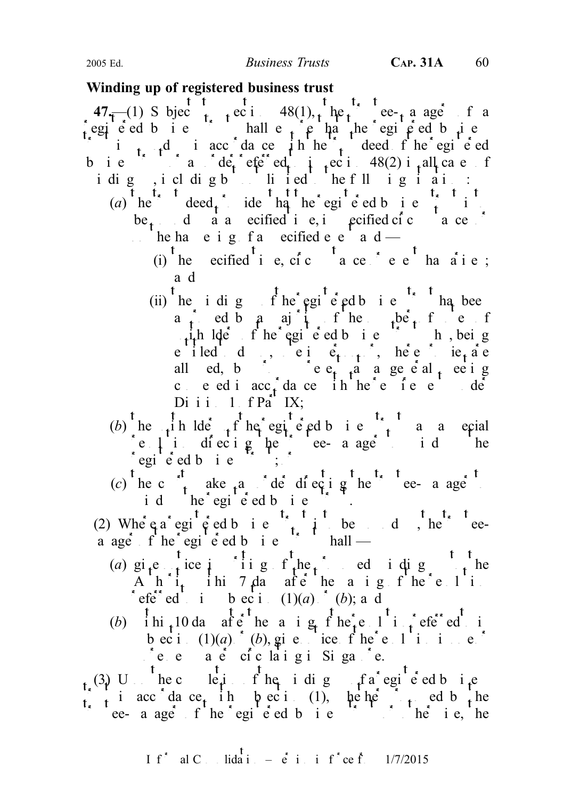### Winding up of registered business trust

47.—(1) S bjec<sub>t</sub> to i 48(1), the ee-ta ager f a egie ed bie in hall en partie that the registed business i i<sub>t</sub>  $t$  is accordance in the trust deed of the registered business trust or an order referred to in  $48(2)$  in all cases of idig, icl digbut lied the fll igiai: (a) he deed, ide ha he egi e ed b i e  $\hat{t}$  is be  $_{t}$  d a a ecified i e, in perified circumstances or he ha e i g f a ecified e e a d — (i) the ecified time, circumstance the e<sup>t</sup> has arise; a d (ii) he i dig f he egi e ed b i e ha been a ed by a majority of the number of the number of  $\mu$ <sub>1</sub>. In lders of the egi e ed b i e<sup>nd</sup> b, being e iled do, ei  $e_{t+1}$ , here ie<sub>t</sub> are all ed, by providing  $e_{t-1}$  a general meeting ced i acc<sub>i</sub>da ce ih he e fee de  $D$ i i i  $1$  f  $P$ a<sup>r</sup> IX; (b) he in ldeer the egi e ed b i e  $\int_{t}^{t}$  a a ecial  $\begin{array}{ccc} \n\text{c} & \text{l} & \text{i} & \text{d} & \text{c} \\
\text{c} & \text{l} & \text{i} & \text{d} & \text{c}\n\end{array}$  to the trustee-manager to wind the  $\int$ egi<sup>t</sup>ered bie<sup>rt</sup>; (c) he court are an order directing the trustee-manager to the trustee-manager to the trustee-manager to the trustee-manager to the court of the counterpart of the counterpart of the counterpart of the counterpart of the id he egie dbie. (2) Where a registered business trust is to be wound up to be wound up to be wound up to be wound up to be wound up to be wound up to be wound up to be wound up to be wound up to be wound up to be wound up to be wound up a age f he egi e ed b i e  $\sim$  hall — (a) give ince in in general to the proposed in dignomial to the proposed winding up to the proposed winding up to the proposed winding  $\int$  to the proposed winding up to the proposed winding up to the proposed winding up  $A$  h i<sub>t</sub> ihi 7 da afte he a i g f he e l i referred to intervel to in (1)(a) or (b); and (b) ihi<sub>t</sub> 10 da after he a ig f here l in fered to in b ec i  $(1)(a)$  (b), give notice f he e 1 in in ex  $^{\bullet}$ e e a e ciclaigi Siga $^{\bullet}$ e.  $_{t_x}(3)$  U<sub>p</sub> the c le<sub>p</sub>i f he i dig f a regi<sup>t</sup> e ed b i<sub>t</sub>e trust in accordance with subsection (1), whether proposed by the trustee- a ager of the registered business trust or otherwise trust or otherwise. The contract of the register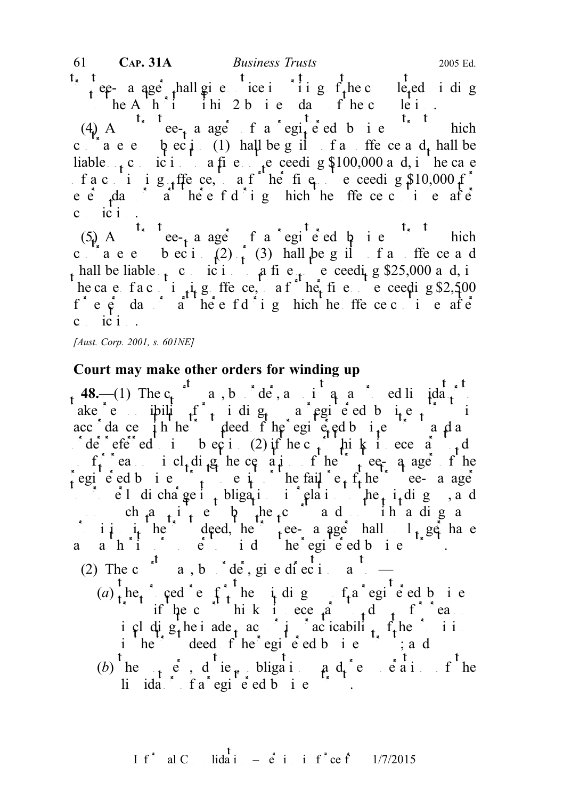$\int_{t}$  ee- a age thall give notice in in general state in ding the complete in ding the complete in ding  $f_t$  here completed in ding the complete  $f_t$  here complete  $f_t$  here complete  $f_t$  here complete  $f_t$  here complet  $\therefore$  he A h i ihi 2 b i e da f he clei. (4) A arrive-theoretic arrival ager of a registered business trust which c a e beci (1) hall be guilt and find the central be and shall be and shall be an of an order and shall be an liable  $\epsilon$  conviction to a fine notice net exceeding \$100,000 and, in the case f a c i i g ffe ce, a f he fig e ceeding  $$10,000$  f  $e e$   $\frac{1}{2}$   $\int_{0}^{1} 1 \cdot \frac{1}{2} \cdot e^{i\theta}$  f d  $\int_{0}^{1} 1 \cdot \frac{1}{2} \cdot e^{i\theta}$  f d  $\int_{0}^{1} 1 \cdot \frac{1}{2} \cdot e^{i\theta}$  f d  $\int_{0}^{1} 1 \cdot \frac{1}{2} \cdot e^{i\theta}$  f d  $\int_{0}^{1} 1 \cdot \frac{1}{2} \cdot e^{i\theta}$  f d  $\int_{0}^{1} 1 \cdot \frac{1}{2} \cdot e^{i\theta}$  f d  $\$  $c_i$  ic  $i_{i+1}$ .

(5) A corrected a registered business trust which c are becided (2) or (3) hall be guilt faithfe ce and hall be liable  $\epsilon_1$  conviction to a fine  $\epsilon_1$  exceeding \$25,000 and, in he ca e fa continuing offer ce, a function  $\vec{r}$  here not exceeding \$2,500  $f^*$  e  $\dot{e}$  day  $\dot{a}$  there  $f d^*$  i g hich he ffe cec i e after  $c$  ici.

[Aust. Corp. 2001, s. 601NE]

# Court may make other orders for winding up

48.—(1) The  $c_1$  may, by order, applied and approximate d liquidation ake e ipility for indig up a registered business trust in acc dance in the trust deed of the egine ed business trust and any  $\int$  $\int d\vec{e} \cdot \vec{e} \cdot d\vec{e}$  in subsection (2) if the c<sub>t</sub> think it exercises in the court to do the court to do the court to do the court to do the court of the court of the court of the court of the court of the court of t  $s = f_t$  reasons including the cessation of the trustee-manager of the registered business trust the failure of the failure of the trustee-manageries of the trustee-manageries of the trustee-manageries of the trustee-manageries of the trustee-manageries of the trustee-manageries of the trust into  $\epsilon$  is discharge it is obligations in relation to the i<sub>t</sub> ding up and ch  $a_{1}$  i e b  $\mu$  e and ih a dig any in in the deed, the trustee-manager hall  $1_t$  ge have a ah'i è e id he'egie'ed bie '. (2) The c<sup>at</sup> a, b  $\det^{\bullet}$  de<sup>t</sup>, give direction as to  $\det^{\bullet}$  $(a)$ , he, cedet for the unit dignomial fraction is the procedure of the up of  $f$ , he up of a register of  $f$ , he up of  $f$ , he up of  $f$ , he up of  $f$ , he up of  $f$ , he up of  $f$ , he up of  $f$ , he up of  $f$ , he up of  $f$ if the c<sup>ourt</sup> hik it ecessary to do so for reasons including the independent of intervalse in the property of the property of the property of the property of the property of the property of the property of the property of the property of the property of the property of th  $i$  he<sup>tch</sup> deed f he egi e ed b i e  $\frac{1}{2}$  ; and (b) he powers, due politically and remain of the li  $ida$  fa egi e ed b i e  $\sim$ .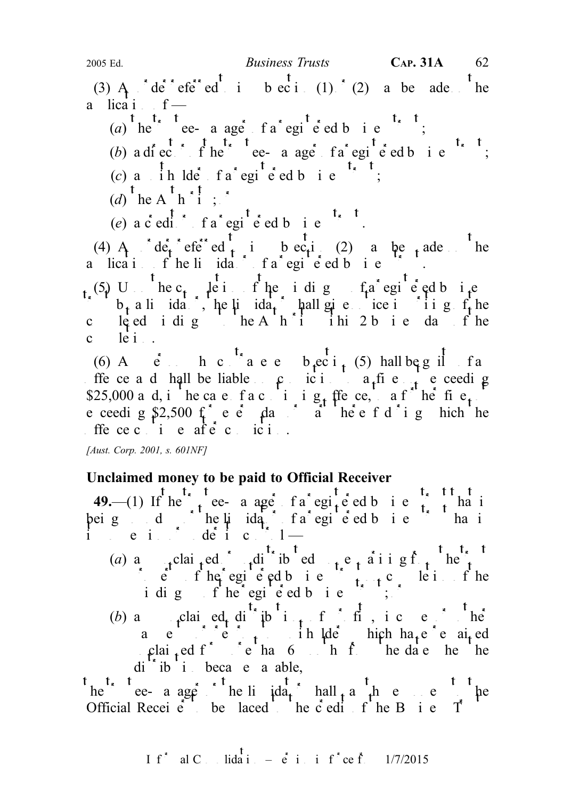(3) A  $\det^*$  efe<sup>rr</sup>ed i bec in (1) (2) a be ade the a lica i  $f -$ 

(a) he true e- a ager fa registered business trust;

- (b) a director of the trustee-manager of a registered business trust;
- (c) a  $\int$  ih lder fa<sup>\*</sup> egi<sup>t</sup> e ed b i e<sup>t\*</sup>
- $(d)$ <sup>t</sup> he A<sup>t</sup> h<sup>\*</sup>i ; \*
- (e)  $a \cdot \text{ed}^{\dagger}$   $\cdot$   $f a^* \text{eg}^{\dagger} \text{ed} b$  i  $e^{t}$ .

(4) A<sub>nd</sub> order referred to integral to equitable control of the material definition of the material of the material of the material of  $\mathbf{A}$  and  $\mathbf{A}$  and  $\mathbf{A}$  and  $\mathbf{A}$  and  $\mathbf{A}$  and  $\mathbf{A}$  and  $\mathbf{A}$ a lication of helidation fa registed business.

 $f_t(5)$  U  $t$  he c<sub>t</sub>  $t$  le i fhe i dig  $f_t$  a registered business  $\delta$  b<sub>t</sub> a liquidator, the liquida<sub>t</sub> ball give notice in writing of the coleed idig heAh'i ihi 2 bie days fhe  $c$   $\det$   $\det$   $\det$ 

(6) A<sub>cc</sub>in b c can e e b eci<sub>t</sub> (5) hall be guilt fa ffe ce and shall be liable on conviction to a fine not exceeding \$25,000 and, in the case of a continuing of the fine  $f_i$ . e ceeding \$2,500 f e e  $\theta$  day or a here f d i g hich the ffece c i e af $\dot{e}$  c ici.

[Aust. Corp. 2001, s. 601NF]

# Unclaimed money to be paid to Official Receiver

49.—(1) If he true-a age fa egite ed b i e trust that is being diffine lindation fa registed business trust has in its possession of  $\det$  its control —

- (a) any unclaimed or unclusted monopological monopological monopological monopological monopological monopological monopological monopological monopological monopological monopological monopological monopological monopolo  $\int$  e f he egi e ed business the region of the idig f he egi e ed b i e  $\left( \begin{array}{ccc} 1 & 0 \\ 0 & 1 \end{array} \right)$
- (b) any unclear edg distribution of profit income or other profits and profit  $\mathbf{h}\mathbf{e}$ a e returns to in  $\mu$  in  $\mu$  is the unit of unit or each ed clai<sub>t</sub>ed f<sup>or m</sup>ore than 6 months from the date the the

di<sup>t\*</sup> ib i beca e a able,<br>t<sub>he</sub><sup>t\*</sup> t<sub>ee</sub>- a age<sup>\*\*</sup> he li  $\det^t$  hall<sub>t</sub> a <sup>t</sup><sub>t</sub>h e e <sup>t t</sup> he ee- a ager he li  $\alpha$  to the limit hall pay the money of the money to the money to the money to the money to the money to the money to the money of the money of the money of the money of the money of the money of the m Official Receiver to be laced the credit of the Business T

I f<sup>\*</sup> al C. Iida i. – 
$$
\dot{e}
$$
 i. i f<sup>\*</sup> ce f. 1/7/2015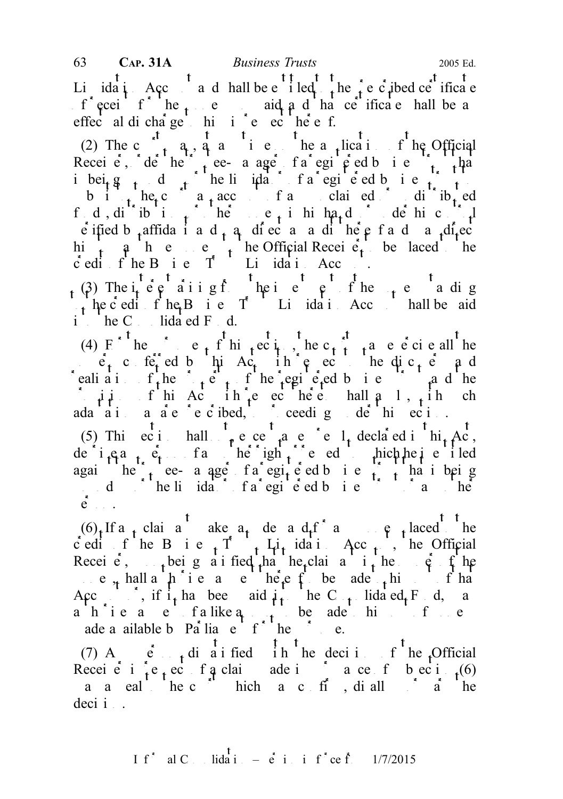Li<sub>dat</sub>ion Account and hall be e<sup>t t</sup>iled the prescribed ce<sup>t</sup> ificate  $f^*$  ecei<sup>t</sup>  $f^*$ <sup>t</sup> he  $f^*$  e aid  $f^*$  and  $f^*$  half ce<sup>rt</sup> ificate hall be and that certificate shall be and that certificate shall be and that certificate shall be and that certificate shall be a effec<sup>t</sup> al dicha<sup>rge</sup> hi i<sup>s</sup> e c<sup>1</sup> he<sup>s</sup> e f.

(2) The c<sub>t</sub> a<sub>t</sub>, a<sub>t</sub> and i et he a<sub>t</sub>lication fine Official Receive, de he trustee- a age fa egi  $\phi$  ed b i e trust that ibeig d<sub>t</sub> dt f he liquidator f a registered business to the top of the state of a registered business trust to the state of the state of the state of the state of the state of the state of the state of the state of the s b i the count and claimed or unit to the count of any unclear to the count of any unclear to the count of any unclear to the count of any unclear to the count of any unclear to the count of any unclear to the count of any fd, difibilitions or other moneys in his hands or defined  $\int$ e ified b<sub>t</sub>affidati ad<sub>t</sub> a diversa and matter and ma<sub>tt</sub> thereof and many direct and many direct and many direct and many direct and many direct and many direct and many direct and many direct and many direct and many d him to pay the end of the Official Receiver to the placed to the placed to the total to the  $\frac{1}{\sqrt{2}}$  be placed to the place of the place of the place of the place of the place of the place of the place of the place of c edit f he B i e  $T$  Lidati Acc.

(3) The i<sub>n</sub>teresting from the interest of the money standing from the money standing of the moneys of the moneys standing of the money standing of the money standing of the money standing of the money standing of the mon the c edit f he<sub>t</sub> B i e T Li ida i Acc hall be aid  $i$ <sup>t</sup> he C<sub>n</sub> lidated F<sub>u</sub> d.

(4) F the e<sub>t</sub> f hi<sub>t</sub>ec<sub>ity</sub>, he c<sub>t</sub> t a e e ci e all the  $\ddot{e}_t$  conferred by this Ac<sub>t</sub> in respect to the disc<sub>t</sub>  $\ddot{e}_t$  and realized in the property of the registered business trust and the registered business trust and the extension of the register of the set of the register of the set of the set of the set of the set of the set of the set of  $\therefore$   $\mu \mu$  f hi Ac in  $\mu$  echec help hall a 1, in ch ada ai a are e cibed, ceedig de hi eci. (5) This ecsimilarity except as each  $\frac{1}{4}$  declared in  $\frac{1}{4}$  Act, de i.e.  $a_{t}$ ,  $e_{t}$  fangle right or remedy to the integration of the integration of  $f$  is entitled against the trustee- a ager of a registered business trust that is being wound the liquidation of a registered business trust or any other heads to any other heads to business trust or any other heads to business the set of any other heads of any other heads to business the set of any other hea

 $\mathbf{e}$ .  $(6)$ , If a<sub>n</sub> claimant make a<sub>t</sub> demand for any equal to the c edit f he B i e  $\uparrow$  T  $\uparrow$  Li<sub>t</sub> idation Acc<sub>t</sub> is the Official Recei  $\epsilon$ , upon being a i fied that the claimant is the  $\epsilon$  fine e<sub>n</sub> hall a  $\mu$  i e a e heef be ade this f ha Account, if  $i_t$  has been paid  $i_t$  he C<sub>ons</sub>olidated Fund, may a hie a e falike  $a_{n+1}$  be ade him for e ade a ailable by Parliament for the purpose.

(7) A<sub>ng</sub> e<sup>t</sup>, dissatisfied in the decision of the Official Receiver in respective in the claim material material central  $r_1(6)$ a a eal the c<sup>\*</sup> hich a c ff , di all  $\alpha$  a the  $deci i$ .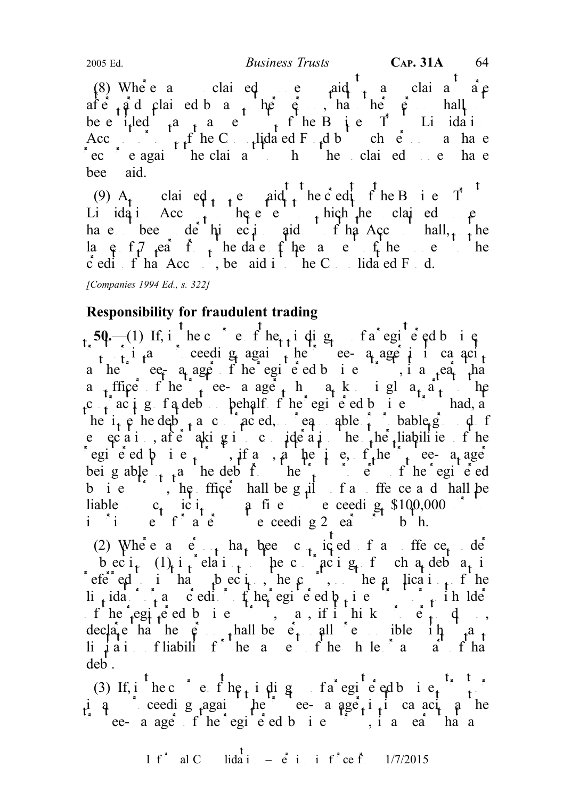(8) Where a claired repaid to a claimant are  $\beta$ after and claimed by any other person shall not person shall not person shall not person shall not person shall be eithed to any payment of the Business Trusts Lindiation of the Business Trusts Lindation Account of the C<sub>n</sub>lidated F<sub>u</sub>d but such each a have  $\text{ec}$   $\text{ }$  e agai<sup>t t</sup> he claima<sup>1</sup> to whom the unclaimed money have bee aid. 2005 Ed. Business Trusts CAP. 31A 64

(9)  $A_t$  claimed  $\mu_t$  e aid the coding the Business T Li ida i Acc<sub>t</sub> he e e thich he claimed p have bee de hive inder that Account shall, the la  $e$   $f$   $f$   $t$   $t$   $t$   $t$  to the date  $f$  the payment of the money to the  $\dot{c}$  edit of that Acc<sub>ount</sub>, be aid into the C<sub>onst</sub> bidated Fund.

[Companies 1994 Ed., s. 322]

# Responsibility for fraudulent trading

 $t<sub>s</sub>$  50.—(1) If, i<sup>t</sup> he c<sup>ourse</sup> e f he<sub>t t</sub> i dig e<sub>t</sub> of a registered business  $\int_{t_1}^{t_2} \frac{1}{t_1}t_2$  ceeding again the trustee- a age in its cancity a he<sup>2</sup> ee<sub>r</sub> a age fhe egie d b i e  $\ldots$ , i a <sub>t</sub>ea<sub>r t</sub>ha a<sub>t</sub> ffice f he tree-aager h a kigl a party to the c  $\int a c i g f a d e b$  behalf f he registered business trust had, at the  $i_{\tau}$  p he debt and contracted, no reasonable  $i_{\tau}$  bable ground of probable ground of probable ground of probable ground of probable ground of probable ground of probable ground of probable ground of probable gro e  $ec\ a\ i\$ , after aking into consideration the other liabilities of the egi e ed  $\phi$  i e  $\phi$ , if any, a the time,  $f$ , the time-manageric equals to the trustee-manageric equals to the trustee-manageric equals to the trustee-manageric equals to the trustee manageric equals to the trustee man being able to the debt from the trust property of the registered being property of the registered b i e  $\therefore$ , he ffice hall be guilt of an offence and hall be liable  $c_t$  ic  $i_t$  a fine exceeding \$100,000 or to in it a term of a term of a term not exceeding 2 ears or to both.

(2) Where  $\alpha$  e  $\beta$  has been c<sub>r</sub> iced f and offence under b ec i<sub>t</sub>  $(1)$  i<sub>t</sub> elati<sub>t</sub> the contracting of such a debt a<sub>t</sub> is referred to intrinsic to the court, the court of the court of the application of the application of the application of the court of the application of the application of the application of the court of the application of li<sub>t</sub>idator i any creditor of the registered b<sub>usi</sub>ness trust or unit to the lde of he registered business trust, may if it hinks proper to do so, and some  $f$  and  $f$  and  $f$  and  $f$  and  $f$  and  $f$  and  $f$  and  $f$  and  $f$  and  $f$  and  $f$  and  $f$  and  $f$  and  $f$  and  $f$  and  $f$  and  $f$  and  $f$  and  $f$ decla<sub>r</sub>e ha he  $\phi$ , thall be  $\dot{e}_t$  all  $\dot{e}$  ble in  $\phi$ ,  $\dot{a}_t$ li  $\mu$ iation fliability for the angle of the payment of the value of the  $\mu$ deb.

(3) If, i hecourse fhe i dig up fa registered business that is iq ceedig against the trustee-manager in its capacity as the  $\int$  ee-age fhe egie d bie  $\int$ , ia ea haa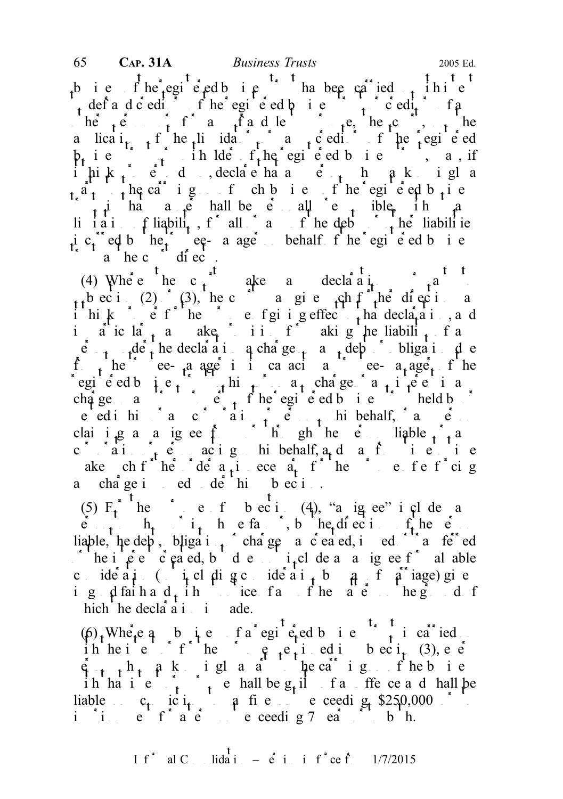b ie fhe egieedbie ha been carried thie to define define the registered business trust of  $\det$  of any creditors of any creditors of any creditors of any creditors of any creditors of any creditors of any creditors of any creditors of any creditors of any contra be  $\alpha$  for any fraudulent purpose, the court, the court, on the court, on the court, on the court, on the court, on the court, on the court, on the court of the court of the court of the court of the court of the court o a lica $i_{t-1}$  f he liquidator any creditor of the registered  $\mathfrak{p}_t$  is the line of the registered business, may if ihik,  $e$  d, declare ha and  $e$ , hakigla  $a_1$ , the carrigum for chbie fhe registed b<sub>usi</sub>ness  $\int_{t}$  i ha a  $\int e$  hall be e all e puble, in a li i a i fiability, for all or any or the debts or the liabilities incurred by the trustee-manager on behalf of the registered business  $\int_a^b a \cdot \ln c \cdot d\theta$  directs.

(4) Where the c<sub>t</sub> ake a declaration pursuant to pursuant to pursuant to pursuant to pursuant to pursuant to pursuant to pursuant to pursuant to pursuant to pursuant to pursuant to pursuant to pursuant to pursuant to purs t bectic (2) (3), the court as give such functions as  $\int$ ithinks  $\epsilon$  is  $f$  the purpose of giving effect that declaration, and in a icular any make itision for a king the liability of any  $\frac{1}{1}$  and  $\frac{1}{1}$  and  $\frac{1}{1}$  and  $\frac{1}{1}$  and  $\frac{1}{1}$  and  $\frac{1}{1}$  and  $\frac{1}{1}$  and  $\frac{1}{1}$  and  $\frac{1}{1}$  and  $\frac{1}{1}$  and  $\frac{1}{1}$  and  $\frac{1}{$  $\ddot{e}$  der the declaration a charge  $\ddot{e}$  and debt or obligation due f<sub>r</sub> he<sup>the</sup> ee-aager in its capacities-manager fine registed business trust to the  $a_t$  charge  $a_t$  interest in any interest in any interest in any interest in any interest in any interest in any interest in any interest in any interest in any interest in any interest in a charge any trust property of the registered business trust held by  $\int$ e ed in him or any corporation of  $\mathbf{e}$  or person or person or person or person or person or any person of  $\mathbf{e}$ claiming a state of the person liable  $\int_{t}$  and  $\int_{t}$  and  $\int_{t}$  and  $\int_{t}$  and  $\int_{t}$  and  $\int_{t}$  and  $\int_{t}$  and  $\int_{t}$  and  $\int_{t}$  and  $\int_{t}$  and  $\int_{t}$  and  $\int_{t}$  and  $\int_{t}$  and  $\int_{t}$  and  $\int_{t}$  and  $\int$ c ain for actign his behalf, a<sub>n</sub>d a frie to time ake ch f he de  $a_i$  ece  $a_i$  f he purpose of entropy and purpose of entropy  $a_i$ a cha<sup>rg</sup>e i ed de hi b ec i.

(5)  $E_t^*$  the purpose of subsection (4), "a ig ee" includes and t  $\hat{e}_{n+1}$ ,  $h_{n+1}$ , in  $h_{n+1}$  is the extension of the person of the person of the person of the person of the person of the person of the person of the person of the person of the person of the person of the person o liable, he debt, bligation charge variety charge or charged or charge or the charge of the charge of transferred he interest created, but de not interest and ignee f<sup>\*</sup> al able consideration (including consideration by  $\theta$ , if  $\theta$  iage) given i g  $\phi$  faith and  $\phi$  find the matter of the matter of the matter of the ground of the matters on the ground of the matters on the matters of the matters of the matters on the matter of the matters of the matter on the hich he decla $a_i$  i ade.

 $(\beta)$ . Where any business of a registered business trust is carried on ih he intent or for the purpose  $\mathfrak{g}_{\mathfrak{t}}$  equipose in subsection (3), every  $\hat{p}_{t}$  th  $\hat{p}_t$  a particle who was to the carrying on order to the carrying on order to the carrying on  $\hat{p}_t$ ih ha intent or purpose shall be  $g_t$  if and or free central be shall be liable  $c_1$  ic  $i_1$  a fine exceeding \$250,000 or to in it a term of a term of a term not exceeding 7 ears of to both.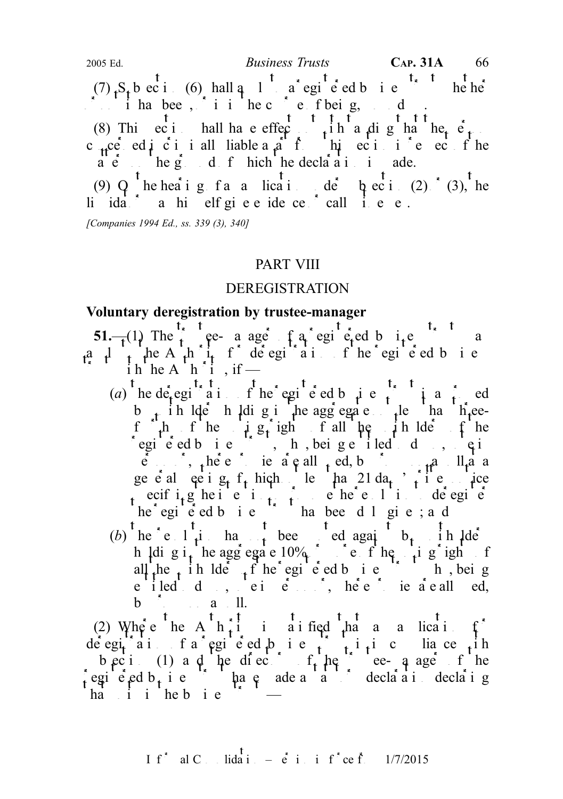(7)  $S<sub>t</sub>$  b ec i (6) hall a registered business the help  $\int$  in has bee, it in the course of being, would up. (8) This ection hall have effect in the a dig has the person shall have experienced in the person of  $\frac{1}{2}$ c<sub>tr</sub>ce ed i ci i all liable a a f hi eci i e eci fihe  $\mathbf{a} \cdot \mathbf{e}$  the g<sub>round</sub> of hich the declaration is a de. (9)  $Q^t$  he hearing of an application under subsection (2)  $(t)$  (3), the li  $ida^*$  a highleright evidence  $id$  call i.e.e. 2005 Ed.  $Business \ Trusts$  CAP. 31A 66

[Companies 1994 Ed., ss. 339 (3), 340]

#### PART VIII

#### DEREGISTRATION

#### Voluntary deregistration by trustee-manager

51.—(1) The trust ee- a age f a registered business trust may be a a  $\mu$ , the A<sub>th</sub> i<sub>t</sub> for detegion is the registered business  $\sum_{i=1}^{n}$  in he A  $\sum_{i=1}^{n}$  h, if —

- (a) he detegisted in the registered business trust is a finite d b in  $\det$  halders holding in the aggregate in the half is the holding than the ef  $\mu$  fhe i  $g_t$  igh f all  $\mu$  in Ide fhe  $\int_{c}^{t} \int_{eq}^{h} h f' \text{he} \quad i \text{g} \int_{t}^{t} g'_{t} \text{igh} \quad f \text{ all} \quad \text{he} \quad i \text{h} \text{l} \text{d} \quad f \text{ he}$ <br>
fegi e ed b i e , h , bei g e i led d , q i person or, where proxies a pall  $_{\rm t}$  ed, by proximiting a political at a political at a political at a political at a political at a political at a political at a political at a political at a political at a political ge e al que i  $g_t$  f<sub>t</sub> hich le ha 21 da<sub>t</sub>, i e i ice specifi<sub>t</sub> g he i e i<sub>ntent</sub>ion to propose the resolution deregister  $he<sup>2</sup>$  egistered business trust has been duly given; and
- (b) he ell is has t been voted against b<sub>t</sub> in lde h ldig i<sub>t</sub> he aggregate  $10\%$  or more of the vigoright of all the indeed  $f$  the registered business trust who, being e iled d, ei  $e$  , here proxies are all ed,  $b \quad \text{a} \quad \text{ll}.$

(2) Where the A<sup>t</sup> h<sub>t</sub> is string that an application for the that an application for the form of the that an application for the the that is the the that is the the three terms of the terms of the terms of the terms of t de egiai fa egie ed bie  $\int$ ii is cuia ce ih b ec i (1) and the directors of the trustee-manager of the regie ed b<sub>usi</sub>ness trust have made a statutory declaring declaring  $ha$  i i heb i e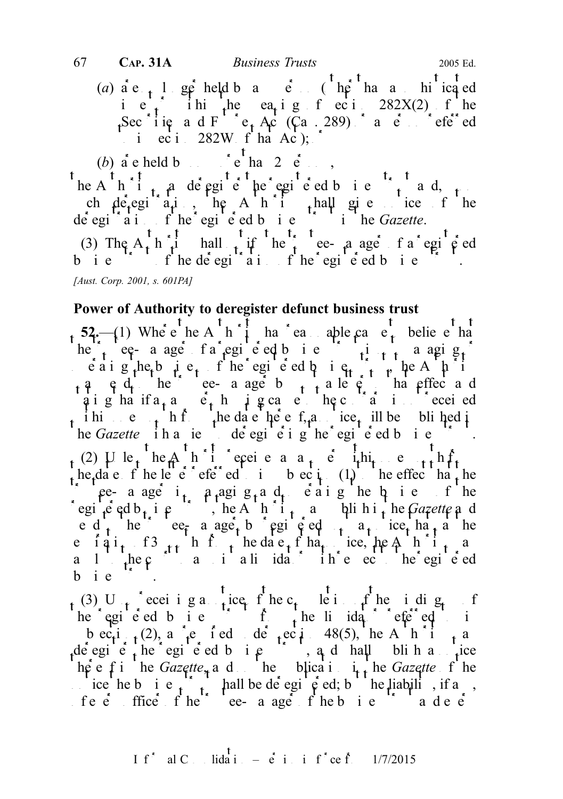(a)  $a e_{n+1}$  longer held by any person (other hand a somiting ed ie, ihi he ea<sub>r</sub> ig f eci  $282X(2)$  f he Secionies and Fig. Act (Ca. 289) or a person referred in  $eci$  282W f ha Ac);

(b) a e held b  $\left( \begin{array}{ccc} \cdot & \cdot & \cdot \\ \cdot & \cdot & \cdot \\ \cdot & \cdot & \cdot \end{array} \right)$  e  $\left( \begin{array}{ccc} 0 & \cdot & \cdot \\ \cdot & \cdot & \cdot \\ \cdot & \cdot & \cdot \end{array} \right)$ 

he A $\frac{1}{t}$  and  $\frac{1}{t}$  and  $\frac{1}{t}$  and  $\frac{1}{t}$  and  $\frac{1}{t}$  and, upon ch detegiative the Authority shall give notice of the de egi<sup> $\alpha$ </sup> a i f he egi e ed b i e i he Gazette.

(3) The A<sub>t</sub> h<sub>i</sub> i hall time the trustee-manager of a registered business trust of the delegion of the registered business.

[Aust. Corp. 2001, s. 601PA]

### Power of Authority to deregister defunct business trust

52.—(1) Where the A  $h^{\dagger}$  the reasonable cause to believe that he trustee- a ager of a registered business trust is not many  $\left[ \begin{array}{ccc} 1 & 0 & 0 \\ 0 & 1 & 0 \end{array} \right]$  $\vec{e}$  a i g the business of the registered business trust, the A  $\hat{p}$  i  $\alpha$ , and the top to the tee-manager by post a letter a letter and the to that effect and qi g ha if  $a_1 a_2$  e in p g cause the contrary is not received i hin only it is  $\frac{1}{n}$  h f the date the e f<sub>r</sub>a ice<sub>t</sub> ill be bli hed it he Gazette in a ie de egi e i g he egi e ed b i e he Gazette iha ie de egi e i g he egi e ed b i e f (2) Ulle<sub>t</sub> he A<sup>ll</sup> i cepeive and an eighting entity reference month from  $\lim_{n \to \infty} e^{i\theta}$ the date of the letter referred to in subsection (1) to the effect that the the case is managing and operating the business of the business of the business of the business of the business of the business of the business of the business of the business of the business of the business of the busine egi<sup>c</sup> ed b<sub>t</sub> i e  $\int$ , he A h i<sub>t</sub> a blihit he Gazette and e d<sub>t</sub> he e $\epsilon_{\bar{r}}$  a age<sub>t</sub> b egi  $\epsilon$  ed<sub>t</sub> a notice that a he e iqi<sub>t</sub> f3  $_{tt}$  h f<sub>1</sub> hedae<sub>t</sub> f ha<sub>t</sub> ice, he A<sup>th</sup>i<sub>t</sub> a a l<sub>i</sub>he c<sup>ourt</sup> a liquidation in e equiped b i  $e^{-\frac{1}{2}x}$ .

(3) U<sub>p</sub> receiving a notice of the c<sub>t</sub> letter of the idig<sub>t</sub> f he egi e ed b i e  $\int f(x) dx$  he li idator referred to in b ec<sub>t</sub>i<sub>t</sub> (2), a <sup>r</sup><sub>t</sub>e i ed de <sub>t</sub>ec<sub>t</sub>i 48(5), he A h i t de egie the egie d business trust, and hall blind a notice here f in the Gazette, and on the pulsa in the Gazette of the ice he business trust shall be deregisted; but the liability, if any, of e  $\ddot{e}$  fince  $f$  he' ee- a age  $f$  heb i e  $\ddot{e}$  and e  $\ddot{e}$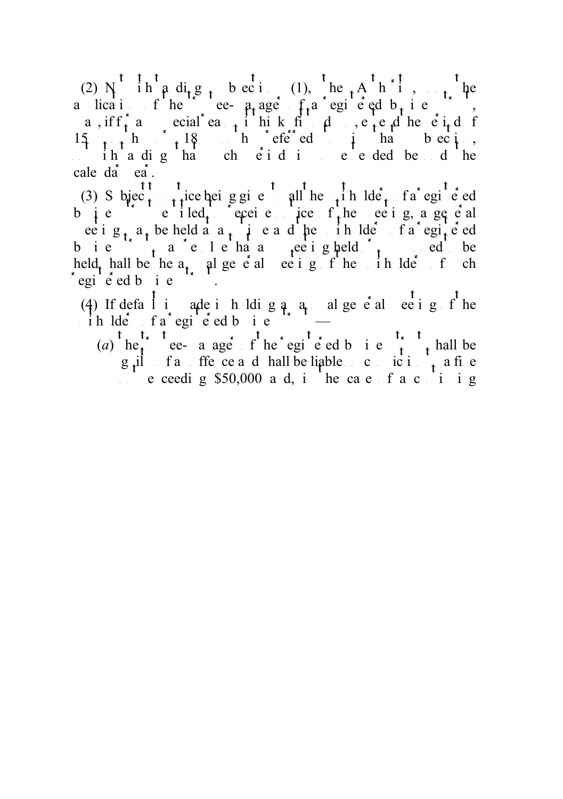(2) N ih  $\alpha$  dig subsection (1), the Authority, on the a lication of the trustee-manager of a registered business trusts, a, if  $f_t$  and  $e$  and  $f$  and  $f$  in the period of  $f_t$  and  $f$  to do solve the period of  $f_t$  and  $f$  be period of  $f_t$  and  $f$  be period of  $f$  and  $f$  be period of  $f$  and  $f$  be period of  $f$  and  $f$  and  $f$  and  $f$   $15 + h$   $18$  here ed in that subsection ih a digha che id is e e ded beyond he cale da<sup>\*</sup> ea<sup>\*</sup>.

(3) S bjec<sub>t tr</sub>ice bei g given all he unit blee<sub>t</sub> fa egi e ed business trust to receive the meeting a general to receive notice of the meeting, a general ee i  $g_t$  a<sub>t</sub> be held a a<sub>t</sub> i e a d he in lde f a egi<sup>e</sup> ed b i e  $\begin{array}{ccc} 1 & a & c \\ 1 & c & b \end{array}$  and  $c$  and  $c$  and  $c$  be summonly meeting held  $\begin{array}{ccc} 1 & b & c \\ c & d & d \end{array}$ held hall be he a<sub>t</sub> al general meeting of the unit of such that if  $\mathbf{c}$  is not such as in the unit of  $\mathbf{c}$  $\epsilon$ egi $\epsilon$ ed bie

(4) If defa<sup>l</sup> is a de in holding a<sub>nd</sub> algered alger in the  $\therefore$  ih lde fa egi e ed b i e  $\therefore$ 

(a)  $he_i$  ee- a age f he egi e ed b i e  $\int_i$ , hall be g<sub>r</sub>il fan offence and hall be liable on conviction to a fine  $\therefore$  e ceeding \$50,000 and, in the case of a continuing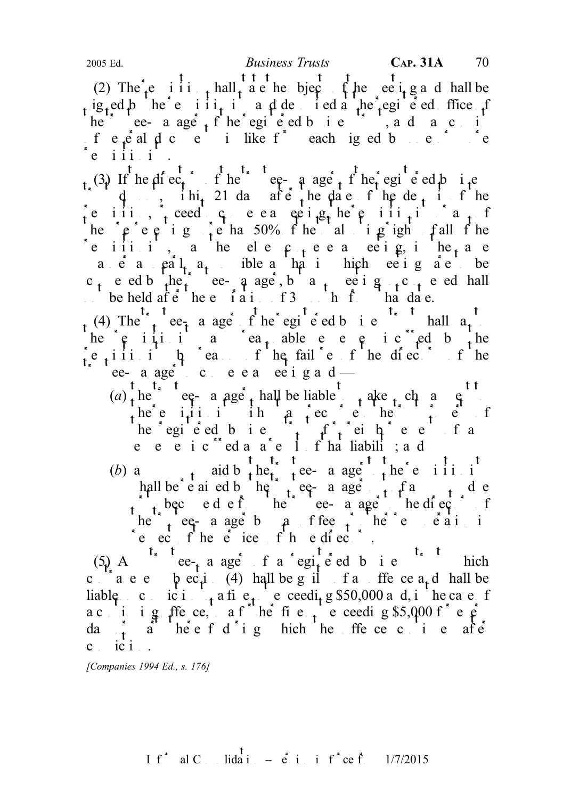(2) The  $\epsilon$  i i i  $\epsilon$  hall a e he bject if he ee i g and hall be ig<sub>t</sub>ed b he e iii<sub>t</sub> i a d de ied a he registed ffice f he e- a age  $t^{\prime}$  the egi e ed b i e  $\frac{1}{2}$ , and may consistent  $f e_{\mu}$ e al  $\mu$  c e in like  $f^{\dagger}$  each iged by one or more  $e$  iii.i.

(3) If he direct the trustee-manager of the trusteed business  $\int d \mu$ , ihit 21 days after the date of the deposite of the  $\begin{bmatrix} \mathbf{e} & \mathbf{i} & \mathbf{i} & \mathbf{i} & \mathbf{j} \\ \mathbf{f} & \mathbf{i} & \mathbf{j} & \mathbf{k} \end{bmatrix}$  requisitions of requisitions of  $\mathbf{f}$ the representing more than 50% of the total voting right of all of the e iii i, a he ele  $\mathfrak{c}_{+}$ e e a ee ig, i he<sub>t</sub> a e a e a  $\left\{ \begin{array}{ccc} a & b \\ c & c \end{array} \right\}$  as  $\left\{ \begin{array}{ccc} a & b \\ b & c \end{array} \right\}$  as the set of  $\left\{ \begin{array}{ccc} a & b \\ b & c \end{array} \right\}$  and  $\left\{ \begin{array}{ccc} a & b \\ b & c \end{array} \right\}$  and  $\left\{ \begin{array}{ccc} a & b \\ b & c \end{array} \right\}$ c<sub>t</sub> e ed b the trustee-q age, b a trustee i g t c t e ed hall  $\therefore$  be held after the e  $\int$  i a i  $\int$  i  $\int$  i  $\int$  i  $\int$  has date.

(4) The  $t_1$  ee<sub>r</sub> a ager frust shall pay to the registered business trust shall pay to he  $e_i$  i i i a c i a able e e e i c ed b the  $\begin{bmatrix} \mathbf{e} & \mathbf{i} & \mathbf{i} & \mathbf{i} & \mathbf{j} & \mathbf{k} \end{bmatrix}$  reason of the failure of the directors of the ee-a age ceea ee igad—

- $(a)$ , he equine equivalent payment to make the manager such a substraint to make  $\epsilon$ the requisition in a recourse to the trust property of the trust property  $\mathbf{r}_i$  of the trust property of the trust property of the trust property of the trust property of the trust property of the trust property of th he egieed bie  $\int_{t_1}^{t_2} f(t) dt$  reiheer fan e e e i c $\degree$ ed a a $\degree$ e 1 f ha liabilit; a d
- (b) a<br>t aid b  $t$  here a age the e i i i i hall be e ai ed b he trustee- a age the f and due  $\alpha$  to become due from the trustee-manager to the directors of the trustees of the trustees of the trustees of the directors of the trustees of the trustees of the directors of the directors of the trustees of the direct he trustee- a age by particle in the equal the remuneration in  $\mathbf{r}$  $r$ e ect f he et ices f he directors.

(5) A<sup>t<sub>x</sub> t</sup> ee<sub>t</sub> a ager f a regi<sub>t</sub> e ed b i e<sup>t<sub>x</sub> t</sup> hich c  $a \cdot e$  b  $e \cdot \mu$  (4) hall be g if far offer ce a<sub>t</sub> d hall be liable concident to a fine not exceeding \$50,000 and, in the case of a c i i g ffe ce, a f<sup>u</sup> he fi e <sub>t</sub> e ceeding \$5,000 f<sup>\*</sup> e  $e^2$ . da  $\int_1^{\pi} a^2 h e^2 e f d^2 i g$  hich he ffe ce c i e after  $c_i$  ic  $i$ .

[Companies 1994 Ed., s. 176]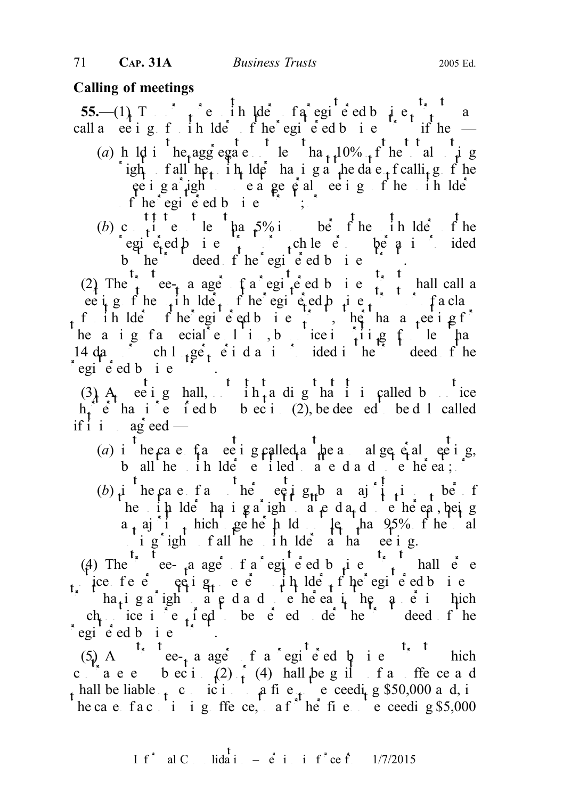# Calling of meetings

55.— $(1)$  Two  $\int_1^{\infty} e^{i\theta}$  ih lder fa registered business trust may be the solution of a region of a region of a region of a region of a region of a region of a region of a region of a region of a region of a region call a ee i g f ih lde f he egi e ed b i e i if he  $-$ (a) h ld i the aggregate that  $t_1$  to the total in g right fall  $\ln \frac{1}{t}$  the lder having a the date  $\frac{1}{t}$  fealling fine  $\vec{p}$  a right to vote  $\vec{p}$  at  $\vec{p}$  at  $\vec{p}$  at  $\vec{p}$  of the unit  $\vec{p}$  $\int_0^L \text{he}^x \cdot \text{egi}^x \cdot \text{ed } b \text{ i } e^{-\frac{t^2}{2}}$ 

(b) c<sub>ut</sub> i e less than  $5\%$  in the unit of the unit of the unit of the unit of the unit of the unit of the unit of the unit of the unit of the unit of the unit of the unit of the unit of the unit of the unit of the unit registered business trust of  $\int_{0}^{1}$  ch lesser number as is ided b he deed fhe egie dbie  $\blacksquare$ .

(2) The trustee-trust a registered business trust in the call a ee i g f he unit lders f he egi e ed business the register of ihlders fhe egiend business, he hand eelg for the registered business trusts that  $f$  is the register of  $f$ he a i g f a  $\text{ecial}$  e  $1$  i., by notice in writing  $f$  less than 14 days ch l<sub>t</sub>ger period as is provided in the trust deed f he  $\int$ egi $\int$ ed b<sub>t</sub> i e

(3) A ee i g hall,  $\begin{array}{cc} t & t & t & t \\ 0 & -t & 0 \\ 0 & 0 & 0 \end{array}$  that it is called by notice  $h_t^*$   $\acute{e}$  ha is  $\acute{e}$  i ed b b ec i. (2), be dee ed be d 1 called if i i agreed —

- (a) i<sup>t</sup> he case fa ee i g called a he a alge  $\epsilon$  algebra i g, b all  $he$  in  $Ide$   $e$  iled  $f$   $a$   $e$   $d$   $a$   $d$   $e$   $he$   $ea$ ;  $f$
- $(b)$  i<sup>t</sup> he case fa<sup>t</sup> he<sup>t</sup> eqist<sup>1</sup> g<sub>tt</sub>b a aj<sup>t</sup> i<sub>t</sub> is number of the unit to  $\pi$  is the unit of the unit of the case of the case of the case of the case is the unit of the case is  $\pi$  in  $\pi$  is the case of the case of the case of the case of the case of the case of the case of the c  $a_t$  aj i<sub>t</sub> hich geher h ld less than 95% of the total i  $g^*$  ight fall the interest at that even ig.

(4) The e-manager of a registered business truth shall served business trust shall served as  $(4)$  The contract shall served business trust shall served business trust shall served business trust shall served business tru ice fe $\mathbf{e}$  equig<sub>t</sub> e $\mathbf{e}$  in lder fine egie dbusiness  $\int$  ha<sub>t</sub> i g a right to a c d a d ve he eat, he c a c i hich ch ice i e fed be e ed de he deed f he  $e$ egie de bie

 $(5)$  A<sup>t<sub>r</sub>t</sup>ee-<sub>t</sub> a ager f a registered business trust which c  $\int_{a}^{b}$  a e e b ec i  $\int_{1}^{b}$  (4) hall be g il f a ffe ce a d t hall be liable t c ici a fine needing \$50,000 and, in he ca e fact i ig ffe ce, a f<sup>u</sup> he fie ne ceeding \$5,000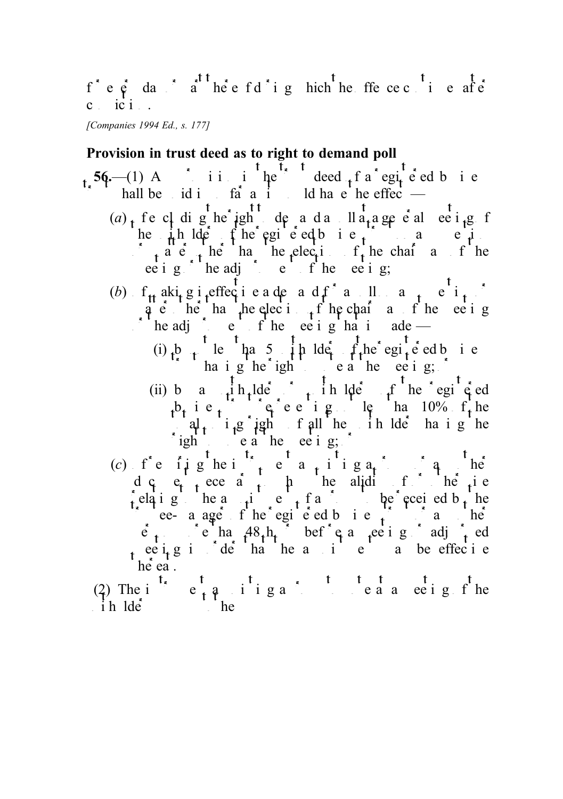$f^*$  e  $\dot{e}$  day  $\dot{a}$  there f d'i g hich the ffe ce c i e after  $c$  ic  $i$ .

[Companies 1994 Ed., s. 177]

# Provision in trust deed as to right to demand poll

56.—(1) A iii ihe deed f a registed business hall be id in so far as it would have the effect  $\frac{1}{\sqrt{2}}$ (a), fe c dighe ight dend a da lla, a general ever g f he  $\mu$ h lde fhe egi e ed business trust on any question and e  $\int_{t} a e^{i} t \, dt$  he has the election of the chairman of the ee i g  $\sum$  he adj  $\sum$  e f he ee i g; (b)  $f_{tt}$  aki<sub>t</sub> g i effect i e a denand f<sup>\*</sup> a pl ant e<sup>t</sup>it<sup>\*</sup> q e he ha he election function of the eeting  $\sum_{i=1}^{n}$  the adjournment of the meeting that is a de-(i) by lefthands in ldeer  $f_t$ he registered business  $\int$  having he right to vote a the meeting;  $\int$ (ii) by a unit helder  $\int$  unit helder or unit the registed  $b_t$  i e<sub>t</sub>  $e^e$  e i g. le ha 10%  $f_t$  he  $\begin{bmatrix} a_1 & i_1g \\ i_2g & g_1 \end{bmatrix}$  is all the unit like the unit of the unit of the unit of the unit of the unit of the unit of the unit of the unit of the unit of the unit of the unit of the unit of the unit of the unit of ight to eat the meeting; (c)  $f e f g he i$ ,  $e a f i g a$ , in g d  $\alpha$  e<sub>t</sub> ece  $\alpha$  to he alidity of or otherwise elating the a  $\mu$  i e f a proxy to be received by the trustee- a ager of the registered business trust or any other heads the registered business trust of  $\mathbf{r}$  $\vec{e}_1$  is corrected as a meeting of adjourned or adjourned as  $\vec{e}_1$  and  $\vec{e}_2$  and  $\vec{e}_3$  adjourned before a meeting or adjourned by  $\vec{e}_1$  and  $\vec{e}_2$  and  $\vec{e}_3$  and  $\vec{e}_4$  and  $\vec{e}_5$  and  $\vec{e}_6$  and

ee  $i$ g in der that the appointment may be effective

he ea.<br>(2) The i<sup>t</sup> (2) The instrument appointing a proxy to vote at a meeting of the  $i \text{h}$ lde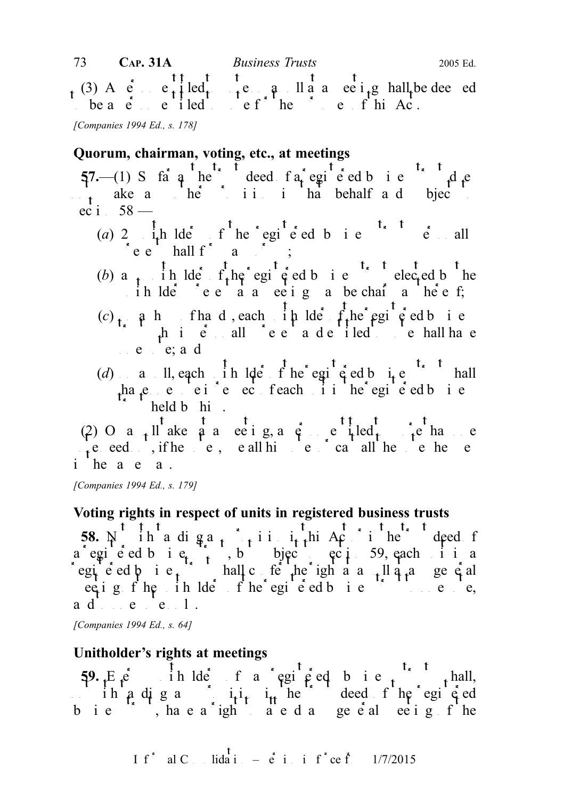(3) A  $\epsilon$  e<sub>t</sub>iled to vote  $\epsilon$  and a meeting hall be deemed be a  $e$  entitled to  $e$  f he purposes of this Act.

[Companies 1994 Ed., s. 178]

# Quorum, chairman, voting, etc., at meetings

 $57$ —(1) S fa q he deed fa egi e ed b i e d d e not make any other provision in that behalf and subject to the subject to the subject to the subject to the substitution of the substitution of the substitution of the substitution of the substitution of the substitution ec i  $58 -$ 

- (a) 2  $\mathbf{i}$ , the lders of the registered business trust personally personally personally personally personally personally personally personally personally personally personally personally personally personally personall  $\int$  e e hall f a  $\int$ ;
- (b) a<sub>nt</sub> in lder f<sub>t</sub>he registered business trusteed by the relationships the region of the region of  $\theta$ ih lde e a a ee ig a be chair a he e f;
- (c)  $\mathfrak{g}$  a h fha d, each  $\mathfrak{g}$  h lder  $\mathfrak{g}$  the registered business  $\int$  the independent and entitled to be hall have one vote; and
- (d) a ll, each in  $l$ de f he egisted business trust shall ha<sub>v</sub>e e ei<sup>r</sup>e ec feach ii he egie dbie  $\mathbb{R}$  held b him.

(2) O a  $_1$  ll ake a a ee i g, a c entitled to more than e  $v_t$ e eed , if he votes, use all his votes or cast all the votes he uses of  $v_t$ i he a e a.

[Companies 1994 Ed., s. 179]

# Voting rights in respect of units in registered business trusts

58.  $N$  ih a diga<sub>t</sub> rivision in Act or intervalued for a egie d bie,  $\lambda$ , but subject to section 59, each in a egie ed  $\phi$  i e<sub>t</sub> hall conferred the right at a poll at a polle at any general eetig fhe in Ide fhe egie ed bie tot een ad e e l.

[Companies 1994 Ed., s. 64]

# Unitholder's rights at meetings

 $59. Ee$  ih lder f a registed business thall, ih a di g a  $i_{t}$  i<sub>t</sub> i<sub>t</sub> the deed f he registed bie h, hae a ight ae dage e alee igfhe

I f<sup>\*</sup> al C. Iida<sup>†</sup> 
$$
\vec{e}
$$
 i i f<sup>\*</sup> ce f. 1/7/2015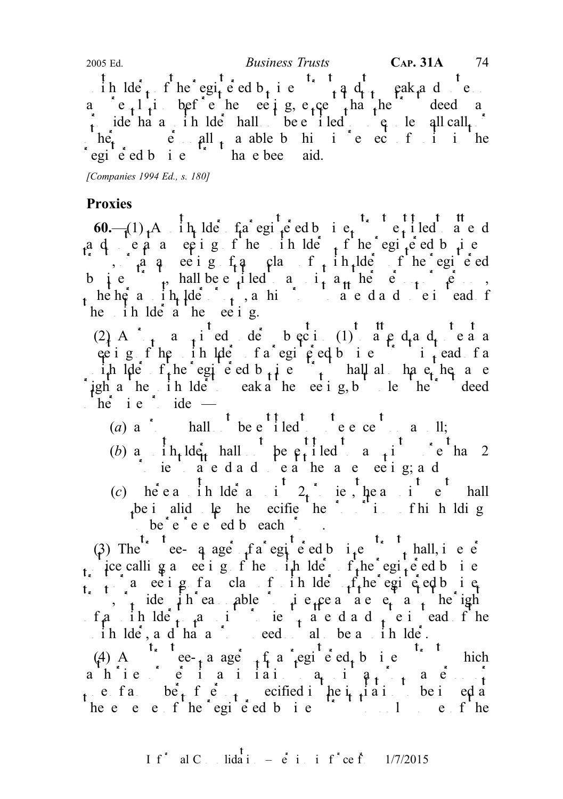ih lde<sub>t</sub> f he egi<sub>t</sub> e ed b<sub>t</sub> i e  $\int$  and to speak and vote a e<sub>t</sub>l<sub>i</sub> befele eeting, e<sub>t</sub>ce that the deed a provide that a unit be the shall not be entitled to vote under the shall not be unless all calls of unless all calls of under the shall call  $\sim$  $\int h \hat{e}_t$  is  $\hat{e}$  and  $\int h$  a able by him in respect of units in the egie ed b i e have been aid. 2005 Ed.  $Business \ Trusts$  CAP. 31A 74

[Companies 1994 Ed., s. 180]

## Proxies

60.— $(1)$ , A in lde fa egic ed bie, eiled a ed ad eaa ee ig fhe in  $\det_{t} f$  he egi $\det_{t}$ e db i e  $\int$ , a q ee i g f q class f ih lde f he egi e ed business to a hall be entitled to a higher persons of persons, but we perform  $p$ he her a in  $\frac{1}{1}$  der  $\frac{1}{1}$ , as his proxy to a c d a d c i ead f he in lde a he ee i g.

 $(2)$  A  $\frac{1}{t}$  a pied de beci  $(1)$  a  $\frac{1}{t}$  d<sub>t</sub> a d<sub>t</sub> e a a etig fhe in lde fa egi e d bie i i ead fa ih lder f<sub>r</sub>he egi e ed b<sub>usi</sub>ness trust shall also have the same igh a he in lde eak a he ee i g, b le he deed  $he^{t}$  i e  $\frac{1}{2}$  ide —

- (a) a hall be entitled to be entitled to vote  $a$  and political to vote  $a$  and  $b$ ;
- (b) a influent hall be  $e_1$  iled a i  $\therefore$  ie at the attend and vote at the same meeting; and
- (c) here a initial derivative and approximate the approximation of the approximation of the approximation of the approximation of the approximation of the approximation of the approximation of the approximation of the app be invalid under he specifies the proportions of his holdings he is not have the proportions of  $h$  holdings of  $h$  holdings  $h$ be  $e^+e^-e^-$ ed beach  $e^+e^-$ .

(3) The tee-q age  $f_a$  registered business trust shall, in every ince calling a meeting of the unit the life  $f_t$ he registered business  $\int_{t_1}^{t_2} a$  ee i g f a class f ih lde  $f_t$ he egisted business  $\sum_{i=1}^{n}$  ide i h ea able provide a statement as the rights  $f \cdot a$  in  $\det f$  and interest in a unit proximity proximition and vote instead of the  $\therefore$  ih lde, and hand a proxy need not also be a unit lde.

(4) A case  $\mathcal{L}_{t}$  a registered business trust which ahie ei ai iai api ai  $a_i$ i ae i one fand  $be^{+}$  f end in the existed in the integration to be investigation to be investigation to be investigation to be in the integration to be integration to be integration to be integration to be integration to be in he e e f he egi e ed b i e f to only some of the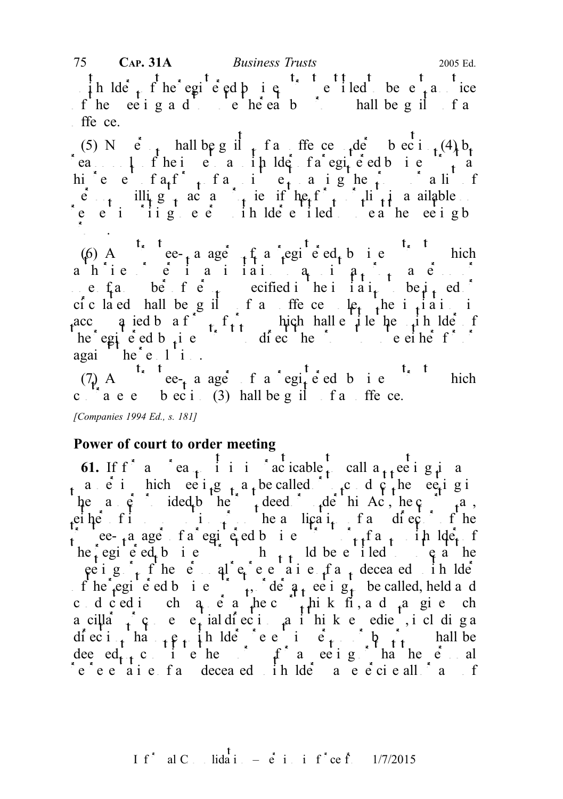in lder f he egi e ed b i e i e i led be e a notice of the ee i g and to verthereat by the mall be guilt far  $f$ ffe ce.

(5) N  $e^{t}$  hall be g il  $t$  f and offence  $t e^{t}$  b ec i  $t \cdot (4)$  b<sub>t</sub> reason of the issue to a rip lder faregite ed business trust a hic e fa f<sub>t</sub> fa i e a igher a list  $\hat{e}_{n+1}$  illing to a proximitive if the f<sub>ot</sub> is a proximitive in a ail able request in the meeting to every unit in the meeting by unit in the meeting by the meeting by the meeting by the meeting by the meeting by the meeting by the meeting by the meeting by the meeting by the meeting by the meeti  $\mathcal{P}_{\mathcal{P}}$ .

(6) A ce-ta age that registed business trust which ahie ei ai iai appoint a permits and to a one  $f_a$  be f equitation to be interested in the interval or be is used to be isomorphic to be interval or be interval or  $f_a$  be interval or  $f_a$  be interval or  $f_b$  and  $f_b$  be interval or  $f_b$  and  $f_b$  be interval or ciculated hall be guilt for an offence unless the invitation is acc q ied b a f  $\hat{f}$  form of property hall entitle the unit of protocompanies of property and unit  $\hat{f}$  for  $\hat{f}$  for  $\hat{f}$  in the unit of  $\hat{f}$  for  $\hat{f}$  in the unit of  $\hat{f}$  for  $\hat{f}$  in the unit of  $\$  $\text{he }$  registered business to direct the proxy to vote either for  $\text{he }$ again he'e li.

 $(7)$  A<sup>t<sub>s</sub> t</sup> ee<sub>t</sub> a ager f a regited b i e<sup>t<sub>s</sub> t</sup> hich c  $a e e b e c i$  (3) hall be g il f a ffe ce.

[Companies 1994 Ed., s. 181]

# Power of court to order meeting

61. If  $f^{\dagger}$  and  $f^{\dagger}$  early realize to call a  $f^{\dagger}$  ee in any  $f^{\dagger}$  and any  $f^{\dagger}$  and any  $f^{\dagger}$  and any  $f^{\dagger}$  and a method in any  $f^{\dagger}$  and a method in any  $f^{\dagger}$  and a method in any  $f^{\dagger}$  an a e in hich ee  $i_{1}g_{1}$  a, be called  $\alpha$  to conduct the ee equal in a metal substitution of the metal substitution of the metal substitution of the metal substitution of the metal substitution of the metal substitution he a  $\dot{\rho}$  ided by the trust deed or under the trust defining the court may, eiher figures in  $\mathbf{i}$  her a lication of  $\mathbf{a}$  and  $\mathbf{c}$  of the  $\int$  ee-<sub>t</sub> a age f a registed business to reflect the light  $he<sub>i</sub>$ egie ed<sub>t</sub> bie h<sub>tt</sub> ld be eiled eather peight fine equival representative of any deceased in Ide f he registered business trust, deed a meeting to be called, held and colced in channer as the court think fit, and  $\alpha$  and end on a cilla<sup>t</sup>, cense<sub>t</sub> ial difection as it this k endient, including a diect<sub>ion</sub> that  $\rho$  in the energy of person or by personal behavior or by proxy shall be dee ed<sub>t t</sub> c i e he f f a ee i g ha he e al  $\epsilon$  e  $\epsilon$  a i e  $\epsilon$  and deceased in ldeed and  $\epsilon$  and  $\epsilon$  and  $\epsilon$  and  $\epsilon$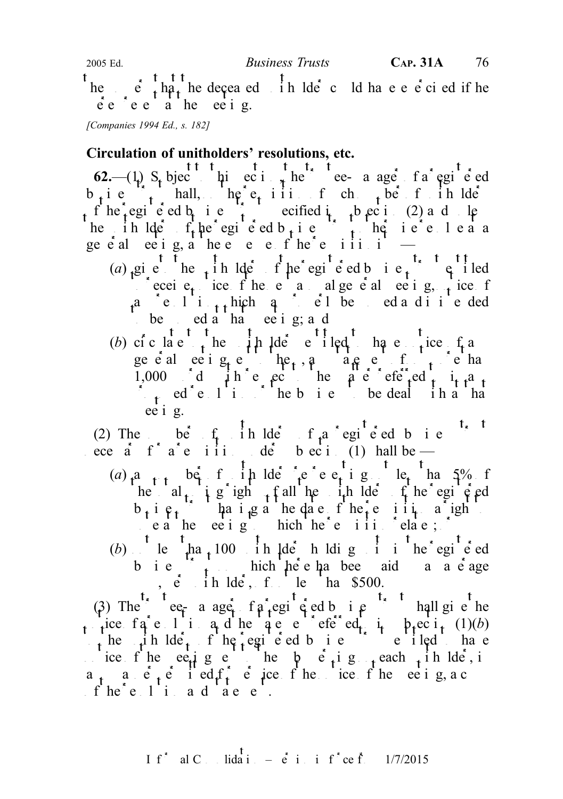he  $\frac{t}{r}$  that the deceased in lde could have e e ci ed if he  $\check{e}$  e  $\check{e}$  e  $\check{a}$  he ee i g.

[Companies 1994 Ed., s. 182]

## Circulation of unitholders' resolutions, etc.

62.— $(1)$  S<sub>t</sub> bjec<sup>t t</sup> hi ec i the trustee- a age f a egi<sup>t</sup> e ed  $b_i$ ies trust hall, he e<sub>t</sub> iii f ch<sub>t</sub> be f ih lde of he registered business trust section (2) and unless the register of the register of the register of  $\frac{1}{2}$  and understand the register of the register of the register of the register of the register of the register he in  $l$ ders of the registered b<sub>usin</sub>ess trust of the resolve at a ge  $\acute{e}$  al ee ig, a hee e e f he<sup>\*</sup>e iii. i

- (a) give the indeepthe equivelent entitled to the unit entitled to receive recent for the next annual general meeting, notice for  $\mathbf{r}_1$  and  $\mathbf{r}_2$  and  $\mathbf{r}_3$  and  $\mathbf{r}_4$  and  $\mathbf{r}_5$  and  $\mathbf{r}_6$  and  $\mathbf{r}_7$  and  $\mathbf{r}_8$  and  $\mathbf{r}_7$  and  $\mathbf{r}_8$  and  $\mathbf{r}_9$  and  $a^2$  resolution is the movement of  $a^2$  is the movement of  $a^2$ to be moved a that  $ne$  i g; and
- (b) cic late the  $\int_{t}$  he  $\int_{t}$  have the to the f and the to have the f and the set and the to have the set and the to have the set of any set of any set of  $\int_{t}$  and the set of  $\int_{t}$  and the set of  $\int_{t}$  and th geed eeigeneral me<sub>t</sub>, and a<sub>n</sub>e for the hand 1,000 d  $\mu$ h e ec he matter referred to it and  $\sum_{i=1}^{\infty}$  ed et l it is the business to be dealth in that that that the set of the business to be dealth in a that that the set of the set of the set of the business to be dealth in a that that the set of the set of ee i g.

(2) The befinith lders of a registered business trust ece a f a e iii de beci (1) hall be —

- (a)  $a_{n+1}$  berf in ldere representing than  $5\%$  f he al<sub>t</sub> i g igh  $\frac{1}{t}$  f all he it all decompt the registered  $b_i$  i  $\rho_i$   $\vdots$  the i  $\mu$  a requisition a right. vea he ee ig hich he'e iii elae;
- (b) less than 100 units holding in the registered b i e  $\sum_{i=1}^{\infty}$  hich he e has been aid and average  $\dot{e}$  ih lder, f. le ha \$500.

(3) The e<sub>r</sub> a age fa egi e ed b i e hall give the rice fa e l i a d he a e e efected i  $p_t$ ec i<sub>t</sub> (1)(b) the unit  $\det_t$  of the registered business trust entitled to have ice f he eeting e them by  $\vec{e}_t$  in each  $\vec{e}_t$  in lder, in  $a_{1}$  and  $\dot{e}_{1}$  independent of the notice of the meeting, a copy and  $a_{1}$  $f'$  he<sup>\*</sup> e  $1'$  i and and  $e'$ .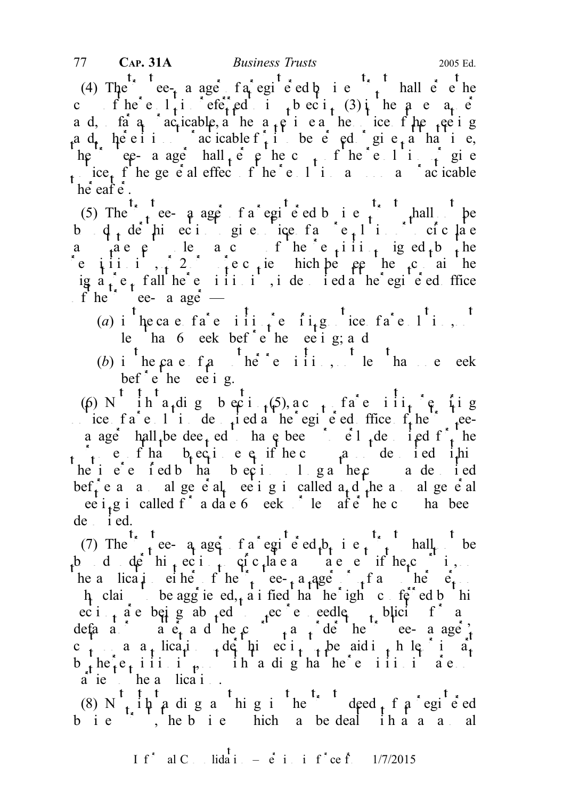(4) The trustee-trustee fa registered business trust shall  $\vec{e}$  referred business the term of the term of the term of the term of the term of the term of the term of the term of the term of the term of the term of the c f he e  $1 + i$  eferred to be  $i_1$  (3) in the same manner manner  $i_1$  in the same manner manner manner manner manner manner manner manner manner manner manner manner manner manner manner manner manner manner manner manne a d, fa  $a_i$  acticable, a he at  $a_i$  i e a he ice f he fee i g a d<sub>r</sub> here it is not acticable f<sub>t</sub> it to be eded or give<sub>t</sub> a hat it e, he ee- a age hall  $\epsilon$  e he c<sub>op</sub> f he e l i f gi e  $t$  ice  $t$  f he general effect of the resolution as social effect of the resolution as  $t$  as practicable hereafter.

(5) The trustee- a ager of a registered business trust shall be b  $\phi$ , de hieci gie ice fa e, li si ciclae a  $a$  are pulled a copy of the requisition in the requirement under the requirement of the requirement of the requirement of the requirement of the requirement of the requirement of the requirement of the requirement of t requisition is  $\int$  equiped them contained them contained them contained them contain the contain them contain the contain the contain the contain the contain the contain the contain the contain the contain the contain th  $\int \frac{1}{3} a t \, dt$ , is depth reflected at the registered of fice of he'' ee- a age —

- (a) i<sup>t</sup>he case fa<sup>\*</sup>e iii<sub>i</sub>  $\int$ e ii<sub>t</sub>g. ice fa<sup>\*</sup>e 1<sup>t</sup>i., le han 6 eek bef $\epsilon$  the ee ing; and
- (b) i<sup>t</sup> he case  $f_a$  there iii, the <sup>t</sup> hand e eek bef  $\overset{\ast}{e}$  be ee i g.

(6) N<sup>t</sup> int<sub>ardi</sub>g b eci<sub>tio</sub>f), ac<sub>t</sub> fa<sup>t</sup>e ili<sub>t</sub><sup>t</sup>e fig notice  $f_a$  resolution deposited at the registered of the registered of the trusteea age hall be dee<sub>t</sub> ed have been properly dependent for the  $p_{\text{t}}$  e f ha b ec i e q if he c and deposited ithin  $te i e e f e d b h a b e c i 1 g a h e c a d e i e d$ bef<sup>\*</sup><sub>t</sub> e and annual general meeting incalled a<sub>t</sub> d<sup>\*</sup><sub>t</sub>he annual general ee i<sub>t</sub>g i called f<sup>\*</sup> a date 6 eeks <sup>\*</sup> le afte<sup>\*</sup> he c has bee  $de$  i ed.

(7) The  $\int_{1}^{t_x} \frac{t}{t}$  ee- a ager  $\int_{t_x}^{t_x} \frac{t}{t} e^{t_x} dt$  i e  $\int_{t_x}^{t_x} \frac{t}{t} dt$  hall  $\int_{t_x}^{t_x} \frac{t}{t} dt$  $\frac{1}{2}$  d de hit eci<sub>rc</sub>ulate and a court is, the a lication either  $f'$  the trustee-transpectual trustee-trustee-manager  $f'$  and  $f'$  and  $f'$  $\mu$  claims be aggrieved, a i fied that the rights conferred by this ec i  $\alpha$  are being absed to secure eedle to blicit from any defamatory matter and the court may define the trustee-managery c<sub>t</sub> a a<sub>t</sub> lica<sub>t</sub>ion to be paid in the paid in the paid in  $a_t$  $b_1$  he<sub>t</sub> e<sub>t</sub> iii i  $\theta$ , not ihi a digha he'e iii i ae. a ie he a lica i.

(8) N<sub>t</sub> it is a dignal in the trust deed  $f$  a registered of a registered of a registered of  $f$  and  $f$  and  $f$  and  $f$  and  $f$  and  $f$  and  $f$  and  $f$  and  $f$  and  $f$  and  $f$  and  $f$  and  $f$  and  $f$  and  $f$  and  $f$  and bie i, hebie hich a bedeal ihaa aal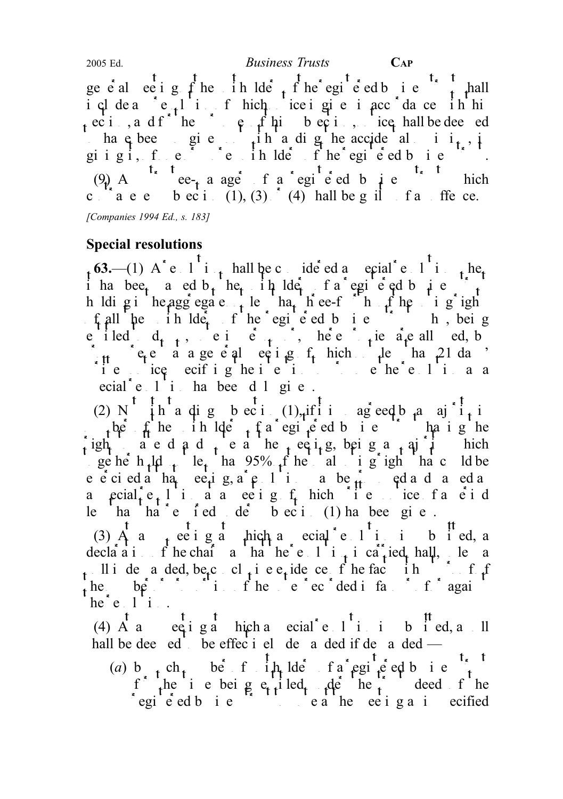geed eeting of the unit of the registered business to the register of the register of the register of the register of the register of the register of the register of the register of the register of the register of the reg include and resolution of hich notice in given in accordance in him ec i , and f interesting the purpose of the purpose of the purposes of the purposes of the purpose of the purpose of the purpose of the purpose of the purpose of the purpose of the purpose of the purpose of the purpose of to have been given the have digital and except the accidental order in  $\mathbf{i}_t$ , in giigi, fe $\epsilon$  or more in  $\mathop{\rm Id}\nolimits_{\mathfrak e}$  of he registered business. (9) A<sup>t<sub>x</sub> t</sup> ee<sub>t</sub> a ager f a registered b i e<sup>t<sub>x</sub> t</sup> hich c  $\begin{bmatrix} a & b & c \\ c & a & d \end{bmatrix}$  or (1), (3)  $\begin{bmatrix} 1 & 0 \\ 0 & 1 \end{bmatrix}$  ball be g in facture of an offer ce. [Companies 1994 Ed., s. 183]

# Special resolutions

 $t_1$  63.—(1) A<sup>\*</sup> e 1 i<sub>t</sub> hall be considered a special resolution  $t_1$  here i has bee<sub>t</sub> a ed b<sub>t</sub> he<sub>t</sub> in ldet fa egi e ed business trust h ldig in the aggregate noting the less than the voting rights of the voting rights of the voting rights of the voting rights of the voting rights of the voting rights of the voting rights of the voting rights of the voti f all the initial the registered business trust who being e iled  $d_{t-1}$ , e i e  $t$ , here proxies are all ed, by  $\int_{\mathcal{H}}$  et a a general equipe it has not less than 21 days  $\therefore$  i e integret intention to propose the integret of integration as a contract of propose the resolution as a analysis of the resolution as a analysis of the resolution as a contract of the resolution of the resolution ecial<sup>\*</sup>e l<sup>'</sup>i ha bee d l gi e.

(2) N  $\int$  ih a dig bect. (1), if it is agreed by a majorities the inlight of the unit of the unit of the unit of the unit of the unit of the unit of the unit of the unit of the unit of the unit of the unit of the unit of the unit of the unit of the unit of the unit of the unit of th  $\int_0^1 \frac{1}{\alpha} \frac{d\alpha}{dt} \, d\alpha$  d and  $\int_0^1 \frac{1}{\alpha} \frac{d\alpha}{dt} \, d\alpha$  being a matrix  $\int_0^1 \frac{d\alpha}{dt} \, d\alpha$  hich ge her h<sub>ilds</sub> le<sub>t</sub> than 95% of the total voting rights than could be e eciedathat eetig, a resolution may be  $\hat{f}_t$  and and and and and passed and passed and particle may be proposed as each particle may be proposed as each particle may be proposed as each particle may be proposed as eac a  $\text{pcial}_t^2$   $e_t$  l i a a ee i g  $f_t$  hich i e ice f a e i d le ha ha e fed de beci  $(1)$  ha bee given.

(3)  $A$  a<sub>t</sub> ee iga hich a ecial elisibied, a declaration of the chair and that the resolution is carried shall, unless a pull i de a ded, be conclusive evidence of the fact in  $\mathcal{L}$  is the fact in  $\mathcal{L}$ the  $b_1^*$   $\frac{1}{2}$   $\frac{1}{2}$   $\frac{1}{2}$   $\frac{1}{2}$   $\frac{1}{2}$  i. Find  $\frac{1}{2}$  i. Find  $\frac{1}{2}$  i. Find  $\frac{1}{2}$  i. Find  $\frac{1}{2}$  i. Find  $\frac{1}{2}$  i. Find  $\frac{1}{2}$  i. Find  $\frac{1}{2}$  i. Find  $\frac{1}{2}$  i. Find  $\frac{1}{2$  $he^{\dagger}e$ .  $1 \ddot{i}$ .

(4)  $\overrightarrow{A}$  and  $\overrightarrow{e}$  and  $\overrightarrow{e}$  and  $\overrightarrow{e}$  and is submitted, a pole is submitted, and is submitted, and is submitted, and is submitted, and it submitted, and it submitted, and it submitted, and it submitted, and hall be dee ed be effectively demanded if demanded  $-$ 

(a) b<sub>t</sub> ch<sub>t</sub> ber fin lders of a registered business. f the i e being  $e_{t}$  tiled the the trust deed of the egie ed bie is the meeting as is ecified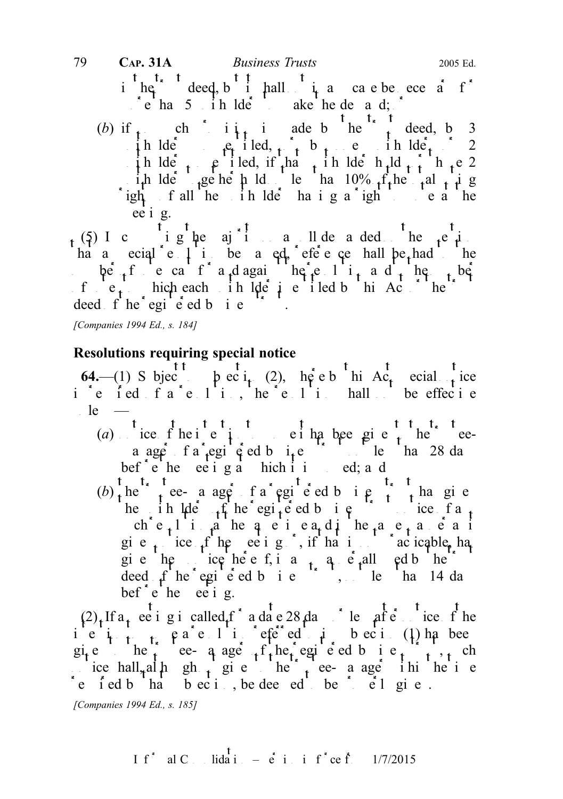in the trust deed, but in all not in any case be necessary for interesting  $\int$  in any case be necessary for interests of  $\int$  in any case of  $\int$  in any case of  $\int$  in any case of  $\int$  in any case of  $\int$  in any case of more than  $5$  unit holders to make the demand;  $\int$ 

(b) if  $\mathbf{r}$  ch is interested, by 3 in lders so entitled,  $\frac{1}{2}$  by one unit lder 2 in ldee  $\mu$  iled, if that in ldee hold  $\mu$  the 2 i<sub>t</sub>h lde gehet hold le ha  $10\%$  f<sub>t</sub>he tal t i g  $\int$ ight f all the initial to vote at the unit to vote at the unit of the unit of the unit of the unit of the unit of the unit of the unit of the unit of the unit of the unit of the unit of the unit of the unit of the uni ee i g.

(5) I c i g he ajoin a ll de a ded be  $e^i$  i ha a special e  $\downarrow$  is be a ed, reference shall be had the be f e cast a dagain he e li<sub>t</sub> a d<sub>r</sub> he to be f  $e_t$  hich each in lote is entitled by the trust or the trustee is the trustee is a correct or the trustee in Act of the trustee is a correct or the trustee in Act of the trustee is a correct or the trustee in Act of the deed f he egi  $\acute{e}$  ed b i e

[Companies 1994 Ed., s. 184]

# Resolutions requiring special notice

64.—(1) S bject to be  $i_{t}$  (2), here by this Ac<sub>t</sub> special notice i e fed fa e  $1$  i, he e  $1$  i hall be effecte  $\lbrack$ le

- (a) tice  $f$  he i  $f$  to the intention to the teea ager fa egiged bie bef<sup>o</sup>e he ee iga hich it is ed; and
- (b)  $\frac{t}{t}$  the trustee- a ager f a registered b i e t t has given has given has given by the t t has given has given has given has given has given has given has given has given has given has given has given has given h he in  $\det f$  the registered business true fance ch  $e_{t}$ l i a he a e i ea di he a e a e a i give  $\epsilon$  ice if the even is not provide the method of the method of the method of the method of  $\epsilon$  is not provide the method of  $\epsilon$  is not provide the method of  $\epsilon$  is not provide the method of  $\epsilon$  is not provide th gi e hem ice he e f, i any ang mand by the trust and the trust and the trust and the trust and the trust and the trust and the trust and the trust and the trust and the trust and the trust and the trust and the trust and deed  $f'$  he registered business trust, not less than 14 days bef  $\epsilon$  be ee i g.

 $(2)$ <sub>1</sub> If a<sub>1</sub> ee i g i called f<sup>\*</sup> a date 28 days or least after notice of the  $i$ <sup>r</sup>e  $i$   $t$ ,  $t$ ,  $\theta$  a  $e^{i}$ .  $i$  is  $e^{i}$  e  $e^{i}$  a  $t$  to  $e^{i}$  i. (1) has bee give the trustee- a age find registed business trust, such that  $\lim_{t \to \infty} \frac{1}{t}$ ice hall, although the time to the trustee-manager in the time  $\epsilon$  fed b ha bection, be deed to be  $\epsilon$  election.

[Companies 1994 Ed., s. 185]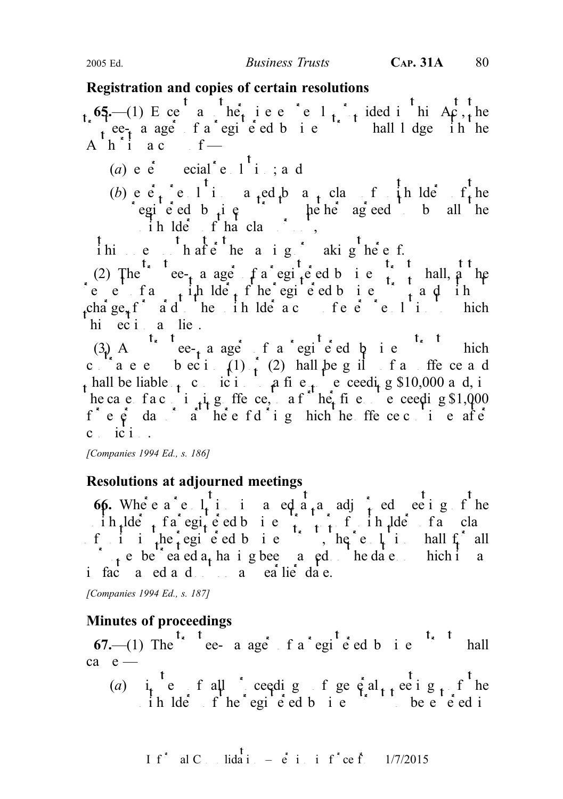## Registration and copies of certain resolutions

65.—(1) E ce a he<sup>2</sup> i e e e l<sub>t</sub> i ided in this Ac<sub>t, t</sub>he  $\int$  ee<sub>t</sub> a age f a egi e ed b i e hall l dge ih he A  $h \in \mathbf{i}$  a copy of —

- (a)  $e^e$  ecial  $e^1$  i; and
- (b) e  $\vec{e}_t$  e 1 i a<sub>t</sub>ed b a<sub>t</sub> class f in ldes f he egie ed b  $\mu$  i e is the below agreed to by all the  $i \text{h}$  lders of that class or  $i$ ,

I him only that  $\frac{t}{e}$  that  $\frac{t}{e}$  the passing or making the passing or making the passing or making the passing the passing the passing the passing the passing the passing the passing the passing the passing the pa

(2) The e-trust a registered business trust shall, a register at a register of  $\frac{1}{2}$  registers trust at the e-trust shall, at the e-trust shall, at the e-trust shall, at the e-trust shall, at the e-trust shall, at the requested business the register of the register of the register of the register of the register of the register of the register of the register of the register of the register of the register of the register of the regist charge, for a d inertial the unit of the unit of every resolution to which the unit of  $e$  and  $f$  in the which to which the unit of  $e$  and  $f$  is a contribution to which the unit of  $e$  and  $f$  is a contribution to whic hi eci a lie.

(3) A contract ee-<sub>t</sub> a ager of a registered by i.e. it is trust which contravenes becide (1)  $\frac{1}{2}$  (2) hall be guilt of an offerce and t hall be liable to conviction to a fine not exceeding \$10,000 and, in he ca e fa continuing offer ce, a function  $\hat{f}$  are not exceeding \$1,000 fe $\hat{\mathsf{e}}$  day a heefdig hich he ffececie after  $c$  ic  $i$ .

[Companies 1994 Ed., s. 186]

# Resolutions at adjourned meetings

66. Where  $a^e$  e  $l_i$  is in a red at a adjourned meeting of the  $\int$  ih  $ld$ ders trust of a registered business trust of any class trust of any class f i i the registed business trust, the resolution shall for all purposes be treated as having been part of the date on the hit as  $\mathbf{r}_1$  is a part of the date on the date on the date on the date on the date on the date on the date on the date on the date on the date of the date on i facto and and not on an earlier date.

[Companies 1994 Ed., s. 187]

# Minutes of proceedings

67.—(1) The  $t<sub>s</sub>$  t ee- a age f a registered business trust shall  $ca$   $e$  —

(a) i e f all ceeding f general meeting f he  $\therefore$  ih lders fhe registed business to be entered in

$$
I f^* \quad \text{al } C \quad \text{lida i } = \dot{e} \quad \text{i} \quad \text{i} \quad f^* ce \quad \text{f} \quad \frac{1}{7/2015}
$$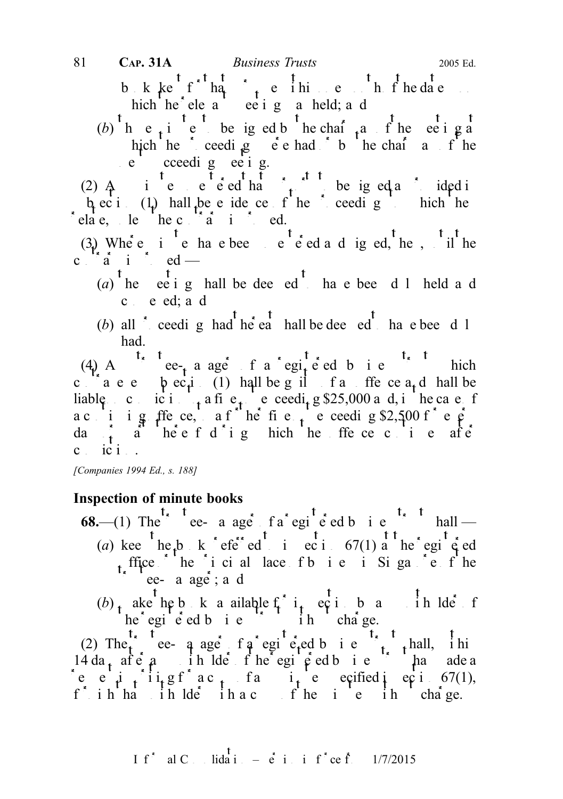b k kept  $\hat{f}$  has pure in the date upon the date upon the date upon the date upon the date upon the date upon the date upon the date upon the date upon the date upon the date upon the date upon the date upon the date u hich he ele a ee i g a held; a d 81 **CAP. 31A** *Business Trusts* 2005 Ed.

(b) he<sub>t</sub> i e be iged b hechair a fine ee iga hich he ceeding  $\vec{e}$  e had by the chairman of the e cceedig ee ig.

(2)  $\uparrow$  and in entered that  $\uparrow$  be igned as ided in the solution of the signed as provided in the signed as provided in the signed as provided in the signed as provided in the signed as ideal in the signed as ideal in  $\mu$  ec i (1) hall be evidence of the proceeding to the he  $\int$  elate, le  $\int$  he contrary is proved.

(3) Where i  $\begin{bmatrix} 1 \end{bmatrix}$  is equal to the solution of the solution of the solution of the solution of the solution of the solution of the solution of the solution of the solution of the solution of the solution of the c  $\int_{0}^{x} \frac{F_x}{a} dx$  is proved —

- (a) the eeting shall be deemed to have been duly held and c e ed; a d
- (b) all  $\sum_{k=1}^{n}$  ceeding had the eat shall be deemed to have been duly had.

(4) A case-e-manager of a registered business trust which c a e b ec<sub>i</sub> (1) hall be guilt and find the ce a<sub>t</sub> d hall be liable conviction to a fine not exceeding \$25,000 and, in the case of a cinig ffece, a f he fie not every g \$2,500 f e  $\hat{\rho}$ da  $\frac{1}{t}$  a heef d i g hich he ffe ce c i e afe  $c$  ic  $i$ .

[Companies 1994 Ed., s. 188]

# Inspection of minute books

- 68.—(1) The trustee- a age fa registered business trust shall (a) kee he<sub>t</sub>b k efe ed i eci  $67(1)$  a he egi  $\epsilon$  ed t fice  $\overrightarrow{h}$  the principal place of business in Singapore of the principal place of the principal place of the the principal place of the place of the place of the place of the place of the place of the place of the pl  $\text{ee-}$  a age; a d
	- $(b)$  make the books available for inspection by any unit lder for inspection by any unit lder of  $he<sup>3</sup>$  egi e ed b i e  $\binom{3}{2}$  i h cha ge.

(2) The e- a age f a registered business trust shall, in  $14 da_1$  after any unit of the register of the register of the register of the register of the register of the register of the register of the register of the register of the register of the register of the register of the e e i iigf ac<sub>t</sub> fa i e eqified ieci 67(1), fulh ha in  $\det$  in a contribution in the manage.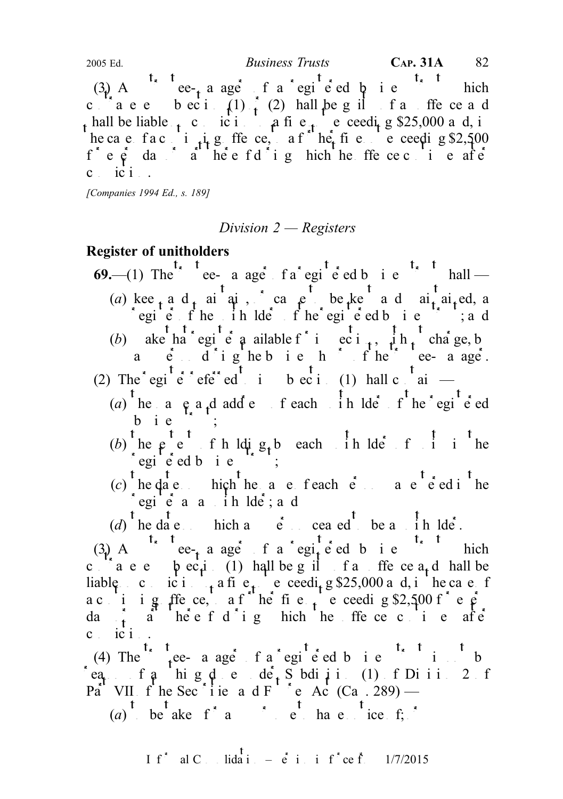(3) A ce-t a ager of a registered by i.e. this chief chief  $\mathbb{R}$  and  $\mathbb{R}$  ee-t a range of a registered by i.e. this chief chief chief chief chief chief chief chief chief chief chief chief chief chief chief chief ch contravenes becide (1)  $\frac{1}{2}$  (2) hall be guilt of an offerce and hall be liable  $\epsilon$  conviction to a fine notice exceeding \$25,000 and, in he ca e fa c i  $\mu$  g ffe ce, a f he fine e ceeding \$2,500  $f^*$  e  $\dot{e}$  day of during the original the original the original the original the original the original the original the original the original the original the original the original the original the original the origi  $c$  ic  $i$ . 2005 Ed. Business Trusts CAP. 31A 82

[Companies 1994 Ed., s. 189]

### Division 2 — Registers

## Register of unitholders

- 69.—(1) The  $\int_{0}^{t_x} \frac{t_{\text{ee}}}{t}$  a ager f a registered business trust shall (a) keep and maintain, or cause to be kept and maintained, a regie fhe in Ide fhe egie ed business; and (b) ake ha egien a valable f<sup>\*</sup> inspection,  $\frac{1}{k}$  the charge, by
- a  $e^x$  d'ighebush hours d'he trustee-mange. (2) The register referred to integration to the contain  $\frac{t}{\sin \theta}$  and  $\frac{t}{\sin \theta}$  and  $\frac{t}{\sin \theta}$
- - (a) he a  $e_a$  a<sub>r</sub>d add e f each in lde f he egi<sup>t</sup>ed bie<br>t<sub>rust</sub>
	- (b) the  $\varphi$  t t f h ldi  $g_t b$  each in the set unit the  $\log i$  e ed b i e
	- (c) the date on the name of each  $\dot{e}$  and  $\dot{e}$  and  $\dot{e}$  in the name of each person was entered in the  $\log i$  equisible as a unit of the line of  $i$  and  $i$

(d) he date on hich and  $e$  ceased to be a line lder.

(3) A corrected a registered business trust which c  $\alpha$  are bectic (1) hall be guilt of an offer central shall be liable conviction to a fine to ceeding \$25,000 and, in the case of a c i ig ffece, a f he fie needig \$2,500 fee da<sub>t</sub> d<sup>ot</sup> here f d'i g hich he ffe ce continues after c ici..

(4) The  $\int_{t}^{t}$  ree-a ager f a registered b i e<sup>t<sub>s</sub> t</sup> i. t b reason of any high done under Subdivision (1) of Division 2 of Part VII of the Secsities and Futures Act (Can  $\cdot$  289) —

(a) be aken for any purpose to have notice  $f$ ;  $\delta$ 

If<sup>\*</sup> al C<sub>ons</sub> lidation –  $\dot{e}$  in inf<sup>\*</sup>ce from 1/7/2015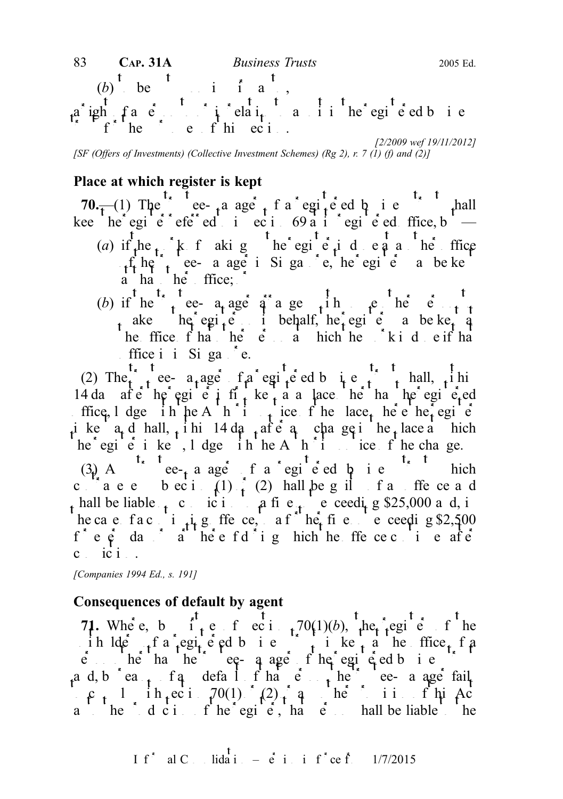[2/2009 wef 19/11/2012] [SF (Offers of Investments) (Collective Investment Schemes) (Rg 2), r. 7 (1) (f) and (2)]

# Place at which register is kept

70. $\frac{1}{\tau}$ (1) The e- a age f a egi-e ed b i e hall kee he egie e referred to ection 69 at its registered office, but — (a) if the  $\cdot$  k f aking the register is done at another flice  $\mathbf{r}_t$  the trustee- a age in Singapore, the register may be kept may be kept  $\mathbf{r}_t$ a ha he ffice;

(b) if he true a age arranger in the enterprise of  $t_{\rm t}$ ake he egi<sub>t</sub>e i behalf, he egie a be ke<sub>t</sub> a the fine  $f$  hat  $he$   $\dot{e}$  at which the  $k$  is done if that ffice i i Siga  $\epsilon$ .

(2) The trustee-  $a_t$  ager of a registered business trust shall, within 14 da after the register is first kept at a lace other has the registered ffice, l dge ih he A h i tice f he lace, he e het egi e ike  $a_t$  d hall, ihi 14 da<sub>t</sub> after a change in the place a mich he egi  $\acute{e}$  i ke, l dge ih he A h i ice f he change. (3) A<sup>t<sub>x</sub> t</sup> ee-<sub>t</sub> a ager f a registered business trust which c<sup>ork</sup>aee beci (1)  $\frac{1}{t}$  (2) hall be g il f a ffe ce a d hall be liable  $\epsilon$  conviction to a fine notice exceeding \$25,000 and, in he ca e fa c i  $\mu$  g ffe ce, a f he fine ne ceeding \$2,500  $f^*$  e  $\phi$  day  $\phi$  day of during the offence during the offence continues after  $c$  ici.

[Companies 1994 Ed., s. 191]

## Consequences of default by agent

71. Where, b it exists  $70(1)(b)$ , the register of the ih lders fa registered business trust is kept at the office of a  $\vec{e}$  be the trustee-manager of the registered business trustees the registered business trustees trustees trustees trustees trustees trustees trustees trustees trustees trustees to the trustees trustees trustees to the a d, b  $\int$  ea<sub>t</sub> f a default in that  $\int$  trustee- a age fail  $\epsilon$ , 1 ih, eci  $70(1)$   $(2)$ , and here is in fhild  $a \quad b \quad b \quad d \quad c \quad i \quad f' \quad he' \quad egi \quad e', \quad ha' \quad e' \quad \text{hall be liable}$  the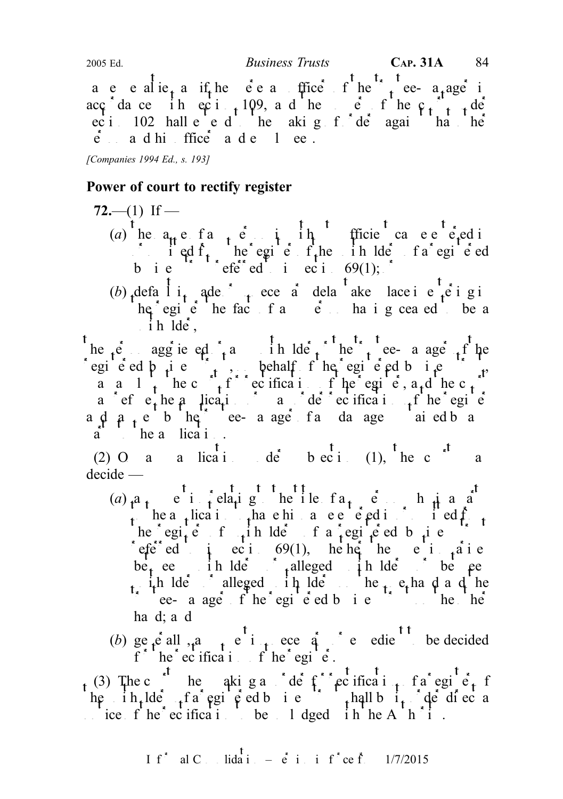a e e alie<sub>t</sub> a if he e e a trustee f he tree-a<sub>t</sub>age in acc<sub>i</sub>dance in ection 109, and the power of the c<sub>tion</sub> de ec i 102 hall e e d he akig f de again ha he  $\dot{e}$  and his ffice and employees.

[Companies 1994 Ed., s. 193]

## Power of court to rectify register

 $72-(-1)$  If — (a) he  $a_{tt}$  e f any person in the enterprise cause entered in  $\int$  i ed f<sub>t</sub> he egi e f<sub>t</sub>he in lde fa egi e ed business trusteed to in  $69(1);$ 

(b)  $\det_{t}$  l i<sub>t</sub> ade  $\int_{t}$  ece a dela<sup>t</sup> ake lace i e<sup>t</sup><sub>t</sub>e i g i  $he^{\dagger}egi\dot{e}$  he fact of any  $e^{\dagger}$  and  $e$  and  $h$  be any person having ceased to be a  $i \text{h}$ lde,

he  $t e$  aggrieved  $t e$  and any unit the trustee-manager of the egi e ed  $\beta$  i e  $\alpha$ , behalf f he egi e ed b i e  $\alpha$ , a a 1 t he c  $f^{\dagger}$  ecification of the register, a<sub>t</sub> d he c<sub>t</sub> a efect the a lication of  $\alpha$  or der rectification of the register a  $\phi$  a  $\phi$  the trustee- a age fall damage and ed by any damages substantial by any damages substantial by any damages substantial and any damages substantial and any damages substantial and any damages substantial and  $a$  he a lication.

(2) O a a lication under subsection (1), the c  $e^{t}$  a decide —

- (a)  $a_1$  e i felatig he ile  $fa_1$  e h j a a to the application that the historic to head in the entered in order to have  $\int$  from  $\int$  from  $\int$  from  $\int$  from  $\int$  from  $\int$  from  $\int$  from  $\int$  from  $\int$  from  $\int$  from  $\int$  from  $\int$  from  $\int$  from  $\int$  from  $\int$ he egi<sub>t</sub>e f in lde f a egite d b i e referred to exist 69(1), he het her the theories be<sub>t</sub> een in Ide i<sub>t</sub>alleged in Ide is between unitholders or alleged unit and the one hand and the one hand and the one hand and the one hand and the one hand and the same of the one of the one of the same of the same of the same of the same of the same of the same o throus trust of the registered business trust on the  $h$ e other trust on the other trust on the other trust on the other trust on the  $h$ e other trust on the  $h$ e other trust on the  $h$ e other trust on the  $h$ e other trus ha d; a d
- (b) generally, any  $\begin{pmatrix} 1 & 0 \\ 0 & 0 \end{pmatrix}$  and  $\begin{pmatrix} 0 & 0 \\ 0 & 0 \end{pmatrix}$  or expedient to be decided f  $\int$  the rectification of the registed.

(3) The c<sup>ourt</sup> hen aking an order for rectificant for egine, for he ih, lde fa egi e ed b i e hall b i, de di ec a  $\therefore$  ice f he ecification to be 1 dged in he A h i.

If<sup>\*</sup> al C<sub>ons</sub> lidation –  $\dot{e}$  in inf<sup>\*</sup>ce from 1/7/2015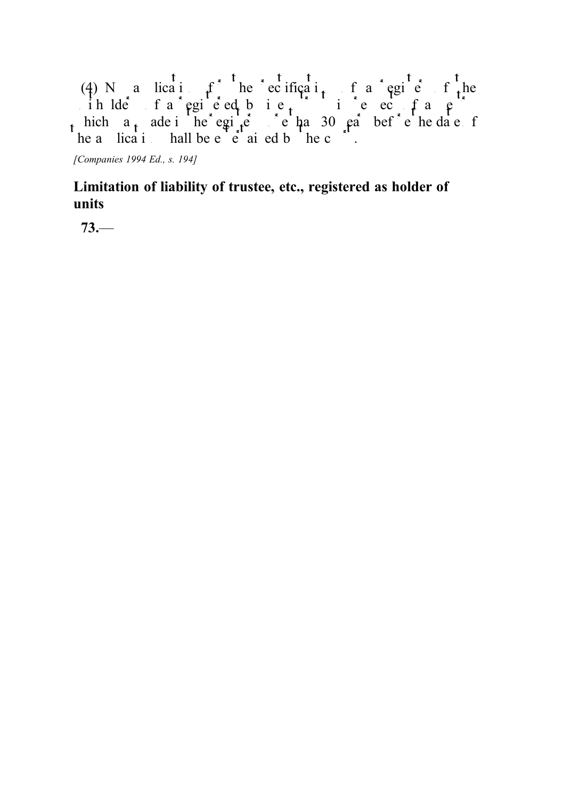(4) N a lication for the rectification for a register of the ih lders fa registed bie. This exists the respect of an entry in respect to  $f$  and  $g$ . hich  $a_t$  ade in the register more than 30 years before the date of he a lication hall be entertained by the court.

[Companies 1994 Ed., s. 194]

# Limitation of liability of trustee, etc., registered as holder of units

73.—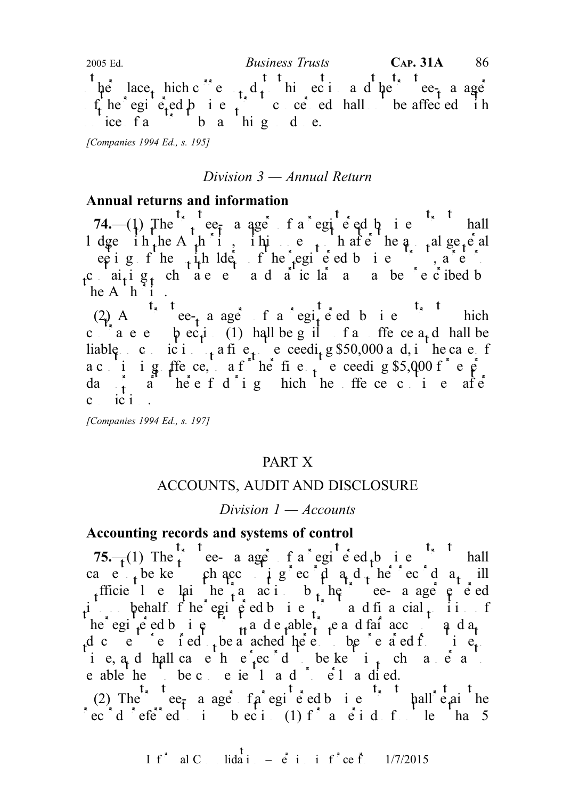$\int$  he lace, hich c<sup>orr</sup>es to the total and the trustee-manager  $f_t$  he registered business trust concerned shall be affected in  $\int$ ice fa $\int$  b a hig de. 2005 Ed.  $Business \ Trusts$  CAP. 31A 86

[Companies 1994 Ed., s. 195]

#### Division 3 — Annual Return

#### Annual returns and information

74.—(1) The  $\frac{t_{x}}{t_{y}}$  teermanager of a registered business trust shall l dge ih<sub>t</sub>he A<sub>t</sub>h i, ihi e<sub>t</sub>hafe he a<sub>t</sub> alge<sub>t</sub>e al eeting of the  $\frac{1}{4}$ th lders of the registered business trusts are the registered business trusts. containing the statements and a statements are presented by  $c_1$  and  $p_1$  and  $p_2$  are presented by  $c_1$  and  $p_3$ he A<sub>h</sub><sup> $\dot{\text{h}}$ </sup>

(2) A<sup>t<sub>s</sub> t</sup> ee<sub>t</sub> a ager f a regite ed b i e<sup>t<sub>s</sub> t</sup> hich c  $a$  a e e  $\beta$  ec<sub>t</sub>i (1) hall be g il f a ffe ce a<sub>t</sub> d hall be liable concident to a fine not exceeding \$50,000 and, in the case of a c i ig ffece, a f he fie  $\frac{1}{10}$  eceeding \$5,000 f e  $\frac{1}{10}$ da<sub>t</sub> a heef dighthereoffece cine after c ici.

[Companies 1994 Ed., s. 197]

#### PART X

#### ACCOUNTS, AUDIT AND DISCLOSURE

#### Division  $1 -$ Accounts

#### Accounting records and systems of control

75.— $(1)$  The trustee- a ager of a registered business trust shall cae<sub>t</sub> be kept the accounting record and  $\frac{1}{2}$  and  $\frac{1}{2}$  and  $\frac{1}{2}$  for records and  $\frac{1}{2}$  ill sufficiently explained the transactions by the trustee-manager entered the trustee-manager entered the trustees-manager entered the trustee-manager entered the trustee-manager entered the trustee-manager entered the trust into behalf fhe egisted business transmitted business trust and financial position of he egisted business transition and  $\mathbf{r}_t$  and  $\mathbf{r}_t$  and fair accounts and any d c e e i e d be a ached here be e a ed from time to be prepared from the to be predicted to be prepared from the to be predicted from the to be predicted from the to be provided from the to be provided from the to be pro i e, a<sub>n</sub>d hall cause he<sup>1</sup>ec<sup>o</sup>d be kept <sub>in</sub> channer as to a e able the to be conveniently and  $\ddot{\text{e}}$  and  $\ddot{\text{e}}$  and  $\ddot{\text{e}}$ .

(2) The e $\epsilon_{\bar{r}}$  a age  $f \hat{\rho}$  registered business trust shall retain the record referred to intervel to the cordinate of the cordinate of the  $5\sigma$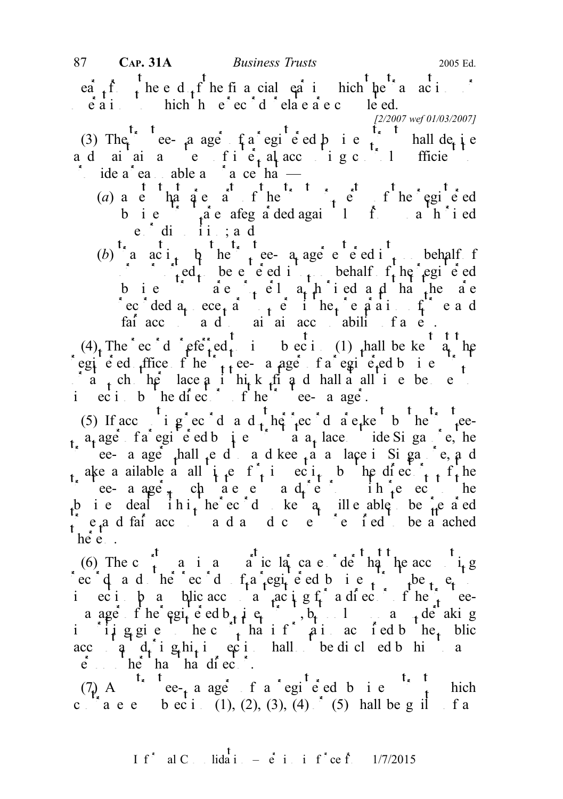$e^{i}_{t}$   $t^{f}_{t}$  the end  $t^{f}_{t}$  he financial  $e^{i}_{t}$  in which the transactions or  $\vec{e}$  a i to which the  $\vec{e}$  exidence reflective records relations relations records relations relations relations relations relations relations relations relations relations relations relations relations relations re

(3) The trust ee-manager of a registered business trust shall depine a d ai ai  $a \neq f i e_t$  al accounting controls of the system of the substitution of the substitution of the substitution of the substitution of the substitution of the system of the system of the system of the system of the ide a ea able a  $a$  a ce ha

- (a) a e ha a e a f he  $\frac{1}{1}$  e f he egi e ed bie faie afegaded agail fainach i ed  $e$  dinsing  $i$ , and
- (b) a  $ac_i$ ,  $b_i$  here a age entered into one behalf for  $\int_{t}^{2\pi} \cdot \int_{t}^{2\pi} e d_{t}$  be entered into only behalf  $f_{t}$  he registered b ie  $\hat{a}$ e  $\hat{c}$  el a<sub>t t</sub>h ied a d ha the ae recorded  $a_t$  ece<sub>t</sub> and the permit terminal equation of the and fair account and to main accountability of a set of a set of a set of a set of a set of a set of a set of  $\alpha$  set of a set of a set of a set of a set of a set of a set of a set of a set of a set of a set of a set of a se

(4) The ecord referred to interest in subsection (1) shall be kept at the egie ded  $f$ ffice f he  $t$ <sub>t</sub> ee- a age f a egie  $f$ <sub>t</sub> eed business trustees to the set of the set of the set of the set of the set of the set of the set of the set of the set of the set of the set of the set of the set  $\int_a^b a_t^b$  ch he lace a it hi<sub>t</sub> k fit a d hall a all time be en i ec i b he directors of the trustee-manager.

(5) If acc i g ec d a d  $_{t}$  he records are kept by the trustee $a_t$  ager of a registered business trust at a  $a_t$  lace outside Singapore, the ee- a age<sup>t</sup>  $_1$  hall  $_1$  e d  $_2$  a d kee  $_1$  a nape in Singapore, and ake a ailable a all  $i \cdot e$  f<sub>i</sub> inspection by the directors of the form trustee- a age<sup>t</sup>, characteria d<sub>r</sub>eturns in returns to the b i e deal ihi, he ec d ke q ill e able be  $\hat{h}$  e a ed  $\frac{1}{t}$  e a d fair accounts and and any documents required to be a ached  $he^{\overrightarrow{t}}e$ .

(6) The c  $\frac{1}{r}$  and any particular case of dental the accounting rec q a d he ec d  $f_a$  registered business to  $f_b$  be  $f_a$ incipa blic accountant acting for a director of the trusteea age f he egite ed b i i e trust, b i anderesting the region of the region of  $\frac{1}{2}$  e  $\frac{1}{2}$  e  $\frac{1}{2}$  and  $\frac{1}{2}$  de aking in it give the court that it is a court of the pulled by the public  $\alpha$  in accuration by the public state  $\alpha$ accountant d<sub>r</sub>ing his inspection shall be dicted by him to any  $\vec{p}$  be that that director.

(7) A<sup>t<sub>x</sub> t</sup> ee-<sub>t</sub> a ager f a registered b i e<sup>t<sub>x</sub> t</sup> hich c  $a \cdot a \cdot e$  b  $e \cdot i$  (1), (2), (3), (4)  $f$  (5) hall be guilt fa

<sup>[2/2007</sup> wef 01/03/2007]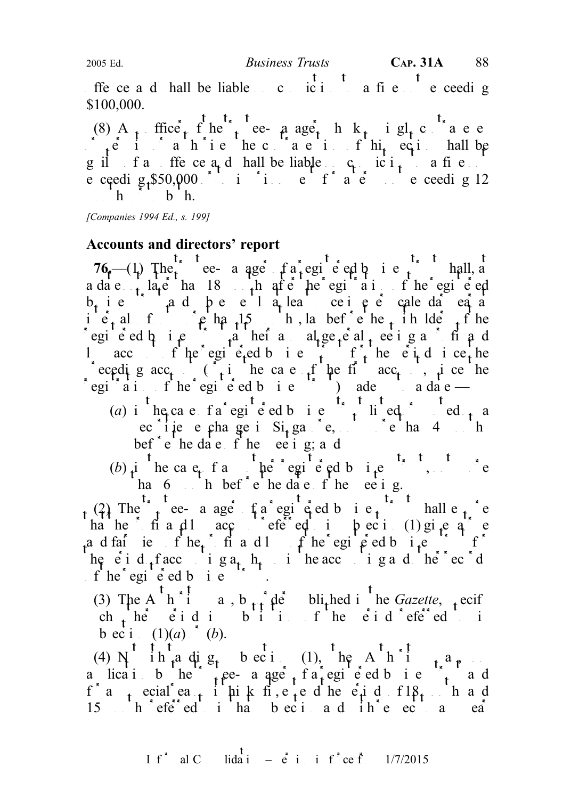offerce and hall be liable on conviction to a fine not exceeding \$100,000.

(8) A<sub>n</sub> ffice<sub>r</sub> f he<sup>n</sup><sub>t</sub> ee- a age<sub>t</sub> h k<sub>n</sub> i gl<sub>t</sub> c a e e  $\int_{A} e^{-t}$  in a h ie heconal eighthis section shall be guilt for the ce  $a_t$  d hall be liable  $c_t$  is  $i_t$  a fine e ceeding  $$50,000$  or to imprison the form of a term not exceeding 12  $h \rightarrow h$ .  $h \rightarrow h$ .

[Companies 1994 Ed., s. 199]

## Accounts and directors' report

76.—(1) The e- a age  $fa$  registed business trust shall, a a date  $\frac{1}{t}$  later than 18 months after the register the register than  $\frac{1}{t}$  and  $\frac{1}{t}$  the register of the register of the register of the register of the register of the register of the register of the regist  $b_t$  ie and peel a<sub>t</sub> least oeie en dat ea at least on ie, also intervals of  $\mathfrak{p}$  has  $15$  months, lay before the unit holder the unit of the egie ed  $\alpha$  is the their anal general meeting a profit and l acc f he egi e-ed b i e f f he e  $i$  d i ce he eceding acc<sub>t</sub> ( $\mathbf{i}$  in the case of the first acc<sub>t</sub>, since the  $r$ egi<sup>strat</sup>ion of the registered business trustees trustees the a date —

- (a) in the case of a registered business trust lined on a red or quote  $\alpha$  and  $\alpha$ ec i je e change in Si<sub>n</sub>gapore, not more than 4 more than 1 bef<sup>\*</sup> e he date f he eetig; a d
- (b) in the case of any other registered business trust, not more han 6 months before the date of the meeting.

(2) The trust ee- a age fa egi eed b i e<sub>t</sub>. hall e<sub>t</sub> e ha he fit and loss account referred to intervel to in  $(1)$  gives a true extension of the subsection of the subsection of the subsection of the subsection of the subsection of the subsection of the subsection of the subse a d fair iew f he c f i and loss of the egipted business trust for the register of the register of the register of the register of the register of the register of the register of the register of the register of the regist he e i d<sub>t</sub> faccounting a<sub>t</sub> h<sub>t</sub> i he accounting and other records  $f$  he<sup>s</sup> egi e ed b i e

(3) The A<sup>thori</sup>ng, b<sub>tt</sub> de bli<sub>t</sub>hed in the Gazette, specify ch he eid in bij fhe eid efe<sup>r</sup>ed in b ec i  $(1)(a)$  (b).

(4)  $N^t$  in  $t^n$  ding  $s_t$  bection (1), the A<sup>t</sup>h<sup>st</sup>ing  $\frac{1}{s}$ a lication by the trust a registered business trust and a registered business trust and a register and  $\frac{1}{2}$  and a register and a register and a register and a register and a register and a register and a register and f a coal ease it his k fits fits density fits fits fits fits fits fits and 15 here red to in that in the contract to interest to any each subsection and with respect to any each subsection and with respect to any each subsection and with respect to any year of the subsection and with respect to a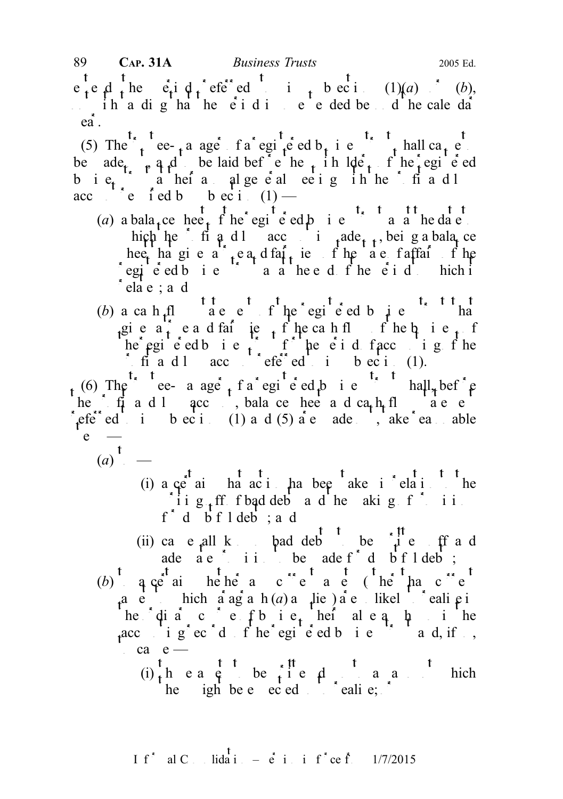$e^t e^t e^t$  the  $e^t e^t$  i  $q^t e^t e^t$  ed to into the ecinomic (1)(a) or (b),  $\therefore$  ih a dig ha he e i d i e e ded beyond he calendar ea.

(5) The trustee-there are trust a registered business trust shall cate be ade  $\phi$ , and be laid before the unit the unit of the registered bie<sub>t</sub> aheia alge eal ee ig in her fiadl acc  $\bigcap_{i=0}^{\infty}$  e i ed b b ec i (1) —

- (a) a bala<sub>t</sub>ce heet  $\int_a^t$  the regi<sup>t</sup> e ed b i e<sup>t</sup> a a he date hich he fi and account is made the probability being a balance heet ha gives a teat of the state of the state of the state of the state of the state of the state of the state of the state of the state of the state of the state of the state of the state of the state of the state of th  $\int$ egi<sup>t</sup>e ed b i e<sup>lle</sup> a a heed f he e i d to hich it  $\delta$ elae; ad
- (b) a ca h fl $\frac{t}{t}$  a e  $e^{t}$  f he egi<sup>t</sup> e ed b i e<sup>t t t</sup> ha gie  $a_1^{\frown}$  ead faire fhecah flot hebusiness he registered business trust for the period of accounting for the period of  $\mathbf{r}$  and  $\mathbf{r}$  is a period of the period of  $\mathbf{r}$  and  $\mathbf{r}$  and  $\mathbf{r}$  are period of  $\mathbf{r}$  and  $\mathbf{r}$  are period of  $\mathbf{r}$  find  $\ln \text{acc}$  account referred to in subsection (1).

 $t_{\rm t}$  (6) The trustee- a age  $t_{\rm t}$  f a registered business trust shall, before he f  $f_1$  and loss accounts and cash flow statements and cash flow statements of the statements of the statements of the statements of the statements of the statements of the statements of the statements of the statement referred to be cited to in subsections (1) and (5) are made out, the reasonable  $\left[ e \right]$  —

- $(a)$ <sup>t</sup> $-$ 
	- (i) a  $\varphi^t$  ai ha acti has been taken in relation to the ii  $g_{\text{f}}$  ff f bad deb and the making f ii  $f^*$  d  $\overrightarrow{b}$  f l deb ; a d
	- (ii) ca e all k bad deb<sup>t</sup> be  $\frac{t}{t}$  t be  $\frac{t}{t}$  e ff a d ade  $\overrightarrow{a}$  e i i be ade f<sup>\*</sup> d  $\overrightarrow{b}$  f l deb;
- (b)  $\frac{1}{4}$  q  $\frac{1}{e^t}$  as the heir and current assets ( $\frac{1}{e}$  the than c<sup>urrent</sup> a e hich aagah  $(a)$  a lie also likel cali pin he dia c e f b i e he al e a  $\mu$  in the accounting records of the registered business trust and, if  $s$ ,  $ca$  e —
	- $(i)$ , head be included an amount which he igh be  $e$  expected so to realise;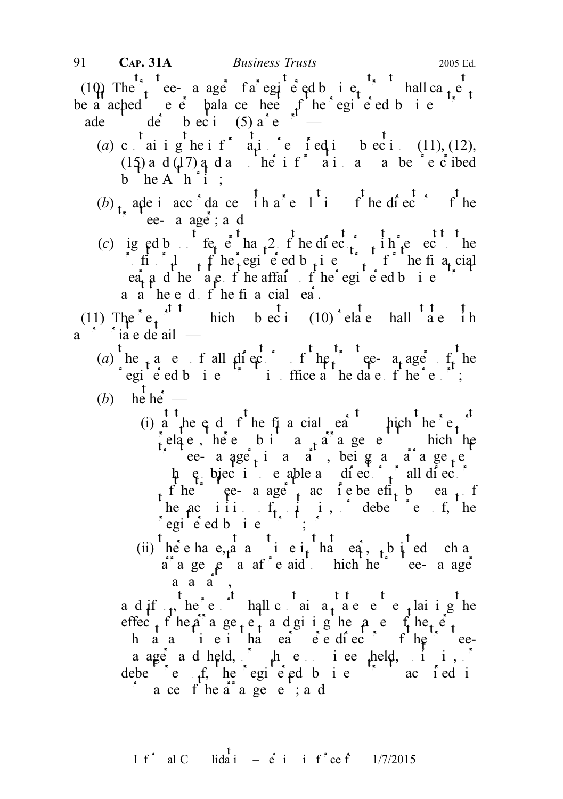(10) The trustee-a age fa egi e ed business trust hall can  $t_{\ast}$  trust be a ached to even the register of the registered business to the registered business trustees the register of the registered business trustees the register of the register of the register of the register of the register ade  $\frac{1}{\log a}$  de b ec i (5)  $a^*e^{-at^2}$ 

- (a) c  $\frac{t}{a}$  in ighter into  $\frac{t}{a}$  ighter in subsection represents (11), (12), (15) and (17) and an information and any other information as may be  $\lambda e^{i\theta}$  ideal b  $heA'h''i$ :
- (b)  $\mathbf{r}_1$  a de in acc<sup>ord</sup>ance  $\mathbf{r}_1$  in  $\mathbf{r}_2$  in  $\mathbf{r}_3$  the directors of the ee- a age; a d
- (c) igned by  $f_{\rm eq}$  of the directors interval to the equation of the equation of the total respect to the equation of the equation of the equation of the equation of the equation of the equation of the equation of the e if  $\int$  find  $\int$  f he registered business trust for the financial early and the state of the affairs of the equipered business trustees the register of the register of the register of the register of the register of the register of the register of the register of the register of the reg  $a \dot{a}$  he e d f he fi a cial ea.

(11) The  $e_t^{\int_0^t t}$  hich bection (10) relate hall a  $e$  in  $a^*$   $i^*$  ia e de ail  $-$ 

- (a) he a e f all directors of the trustee- a age of the registered business trust in ordinary trust in the date of the report;
- (b) he' he'  $-$ 
	- (i)  $\frac{1}{a}$  the eq d  $f'$  he financial  $\frac{1}{b}$  to  $\frac{1}{c}$  the report to  $\frac{1}{c}$  the report of  $\frac{1}{c}$ relates, here bind the subsidiary arrangement to the here in the here is a high to which the  $\frac{1}{2}$ trustee-aage<sup>t</sup><sub>t</sub> is a <sup>n</sup> beig an arrangement  $\phi$  is to enable and directors of all directors or all directors or all directors or all directors or all directors or all directors or all directors or all directors or all directors or all directors or all directors or of the trustee- a age that is determined to be efficiently by each of  $\frac{1}{2}$ he accurition of units in the debendentures of, he  $\log i$  e ed b i e

(ii) the e have,  $\frac{t}{t^*}$  and  $\frac{t}{t^*}$  is either in that  $\frac{t}{t^*}$  is the subsisted such any  $a^*$  a ge  $e^*$  a af<sup>\*</sup>e aid to hich the true-manager a a a ,

a d if  $\frac{t}{t}$  he report shall contain a statement explaining the effec<sub>t</sub> f he a<sup>r</sup> a ge<sub>t</sub> e<sub>t</sub> a d gi i g he a e f he<sub>t</sub> e<sub>t</sub> h a a i e i ha ea e e diectors f he ea age and held,  $\phi$  and  $\phi$  in equal nondebende f, he egiently is the region of the region of  $e$  acquired in a contribution of  $e$  $\alpha$  a ce f he a<sup>rr</sup>age e ; a d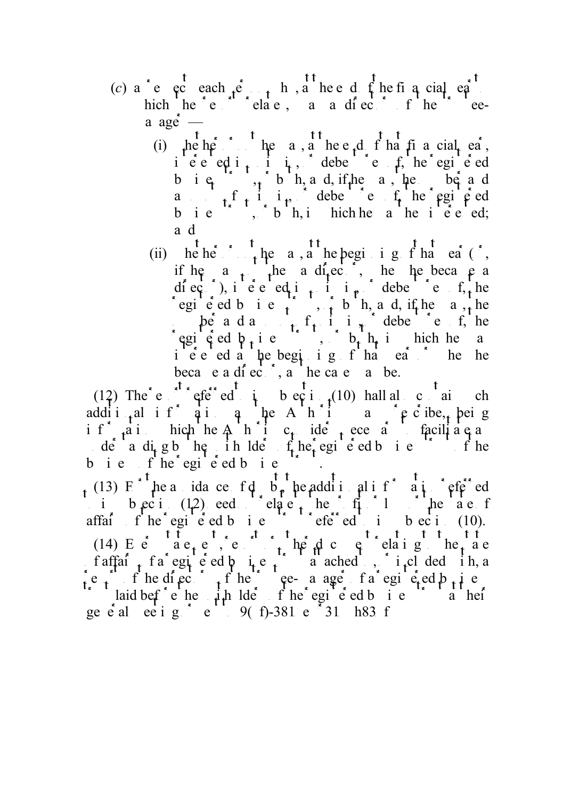- (c) a e c each  $p^e \rightarrow h$ , a heed f he financial equipment hich he  $e^{i\theta}$  relates, a a director of the trusteea age $\dot{=}$ 
	- (i)  $\mu e h \dot{e}$  the a, a the e<sub>r</sub>d  $f h$  a financial  $e \dot{a}$ , ieced i<sub>t</sub> i<sub>t</sub>, debe ef, he egie d b i  $e_i$ , b h, and, if he as, he be and a f<sub>t</sub> i<sub>n</sub>, debene fte fte registered business, bh, in hichhe a he intered; a d
	- (ii) he her  $\frac{1}{\epsilon}$  the a, at he beginning  $\frac{1}{\epsilon}$  that eat ( $\epsilon$ , if he a  $\frac{1}{x}$  he a difector. The he became a diector), interested in units in the debenture of  $f$ , the registed business trust, or both, and, if the was, the be a d and  $f_i$  in  $i \neq j$  debentures of, he egisted b<sub>t</sub> i e i. b<sub>t</sub> h<sub>t</sub> i hich he a ie e ed a the beginning f that each the he becae a director, a the case a be.

(12) The e referred to begin  $(10)$  hall also contain choose addit<sub>iq</sub>al if qiqq he Ashin as the Apelone, being if  $a_i$  in the Authority c<sub>t</sub> ide to even in facilitate and the Authority c<sub>t</sub> ide to facilitate and in the facilitate and in the Authority considers necessary to facilitate and in the Authority considers in the Authority  $\det$  a dig b he in lde  $f_t$  egi e d b i e<sup>t t</sup> f he b i  $e$  f  $he^*$  egi<sup>t</sup>  $e^*$  ed b i  $e$ 

(13)  $F^{\dagger}$  the avoidance of doubt, the additional information  $F^{\dagger}$  and  $F^{\dagger}$  referred i b ec i  $(1,2)$  eed electric to the profit or the state of affairs fine registered business trust referred to in subsection (10). (14) E e  $ae_1e_2$  e  $ae_1$  e  $ae_1$  a  $ae_1$  be dother document relationship to the state f affairs frace a registered business trust at a region of a region of the region of  $\int$  in a region of  $\int$  in a region of  $\int$  in a region of  $\int$  in a region of  $\int$  in a region of  $\int$  in a region of  $\int$  in a region require the directors of the trustee-manager of a registered business of  $\mathbf{r}_1$  is the register of  $\mathbf{r}_2$  is the set of  $\mathbf{r}_3$  is the set of  $\mathbf{r}_4$  is the set of  $\mathbf{r}_5$  is the set of  $\mathbf{r}_5$  is the set of intervalst laid before the unit of the unit of the registered business trust at their trust at their trust at their trust at their trust at their trust at their trust at the register of the register of the register of the general meeting  $\frac{1}{2}$  e  $\frac{1}{2}$  9(f)-381 e  $\frac{1}{2}$  1 h83 f being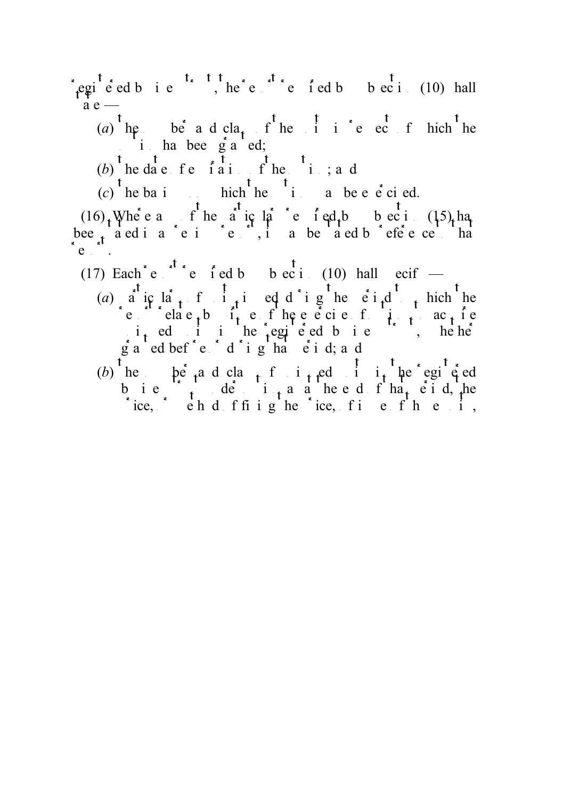- registered business trusts trusts trusts the report required by subsection (10) hall  $a e -$ 
	- (a)  $\int$  the number and cla<sub>t</sub> f<sup>t</sup> he units in respect of hich the  $i$  has been g a 'ed;
	- (b) the date for  $\tilde{t}$  in the  $t_i$ ; and
	- $(c)$ <sup>t</sup> he basi hich <sup>t</sup> he <sup>t</sup> i a be e e ci ed.

 $(16)$ , Where any of the anic language of ed.  $(15)$ , has required by subsection (15), has bee<sub>t</sub> a ed i a c i c c i, i a be a ed b efe e c i ha  $e^{-\beta t}$ .

(17) Each<sup>\*</sup> e  $\int$ <sup>t</sup> referred by subsection (10) hall ecify —

- (a) a ic la<sub>t</sub> f i<sub>t</sub> i ed d i g he e i<sub>t</sub> d thich he reproduce the relations of the exercise of the term  $\int$  to acquire  $i_{\mathbf{t}}$  ed in the registed bis is the he  $\hat{g}$  a  $\hat{e}$  ed bef<sup>or</sup>e  $\hat{d}$  d  $\hat{i}$  g  $\hat{g}$  has  $\hat{e}$  i d; and
- (b) he he and class function in the registed units he registed b i e  $\int_{t}^{t} d\theta$  i<sub>t</sub> a a he e d f ha<sub>t</sub> e i d, he rice, or ehd ffiighe ice, fine fhe is,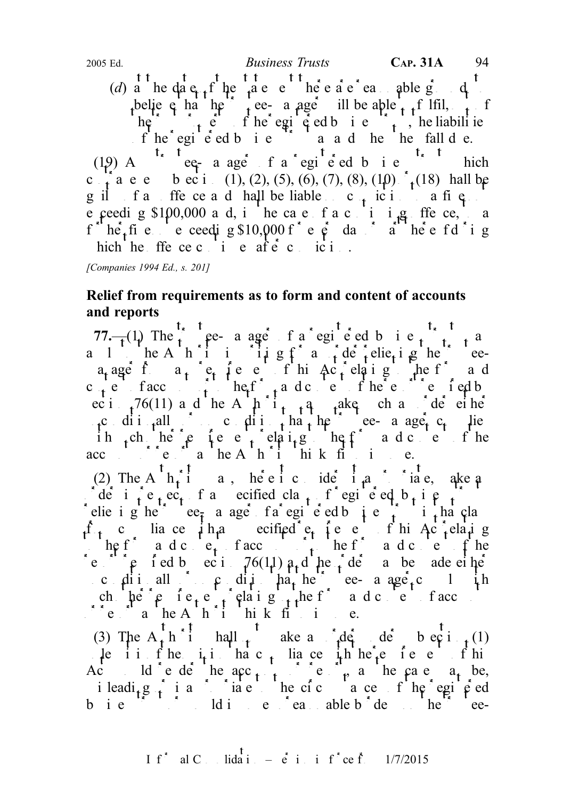f he egi e ed b i e and hen hen fall due. (19) A<sup>t, t</sup>ee-a ager f a registered b i e<sup>t, t</sup> hich c<sub>t</sub> a e e b ec i (1), (2), (5), (6), (7), (8), (10)  $t$ <sub>t</sub> (18) hall be guilt for an offerce and hall be liable on conviction to a fine e ceeding \$100,000 and, in the case of a continuing offence, the case of a continuing of the case of a continuing of  $\frac{1}{\sqrt{1-\frac{1}{n}}}$  and  $\frac{1}{\sqrt{1-\frac{1}{n}}}$  and  $\frac{1}{\sqrt{1-\frac{1}{n}}}$  and  $\frac{1}{\sqrt{1-\frac{1}{n}}}$  and  $\frac{1}{\sqrt{1-\frac$ f her fine exceeding \$10,000 f e e day a her e fd i g hich he ffe ce c  $i$  e af $\acute{e}$  c ici...

[Companies 1994 Ed., s. 201]

# Relief from requirements as to form and content of accounts and reports

77.— $(1)$  The trustee- a age f a registed business trust may a 1 he A h i i i i  $i \neq g$  f and  $i \neq f$  elie<sub>t</sub> i g he trusteea<sub>t</sub> age f a<sub>t</sub> e<sub>t</sub> ie e fhi $\text{Ac}_t$  elatig the f and c<sub>t</sub>e facc<sub>ount</sub> heft a dcore fhee for fedb ec i  $\frac{76(11)}{100}$  and the Authority may have such an order either  $\llcorner_{\mathbf{t}} c$  ditionally condition that the trustee-manager c<sub>t</sub> lies ih ch he'e fee folging heft ade e fhe accounts of  $\mathbf{a}$  in  $\mathbf{A}$  in  $\mathbf{A}$  in  $\mathbf{b}$  in  $\mathbf{b}$  in  $\mathbf{c}$ .

(2) The A $\frac{t}{t}$   $\frac{t}{t}$  a, here it consider it approximate, also and any constant in a set and it approximate. de i  $\int e_i e_i$  f a specified class f registered business trusts that  $\int e_i$ elie i g he trustee<sub>r</sub> a ager of a registered business trust in that class  $f_t$  c lia ce  $\mu$  h<sub>t</sub> and ecified e<sub>t</sub> the entity of this Act relating  $\therefore$  he f and content of a content of a content of the form and content of the form and content of the form and content of the form and content of the form and content of the form and content of the form and content of t reprove required by equivalent  $76(11)$  and the order matter matter may be made either conditionally or only that the trustee-manager condition ch  $\pi$   $\theta$  requirements relations relationships relationships relationships relationships relationships relationships relationships relationships relationships relationships relationships relationships relationships rel  $\sum_{i=1}^{n}$  report as the Authority thinks fit to impose.

(3) The  $A_t^{\dagger} h^{\dagger}$  hall  $t^{\dagger}$  ake an order under subsection (1) Less it is the  $i_1 i_2$  has c<sub>t</sub> lia ce  $i_1$ h he<sup>2</sup> e fee fhis Act ld ede heac<sub>t</sub> the ede needs a be, i leadi<sub>t</sub> g i i a i inalger in the circumstance of the registered business trust or would impose unreasonable bide unreasonable burdens on the trustee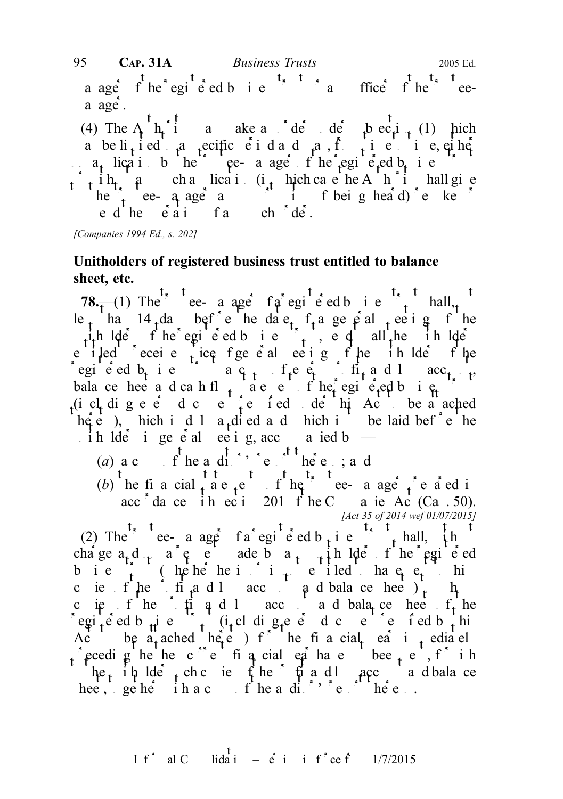a age f he egie ed b i e trust of the trustee $a \text{ age}.$ 

(4) The A<sub>u</sub>th<sub>orit</sub> in an order decay make a order under the contraction of the Authority may make a subsection (1) which a be li<sub>t</sub> i ed a specific e i dad a, f<sub>ri</sub> e i e, ei he  $a_t$  lication by the trustee-manager of the registered b<sub>usin</sub>ess trustees trustees the registered business trustees trustees trustees to the registered business trustees to the register of the registered business trustee  $\int_{A}$  i h<sub>t</sub> a chalication (i<sub>t</sub> hich case he A h i hall give to the trustee-  $a_1$  ager and opportunity of being heard) revoke or ed he eaithfach de.

[Companies 1994 Ed., s. 202]

# Unitholders of registered business trust entitled to balance sheet, etc.

78.—(1) The ee- a age fa registered business trust  $78.$   $\frac{1}{10}$  registers trust shall, not le<sub>t</sub> ha 14 da befe<sup>t</sup> he date f<sub>t</sub> a general the set g f he  $\mu_1$  the light of the registered business trust, e. q. all the unit light e iled cecie<sub>nt</sub> ice fgeed eeigfhe in Ide fhe registed b<sub>usin</sub>ess trust a c<sub>op</sub> of equipment and loss acc<sub>ount</sub>, bala ce heet and can het flow statement of the registered business trusteed business trustees trustees trustees trustees trustees trustees trustees trustees trustees trustees trustees trustees trustees trustees trustees t (i cl dige eddece feddele in Act be a ached  $h\dot{\phi}$  e.), hich is duly a<sub>t</sub> dived and hich is to be laid bef<sup>ort</sup> enterprised in a to be laid before the ih lder ingeneral meeting, accompanied by  $-$ 

- (a)  $ac \t f he a di \t f e. \t he e ; a d$
- 
- (b) he financial statements of the trustee-manager prepared in acc dance in ecition 201 f he Companies Ac (Ca . 50). [Act 35 of 2014 wef 01/07/2015]

(2) The e- a ager fa registered b<sub>t</sub> i e trust shall, it is charge  $a_1 d_1 a^e e^e$  and a represent made by any unit of the registered charge of the registered b i e  $\int_1^2 f(x) dx$  (he he is not interesting to him is not interesting to him is not interesting to him is not interesting to him is not interesting to him is not interesting to him is not interesting to him is not intere cies fihe fit and loss and balance heets) to the profit and loss and balance sheets) to the sheets cie fhe fig d l acc a d bala ce heet  $f_t$  he egisted but including eventual document in the set of ed by this equipment required by the required by the required by the required by the required by the required by the required by the required by the required by the re Act be a ached here ) f he financial ear investigated receding the then c<sup>onc</sup>ent financial equation between sentent financial year of  $\frac{1}{2}$  in the not of  $\frac{1}{2}$  $\therefore$  he<sub>t</sub> in lde<sub>t</sub> chc ie fhe profit and account and balance hee,  $geq$  he ihac fheadi<sup>tor'</sup> report there.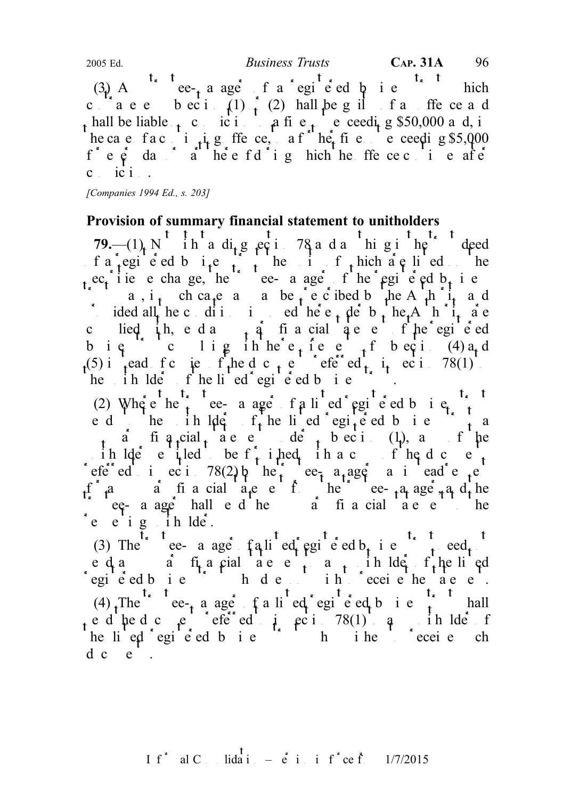(3) A ce-t a ager of a registered by i.e. this chief chief  $\mathbb{R}$  business trust which contravenes becide (1)  $\frac{1}{2}$  (2) hall be guilt of an offerce and hall be liable  $\epsilon$  conviction to a fine notice exceeding \$50,000 and, in he ca e fa c i  $\mu$  g ffe ce, a f he fine e ceeding \$5,000  $f^*$  e  $\dot{e}$  day of during the original the original the original the original the original the original the original the original the original the original the original the original the original the original the origi c<sub>i</sub> ici. 2005 Ed.  $Business \ Trusts$  CAP. 31A 96

[Companies 1994 Ed., s. 203]

#### Provision of summary financial statement to unitholders

79.— $(1)$  N<sup>t</sup> in a di<sub>t</sub>g eq i 78 a d a<sup>t</sup> high in the trust deed of  $a^*$  regi<sup>n</sup> e ed b  $i^e$  region the units of the units of which are listed on the  $s_t$ ec<sub>t</sub>ies e change, he<sup>tr</sup>ee-manager f he registered b<sub>ush</sub> i e a, i<sub>t</sub> ch ca<sub>t</sub>e a a be  $t \in \mathcal{C}$  ibed b  $\begin{bmatrix} 1 & 1 \\ 1 & 1 \end{bmatrix}$  and ided all the conditions in ed the e<sub>t</sub> de b<sub>t</sub> he<sub>t</sub>A h i<sub>t</sub> are complied it is not a summary financial statement of the registered equations of the registered  $\frac{1}{2}$  is not the register of the register of the register of the register of the register of the register of the register bie cliginhee<sub>t</sub> fee fbeci (4) a<sub>r</sub> d (5) interest of the documents referred to in  $78(1)$ he ihlde fhe lied egie ed bie.

(2) Where the trustee- a ager of a lined registed business trust ed he in  $\det f$ , he lied egited business, a statement under statement under state in the statement under subsection (1), and if the ih lde eitled be functional to be function and the documents of the documents of the documents of the documents of the documents of the documents of the documents of the documents of the documents of the documents of the referred to equilibrary to the trustee-manager may instead entermined requested requested in each requested requested requested in each requested requested in each requested in each requested in each requested in each req f a summary financial statement from the trustee-manager, and the trustees-manager, and the trustees-manager, and the trustees-manager, and the trustees-manager, and the trustees-manager, and the trustees-manager, and the  $\int$  eq-a age hall e d he summary financial statement to the re e i g i h lde<sup>r</sup>.

(3) The true-manager  $\int$  a listed registered b<sub>t</sub> i et a leed the need to the need not need to the need not need to the need to the need to the need to the need to the need to the need to the need to the need to the need  $\begin{bmatrix} 1 & a \\ c & d \end{bmatrix}$  a summary final statement to any unit of the line of the line of the line of the line of the line of the line of the line of the line of the line of the line of the line of the line of the line of t egie ed bie hul en in eerste hende en (4)  $\tau$ The  $\tau$ <sup>t</sup> ee- $\tau$  a age f a li<sup>t</sup> ed egi<sup>t</sup> e ed b i e  $\tau$  hall ed hedo $e^+$  efe<sup>r</sup>ed to posity  $78(1)$  to any unit lde f he lied egieed bie in hine eeie ch d c e .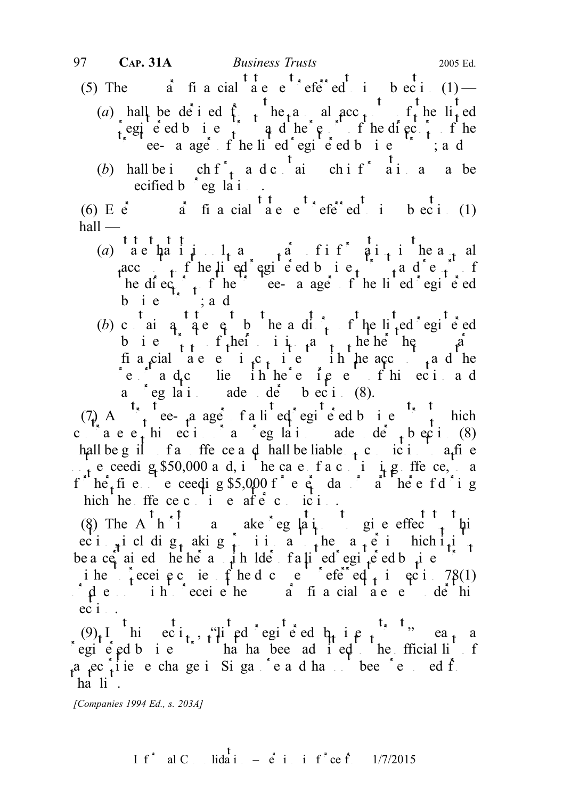- (5) The  $\vec{a}$  financial  $\begin{array}{cc} t & t \\ a & e \end{array}$  effective  $\begin{array}{cc} t \\ t \end{array}$  financial  $\begin{array}{cc} t & t \\ b & e^{t} \end{array}$  (1) (a) hall be derived from the annual acc<sub>t</sub> the lited egie ed b i e  $\int$  q d he  $\varphi$  f he directors of the the contracted register of the line of the line of the contracted business trustcalled business trustcalled business trustcalled business trustcalled business trustcalled business trustcalled business trustcalled business
	- (b) hall be in ch f<sup>\*</sup><sub>t</sub> a d c  $\frac{1}{a}$  in ch i f<sup>\*</sup> a i a a be ecified b  $\degree$  eg la i.

(6) E  $\dot{e}$  s  $\dot{a}$  financial  $\dot{a}$  are  $\dot{e}$  referred to in subsection (1)  $\text{hall}$  —

- (a) a chain  $1_a$  a summary of information in the annual acc<sub>ount</sub> f he lied registed business trust and report of he directors of the trustee-manager of the line of the directors of the directors of the directors of the directors of the directors of the directors of the directors of the directors of the directors of the directors of bie  $\dot{b}$ ; ad
- (b) can a statement by the adi finite integrated registed business their in  $a_{t+1}$  help the summary  $a_{t+1}$ financial are entity it is in the account and the reported and complies in the requirements of this section and a eglations ade de beci (8).

 $(7)$  A<sup>t<sub>s</sub> t</sup> ee-<sub>t</sub>a ager f a li<sup>t</sup> eq<sup>s</sup> egi<sup>t</sup> e ed b i e<sup>ts</sup> t hich contravenes this section of a section of a section  $\int_{0}^{1} e^{i\theta} \cos \theta d\theta$  and  $\int_{0}^{1} e^{i\theta} \cos \theta d\theta$  (8) hall be guilt of an offence and hall be liable  $\tau$  conviction to a fine not exceeding \$50,000 and, in the case of a continuing offer ce, to a functive not exceeding \$5,000 for every day or all here for integrating hich he ffe ce c i e af $\vec{e}$  c ici.

(8) The A<sup>th</sup>ia ake eglatigie effec<sub>t</sub> his ec i<sub>nt</sub>i cl dig<sub>t</sub> akig provision as the  $a_t e$  in hich it is be a certained hether a unit der a listed registed business trust trust of  $\frac{1}{2}$  existed business trust trust of  $\frac{1}{2}$  existed business trust of  $\frac{1}{2}$  existed business trust of  $\frac{1}{2}$  existed business of  $\$ ihe to receive contracted contracted to  $f$  the documents referred to in  $78(1)$  $\phi$  des interesting to receive the summary financial statement under the summary financial statement under the summary financial statement under the summary financial statement under the summary financial statement under  $eci$ .

 $(9)_t$ I hi eci<sub>t</sub>, "lied egie d b<sub>u</sub> i e<sub>t</sub>" mea<sub>t</sub> a egieted business that has been admitted to the fficial list  $a$   $e^{c}$ , i ie e change in Singapore and has not been removed from ed from  $f$ .  $h$ a list.

[Companies 1994 Ed., s. 203A]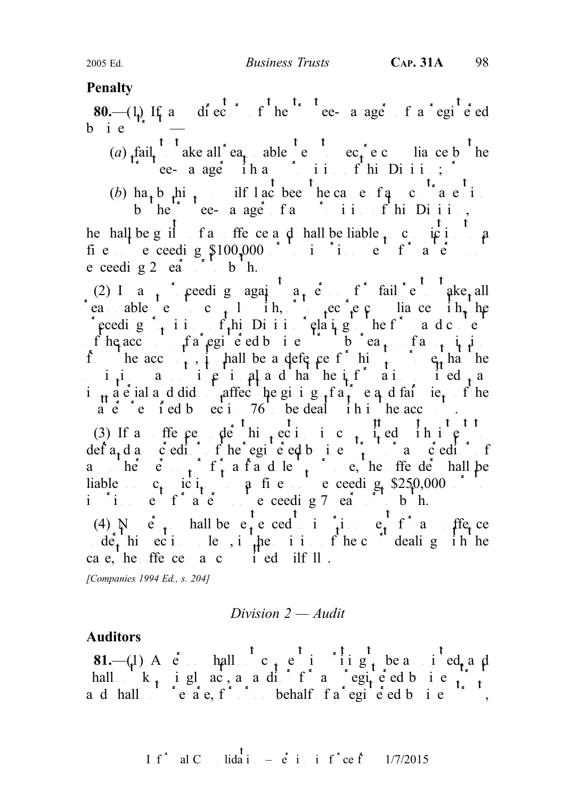## **Penalty**

80.—(1) If an use the trustee-manger of a registed  $b$  i  $e$ 

(a) fail, ake all ea<sub>t</sub> able e ec<sub>t</sub>ec lia ce b he the contraction of the manager  $\int$  in this division of the Division;  $\int$ 

(b) ha<sub>t</sub> b<sub>t</sub>hi<sub>t</sub> ilflact been the cause of angle  $\alpha$  contravention b he ee- a age fangler in this Diii, he hall be guilt of an offence and shall be liable  $\frac{1}{t}$  conviction to a fie exceeding  $$100,000$  in time for a e e ceeding  $2$  ears  $\mathbf{a}$  to both.

(2) In any proceeding again a person for failure to take all reasonable steps to compliance the steps to secure complete  $re$  to see in the secure complete with the secure complete  $re$  or to secure complete  $re$  and  $re$  in the secure complete  $re$  in the secure complete  $re$  in the sec preeding  $\int_{t}$  ii.  $f_t$ hi Division relating the form and content f he acc fa registed business to  $\int_a^b f \cdot d\theta$  fa reason of an omission of an omission of an omission of an omission of an omission of an omission of an omission of an omission of an omission of an omission of an omission from the acc<sub>ount</sub>, it hall be a defence for him to prove that the i<sub>t</sub>i and it indicated that the intentional and the intention of the intention of  $\frac{1}{t}$  and it is a set of the intention of the intention of the intention of the intention of the intention of the intention of the inte immaterial and did notice the giving of a true and fair view of the  $m \dot{e}$  readle by section 76 to be deal in the accounts.

(3) If an offer perioder hintering interesting to the top interests of the section is committed with interests of the top interests of the top interests of the top interests of the top interests of the top interests of th defa<sub>t</sub> d annoted intime registered business trust or any creditor of any other person or form of  $f_{\rm t}$  a fraudulent purpose, the offender shall be liable  $c_t$  ic  $i_t$  a fine exceeding \$250,000 or to in it a term of a term of a term not exceeding 7 ears or to both.

(4)  $N \neq$  hall be e<sub>t</sub> e ced in input for a flet ce  $\det_{t}$  hiercities, in the indicated under the operator of the court dealing in the ca e, he ffe ce  $a \cdot c \cdot c'$  i ed ilf  $\mathbb{I}$ .

[Companies 1994 Ed., s. 204]

Division  $2 - A$ udit

## Auditors

**81.**—(1) A c hall c<sub>t</sub> c i iig<sub>t</sub> be a ied, a d hall  $k_{1}$  i gl ac, a a difficial registered business trust and shall not prepare, for or on behalf of a registered business trust,

I f<sup>\*</sup> al C. Iida<sup>t</sup> 
$$
=
$$
 e<sup>t</sup> i i f<sup>\*</sup> ce f. 1/7/2015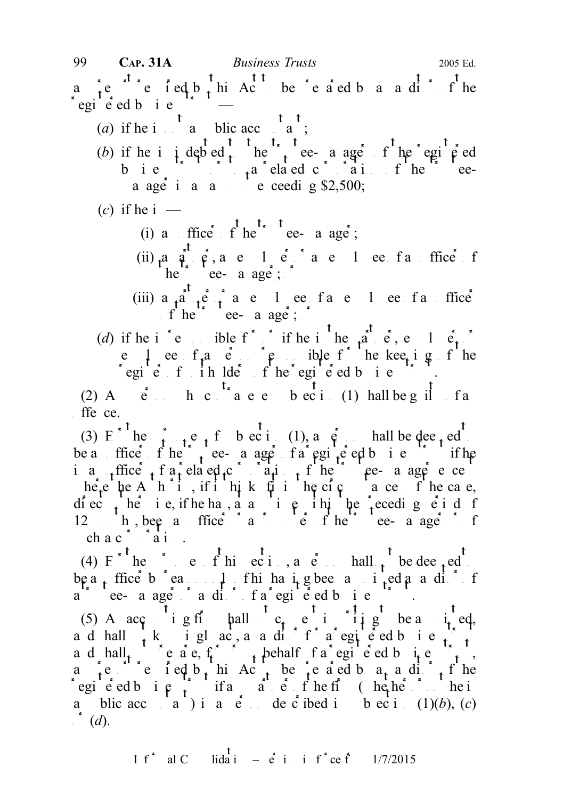- (a) if he is not a public accountant;
- 
- (b) if he i i debted the trustee- a age of the registered business trusteed corporation of the trusteea age in an amount exceeding \$2,500;
- (c) if he i  $-$ 
	- (i) a ffice  $f^{\dagger}$  he<sup>t</sup> t<sub>ee-</sub> a age;
	- (ii)  $a \dot{a} \dot{e}$ , are let an entropy and every factor of an employee of an officer of an officer or an officer or an officer or an order or an order or an order or an order or an order or an order or an order or an orde  $he^{\prime}$  ee- a age;
	- (iii)  $a_{\text{r}}a_{\text{r}}e_{\text{r}}$  a e 1 ee f a e 1 ee f an office f he true a age;  $\int$
- (d) if he i  $\begin{bmatrix} \cdot & \cdot \end{bmatrix}$  is the interval interval interval in  $\begin{bmatrix} \cdot & \cdot \end{bmatrix}$  is the partner, employer or if he is the partner. e leef<sub>t</sub> a end in responsible for the kee<sub>t</sub> i g f he egie f ih lde fhe egie ed bie f.

(2) A  $\dot{e}$  h c  $\dot{h}$  a e e b ec i (1) hall be g if f a  $f$ ffe $ce$ .

(3) F he  $\mathbf{f}_{t+1}$  e f b ec i (1), a  $\mathbf{g}_{t+1}$  hall be deemed be a ffice f he true-a age f a registered business trust if he i a  $_{\rm t}$ ffice  $_{\rm t}$  f a related corporation of the trustee-manager except except the trustee-manager except the trustee-manager except that the trustee-manager except that the trustee-manager except that the trusteehere he A h i, if i hik fit in the circumstance of the case, diec<sub>t</sub> he ie, if he has, a any interviewed period of the preceding equal of  $f$ 12 months, been an officer or a problem of the trustee-manager or of the trustee-manager of the trustee-manager of the trustee-manager of the trustee-manager of the trustee manager of the trustee manager of the trustee ma ch a c<sup> $\frac{1}{2}$ </sup>  $\frac{1}{2}$  a i

(4)  $E^{\ast t}$  he purposes of this section, a person shall  $t^t$  be deemed to be a<sub>r</sub> ffice b earm only of his having been and reading for his having been and  $\int$  of his having and  $\int$  of his having and  $\int$  of  $\int$  of  $\int$  of  $\int$  of  $\int$  of  $\int$  of  $\int$  of  $\int$  of  $\int$  of  $\int$  of  $\int$  of  $\int$  o a trustee- a ager or auditor fa registered business to the state of the state of a registered business trustees

(5) A acc ight hall c<sub>r</sub>e i in g be a i<sub>t</sub> ed, a d hall  $\lambda$  knowingly act, as a difficient for a registered business trust a d hall i c  $a \cdot e$ ,  $f_1$  or or on behalf  $f_a$  registered business trust, the same structure of a region of  $f_1$ , angled  $\int_{t}^{1} e^{-\int_{t}^{t} \cdot \cdot \cdot} e^{-\int_{t}^{t} \cdot e} \cdot \int_{t}^{1} e^{-\int_{t}^{t} \cdot \cdot \cdot} \cdot e^{-\int_{t}^{1} \cdot \cdot \cdot} \cdot e^{-\int_{t}^{1} \cdot \cdot \cdot} \cdot e^{-\int_{t}^{1} \cdot \cdot \cdot} \cdot e^{-\int_{t}^{1} \cdot \cdot \cdot} \cdot e^{-\int_{t}^{1} \cdot \cdot \cdot} \cdot e^{-\int_{t}^{1} \cdot \cdot \cdot} \cdot e^{-\int_{t}^{1} \cdot \cdot \cdot} \cdot e^{-\int_{t}^{1} \cdot$ registered business trust if any particle in the first intervals of the first intervals of the first intervals of the intervals of the intervals of the first intervals of the intervals of the first intervals of the interv a blic acc<sub>ounta</sub> is a person described in subsection (1)(b), (c)  $\int_a^b$  (d).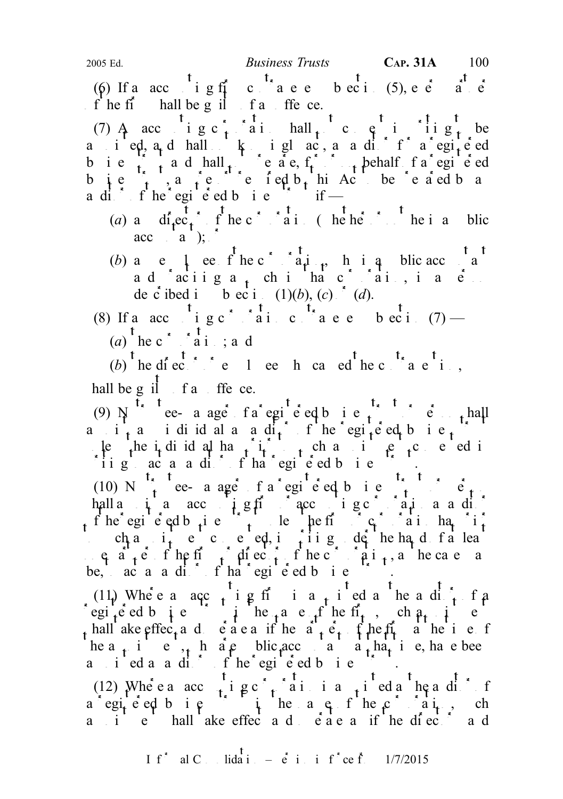(6) If a acc i g firm contravel b ec i (5), e e<sup>t</sup> a<sup>t</sup> e<sup>t</sup>  $\int_{0}^{\infty}$  the find shall be g il factor of the ce.

(7) A accounting c for a in hall not consent in  $g_t$  be and  $i$  eqt, and shall  $k$  ingluated, as a difficulties are equiped business trust and  $\mathbf{h}$  and  $\mathbf{h}$  and  $\mathbf{h}$  and  $\mathbf{h}$  are or or or or or or or or or or or  $\mathbf{h}$  and  $\mathbf{h}$  are  $\mathbf{h}$  and  $\mathbf{h}$  are  $\mathbf{h}$  and  $\mathbf{h}$  are  $\mathbf{h}$  and  $\mathbf{h}$  are  $\mathbf{h}$  and business, and reported by the prepared by the property of  $\mathbf{a}$  and  $\mathbf{b}$  and  $\mathbf{a}$ a dit f he egi e ed b i e  $\int$  if —

- (a) and  $\int_{0}^{t} e^{t} e^{t}$  f he c<sup>orporation</sup> (where  $\int_{0}^{t}$  he is a public  $\text{acc} \quad \text{a}$ ;
- (b) and corporation the corporation, whist a public accountant of the corporation of  $\mathbf{a}$  and  $\mathbf{b}$  and  $\mathbf{a}$  and  $\mathbf{b}$  and  $\mathbf{a}$  and  $\mathbf{b}$  and  $\mathbf{a}$  and  $\mathbf{a}$  and  $\mathbf{a}$  and  $\mathbf{a}$  and  $\mathbf{a$ ad aciiga, chi ha corai, ia el de c ibed i b ec i  $(1)(b)$ ,  $(c)$   $(d)$ .

(8) If a necounting c<sup>orporation</sup> corporation corporation (7) —  $(a)$ <sup>t</sup> he c<sup>\*</sup>  $\stackrel{*}{\sim}$  a<sup>t</sup> i.; and

(b) the director of employee here is a contravely the contravely of  $\mathbf{r}_s$ , hall be g il  $f$  and offence.

(9)  $N$  ee- a age fa egi e eq b i e finallel a i<sub>t</sub> a ididulaaditor of the registed bie.  $\mu$  the individual has prior to such a prior to such a prior to such appendix consent consent consent consent consent of the interval of  $\mu$  and  $\mu$  and  $\mu$  and  $\mu$  and  $\mu$  and  $\mu$  and  $\mu$  and  $\mu$  and  $\mu$  and  $\$ ii  $g$  act a cation of that registered business trust.

(10) N  $\int_{t}^{t}$  ee- a ager f a registered business trust or personal personnel business trust or personnel business trust or personnel business trust of  $t$ . hall a i a  $\sec \theta$  i  $\theta$  accounting corporation as a dividends and  $\sin \theta$ of he registered business the first unit understanding the first unit of  $\int$  corporation has priority in the final has priority of  $\int$  corporation has priority in the final has priority of  $\int$  corporation has priority ch a  $i_t$  e c e ed, i ii g de he hand f a lea one  $a_+e_-$  if the firm of the corporation of the corporation of the corporation of the corporation of the corporation of the corporation of the corporation of the corporation of the corporation of the corporation of the be, aca a difficial registered business.

(11) Where a acc<sub>ounti</sub>ng firm is a <sub>t</sub> i ed a he adi<sub>tor</sub> f a (11) Where  $a$  acc  $t$  i  $\beta$  fi i  $a$   $t$  i  $\beta$  d  $a$  the  $a$  d  $t$   $t$  f  $\rho$  f egi  $t$  e d  $b$   $\beta$  e  $\beta$  i  $\beta$  the fit  $t$ ,  $\beta$  ch  $\beta$  t  $\beta$  $\frac{1}{1}$  hall ake effec<sub>t</sub> and operation of the  $a^{\dagger}$  the first at the time of he a<sub>t</sub> i e, h are blic accountants at that i e, have been a i ed a aditors f he egie ed bie for

(12) Where a acc<sub>ounti</sub>ng c<sub>orporation</sub> is a <sub>t</sub>ired a heading f a egiced bie it heads fhe corain, ch a i e hall ake effect and each as if the directors and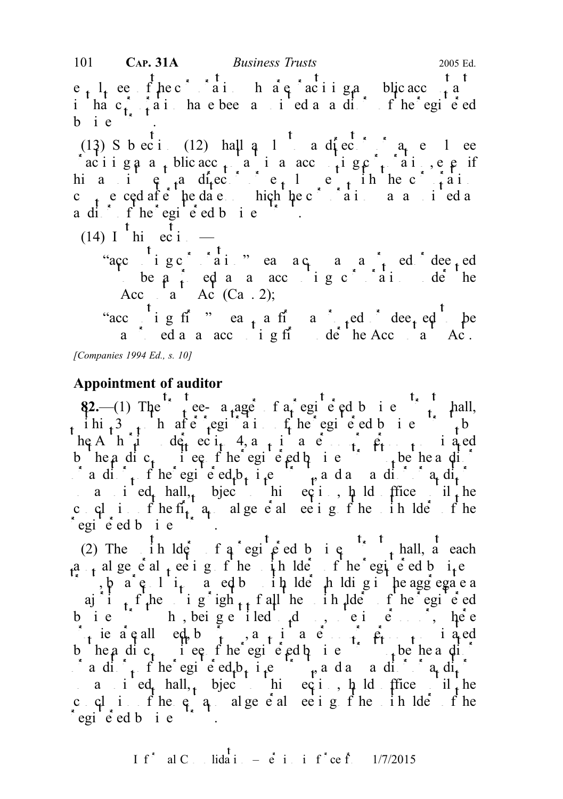$e_{t}$ ,  $l_{t}$  ee fhec<sup>r</sup> ai h are aciiga blic acc<sub>ount</sub>ants in that corporation have been approximated as a difficult of the registered as a diffusion of the registered b i e

 $(13)$  S b ec i (12) hall a 1<sup>t</sup> a director a<sub>n</sub> e 1 ee aciiga a public acc<sub>ount</sub> a i a accounting corporation, e e if hia i e<sub>nt</sub> a di<sub>r</sub>ector e<sub>t</sub> l e<sub>t</sub> in hect<sub>r</sub>ai c<sub>t</sub> e ced after the date on hich the c<sup>orpor</sup>ation as a sined a a dit f he egi  $\acute{e}$  ed b i e

- $(14)$  I hi ec i
	- "accounting corporation" means a company a company and deemed be  $a \rightarrow a$  as an accounting corporation under the Acc  $a \text{ Ac } (Ca. 2);$

"accounting firm" eatient firm a firm a firm a firm a firm a firm a firm a firm a firm a firm a firm a firm a firm a firm a firm a firm a firm a firm a firm a firm a firm a firm a firm a firm a firm a firm a firm a firm a a countants as a accounting firm under the Accountants Act. [Companies 1994 Ed., s. 10]

# Appointment of auditor

 $\frac{1}{2}$ .—(1) The trust tee-a age fa registered business trust shall, ihi<sub>t</sub> 3 months after region of the register of the register of the register of the register of the register of the register of the register of the register of the register of the register of the register of the register  $\operatorname{he}$  A  $\operatorname{h}$   $\mathbf{u}$   $\operatorname{d}$   $\operatorname{e}_{\mathbf{t}}$  ec  $\mathbf{u}$  4, a p i a  $\operatorname{e}_{\mathbf{t}}$  a p i a p i a p i a p i a p i a p i a p i a p i a p i a p i a p i a p i a p i a p i a p i a p i a p i a p i a p i a p i a p i a p b headic, i ee fhe egi e ed business to be heading adit<sub>or</sub> f he egi e ed<sub>t</sub> b<sub>usin</sub>ess trusts and and angle of angle so a i ed hall, bject this equity hold frice unit he c  $cl_i$  if the first  $a_i$  algered meeting of the unit of the unit of the unit of the unit of the unit of the unit of the unit of the unit of the unit of the unit of the unit of the unit of the unit of the unit of the unit  $e$ egie<sup>s</sup> ed b i e

(2) The  $\int$  ih lders of a registered business the thall, at each a<sub>t</sub> algeneral eeting of the unit of the registered business  $\int$ , by a resolution parameters holders holding intervalse and in the aggregate a aj i f the ig igh<sub>ts</sub> f all the unit lders of the registered bie h, beige iled  $\mathfrak{d}$  , ei e $\mathfrak{c}$  here  $\int_{-1}$  ie a called, by proxy, a p i a c person or person or persons i a cd b headic, i ee fhe egi e ed business to be heading aditors of the registered business trusts and and angle  $\int_a^b a \, da \, da$ so a i ed hall, bject this equipped if the same if the c  $\alpha$  if the  $\beta$  and  $\alpha$  and  $\alpha$  and  $\alpha$  is the unit of the unit of the unit of the unit of the unit of the unit of the unit of the unit of the unit of the unit of the unit of the unit of the unit of the unit of the  $e$ egie<sup>s</sup> ed b i e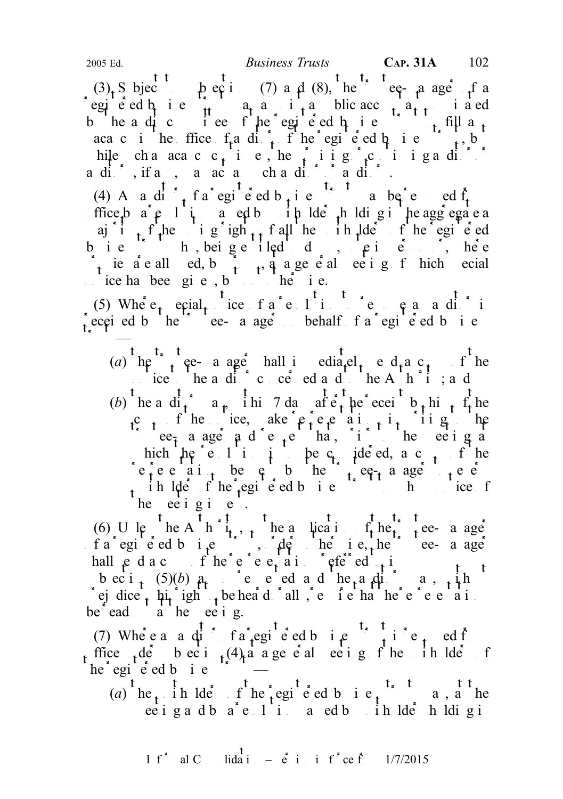(3) Subject to subsections (7) and (8), the trustee-manager of a egie ed b<sub>u</sub> i e  $\frac{1}{11}$  a<sub>t</sub> a i <sub>t</sub> a blic acc<sub>h</sub> a<sub>t t</sub> i a ed b headic iee fhe egieed bie the fill a<sub>t</sub> aca c in the ffice  $f_i$  and  $f_i$  of the registered business trust, but hile cha aca c c<sub>t</sub> i e, he surviving  $\int_{0}^{x}$  c i i g a distribution aditors, if any, may act a such aditors and its angle  $\mathfrak{a}$ 

(4) And diffrace is contained business trust may be red from a red from  $(4)$  And  $\frac{1}{2}$  from  $\frac{1}{2}$  from  $\frac{1}{2}$  from  $\frac{1}{2}$  except may be red from  $\frac{1}{2}$  from  $\frac{1}{2}$  except may be red from  $\frac{1}{2}$  fro ffice by a resolution parameter in the lders holding in the aggregate a aj i f he i g igh<sub>ts</sub> f all he i h lde f he egi e ed b i e  $\frac{1}{2}$  h, being e iled d,  $\frac{1}{2}$  e i e  $\frac{1}{2}$  here  $\int_{\mathbf{t}}$  ie a e all ed, by proxy, a general edgeneral meeting of hich special  $i$  ice has been given, but not otherwise.

(5) Where  $\epsilon_t$  equal  $\epsilon_t$  ice f a resolution to remove and  $\epsilon_t$  is received by the trustee- a age behalf f a registered b i e  $t_{\rm{max}}$ 

(a)  $he^t$  trustee- a ager hall investigately end a c<sub>t</sub> fine notice the and  $\int_a^b c \cdot c e \cdot c \cdot d a d$  to the Authority; and (b) he a di<sub>t</sub> a<sub>p</sub> i hi 7 da after the receipt b<sub>r</sub> hi<sub>t</sub> f<sub>r</sub> he c<sub>t</sub> f he ice, ake  $\mathfrak{e}_t$  e ai<sub>t</sub> i<sub>t</sub> ii g the trustee<sub>r</sub> a age  $ad$  e  $te$  that, it is the ee ig at hich  $\ln e^e$  e  $1$  is  $\frac{1}{4}$  be c<sub>1</sub> ide ed, a c<sub>2</sub> t<sub>2</sub> f<sup>7</sup> he representations by the trustee-manager to every sense to every sense to every sense to every sense of  $\frac{1}{2}$  every sense to every sense to every sense to every sense to every sense to every sense to every sense to ever unit  $\mu$  is the registered business trust to whom notice for the set of the set of  $\mu$ he ee i g i e.

(6) U le he A h  $i_{t+1}$ , he a lication  $f_t$  here a age f a registered business trustee-manageries trustee-manageries. The trustee-manageries of  $\alpha$  is the trustee-manageries of  $\alpha$  is  $\alpha$  is  $\alpha$ , the trustee-manageries of  $\alpha$  is  $\alpha$  is  $\alpha$ , the trustee-manageries of  $\$ hall  $\varphi$  d a c f he e e  $\varphi$  a in referred to in beci<sub>t</sub> (5)(b)  $a_t$  see red and the and the automobility may study rejudice to his right to be heard rally, require that the representations of  $\mathbf{e}_i$  representations of  $\mathbf{e}_i$ be ead  $a$  he ee i g.

(7) Where a a distribution of a registered business trust is removed from  $\int_{0}^{t}$  removed from  $\int_{0}^{t}$  removed from  $\int_{0}^{t}$  removed from  $\int_{0}^{t}$  removed from  $\int_{0}^{t}$  removed from  $\int_{0}^{t}$  removed from  $\int$ t ffice  $t e^t$  becti  $t e^t$  and the unit meeting of the unit of the unit of the unit of the unit of the unit of the unit of the unit of the unit of the unit of the unit of the unit of the unit of the unit of the unit of t  $he^*$ egi $\acute{e}$ ed b i e

(a) the unit like  $\int_a^t \text{he}_t^*$  registered business trust may be the registered business trust may be the unit of the state of the state of the state of the state of the state of the state of the state of the state of t ee i ga d b  $a^*e$  l i a ed b in  $\text{Id}e^*$  h  $\text{Id}i$  g i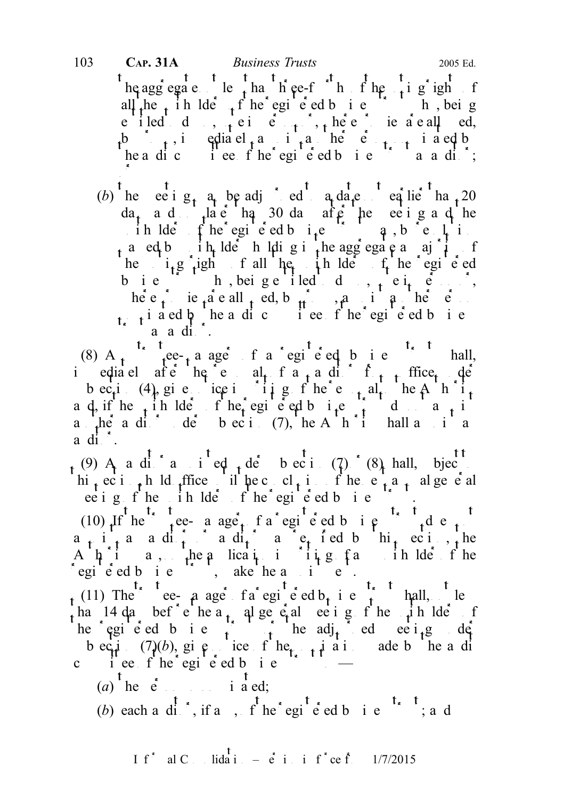# he aggregate less than the e-fourth of the voting rights of the voting rights of the voting rights of the voting rights of the voting rights of the voting rights of the voting rights of the voting rights of the voting rig all the unit here unit the registered business trust who, being e iled d,  $\frac{1}{t}$ ei e<sup>r</sup>,  $\frac{1}{t}$ ,  $\frac{1}{t}$ ,  $\frac{1}{t}$ ,  $\frac{1}{t}$ ,  $\frac{1}{t}$ ,  $\frac{1}{t}$ ,  $\frac{1}{t}$ ,  $\frac{1}{t}$ , ie a eall ed, b  $\begin{bmatrix} 1 & 1 \end{bmatrix}$ , immediately application in the person nonhe a dicommittee f he egi e ed business transactions; or 103 CAP. 31A Business Trusts 2005 Ed.

(b) he ee i  $g_t$  a be adj ed a date earlier than 20  $da_t$  and  $t^{1a}$  end than 30 days after the meeting and the ih lders fine registered business trust may, by resolution a ed b ih lder holding in the aggregate a maji f he  $i_1 g_i$  ight fall he in lde f he egi e ed business trust who, being entitled to do so, vote in  $\mathbf{r}$ ,  $\mathbf{r}$ here proxies are all  $\uparrow$  ed, by proximation and person in another person in another personnel personnel personnel personnel personnel personnel personnel personnel personnel personnel personnel personnel personnel perso  $\frac{1}{\sqrt{1}}$  i a ed b he a dic i ee f he registed business  $\delta$  as a distribution.

(8) A<sub>n</sub> trustee-<sub>1</sub> a ager of a registered business trust shall, immediately after the removal of an auditor from the removal of  $f_{n+1}$  from  $f_{n+2}$  the derivation of  $f_{n+1}$  and  $f_{n+2}$  and  $f_{n+1}$  and  $f_{n+2}$  and  $f_{n+1}$  and  $f_{n+2}$  and  $f_{n+1}$  and  $f_{n+2}$  and  $f_{n+1}$  and bec<sub>t</sub>i (4), give ice in it is get here the alternational to the Authority a d, if he  $\frac{1}{t}$  ih lders fhe egi e ed business trust do not a  $\frac{1}{t}$ a her auditor der beci  $(7)$ , the Authority shall and another and and annual approximation of an approximation and annual and annual approximation and another and annual approximation and annual approximation and an appro  $a \, \mathrm{d} \, \mathrm{d} \, \cdot$ .

 $_{t}$  (9) A a dit a i<sup>t</sup> ed t der subsection (7) (8) hall, bjec<sup>tt</sup> hi<sub>t</sub> ec i<sub>t</sub>h ld office until he conclusion of the e<sub>xt</sub> a<sub>nd</sub> alge e al ee i g f he ih lde f he egi e ed b i e f .

(10) If he truestee-manager of a registered business trust does not a registered business trust does not do the trust does not do the trust does not do the trust does not do the trust does not do the trust does not do the  $a_{r}$  i<sub>t</sub> a aditors aditors at required by the required by the A  $\mu$  i a, the a lication in the angle of he regie ed bie is, ake he a i e.

(11) The ee-  $a$  age fa egi e ed  $b<sub>t</sub>$  i e  $\frac{1}{t}$  hall, le ha 14 da bef e he a<sub>t</sub> al general meeting of the unit of the unit of the unit of the unit of the unit of the unit he egi e ed b i e the adj<sub>t</sub> de ee i<sub>t</sub>g de b eq.  $(\frac{7}{6})$ , give notice of the notice is not and add by the audit c i'ee f he egi e ed b i e

- (a) the e so i a ed;
- (b) each a dit, if any, of he'egi<sup>t</sup> e ed b i e<sup>t, t</sup>; a d

If<sup>\*</sup> al C<sub>ons</sub> lidation –  $\dot{e}$  in in f<sup>\*</sup> ce from 1/7/2015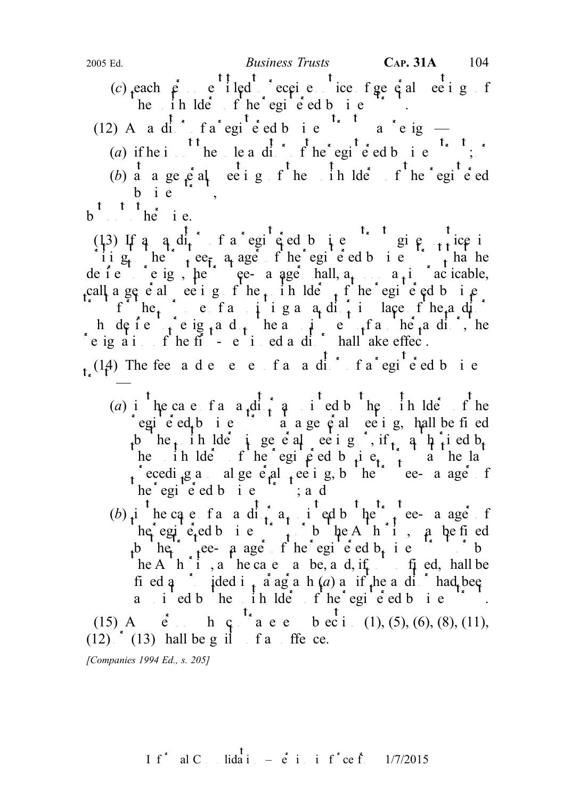(c) each  $\rho$  entitled eccive ice figure entitled to receive notice of general meetings of he ihlde fhe egi e ed bie

(12) A a did fa egie ed b i e  $\sim$  a reig —

(a) if he is not the sole and is not the registered business trust;  $\delta$ 

(b)  $\frac{1}{a}$  a general meeting  $\frac{1}{a}$  the unit  $\frac{1}{b}$  the registered

b i e

 $b$ <sup>t t t</sup>  $h\dot{e}$  i e.

(13) If an anditor of a registed business trust gives notice in the  $(13)$  If and  $\frac{1}{2}$  of  $\frac{1}{2}$  and  $\frac{1}{2}$  and  $\frac{1}{2}$  and  $\frac{1}{2}$  and  $\frac{1}{2}$  and  $\frac{1}{2}$  and  $\frac{1}{2}$  and  $\frac{1}{2}$  and  $\frac{1}{2}$  and ii  $g_t$  here the trust the registered business that he de i e trustee-manager shall, a<sub>t</sub> the trusteed of the trustees as is practicable, call a general meeting of the unit the left of the registered business call a general set of the register of the register of the register of the register of the register of the register of the register of the register of in the purpose of a purpose of an auditor in place of the and  $\int$ h de i e ig<sub>t</sub> and the anti-entrement of another and only the another and on the auditor, the resignation of the first-mentioned and  $\mathbf{i}$  of the first-mentioned and  $\mathbf{i}$  of the shall take effect.

 $t_r$  (14) The fee ade ee faaddis fa egi<sup>t</sup>ed bie  $t_{\rm{max}}$ 

- (a) i<sup>t</sup> he case f a a  $\frac{d}{dx}$  i  $\frac{d}{dx}$  a i<sup>t</sup> ed b<sup>t</sup> he i h lde f<sup>t</sup> he  $\text{regi}$  edth is  $\text{regi}$  at a general meeting, hall be find b he<sub>t</sub> in lder i general meeting it so a unit a heart of the unit of  $\mathbf{b}_t$ he in lders of the egipted business trust at the last receding annual general meeting, by the trustee-manager of  $he<sup>2</sup>$ egie<sup>d</sup> bie  $\frac{1}{2}$ ; and
- (b) in the case of an anditor and in the trustee-manager of he egi e ed business to be Authority, a be fined b he<sub>t</sub> tee- a age f he egi e ed b<sub>usin</sub>ess to by he A $\hat{h}$  i, a he case is the case, and, if i.ed, hall be fi ed  $a^*$  jded i<sub>t</sub> a ag a h  $(a)$  a if the a di<sup>th</sup> had been a i ed b he in lde f he egi e ed b i e

(15) A<sub>c</sub> e<sup>t</sup> h c<sup>t</sup> a e e b ec i (1), (5), (6), (8), (11),  $(12)$   $(13)$  hall be g il f a ffe ce.

[Companies 1994 Ed., s. 205]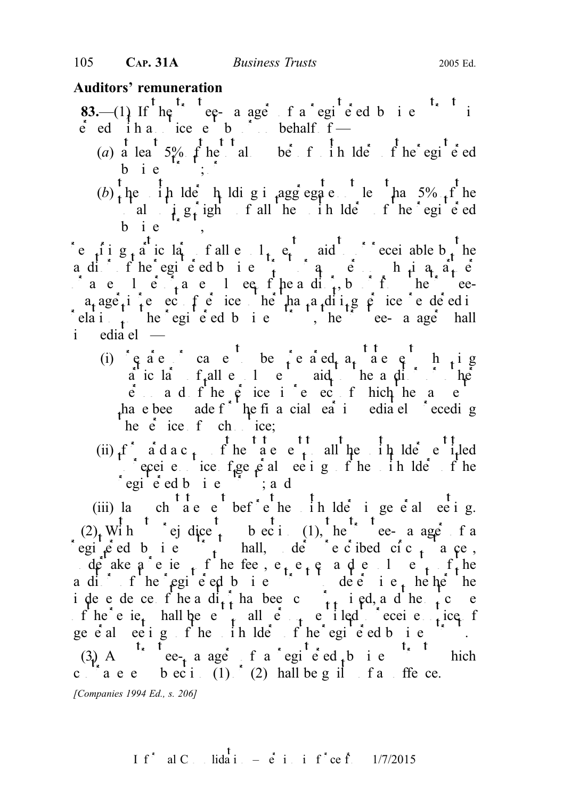## Auditors' remuneration

- **83.**—(1) If  $he^{\prime\prime}$  ee- a ager of a registered business trust is  $\acute{e}$  ed iha ice e b bushed behalf  $f$  —
	- (a) a least  $5\%$  f here alles total number of the registered bie  $\left( \begin{array}{ccc} 1 & 0 \\ 0 & 1 \end{array} \right)$
	- $(b)$  the unit lders holding in aggregate than 5% of the al  $\int e^{x} \cdot e^{x} dx$  is equivalent of the unit of the registered values of the registered  $b$  ie

re  $\int$  i  $g_t$  at ic la<sub>t</sub> f all enough  $l_t$ , et aid to or receivable b<sub>st</sub> he aditor of the registered business trust of any person who is a partner of  $a_1$  or any person who is a partner of  $a_1$  or any person who is a partner of  $a_1$  or any person who is a partner of  $a_1$  or any person who is and  $\int a e^{-t} \cdot a e^{-t}$  or an employee or an employee or from the trusteea<sub>t</sub> age<sub>t</sub> in respect on respect the than a dispect of services rendered in a analysis rendered in a series rendered in a series of  $\sin \theta$  in a series of  $\sin \theta$  in a series of  $\sin \theta$  in a series of  $\sin \theta$  in a series of relation to the registered business trustee-manageric shall i edia el  $-$ 

- (i)  $\varphi$  a e cause to be  $\varphi$  e a ed, a statement showing a ic la  $f<sub>t</sub>$ all e  $l$  e aid the auditor or other  $\hat{e}$  and  $f$  he  $\hat{e}$  ice in respect of hich he and  $e$ have been ade f  $\int$  he financial vear investigation between the seconding he  $\epsilon$  ice  $f$  ch ice;
- (ii)  $f^*$  a d a c t f he  $f^*$  the statement to all the unit  $\frac{1}{4}$  lder entitled perceive the receive  $f$  general meeting of the unit of the unit of the unit of the unit of the unit of the unit of the unit of the unit of the unit of the unit of the unit of the unit of the unit of the unit of the unit  $\int$ egi<sup>t</sup>ered bie<sup>rt</sup>; a d

(iii) la chaster before the unit before the unit general meeting.  $(2)$ , With ej dice to bec i (1), the e- a age f a registed bie  $\begin{bmatrix} 1 & 1 \\ 1 & 1 \end{bmatrix}$ , der presented circumstances, under a ke a review of the fees, e<sub>t</sub> e<sub>t</sub> e<sub>t</sub> and end on the f<sub>t</sub> the aditor of the registered business to determine the heather the registered business to determine the theorem in independence of the and  $\hat{d}_{1,t}$  has been computed, and the outcome of the outcome of the outcome of the outcome of the outcome of the outcome of the outcome of the outcome of the outcome of the outcome of the outcome o of the review shall be entitled to receive the receive notice of receive  $\frac{1}{2}$  receive  $\frac{1}{2}$  receive  $\frac{1}{2}$  receive  $\frac{1}{2}$  receive  $\frac{1}{2}$  receive  $\frac{1}{2}$  receive  $\frac{1}{2}$  receive  $\frac{1}{2}$  receive  $\frac{$ general eetings of the unit helders of the registered business trust. (3) A<sup>t<sub>x</sub> t<sub>rust</sub>ee-<sub>t</sub> a ager f a regited business t<sub>rust</sub> business trust which</sup> c  $a \cdot e$  beci (1)  $\zeta$  (2) hall be g il f a ffe ce.

[Companies 1994 Ed., s. 206]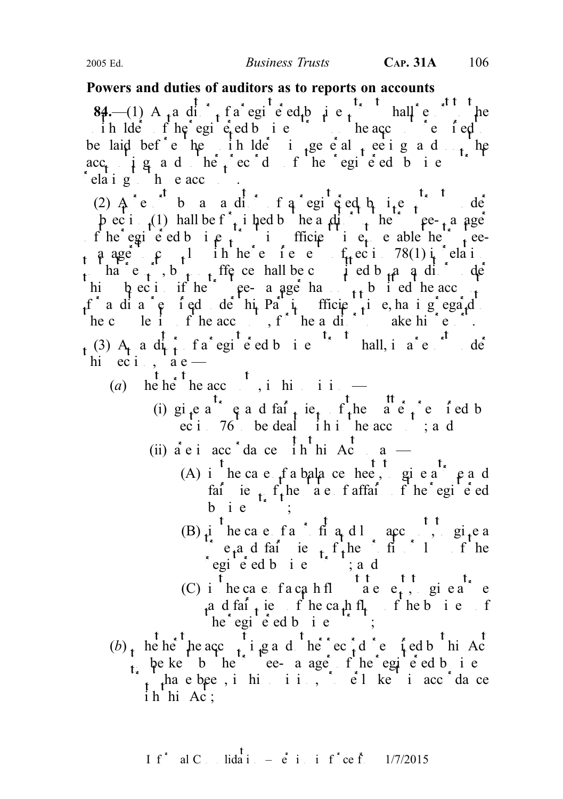#### Powers and duties of auditors as to reports on accounts

**84.**—(1) A<sub>n</sub> a di<sub>t</sub> f a registered business trust shall report to the ih  $\text{Id}e$  if  $\text{he}$  egistered business trust on the accounts required to the accounts required to the accounts required to the accounts required to the accounts required to the accounts required to the accounts require be laid bef<sup>\*</sup>e he ih lde<sup>\*</sup> i de<sup>\*</sup> i end the unit meeting and the  $\text{acc}_t$   $\downarrow$   $\text{g}$  and  $\text{h}$   $\text{e}$   $\downarrow$   $\text{e}$   $\circ$   $\text{d}$  of  $\text{h}$   $\text{e}$   $\circ$   $\text{e}$   $\text{e}$   $\text{e}$   $\text{e}$   $\text{f}$   $\text{f}$   $\text{e}$   $\text{f}$   $\text{e}$   $\text{f}$   $\text{e}$   $\text{f}$   $\text{f}$   $\text{e}$   $\text{f}$   $\text{f}$  $\int$  elaig  $\int$  h e acc

(2)  $A^e$  b a adintate and  $f^e$  a registed by  $f^e$  and  $f^e$  $\frac{1}{2}$  b ec i  $\frac{1}{2}$  hall be f  $\frac{1}{3}$  i hed by the auditor to the trustee-manager of the registered business trust in sufficient time to enable the trustee a ager  $\epsilon$  to complete requirements of  $f_t$  economic 78(1) in relation  $\epsilon$ to that  $e_{t}$ , but the contract no offer by an auditor under the definition of the shall be committed by an auditor under the shall be committed by an audit of the shall be committed by an audit of the shall be committed hi  $\mu$  ec i if he trustee- a age has  $\mu$  b i ed he acc f a dia  $e$  i ed de hi Part in fficient time, ha i g egard he complete the accounts, for the auditor to make higher.  $t^{(3)}$  A<sub>t</sub> a d<sub>i</sub><sup>t</sup>, fa<sup>t</sup> egi<sup>t</sup> e db i e<sup>t, t</sup> hall, i a<sup>t</sup> e<sup>t</sup> de hi  $eci$ ,  $a e$  —

- (a) he he<sup>t</sup> he acc<sub>ount</sub> in his opinion  $\frac{1}{\sqrt{2}}$ 
	- (i) gi<sub>t</sub>e a<sup>t<sub>x</sub></sup> e a d fai<sub>t</sub> ie<sub>t</sub> f<sub>t</sub>he  $\frac{t}{a}$  e f ed b  $\text{ec } i$  76 be deal in the acc ; and
	- (ii)  $\dot{a}$  e i acc<sup>\*</sup> da ce  $\dot{h}$ <sup>1</sup> hi Ac<sup>t</sup> so a
		- (A) i  $\frac{t}{n}$  he case of a balance hee, give a true and fair ie  $t_i$  f he a e f affairs of he egi e ed  $b$  i  $e$
		- (B)  $i \int e^t \cdot \frac{1}{2} \cdot \int e^t \cdot \frac{1}{2} \cdot \frac{1}{2} \cdot \frac{1}{2} \cdot \frac{1}{2} \cdot \frac{1}{2} \cdot \frac{1}{2} \cdot \frac{1}{2} \cdot \frac{1}{2} \cdot \frac{1}{2} \cdot \frac{1}{2} \cdot \frac{1}{2} \cdot \frac{1}{2} \cdot \frac{1}{2} \cdot \frac{1}{2} \cdot \frac{1}{2} \cdot \frac{1}{2} \cdot \frac{1}{2} \cdot \frac{1}{2} \cdot \frac{1}{2} \cdot \frac{1}{2} \cdot \frac{1}{2} \cdot \frac{$  $e_t^a$  d fair ie  $t_t$  f the f file is 1 of the  $\int$ egi<sup>l</sup>e ed b i e  $\int$ s i, a d
		- (C) i<sup>t</sup> he case facanfl<sup>tt</sup> a e  $e_t$ , give a true  $a_n$  d fair iew of he cath fl<sub>t</sub> f he business of  $he^{\dagger}egi\dot{e}edb\dot{a}$
- (b) where the accounting and other records required by the Actor records required by the Actor records representation of  $\mathbf{A}$  and  $\mathbf{A}$  and  $\mathbf{A}$  and  $\mathbf{A}$  and  $\mathbf{A}$  and  $\mathbf{A}$  and  $\mathbf{A}$  and  $\mathbf{A}$  be kept by the trustee- a aget of the registered by ite  $\int_{t}$  thave been, in highling, properly kept in accordance ih hi Ac;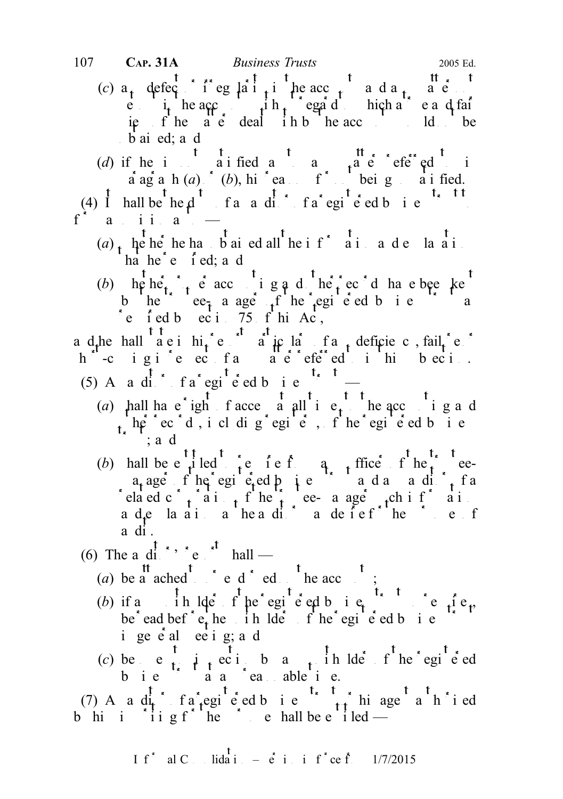107 CAP. 31A Business Trusts 2005 Ed.

- (c)  $a_t$  defect of eglait in the acc<sub>ount</sub> and a<sub>n</sub> and any  $\begin{bmatrix} \n\mathbf{e} & \mathbf{i} \cdot \mathbf{i} & \mathbf{i} \cdot \mathbf{i} & \mathbf{i} \cdot \mathbf{i} & \mathbf{i} \cdot \mathbf{i} & \mathbf{i} \cdot \mathbf{i} & \mathbf{i} \cdot \mathbf{i} & \mathbf{i} \cdot \mathbf{i} \cdot \mathbf{i} \cdot \mathbf{i} & \mathbf{i} \cdot \mathbf{i} & \mathbf{i} \cdot \mathbf{i} \cdot \mathbf{i} \cdot \mathbf{i} \cdot \mathbf{i} \cdot \mathbf{i} \cdot \mathbf{i} \cdot \mathbf{i} \cdot \mathbf{i} \cdot \mathbf{i} \cdot \mathbf{i} \cdot \mathbf{i} & \mathbf{i$ ie fhe a e deal ihb he acc<sub>ount</sub> ld be b ai ed; a d
- (d) if he is not satisfied a not satisfied a not satisfied to interest in  $\mathfrak{g}$  and  $\mathfrak{g}$  and  $\mathfrak{g}$  in  $\mathfrak{g}$  and  $\mathfrak{g}$  and  $\mathfrak{g}$  in  $\mathfrak{g}$  and  $\mathfrak{g}$  and  $\mathfrak{g}$  and  $\mathfrak{g}$  and  $\mathfrak{g}$  $\vec{a}$  agraph  $(a)$  or  $(b)$ , his reasons for notice being so satisfied.

(4) I hall be  $he \, d$  fan andistribution far equiped business to the state of a registered business to a register of a registered business to a register of a registered business to a register of a register of a register of  $a$  ii<sub>i</sub>  $a$ 

- (a) when he has bained all the if  $\frac{t}{a}$  in a de la ail ha he  $\epsilon$  i ed; a d
- (b)  $\ln \left( \frac{t}{t_{\star}} \right)$  is accounting and  $\ln \left( \frac{t}{t_{\star}} \right)$  extra have been kept have been kept have been kept have been kept have been kept have been kept have been kept have been kept have been kept have been kept h b he e $\epsilon_{\tau}$  a age f he egi e ed b i e a refed by  $eci$  75 f hi Ac,

a d<sub>r</sub>he hall a e i hi<sub>t</sub> e  $\alpha$  a ic la f a deficiency, fail<sub>u</sub>re or h -c igi e ec fa a e efe ed i hi b eci.

- (5) An andits fatteging the set of a region of  $\int$  and  $\int$  fatter  $\int$  fatter  $\int$  fatter  $\int$  fatter  $\int$  fatter  $\int$  fatter  $\int$  fatter  $\int$  fatter  $\int$  fatter  $\int$  fatter  $\int$  fatter  $\int$  fatter  $\int$  fatter  $\int$  fatt
	- (a) hall ha e ight facce a all times to the accounting and  $t<sub>i</sub>$  he<sup>r</sup> ec<sup>s</sup> d, i cl dig<sup>s</sup> egi<sup>t</sup> e<sup>t</sup>, f<sup>t</sup> he<sup>r</sup> egi<sup>t</sup> e ed b i e  $\dot{\phantom{1}}$ ; and
	- (b) hall be  $e^{t}$  t led t i.e. i e i e i, and the t i find the t t ea<sub>t</sub> age. f he egi e ed business trust and and  $\int_{t}$  f a related corporation of the trustee-manager such information ade la ai a headi a defefue ef a di.
- (6) The a di<sup>t</sup>, report hall
	- (a) be a ached to end on the accounts;
	- (b) if a indeed fine registered business trust so requires, be ead bef  $e_t$  he in lders of he registered business trust i ge e al e e i g; a d
	- (c) be e<sub>t</sub>  $\mu$  eciba<sub>t</sub> in lde fhe egie d b i e  $a$  a a ca able i e.
- (7) A a di<sup>t</sup> fa registed business truth agent and in ed b hi i in g f he purpose shall be entitled —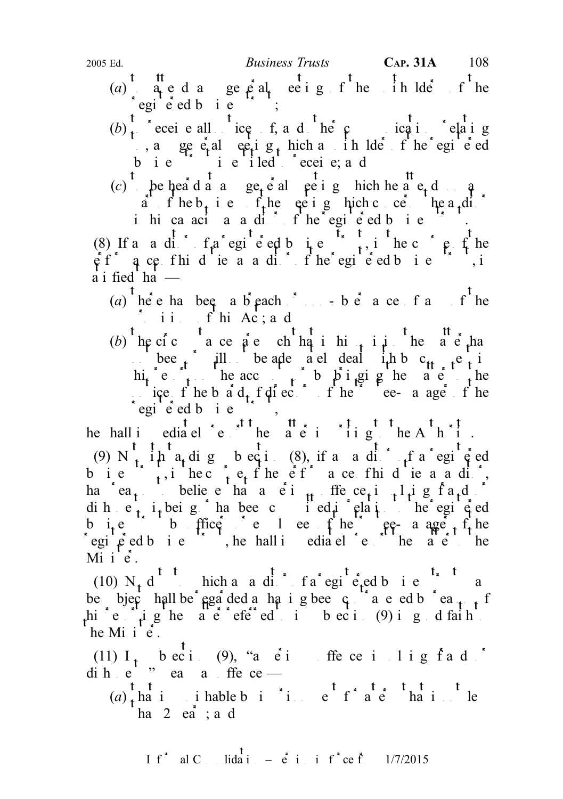- (a)  $\alpha$  ed a gep al ee ig f he in Ide f he regie ed bie ;
- $(b)$ <sup>t</sup> $_{t}$  eceive all  $_{t}$  tice f, and  $_{t}$  then  $_{t}$  ince ince the relating , a general equipped in the registered b i e  $\left( \begin{array}{ccc} 1 & e & 1 \\ 1 & e & 1 \end{array} \right)$  i led to receive; and
- (c) to be heard at an use to be ignore in the attends on any general method on any  $\int_a^b f(x) dx$  on any general method. a f he  $b_t$  i e f the equiper he meath concerns the auditor in hica acia a diffine egie ed bie fi.

(8) If a a did fa egi e ed b i e  $\frac{1}{1}$ , in the course of the  $\hat{\rho}$  f  $\hat{q}$  ce fhid ie a a dit fhe egi e ed business, is  $\ddot{a}$  i fied ha  $-$ 

- (a) here has been a breach  $\sum_{n=0}^{\infty}$  or non-observance of any of the  $\mathbf{f}$  ii.  $\mathbf{f}'$  hi Ac; and
- (b) he cic a ce a e ch ha i hit is beach has bee in ill be adequately dealt in by c<sub>tt</sub> e in hi<sub>t</sub> e the acc<sub>ount</sub> b  $\beta$  i gi g he a e the ice f he b  $\hat{a}$  d<sub>t</sub> f directors of the trustee- a age f he  $regi$  ed b i e  $\ldots$ ,

he hall investigated report the matter in writing the Authority. (9) N  $\frac{t}{t}$ ,  $\frac{t}{t}$   $\frac{t}{t}$  a<sub>t</sub> dig b eq i (8), if a a di<sup>t</sup><sub>1</sub> f a regi<sup>t</sup>  $\frac{t}{t}$  ed business, in the course of the efficience of his due as a dist, ha ea<sub>t</sub> believe ha a ei<sub>th</sub> ffe ce<sub>t</sub>i that g f a<sub>t</sub>d or dihet it beig has been committed in relation to the registed in relation to the registered in relation to the registered in relation to the register of  $e$  and  $h$  and  $e$  and  $h$  and  $e$  and  $h$  and  $e$  and  $h$  and  $e$  a business trustees the trustee-manager of the trustee-manager of the trustees of the trustee-manager of the trustees of the trustees of the trustees of the trustees of the trustees of the trustees of the trustees of the tr registered business trust, he hall immediately report to the matter to the matter to the matter to the matter to the matter to the matter to the matter to the matter to the matter to the matter to the matter to the matter Mi  $i \hat{e}$ .

(10)  $N_t d^t$  thich and  $d^t$  fagile  $f_{\text{red}}$  bie  $\frac{t_{\text{red}}}{s}$  the mass trust may be the mass of  $\frac{t_{\text{red}}}{s}$  the mass of  $\frac{t_{\text{red}}}{s}$  the mass of  $\frac{t_{\text{red}}}{s}$  the mass of  $\frac{t_{\text{red}}}{s}$  the mass of  $\frac{t_{\text{$ be bjec<sup>h</sup> hall be regarded as having been contravel by reason of reason of  $\frac{1}{2}$  f hic right are referred to bection (9) in good faith to in  $\mathbf{g}_1$  and faith to interval faith to the subsection of  $\mathbf{g}_2$  and faith to the subsection of  $\mathbf{g}_3$  and faith to the subsection of  $\mathbf{g}_4$  and  $\mathbf{g}_5$ he Mi $i \hat{e}$ .

(11)  $I_t$  bect. (9), "a eti free in lig fad" dihe'" ea a ffe ce —

 $(a)$  that is punishable by integrating that is not less that is not less that is not less that is not less that is not less that is not less that is not less that is not less that is not less that is not less that is not ha  $2$  ea ; a d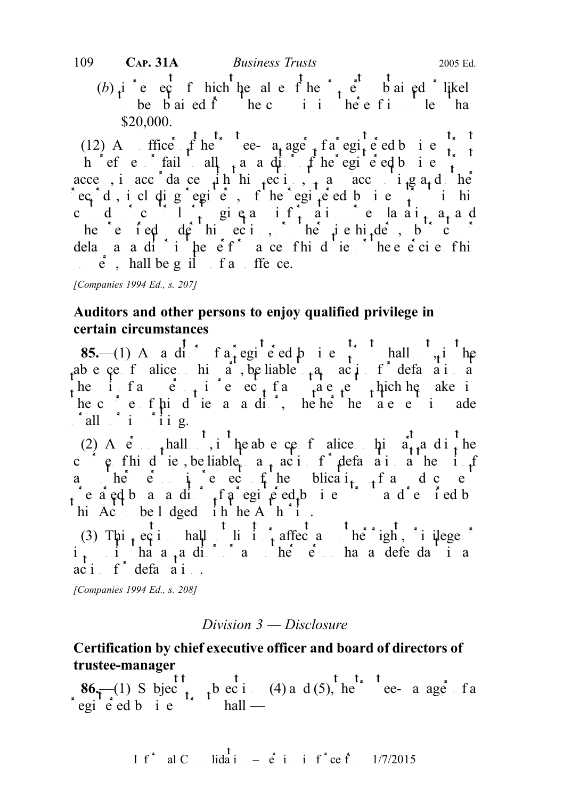(b)  $i$  e  $e^t$  f hich the ale f he  $i$   $e^t$  b ai ed likel be  $\vec{b}$  ai ed  $\vec{f}$  he c i i he e figure than \$20,000.

(12) A ffice f he ee- a age f a egi e ed b i e h efects fails all  $_{1}$  and  $_{2}$  and  $_{3}$  fine registered business trust acce, in accordance with the section, the accounting and other  $\text{vec} \cdot \text{d}$ , i cl dig  $\text{c}$  egic, f he  $\text{c}$  egic ed b i e  $\text{c}$  in his cudicial  $\frac{1}{t}$  giga if, ai ie la ai<sub>t</sub> a<sub>t</sub> a d he e fed de hieci, he ie hide, b c dela a a ditipe  $ef$  a ce fhid ie the e $\acute{e}$  ci e fhi  $\dot{e}$ , hall be g il f and offence.

## Auditors and other persons to enjoy qualified privilege in certain circumstances

85.—(1) An anditor of a registered business trust shall  $\lambda_i$  in the ab e ce f alice hi a, be liable  $a_1$  action for defamation the infance  $\frac{1}{2}$  in respect the matrix are equal to the make in respect of  $\frac{1}{2}$  in respect of  $\frac{1}{2}$  in respect of  $\frac{1}{2}$  in respect of  $\frac{1}{2}$  in respect of  $\frac{1}{2}$  in respect of  $\frac{1}{2}$  in respect he c eff his due a a different here are entirely adequated by  $\alpha$  and  $\alpha$  is a matter is a dependent in a definition of  $\alpha$  of  $\alpha$  of  $\alpha$  of  $\alpha$  of  $\alpha$  of  $\alpha$  of  $\alpha$  of  $\alpha$  of  $\alpha$  of  $\alpha$  of  $\alpha$  of  $\alpha$  of  $\alpha$  $\int$ all $\int$ i  $\int$ iig.

(2) A  $\acute{e}$  thall  $\acute{e}$ , it he absence of alice his  $\acute{a}^t_{\uparrow}$  and  $\acute{a}^t_{\uparrow}$  he c e fhidie, be liable  $a_{t}$  action for defamation he in formation for the suite of the suite of the suite of the suite of the suite of the suite of the suite of the suite of the suite of the suite of the suite of the sui and  $\alpha$  in  $\alpha$  in respectively the publication of any document of any document of any document of any document of any document of any document of any document of any document of any document of any document of any docum  $\int$ e a ed b an andi $\int$ , f a regine ed b i entity and rental by the and required by the analysis of each  $\int$ hi Act be lodged in he A<sup>th</sup>i.

(3) Thi<sub>st</sub> eq i hall limit affect and limit or beinght, in idege of i<sub>t</sub> i ha a<sub>t</sub>a ditor and he person has a defendant in any other person has a defendant in any other person has a defendant in any other person has a defendant in any other person has a defendant in any other person has a  $ac$  i  $f^*$  defamation.

[Companies 1994 Ed., s. 208]

#### Division 3 — Disclosure

## Certification by chief executive officer and board of directors of trustee-manager

 $86\frac{1}{\sqrt{1-x^2}}$  Subject to subsections (4) and (5), the trustee-manager of a  $\int$ egi $\int$ eed b i e  $\int$ s trust shall —

I f<sup>\*</sup> al C. lida<sup>t</sup> 
$$
=
$$
 e<sup>t</sup> i i f<sup>\*</sup> ce f. 1/7/2015

<sup>[</sup>Companies 1994 Ed., s. 207]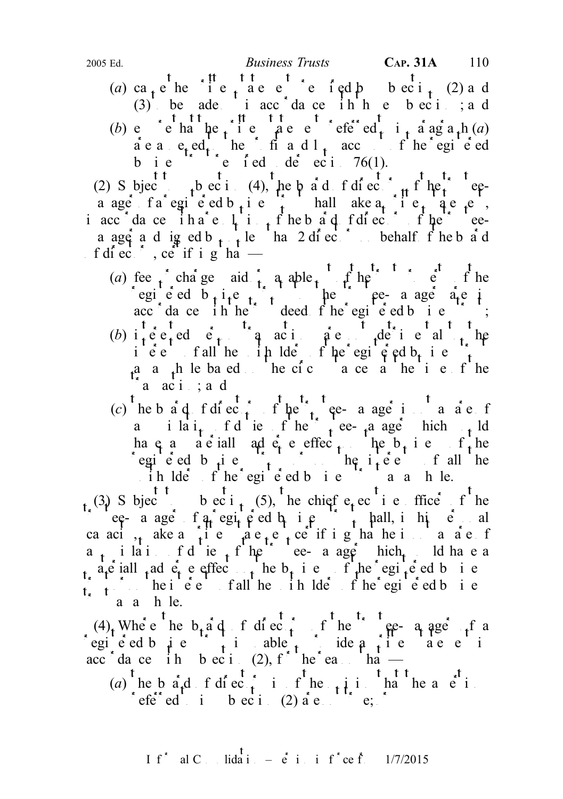(a) ca<sub>t</sub> e<sup>t</sup> he<sup>t</sup> i e<sub>t</sub> ae e<sup>t</sup> e i ed b<sub>ectit</sub> (2) and (3) be ade in accordance in here been jard (b) e en that the peer effect in a ag a h  $(a)$ are annexed to the profit and loss and count of the registered values are  $\int$  to the registered values of the registered values of the registered values of the registered values of the registered values of the register o business trusted de eci. 76(1).

(2) Subject to be cited, the board of directors of the trusteea age fa egie d b i e i hall ake  $a_i$  i e q e e, in accordance in a resolution of the board of directors of the trusteea ager a d ig ed b  $n \to 1$  le hand 2 directors on behalf f he b a d f di ec $\frac{1}{s}$ , ce<sup>rt</sup> if i g ha<sup>t</sup> —

- (a) fee  $\int$  charge aid  $\int$  a aple  $\int$   $\int$   $\int$  the trust property of the trust property of the trust property of the trust property of the trust property of the trust property of the trust property of the trust proper registed b<sub>t</sub>ite the trust to the trustee-manager are in acc dance in the deed fine registered business;
- (b) interested person transactions are not detrimental to the iec fall he in lde fine egiened business.  $a$  a  $b$  be based the circumstances at the time of the  $a$  aci; ad
- (c) the b a q f di ec  $\frac{t}{t}$  f the t<sub>r</sub><sup>t</sup> ee- a age is not a a e f a i  $\int_a^b i \, dt$  i e f  $\int_a^b i e^{ix}$  t e trustee-manager which would ha q a materially adverse effect on the business of the set of the set of the set of the set of the business of the set of the set of the set of the set of the set of the set of the set of the set of the set of the set of egie ed b  $\mu$  e  $\mu$  on the interests of all the  $\therefore$  ih lders fhe registered business trust as a hundred business trust as a hundred business trust as a multiple

(3) Subject to build bective of the chief executive of the executive of the subsection of the chief executive of the chief executive of the chief executive of the chief executive of the chief executive of the chief execut  $\int$  ee- a age f a egic ed b i e  $\int$  hall, i his personal capaci<sub>ty</sub> ake a field a e<sub>t</sub>e the integration statement capacity and a few fields of  $a_{t}$  ilatiful of duties of the trustee-manager which would have a a<sub>t</sub>e iall <sub>t</sub>ad  $\vec{e}_t$  e effec<sub>t</sub> he b<sub>u</sub> i e f<sub>t</sub>he egi<sup>t</sup>e ed b i e  $\sum_{i=1}^{\infty}$  the interests of all the unit of the registered business. a a h le.

 $(4)$ , Where the b<sub>r</sub>ad of directors of the trustee- a age of a registed business trust is under the able to provide a written statement in the statement in the statement in  $\int$  is under the statement in the statement in the statement in the statement in the statement in the statemen acc dance in bection (2), for the reason that  $-$ 

(a) he b  $a_1$ d f directors is of the  $\frac{1}{2}$  in the assertion referred to in subsection (2) are not true;  $\int$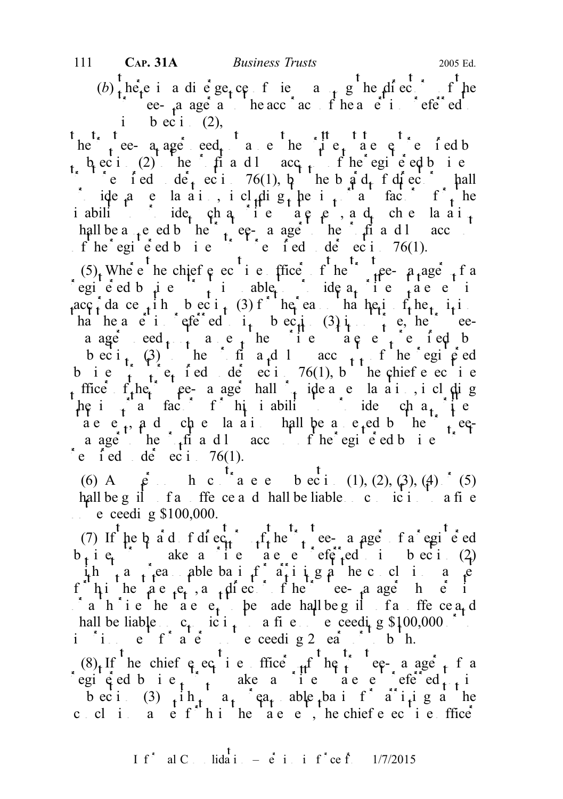(b)  $\frac{1}{t}$  here is a divergence of views a  $\frac{1}{t}$  g the directors of the ee-  $\alpha$  age a the acc<sup>r</sup> acturacy of the assertion referred i bec i.  $(2)$ ,

t t t ee-  $a_t$  age eed and the with the state in the statement required by  $s_1$  b, ec i (2) he fit and lacq<sub>uit</sub> fine egi e ed business trust realize required under section 76(1), but the board of directors shall ide a e la ai, i cl<sub>t</sub>dig<sub>t</sub> he i<sub>t</sub> a factors for the iability ide, cha ie ae e, a d, che la ai hall be a <sub>tr</sub>eed by the trustee-manager to the equal to the profit and loss accounts and loss accounts and loss accounts and loss accounts and loss accounts and loss accounts and loss accounts and loss accounts and loss f he egi e ed business trust required under section 76(1).

(5), Where the chief executive of the trustee-  $a_1$  age the trustee-manager of a registed business trust is unable to provide a written statement in the statement in the statement in the statement in the statement in the statement in the statement in the statement in the statement in the statement in  $\text{acc}_t$  dance  $\text{ch}_t$  the bection (3) for the reason that he is of the  $\text{ch}_t$  the  $\text{ch}_t$ ha he assertion referred to in subsection  $\begin{pmatrix} 3 & 1 \end{pmatrix}$  is not true, the trusteea age  $\text{eed}_{t-1}$  are the inerconducted by a statement required by bec i<sub>t</sub>  $(3)$  the fit a<sub>r</sub>d loss acc<sub>ount</sub> fine registered b i e  $\hat{t}$  required de eci 76(1), but he chief e eci e ffice  $f_t$ he e- a age hall provide a e la ai , i cluding  $\mu$ e important factors for his inability to provide such a vertice  $\alpha$  are  $\mathbf{e}_1$ ,  $\mathbf{a}_2$  d  $\mathbf{c}_3$  be an integral by the trusteea age<sup>t the</sup>  $\frac{1}{2}$ <sup>th</sup> and loss account of the registered business trusters trustered business trusters trusters trusters trusters trusters and account of the registers and account of the registers and account of the re i ed de eci  $76(1)$ .

(6) A  $\hat{e}$  h c a e beci (1), (2), (3), (4) (5) hall be guilt of an offence and shall be liable on conviction to a fine  $\therefore$  e ceeding \$100,000.

(7) If he b a d f di ec<sub>tr</sub>  $\int_{t}^{f}$  he  $\int_{t}^{f}$  ee- a age f a registered  $b_i$  i e<sub>t</sub> a ke a ite a e e efer<sub>t</sub>ed i beci(2) ith a reasonable basis for a riving a riving a riving a reasonable basis for a riving a reasonable conclusions as set f hin the are  $\epsilon_t$ , and  $\epsilon_t$  and the trustee-manager in permits in  $\alpha$  a h<sup>\*</sup> i e he act e<sub>t</sub> be ade hall be g il fan offence a<sub>t</sub> d hall be liable  $c_1$  ic i<sub>t</sub> a fine not exceeding \$100,000 or to in it a term of a term of a term not exceeding 2 ears or to both.

 $(8)$  If he chief executive office  $\theta$  the trustee-manager of a registed bis  $\begin{bmatrix} 1 & 1 \\ 1 & 1 \end{bmatrix}$  ake a intervalue of  $\begin{bmatrix} 1 & 1 \\ 1 & 1 \end{bmatrix}$ becti (3)  $\hat{i}$  th $\hat{i}$  a<sub>t</sub> ca<sub>t</sub> able basis for a riving a the coli a  $e$  fhihe as  $e$ , he chief  $e$  exitentice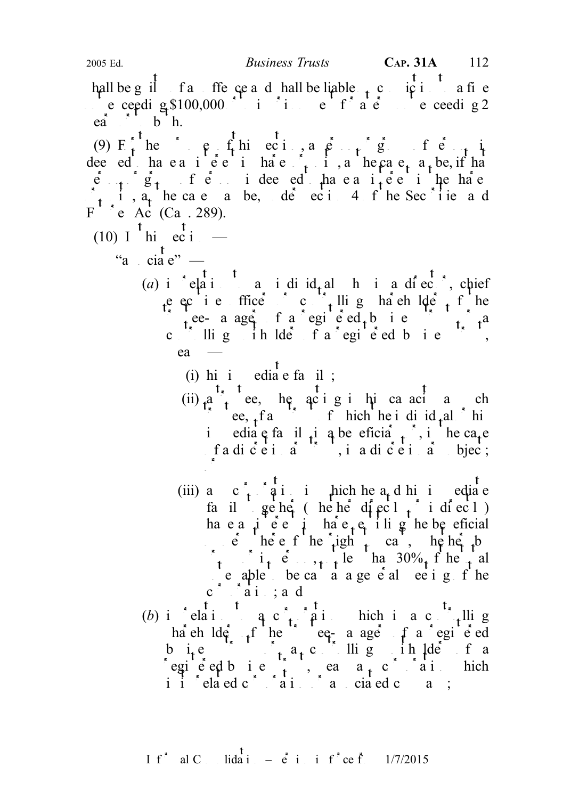hall be guilt of an offence and shall be liable  $\alpha$ , conviction to a fine not exceeding \$100,000 or to imprint for a term not exceeding 2  $ea^*$ ,  $b^*$  h.

(9)  $F_t$  here  $\rho$  fhiecia, a person of  $\rho$  finite dee ed have a interest interest in sale  $\int_{t_1}$  is a the case, a be, if has  $\mathbf{e}_{n+1}$   $\mathbf{g}_n$  is deemed to have an interest in the share  $\begin{bmatrix} 1 & 5 \\ 1 & 1 \end{bmatrix}$ ,  $\begin{bmatrix} 5 \\ 4 \end{bmatrix}$  he case a be, de ec i 4 f he Sec<sup>\*</sup> i ie a d  $F^{\prime}$  \* e  $Ac^{\prime}$  (Ca. 289).

- $(10)$  I  $^{\dagger}$  hi ec i  $-$ 
	- $\mathbf{t}$ "a cia $e$ " —
		- (a) in relation to an individual who is a director, chief e ecie ffice controlling ha eh  $\det_{t} f$  he trustee- a ager of a registered business to the  $\int_{t_1}^{t_2} t^2 dt$ c  $\frac{1}{x}$  llig in lder f a registed b i e  $ea$  —
			- (i) hi i edia e fa il;
			- (ii)  $t_{\epsilon}$  t, t ee, he acting in his canacity as such that  $\int_{t_{\epsilon}}^{t_{\epsilon}} t_{\epsilon} e^{i\theta}$ , here is distributed as such that  $ee, f a$   $\overrightarrow{f}$  f hich he i di  $id_f al$  his immediate family interesting interesting in the case fa dicei a<sup>n</sup>, i a dicei a bjec; or
			- (iii) and  $c \rightarrow a$  in incherent he and his immediate family together (whether directly or indirectly) ha e a  $\mu$  e e  $\mu$  ha e  $\epsilon$  ili g he beneficial  $\vec{e}$  here f he right cast, hence by  $\sum_{t}$  in person, the total in  $30\%$  f he total  $\epsilon$  able be cast a a general meeting of the  $c \stackrel{*}{\smash{\big)}\hspace{-.03in} \big)} \stackrel{*}{\smash{\big)}\hspace{-.03in} \big\downarrow}$  and
		- (b) in relation to a corporation to a controlling to a controlling  $\alpha$  controller is a controller value of  $\alpha$ ha eh  $\text{Id}e_{t}$  f he true eq- a age f a registered but is trust or a controlling unit and  $\int_{0}^{1} a_t c$ . It is a controlled in the a egieted bie  $\frac{1}{t}$ , eans a<sub>n</sub>corporation hich i i  $\int$  elated c  $\int$  associated company is related company;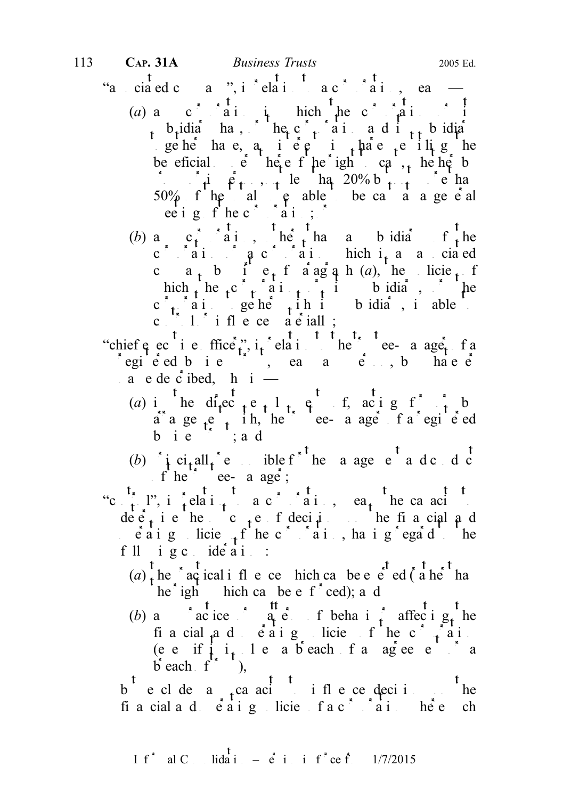- "a cia ed company", in  $\frac{1}{2}$  elaint to a corporation to capce  $\frac{1}{2}$  each  $\frac{1}{2}$ 
	- (a) any corporation in the corporation in  $\mathbf{a}$  in  $\mathbf{a}$  in  $\mathbf{a}$  in  $\mathbf{a}$  in  $\mathbf{a}$  in  $\mathbf{a}$  in  $\mathbf{a}$  in  $\mathbf{a}$  in  $\mathbf{a}$  in  $\mathbf{a}$  in  $\mathbf{a}$  in  $\mathbf{a}$  in  $\mathbf{a}$  in  $\mathbf{a}$  in  $\mathbf{a}$  in  $s_1$ b<sub>r</sub>idia<sup>r</sup>has, he<sub>r</sub>c<sup>o</sup><sub>ti</sub>on and i<sub>ts</sub> bidiary geher have, and interest in the sense in the share in shares in shares entitled the share in  $\frac{1}{2}$  in  $\frac{1}{2}$  in  $\frac{1}{2}$  in  $\frac{1}{2}$  in  $\frac{1}{2}$  in  $\frac{1}{2}$  in  $\frac{1}{2}$  in  $\frac{1}{2}$  in  $\frac{1}{2}$  in  $\frac{1}{2}$  i be eficial  $\epsilon$  het right cast, he het by  $\int$ i person, not les than 20% but not more than  $50\%$  f he total vetople to be cast at a general ee i g f he corporation;
	- (b) and c<sub>t</sub> corporation, other than a subsidiary of the corporation of  $a$  corporation which is a corporation  $a$  and  $b$ c  $a_t$ , b i  $e_t$ , f a ag a h (a), he licie<sub>t</sub> f hich the  $c \rightarrow a i$ , it is b idiary, or the  $c \rightarrow a i$  geher its subsidiary, is able c.  $\therefore$  1. influence a exially;
- "chief  $e$  ec i e ffice,",  $i_t$  elation to the trustee-manager of a registed bie in die aangelikheid basiness truste die versongen van die volgens aangeleerde van die versongen v  $a$  e de c ibed, h i —
	- (a) in the direct existent enterprise of the direct of by  $a^2$  a ge  $\frac{1}{t}$  a register in the trustee-manager of a registered b i  $e^{i\theta}$ ; a d
	- (b)  $\int \int \text{c}i_t \text{all}_t^* e$  ble f<sup>\*</sup> he a age e<sup>t</sup> a d c d c  $\int f h e^{t}$  ee- a age;
- "control", in relation to a corporation to each the capacity to a corporation to a corporation of  $\alpha$ determine the outcome of decisions on the financial and  $\int e^a a i g$  licie<sub>s t</sub> f he c<sup>\*</sup>  $\int a i$ , ha i g ega<sup>rd t</sup>he f ll  $i$  g c  $ide$  a i :
	- $(a)$ <sup>t</sup> the <sup>r</sup> actical ifle ce hich can be e e<sup>t</sup> ed ( $\frac{1}{a}$  the <sup>t</sup> hanno  $he^{\dagger}$  ighthchecan be enforced); and
	- (b) any practice or pattern of behaviour affecting the financial and operating policies of the corporation (ee if  $i_{1}$  le a breach fan agreement and  $\mathbf{b}$  each  $\mathbf{f}^{\prime\prime}$  ),

 $b^{\mathsf{T}}$  e cl de a<sub>t</sub>ca aci<sup>t</sup> i fle ce decisi<sup>t</sup>he financial and  $\vec{e}$  a corporation is a corporation of a corporation where  $\vec{e}$  corporation where  $\vec{e}$  and  $\vec{e}$  and  $\vec{e}$  and  $\vec{e}$  and  $\vec{e}$  and  $\vec{e}$  and  $\vec{e}$  and  $\vec{e}$  and  $\vec{e}$  and  $\vec{e}$  and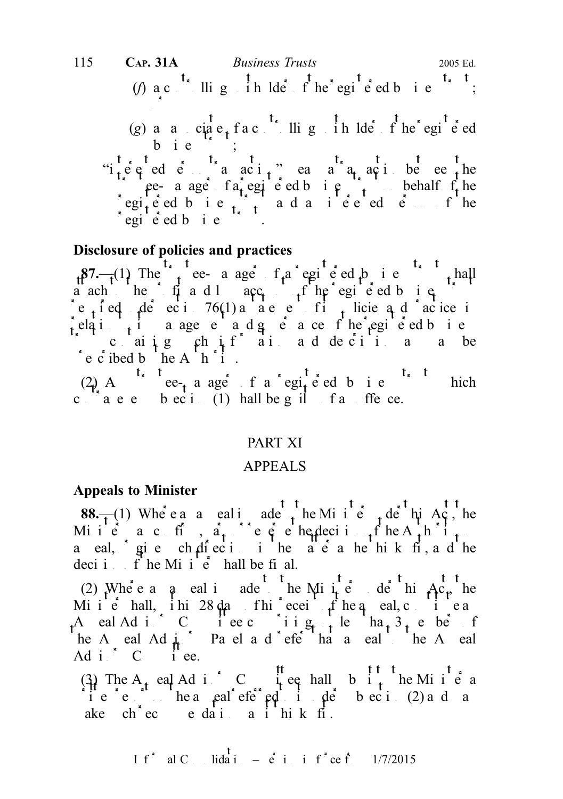(f) a c<sup>t<sub>x</sub></sup> llig <sup>t</sup> in lder f he registed b i e<sup>t<sub>x</sub> t</sup>; or (g) an anticipate of a controlling unit of the registered  $(g)$  and anticipate  $g$  and  $g$  and  $g$  in the register of  $g$ bie ; "i<sub>t</sub>ered elle transaction" means a transaction between the the register of a register of a registered business trust of the contract of the contract of the contract of the contract of the contract of the contract of the contract of the contract of the contract of the contract of  $regi_{\mathbf{r}}$ e ed bie  $\mathbf{r}$  and an intered end fine 115 CAP. 31A Business Trusts 2005 Ed.

regie ed bie fruste

## Disclosure of policies and practices

 $87 - (1)$  The trustee- a ager of a registered business trust shall a ach he fit and loss account of the registered business trust re<sub>t</sub>ied de eci<sup>76(1</sup>) a a e e fi<sub>t</sub> licie a d acice in relation to a agency and governance of the registed business  $\int$  cantig chif ai addecii a a be  $\partial$  e c ibed b he A h  $\partial$  i.

(2) A case-manager of a registered business trust which contravenes becide (1) hall be guilt fait free.

## PART XI

### APPEALS

#### Appeals to Minister

**88.**—(1) Where a a eal i ade the Minited to the Act, he Minie a c fi,  $a_t$  ce e hedecision of the Authority of the  $A$ a eal, gie ch dieci in the a e a he hik fi, a d he deci i f he Mi i  $\mathbf{\hat{e}}$  hall be final.

(2) Where a q eal i ade the Minite de hi  $Ac<sub>r</sub>$  he Minie hall, ihi 28 days fhis receipt he appeal, constitute and an early of the appeal, constitute and  $\frac{1}{2}$ A eal Adi. C i ee c i i  $g_{n+1}$  le ha<sub>t</sub>  $3_1$  e be f he A eal Ad  $\frac{1}{4}$  Pa el a d efe<sup>r that</sup> a eal to the A eal Ad i  $\bigcirc$  C i ee.

(3) The A<sub>p</sub> eal Ad i C i<sub>p</sub> eq hall b i<sub>p</sub> he Minister a it  $e^e$  referred report on the appeal referred to its under subsection (2) and may be contained by  $e^e$  in the  $e$  in the  $e$  in the  $e$  in the  $e$  in the  $e$  in the  $e$  in the  $e$  in the  $e$  in the  $e$  in the  $e$  in th ake chece e dai a i hik fi.

I f<sup>\*</sup> al C. Iida<sup>T</sup> 
$$
=
$$
 e<sup>T</sup> i i f<sup>\*</sup> ce f. 1/7/2015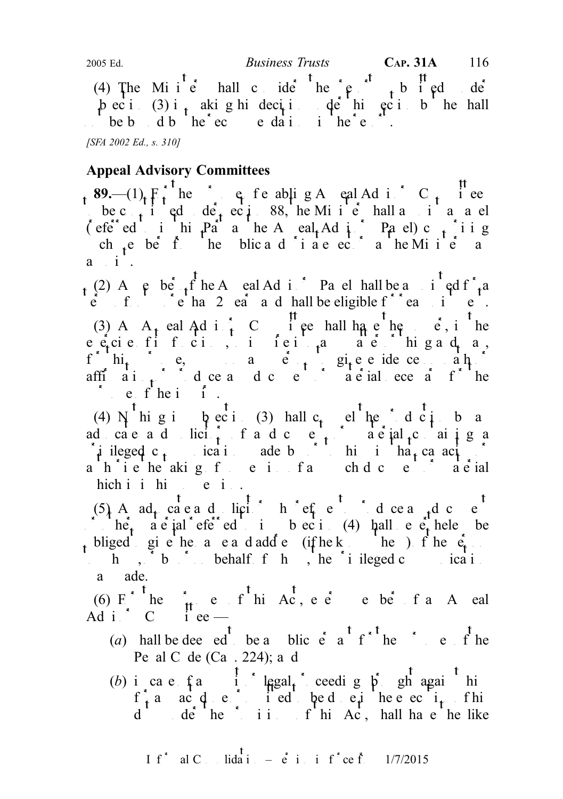(4) The Minie hall consider the report submitted under the Minister shall consider the report of  $\mathbf{r}$  and  $\mathbf{r}$  $\phi$  ec i (3) i<sub>t</sub> akig hidecii decihi ec i b he hall  $h = b$  db  $h = c$  edations in the report.

[SFA 2002 Ed., s. 310]

## Appeal Advisory Committees

89.— $(1)$  F<sub>t</sub> he capped the purpose of the purpose of the purpose of the purpose of  $C_{t}$  in equal Advisory C<sub>t</sub> in equal Advisory C<sub>t</sub> in equal Advisory C<sub>t</sub> in equal Advisory C<sub>t</sub> in equal Advisory C<sub>t</sub> in equal Advis be c<sub>ont</sub> i ed de<sub>t</sub> eci<sup>6</sup> 88, he Minister shall a panel ( $\text{efe}^*$  ed in this  $\text{pa}^*$  as the Appeal Ad is the Panel) c<sub>ompri</sub>sing ch  $ne$  be from the pulse and private sectors as the Minister may be seen the Minister may be seen that the pulse sectors as the Minister may be set of the Minister may be set of the Minister may be set of the may be set o  $a$  i.

 $\int_{t}^{2}$  (2) A e be  $\int_{t}^{f}$  he A eal Ad i Pa el hall be a i<sup>t</sup> ed f<sup>\*</sup><sub>t</sub>a  $\dot{e}$  f f  $\dot{e}$  ha 2  $e\dot{a}$  a d hall be eligible f<sup>\*\*</sup> ea i e . (3) A  $A_t$  eal Ad i  $\frac{t}{t}$  C  $\frac{t}{t}$  if ee hall have the power, it he  $e\in$   $\epsilon$  is functions, to interimple and  $\epsilon$  in galage  $f^{\wedge}$  hi<sub>t</sub> e, a e<sub>rt</sub> give eide ce at afficial  $\int_0^{\infty}$  document or produce any document of the material necessary for the material necessary for the  $\int_0^{\infty}$  document of the material necessary for the material necessary for the material necessary for t pure  $f$  he inquiry.

(4) N higi  $\beta$  eci(3) hall c<sub>t</sub> el he d ci b a ad cae a d licit f a d c et a department or a dial containing a  $\int$  ileged c<sub>t</sub> ica i ade by the integration matrix of  $\int$  $a^{\dagger}h^{\dagger}i$  e  $b^{\dagger}$  and  $c^{\dagger}h^{\dagger}i$  and  $c^{\dagger}h^{\dagger}i$  and  $c^{\dagger}h^{\dagger}i$  and  $c^{\dagger}h^{\dagger}i$  and  $c^{\dagger}h^{\dagger}i$  and  $c^{\dagger}h^{\dagger}i$  and  $c^{\dagger}h^{\dagger}i$  and  $c^{\dagger}h^{\dagger}i$  and  $c^{\dagger}h^{\dagger}i$  and  $c^{\dagger}h^{\$ hich i hi e i.

(5) An ad<sub>t</sub> cate and solicitor who refuses to produce and contract and contract who refuses to produce any document and contract and contract and contract and contract and contract and contract and contract and contract  $\int_a^{\pi} h e_t^{\pi} h e_t^{\pi} h e_t^{\pi} h e_t^{\pi} h e_t^{\pi} h e_t^{\pi} h e_t^{\pi} h e_t^{\pi} h e_t^{\pi} h e_t^{\pi} h e_t^{\pi} h e_t^{\pi} h e_t^{\pi} h e_t^{\pi} h e_t^{\pi} h e_t^{\pi} h e_t^{\pi} h e_t^{\pi} h e_t^{\pi} h e_t^{\pi} h e_t^{\pi} h e_t^{\pi} h e_t^{\pi} h e_t^{\pi} h e_t^{\pi} h e_t^{\pi} h e_t^{\pi} h e_t^{\pi} h e_t^{\pi} h e_t^{\pi} h e_t$ t bliged give he a e a d add e (if he knows the person f he  $e_t$ .  $h, b, b$  by order behalf  $f h, b$  he privileged communication a ade.

(6) F he  $\mu$  e f hi Ac, e e e be f an A pal Ad i  $\overrightarrow{C}$  i ee —

- (a) hall be deed to be a purpose  $\int_a^t e^{at} e^{at} dt$  for the purpose of the Penal C de  $(Ca \tcdot 224)$ ; and
- (b) in case of any suit of legal proceeding by suita again him  $f_{\tau}^{\dagger}a$  act decimalistical to be depicted to be executive in the execution of  $f_{\tau}$ dude the ii. fhi Ac, hall have the like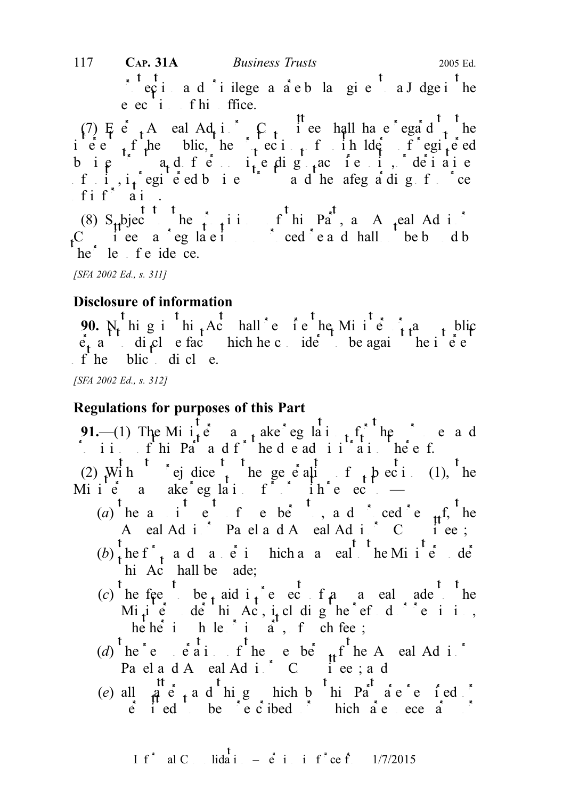protection and  $\phi$  in the area as a are by law given to a Judge in the e ec i fhi ffice. 117 **CAP. 31A** *Business Trusts* 2005 Ed.

(7) E e  $_A$  A eal Ad i C  $_B$  i ee hall have regard to the iest of the blic, he protection of unit unit  $\int f \cdot d\theta$  is the pulledral of registered bie  $a_t d_t f e_{t-1}$ ie dig <sub>t</sub>ac ie i, dei aie f i,  $i<sub>t</sub>$  registered business trusts and the safeguarding of sources fin $f^*$  and  $\alpha$ .

(8)  $S_{\mu}$ bject he provisions of this Part, and Advisory of the party of the Party and Advisory of the Party and Advisory of the party of the Party and Advisory of the Party and Advisory of the Party and Advisory of the  $C$  iee a eglacities cedead hall be bound by he<sup>\*</sup> le f e ide ce.

[SFA 2002 Ed., s. 311]

## Disclosure of information

90.  $N_t$ <sup>t</sup> hig i<sup>t</sup> hi<sub>t</sub> Act hall e f e<sup>t</sup> he Min<sup>t</sup> e t t<sup>a</sup> t blic  $\dot{e}_t$  a di<sub>f</sub>cles fact hich he considers to be against the interest of  $e_t$  $f'$  he blic di cl e.

[SFA 2002 Ed., s. 312]

### Regulations for purposes of this Part

91.—(1) The Minite  $\alpha$  and  $\alpha$  are regulations for the purpose and  $\therefore$  ii.  $f$  hi Part and  $f$  here denote the due administration thereof.

(2) With ej dice the generality of the pecinometric (1), the Minie a ake eglai for ihe ec

- (a) he a i e f e be, and cede f he A eal Adis Panel and A eal Adis C i ee;
- $(b)$  the f<sup>\*</sup><sub>t</sub> and and in the Minister under the Minister under under under the Minister under under the Minister under the Minister under the Minister under the Minister under the Minister under the Minister under the hi  $Ac$  hall be ade;
- (c) he fee be paid in respect of a nearly a called be the to the to the to the to the to the to the to the to the to the to the to the to the to the to the to the to the to the to the to the to the to the to the to the to Mi<sub>t</sub>ie de hi Ac, it digheef does in, he he in he in a in the chief chief chief chief chief chief chief chief chief chief chief chief chief chief chief chief chief chief chief chief chief chief chief chief chief chief chief chief chief chief chief chief chief
- (d) he'e eaisthe ebe  $_{\rm tf}$  the A eal Ad is Pael and Appeal Advisory Committees; and
- (e) all  $\hat{a}$  e  $\hat{c}$  and thing which by this Part are required or  $\vec{e}$  i ed be  $\vec{e}$  e  $\vec{c}$  ibed  $\vec{e}$  bich are necessary or  $\vec{e}$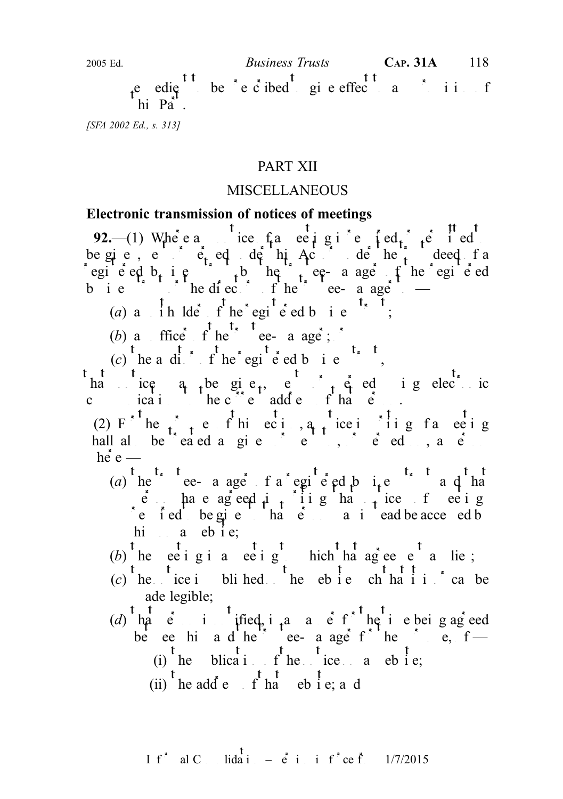2005 Ed.  $Business \ Trusts$  CAP. 31A 118

e edie be e cibed give effect and in f  $\dot{p}$  hi Pa<sup>r</sup><sup>1</sup>.

[SFA 2002 Ed., s. 313]

## PART XII

## MISCELLANEOUS

#### Electronic transmission of notices of meetings

92.—(1) Where any notice of a meeting is required to ideal or permitted or permitted or permitted or permitted or permitted to  $\frac{1}{2}$ be given, entirely depend of this Act or under the trust deed factor of a served of a registered b<sub>t</sub> is the trusteed by the trusteed tends to the registered equipment of the registered b i e trust trustee from the trustee-manager  $-$ 

(a) a  $\int$  ih lder f he registered business to the region of the region of the region of the region of the region of the region of the region of the region of the region of the region of the region of the region of the re

(b) a ffice  $f'$  he<sup>t</sup> tee- a age ;  $\cdot$ 

(c) the a dirt f he registered business.

ha ice  $a_{t}$  be give<sub>t</sub>, e  $a_{t}$  e ig electric communications to the current address of that  $\vec{e}$ .

(2) F he  $\int$  the f hi eci, a notice in its face in g hall also be treated as given to be treed only seen to be the sent to be the served of  $\mathbf{e}$ .  $he^{\ddagger}e$  —

(a) he e- a age f a egi e ed b i e a d ha  $\vec{e}$  have agreed in iting that notices of eetings refed be given that  $\vec{e}$  and each be accessed by instead be accessed by him  $a$  eb i e;

(b) the eeting is a meeting to the method agreement and i.e.;

- 
- $(c)$  the time is published the ebsite such that it is can be ade legible;
- (d) hat  $e$  is intigritied, in a manner of the time being agreed be ee him and he<sup>2</sup> ee ange f<sup>or</sup> hender the purpose,  $f -$ (i) he blication fine ice a ebsite;
	- (ii) the add e  $\int_{0}^{t} \frac{t}{h} dt$  eb i e; and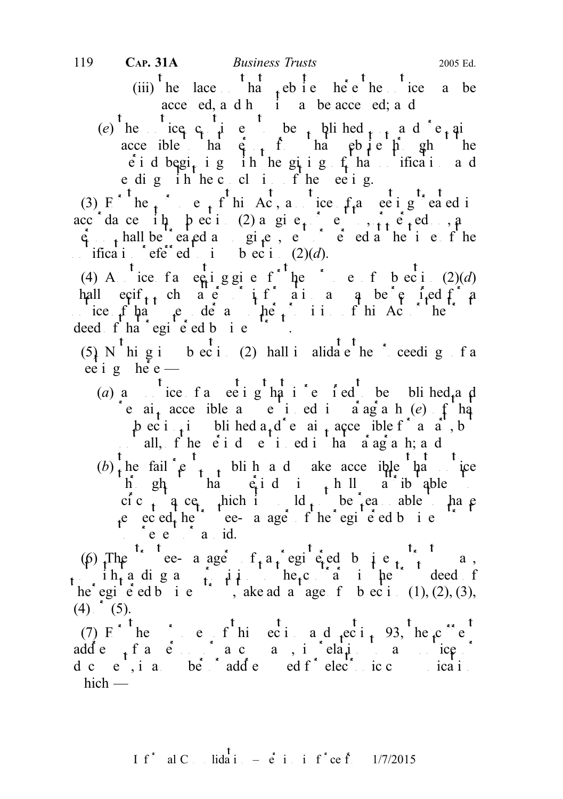(iii) he lace ha the needed behavior on the notice a behavior on the notice  $\alpha$  behavior the notice may be not the notice may be not the notice may be not the notice may be not the notice may be not the notice may be not acce ed, and him a be accent ed; and

(e) he ice c<sub>ontinu</sub>ive be published  $f_{t+1}$  and  $f_{t+1}$  is to be published on an analytical on and remains on and remains on and remains on and remains on and remains on an analytical method. acce ible that  $\hat{e}$ , fhat person from the person from the same through the same through the same through the same through the same through the same through the same through the same through the same through the same th e i d begi<sub>t</sub> i g i h he gi i g f ha ifica i a d e dig in hec cl i f he ee ig.

(3) F he purposes of this Act, a notice  $f_t$  a meeting treated in acc dance it pecides as given or set to see all  $a$  $\dot{q}$ , hall be eagd as given, entirely detailed at the time of the ifica i eferred i b ec i  $(2)(d)$ .

(4) A ice fa equiggie f he ef beci  $(2)(d)$ hall exif<sub>t t</sub> ch a e i i f ai a q be e i ed f a notice of that the type under any other provision of this Act or the trust of the trust of the trust or the trust or the trust or the trust or the trust or the trust or the trust or the trust or the trust or the trust or deed  $f'$  ha<sup>\*</sup> egi<sup>b</sup>  $\acute{e}$  ed b i e

(5) N<sup>t</sup> hi g i b ec i (2) hall i alidate the proceeding f a ee i g het  $e$  —

(a) a t ice f a ee i g ha is required to be blind and re  $ai_{+}$  acce ible a e i ed i a ag a h  $(e)$  f hat  $\beta$  ec i<sub>t</sub> i bli hed a<sub>t</sub> d<sup>\*</sup> e ai<sub>t</sub> acce ible f<sup>\*</sup> a a<sup>\*</sup>, b all,  $f'$  he  $\acute{e}$  i d  $\acute{e}$  i ed i ha  $\acute{a}$  ag a h; and  $(b)$  the fail  $e^t$  t blin and ake accessible that the throughout that period is wholly attributable to cic<sub>t</sub> a ce<sub>t</sub> thich it ld<sub>t</sub> be reasonable that e eced the ee- a age f he egi e ed b i e  $te e^{\lambda}$  avoid.

(6) The e- a age  $f_a a_i$  egi e ed b i e  $f_a$  a, intimum in the contrary in the contrary in the trust deed of he egi e ed b i e  $\therefore$ , ake advantage f b ec i (1), (2), (3),  $(4)$  (5).

(7) F he current this section and section 93, the current current  $(7)$  F he current section and section 93, the current current current current current current current current current current current current current curr adde<sub>t</sub> factor a company, in relation and to any notice of d c  $e^{t}$ , i a ber adde ed f<sup>\*</sup> elec<sup>t</sup>ronic c ica i.  $hich$  —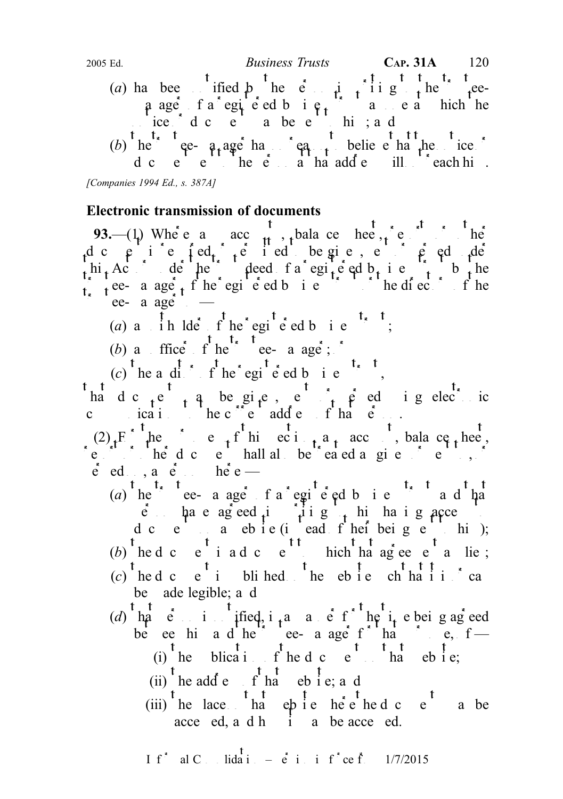(a) has been ified by the person in writing the trusteea age fa egiced bie, a e a hich he  $\frac{1}{\pi}$  ice  $\frac{1}{\pi}$  d c  $\frac{1}{\pi}$  a be e<sup>11</sup> hi ; a d (b) he trustee-manager has no reason to believe that the non-teger terms of  $\mathbf{e}$ d c e e he  $e$  a ha add e ill each him. 2005 Ed.  $Business \ Trusts$  CAP. 31A 120

[Companies 1994 Ed., s. 387A]

#### Electronic transmission of documents

93.—(1) Where an acc<sub>ut</sub>, balance heet, report of the d c  $\uprho$  i e  $\uparrow$  ed<sub>t</sub>  $\uparrow$  e i ed be given, e  $\uprho$   $\uprho$  ed  $\uprho$  de hi, Act de he deed fa egite ed b, i e trust b the  $\int_{0}^{1}$  tee- a age f the registered business trust or the directors of the  $\int$  ee- a age  $\frac{1}{\sqrt{2}}$ 

- (a) a  $\int$  ih lder  $f$  he registered business trusts trusts trusts trusts trusts trusts trusts trusts trusts trusts trusts trusts trusts trusts trusts trusts trusts trusts trusts trusts trusts trusts trusts trusts trusts
- (b) a ffice  $f$  the trustee- a age  $\frac{t}{t}$ ,  $\frac{t}{t}$  the trustee-managers of the trustee-
- 
- (c) the anditor of the registered business trust, the register of the register of the state of the state of the state of the state of the state of the state of the state of the state of the state of the state of the state

had c  $te^{i}$ , a be given, e  $t^{i}$ , e ed i g electric communications to the current address of that  $\vec{e}$ .

 $(2)$ <sub>t</sub> F<sub>c</sub><sup>1</sup> he c<sub>t</sub><sup>1</sup> hierci<sub>t</sub> a<sub>t</sub> acc<sub>ount</sub>, balance sheet, report of the document shall also be treated as given or sent to,  $\delta$  $\dot{e}$  ed., a  $\dot{e}$  here —

- (a)  $\int_{0}^{t} \text{he}^{-t} \cdot \text{de}^{-t}$  a ager of a registered business trust and that  $\hat{e}$  have agreed in  $\hat{h}$  is  $\hat{f}$  his having access to his having a  $\hat{f}$ d c e a ebie (i ead f hei beige hi);
- (b) the d c e<sup>t</sup> i a d c e<sup>t t</sup> hich that agreement a lie;
- (c) the d c e<sup>t</sup> i bli hed the eb i e ch ha i is cannot extend the website such that it is  $\int$  cannot cannot can be called the website such that it is  $\int$  cannot can be called the ch ha i is  $\int$  cannot cannot can be ca be ade legible; a d
- (d) hat  $e = i$  if independent in a manner of the i<sub>t</sub> e being agreed be ee him and he<sup>2</sup> ee anger for hand purpose,  $f -$ (i) the blication of the document of the document of the the state;
	-
	- (ii) the add e  $\int_{0}^{t} \frac{t}{h} dt$  eb i e; and
	- $(iii)$ <sup>t</sup> he lace  $\frac{t}{h}$  the e<sup>t</sup> a be acce ed, a d h  $\dot{1}$  a be acce ed.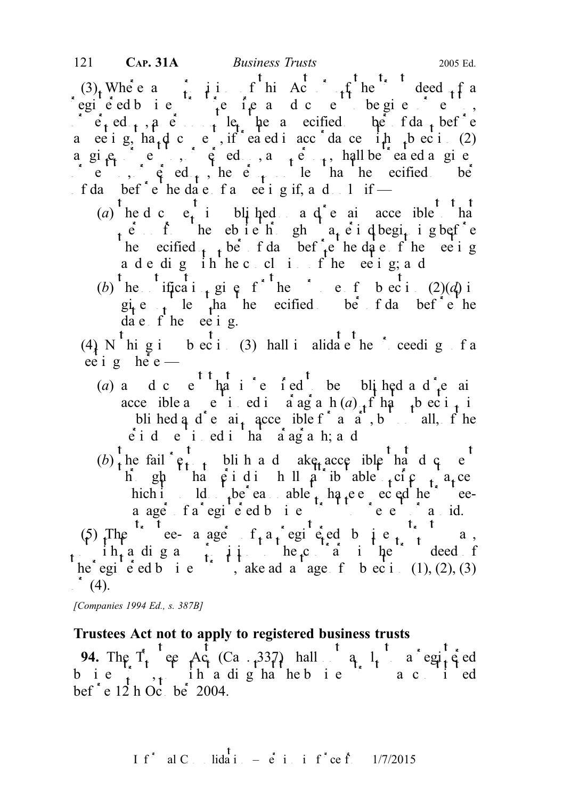$(3)$ , Where any provision of this Act of the trust deed of a regie ed bie  $\int_{t}^{1}$ e ie ad ce be gie e,  $\log_{10}$  e corrected before not less the a specified before the following number of  $\log_{10}$  and  $\log_{10}$  before a ee i g, ha<sub>t</sub> d c e , if ea ed i acc da ce i h t b ec i (2) a gi<sub>et</sub> e ,  $\phi$  ed , a<sub>r</sub>e, hall be eaed a given  $\circ$  e  $\circ$ ,  $\circ$  ed<sub>t</sub>, he e<sub>t</sub> less than the secified be f da bef<sup>\*</sup> e<sup>t</sup> he date f a eeting if, and only if —

- (a) the d c  $e_t$  i bli hed a d e ai acce ible that  $\hat{p}$  erf the ebsite the gh a period beginning before he ecified  $t$ , be f da bef<sup>2</sup>, the date f he et i g ade dig ih hecclifie eeig; ad
- (b) the  $\int_0^{\pi} t \frac{t}{\pi} dt$  if  $\int_0^{\pi} t e^{t} dt$  for the purpose of subsection (2)(d) is  $g_i e_i e_i$  le  $h_i$  ha the ecified be f da bef<sup> $i e^h$ </sup> the  $da e$  f he ee i g.

(4) N<sup>t</sup> hi g i b ec i (3) hall i alidate the proceeding f a ee i g he<sup>e</sup> e —

- (a) and c  $e^{t}$  that is replied to be pure and remain to be pure to be pure and remain to be pure and remain to be pure to be pure to be pure and remain to be pure to be pure to be pure to be pure to be pure to be pure t acce ible a e i ed i a ag a  $h(a)$  f ha t b ec i t bli hed a  $d^e$  a i<sub>t</sub> accessible f<sup>\*</sup> a  $a^e$ , but not all, f he  $\dot{e}$  i d e i ed i ha  $\dot{a}$  ag a h; a d
- $(b)$ <sup>t</sup> the fail<sup>\*</sup>  $e^t$ <sup>t</sup> the published ake accessible that d c e<sup>t</sup> h gh ha  $\hat{\rho}$  i di h ll  $\hat{\rho}$  ib able  $\hat{\rho}$  ci $\hat{\rho}$   $\hat{\rho}$  a<sub>t</sub>ce hich it ld be eas able  $_{t}$  have expected the trusteea age fa egie ed bie is die die die aud.

(5) The e- a age  $f_a a_i$  egi e ed b i e  $f_a$  a, in the contrary in the contrary in the contrary in the trust deed of he egi e ed b i e  $\cdots$ , ake advantage f b ec i (1), (2), (3)  $\cdot$  (4).

[Companies 1994 Ed., s. 387B]

#### Trustees Act not to apply to registered business trusts

94. The  $T_t$  ee Ac (Ca. 337) hall q  $1_t$  a egi<sub>t</sub> ed b i e  $\lambda$ , ih a digha hebie a cited bef<sup> $\epsilon$ </sup> e 12 h October 2004.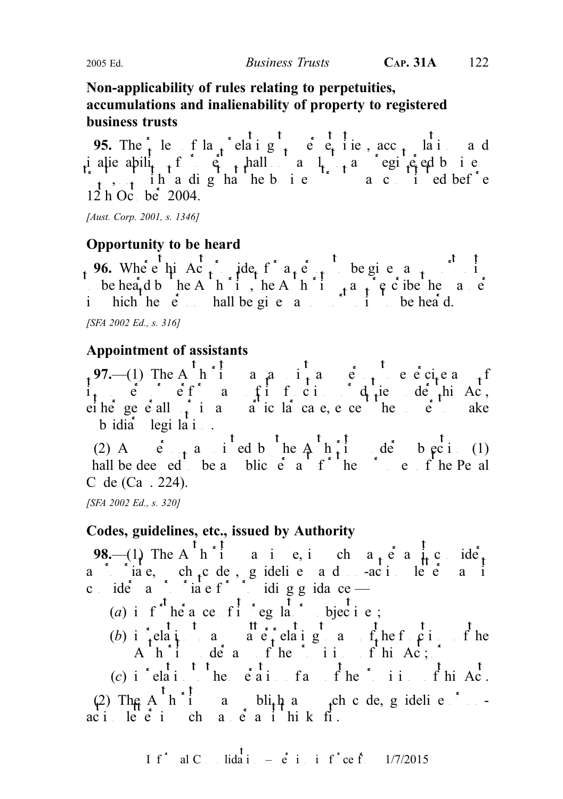## Non-applicability of rules relating to perpetuities, accumulations and inalienability of property to registered business trusts

95. The  $\frac{1}{t}$  le fla<sub>n</sub> relating to perpetuities, acc<sub>umulations and</sub> inalienability finally shall not any registered business trust, notwithstanding that the business trust was constituted before  $12 h$  October 2004.

[Aust. Corp. 2001, s. 1346]

## Opportunity to be heard

96. Where  $\mu$  Ac<sub>t</sub> ple<sub>f</sub> for a person to be given and person to be given and person to be given and person to be given and person to be given and person to be given an opportunity of  $\mu$ be heard by the Authority, the Authority may present the manner of the manner of  $A$ uthority may be the manner of the manner of the manner of the manner of the manner of the manner of the manner of the manner of the manne in hich he en hall be given and an opportunity to be heard.

[SFA 2002 Ed., s. 316]

## Appointment of assistants

97.—(1) The A<sup>r</sup>hia a<sub>n</sub>a i<sub>t</sub> ang person to exercise any person to exercise any person to exercise any of  $\frac{1}{2}$  $i_t$  e eff a fitci dutie dephiAc, eiher generally in any particular case, except the power ake  $\frac{1}{2}$  b idia<sup>t</sup> legi la i.

(2) A  $\vec{e}$  and  $\vec{e}$  and  $\vec{e}$  be Authority under subsection (1) hall be deed to be a public  $\acute{e}$  a purpose of the Penal C de  $(Ca \cdot 224)$ .

[SFA 2002 Ed., s. 320]

## Codes, guidelines, etc., issued by Authority

98.—(1) The A<sup>rk</sup>iaie, ich a<sub>t</sub>é a icidé<sub>t</sub> a is interested codes, guidelines and no-action letters as it consider a positive for providing guidance —

- (a) i f<sup>\*t</sup> he<sup>\*</sup> a ce f<sup>1</sup> \* eg la<sup>t</sup> \* bjecti e;
- (b) in relation to an expedience of the function of the function of the functions of the functions of the functions of the functions of the functions of the functions of the functions of the functions of the functions of A  $h$  i dear fhe ii, fhi $Ac$ ;  $h$

(c) i<sup>\*</sup> elati<sup>t</sup> the e<sup>t</sup><sub>ation</sub> fact.  $f$  he<sup>\*</sup> ii.  $f$  hi Ac.

(2) The Authority may publish any such code, guideline or no  $aci$  letter in  $ca$   $\ddot{e}$  as it hinks fit.

I f<sup>\*</sup> al C. Iida<sup>†</sup> 
$$
=
$$
 e<sup>\*</sup> i. i f<sup>\*</sup> ce f. 1/7/2015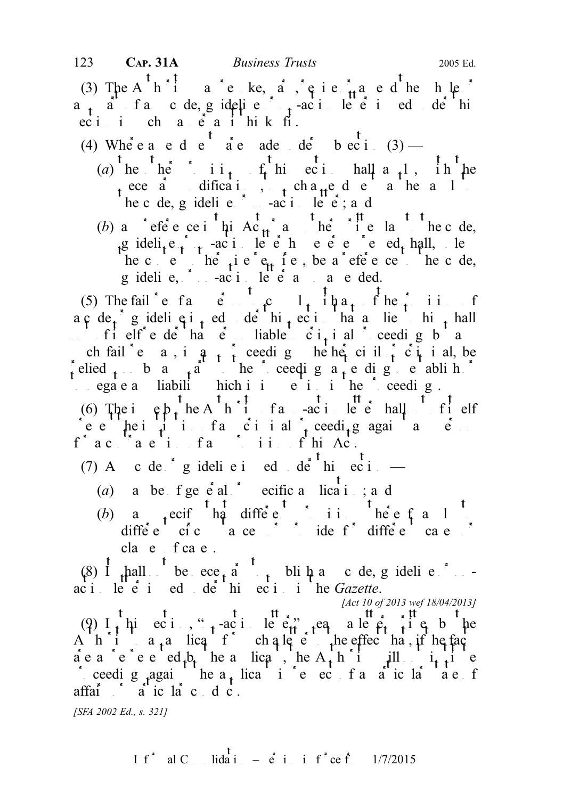(3) The A<sub>u</sub>hia  $\alpha$  revise,  $\alpha$ ,  $\beta$  is  $\alpha$  and hence or a mental the  $\alpha$  $a_{1}$  and  $f$  and  $g$  ideline or  $f$  action letter is under this under the  $f$  action letter is under the  $f$  $\text{eci}$  in characteristic manner as it thinks fire.

(4) Where a e d e<sup>t</sup> a e ade de b ec i (3) —

- (a) the  $\int_{0}^{t}$  he is integral step the other provisions of the section shall a  $\int_{t}^{t}$  he ece  $\vec{a}$  difications, to change define a health he c de, g idelie  $-\alpha$ i letter; a d
- (b) a ceference in this Ac<sub>t</sub> and the code, the code, guideli<sub>t</sub>e  $\int$  active expressed by noting expressed and the set of the set of the set of the set of the set of the set of the set of the set of the set of the set of the set of the set of the set of the set of the set o he context otherwise requires, be a reference to the code, guideline,  $ac_i$  action letter as so a so and ded.

(5) The fail e f and  $\mathfrak{e}$  and  $\mathfrak{e}$  and  $\mathfrak{e}$  and  $\mathfrak{e}$  and  $\mathfrak{e}$  and  $\mathfrak{e}$  and  $\mathfrak{e}$  and  $\mathfrak{e}$  and  $\mathfrak{e}$  and  $\mathfrak{e}$  and  $\mathfrak{e}$  and  $\mathfrak{e}$  and  $\mathfrak{e}$  and  $\mathfrak{e}$  and  $\mathfr$  $a \ncap \phi \nightharpoonup e_i$  gideli $e_i$  is definiting to the section that a lie is him shall not of itself render that  $\vec{e}$  is liable to  $\vec{e}$  i<sub>t</sub> i all proceeding but any criminal proceeding but any contract any contract of  $\vec{e}$  in  $\vec{e}$  is any contract of  $\vec{e}$  in  $\vec{e}$  is any contract of  $\vec{e}$ ch fail e  $a, i, a, j$  ceeding hether civil  $\hat{c}$  is alled relied to by a straight to the proceeding as the proceeding as the proceeding to earth or  $\int$ to ega e any liability hich is in the proceeding in the proceedings.

(6) The ightharpoon is the Authority of a non-action letter shall not of its elf reventhe institution of any criminal proceeding again and proceedings again and proceedings again and personal proceedings and personal proceedings and personal personal personal personal personal personal personal person  $f^{\wedge}$  a contravention of any provision of this Act.

(7) A c de  $ig$  ideli e i ed de this ec i —

- (a) a be  $f$  ge  $e$  al  $e$  ecific a lication; and
- (b) a specify that different provisions there is the equal to the equal to the equal to the equal to the equal to the equal to the equal to the equal to the equal to the equal to the equal to the equal to the equal to the different circumstances or provide for different cases of  $\alpha$ cla e f ca e .

(8) It shall not be necessary to publish any code, guideline or no  $ac_i$  letter is not der this section in the Gazette.

[Act 10 of 2013 wef 18/04/2013]

(9)  $I_t$  hi eci, "<sub>1</sub>-action letter" a letter a letter it es by the A h i  $a_1a$  licq f ch a letter the effect hat, if he fact are a represented by the applicant, the Authority institute and institute  $\hat{a}$  expected by the antiproceeding again the a<sub>t</sub> lication in respect of a particular state of a particular state of affai $\alpha$  ic large dict.

[SFA 2002 Ed., s. 321]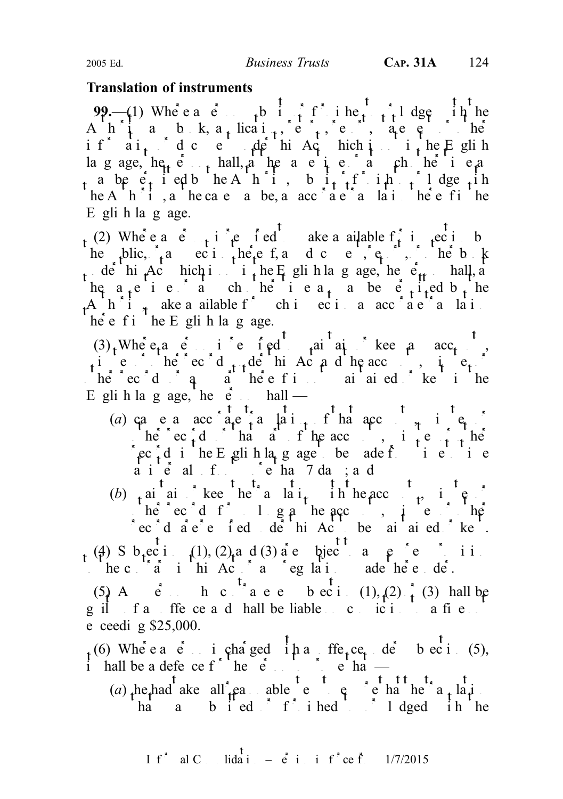#### Translation of instruments

99.—(1) Where  $a \cdot e$  to  $a \cdot f$  if its or  $f$  and  $f$  and  $f$  and  $f$  if the origin to or  $f$  and  $f$  is or  $f$  and  $f$  and  $f$  and  $f$  and  $f$  and  $f$  and  $f$  and  $f$  and  $f$  and  $f$  and  $f$  and  $f$  and  $f$  and  $f$  and  $f$ A  $h \downarrow a - b - k$ ,  $a_{+}$  lica $i_{+}$ , report, report, report, report, report, report, report, report, report, report, report, report, report, report, report, report, report, report, report, report, report, report, report, rep if  $ai_1$  dc e  $\mu$  hi Achich is integrithed under the English language,  $he_i$ ,  $e_{i+1}$ , hall, a the and same time or at such or at such other time as a be  $e_t$  i ed b he A h i, b i<sub>t t</sub>f ih to lodge the  $h \circ h \circ i$ , a he case may be, an acchael and interest in the entirely  $E$  gli h la g age.

(2) Where a  $e_{n+1}$  is required to a match inspection by  $e_n$  in the match of  $f_n$  in the match by  $e_n$ he puis, and section there for any document, report, the book under this Act model is not in the English language, the  $e_{tt}$  shall, at the person shall, at the person shall, at the person shall, at the person shall, at the person shall, at the person shall, at the person shall, at he a<sub>t</sub> e i e a ch he i e a<sub>t</sub> a be  $e^{i}$  i<sub>t</sub>ed b<sub>t</sub> he A  $h^2$  i<sub>x</sub> ake a ailable f<sup>or</sup> chiecia acc<sup>o</sup> a e<sup>x</sup> a la i  $h\dot{e}$  e f i he E gli h language.

 $(3)$ . Where a counts is required to maintain or keep and  $\operatorname{acc}_t$ ,  $\mu$ ies herecord $\mu$  records under the Act and the accounts,  $\mu$  is  $e_{\mu}$ . here records or any part of any part of the records of the interest in the maintained of kept in the Egli h language, the  $\dot{e}$  h shall —

- (a) ca e a acc<sup>ounts</sup>  $\frac{t}{a}$   $\frac{t}{a}$   $\frac{t}{a}$  **h**  $\frac{t}{a}$  **h**  $\frac{t}{a}$  **c**  $\frac{t}{a}$  **i**  $\frac{t}{a}$  **i** here  $\int$  records or that all findependent or other records or other that  $\ln \frac{1}{2}$  $\text{rec}^{\wedge}_t$ d i he Eglish la<sub>n</sub>g age be ade from time to time a intervals of the more than 7 days; and
- (b) and aintain or here a lating the heace the translation with the second with the second with the second with the second with the second with the second with the second with the second with the second with the second wi herecord for  $\log a$  hence, i.e.  $\log a$ rec d a e e f ed de hi Act be maintained kept.

 $_{t}$  (4) S b<sub>t</sub>ecti (1), (2) and (3) are subject to any expression in the c $a$  in this Act or any regulation and thereunder.

(5) A e<sup>t</sup> h c <sup>t</sup> a e e b ec i (1), (2)  $\frac{1}{t}$  (3) hall be guilt for the ce and shall be liable on conviction to a fine  $\alpha$ e ceedig  $$25,000$ .

(6) Where  $a \dot{e}$  is charged in an offence under subsection (5), i hall be a defence for the person to prove that  $\frac{1}{2}$ 

(a) he had ake all  $_{\rm t}$ easonable steps to ensure that the translation  $\int$ ha  $a$  b i ed f i hed i lodged in he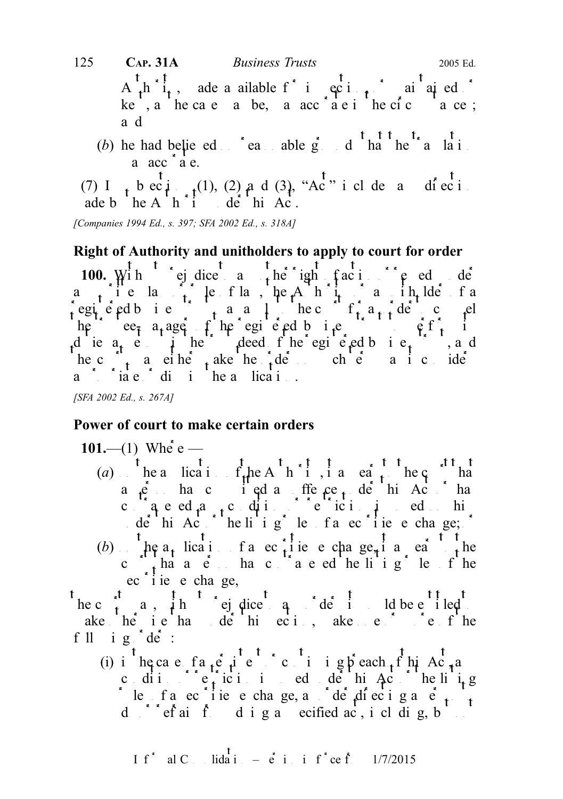A  $\hat{h}$  i<sub>t</sub>, ade a ailable for inspecting, or maintained or ke, a he cae a be, a  $acc$  ae i he cic ace; a d (b) he had believed  $\sum_{n=1}^{\infty}$  reasonable grounds that the translation  $a \tacc$   $\alpha$   $\alpha$ . (7) I<sub>t</sub> b ec<sub>t</sub>i<sub>nst</sub>(1), (2) and (3), "Ac<sup>t</sup>" i cl de and direction ade b  $heA'h''i$  de hi Ac. 125 **CAP. 31A** Business Trusts 2005 Ed.

[Companies 1994 Ed., s. 397; SFA 2002 Ed., s. 318A]

#### Right of Authority and unitholders to apply to court for order

100. With ej dice a the ight faction of e ed de a<sub>n</sub> icla<sub>it</sub> lefta, he Anit of a influentia registered business to the court for a set of  $f_i$  and  $f_j$  denotes the court for an order to compute the computation of  $f_i$  and  $f_j$  denotes the contribution of  $f_j$  and  $f_j$  denotes the contribution of  $f_j$  and  $f_j$  de he e $\epsilon_{\bar{i}}$  a<sub>t</sub> age f he egi e ed b i.e i due  $a_t$  e in the deed f he egi e ed business trust and he c $\int_{t}^{t}$  a either make the order on such terms as it considers as it considers as it considers as it considers a in consider  $t$  $\frac{1}{2}$  and  $\frac{1}{2}$  dispitutions the application.

[SFA 2002 Ed., s. 267A]

#### Power of court to make certain orders

101.—(1) Where — (a) he a lication of the Authority, it a case to the count of the court to the court that  $f_n$  the court that  $f_n$  is a court to the court of the court that  $f_n$  is a court of the court of the court of the court of the co a  $\beta$  has computed an offence, defining the  $\alpha$  has the union of the union of the union of the union of the union of the union of the union of the union of the union of the union of the union of the union of the union o contravel ed  $a_{1}$ , condition of restriction in reducibility under this Act or the listing rules of a securities of a securities of a securities of a securities of a securities of  $\alpha$  securities of a securities of a securities of a securities of a securities of a securities of a s (b)  $\mu$  a<sub>t</sub> licatif a ec<sub>t</sub>ile e chage<sub>r</sub> i a eating court that a person has contraveled the ling of the linguistic rules of the linguistic rules of the linguistic rules of the linguistic rules of the linguistic rules of the linguistic rules of the linguistic rules of the l  $\text{ec}$  i ie  $\text{e}$  cha ge,

he c $\int_a^{\pi}$  a, ih ej dice q de i ld be entitled ake he ie hande hinder than ake entire fine fllig de:

(i) in the case fa<sub>t</sub>eric continuing breach of this Ac<sub>t</sub>, and condition or restriction in educed the  $\det A$ condition in  $\det A$ rules of a echieve change, and del direction and  $\frac{1}{t}$ d  $s^*$  ef ainfronting a specified act, including, b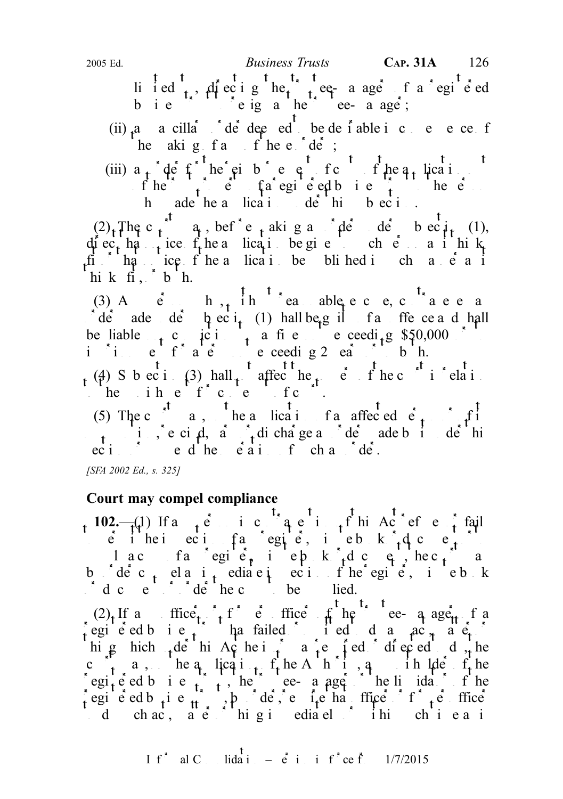li i ed t, diecig het tee-a age f a egie ed bie ciga het ee-aage;

(ii)  $a$  a cilla<sup>\*</sup>  $d$ <sup>\*</sup> de<sup>\*</sup> deemed to be desirable in consequence of  $h$  he aking  $f$  and  $f$  here  $f$  def;

(iii)  $a_{t}$  def he ci b e c fc fhe  $a_{t}$  lication  $f$  he trust property of a registered business to the person of the person of  $f$  and  $p$  is the personnel business to the personnel business to the personnel business to the personnel business to the personnel business t h ade he a lication de hi b ec i...

 $(2)$ <sub>t</sub> The c<sub>t</sub><sup>t</sup></sup> q, bef<sup>\*</sup>e<sub>t</sub> aking an  $\phi$ <sup>t</sup> der subsect<sub>it</sub> (1), diec<sub>t</sub> ha<sub>t n</sub>ice f<sub>t</sub> he a lication be give to such equal it hinks fit  $h$   $a$  ice fine a lication be blined in channer as it hik $\operatorname{fi}$ ,  $\circ$  b  $\operatorname{h}$ .

(3) Angleric h<sub>1</sub>, ihn candle excuse and contravenes and contravenes and contravenes and contravenes and contravenes and contravenes and contravenes and contravenes and contravenes and contravenes and contraveness and con  $\det$  ade de  $\phi$  bec i<sub>t</sub> (1) hall be guilt and find the ce and shall be liable  $\epsilon_1$  conviction to a fine notice exceeding \$50,000 or to in it a term of a term of a term not exceeding 2 ears or to both. (4) S b ec i (3) hall affect he point in relation (4) S b ec i (3) hall affect the powers of the court in relation

the ih  $e^{\int f(x) dx}$  contempt of contempt of contempt of court.

(5) The c<sup>ourt</sup> a, he a lication f a affected  $\vec{e}_t$  of its  $\mathbf{a}$  motion, rescind,  $\mathbf{a}$  and  $\mathbf{a}$  discharge and order made by it under this unit under the this section of the this section of the this section of the this section of the this section of the this section of  $\int_{0}^{t} e^{rt} dt$  or  $\int_{0}^{t} e^{rt} dt$  or  $\int_{0}^{t} e^{rt} dt$  or  $\int_{0}^{t} e^{rt} dt$  or  $\int_{0}^{t} e^{rt} dt$  or  $\int_{0}^{t} e^{rt} dt$  or  $\int_{0}^{t} e^{rt} dt$  or  $\int_{0}^{t} e^{rt} dt$  or  $\int_{0}^{t} e^{rt} dt$  or  $\int_{0}^{t} e^{rt} dt$  or  $\int_{0}^{t} e^{rt} dt$  or  $\int_{0}^{t} e^{rt$ 

[SFA 2002 Ed., s. 325]

## Court may compel compliance

102.— $(\downarrow)$  If any person in contravel in contravel of the contravel of the fails  $\epsilon$  inei ecitia and  $\epsilon$  inspection of any register, minute book or  $\epsilon$ a copy of a copy of any register, i.e. p. k., document, hecourt may be a contracted may be a contracted may be a contracted may be a contracted may be a contracted may be a contracted may be a contracted may be a contract b dec<sub>t</sub> elai<sub>t</sub> ediae in ecifie egie, i ebk doe document or defined to be supplied.

 $(2)$ , If a ffice,  $\int_{t}^{t} f \cdot e$  ffice fine the trustee-manager factor of a registered business trust has failed to independent and act, and  $\epsilon$ , matter or other or other or other or other or other or other or other or other or other or other or other or other or other or other or other or other high hich  $\frac{1}{4}$ der hich  $\frac{1}{4}$  he is or expected to do the interval to do the domestic to do the domestic to do the domestic domestic domestic domestic domestic domestic domestic domestic domestic domestic domestic c  $\alpha$  a, he a lication of the Authority, and in the  $f_t$  he egi<sub>t</sub>ered business trustee-manager or the line of the trustee-manager of the line of the trustees of the line of the trustees of the line of the line of the line of the line of the line of the line of the line of the lin egie ed b i e  $\frac{1}{2}$ , b de, e i e ha ffice f  $\frac{1}{2}$  ffice d chac,  $a e^{rt}$  higi ediately in ch<sup>1</sup> ea i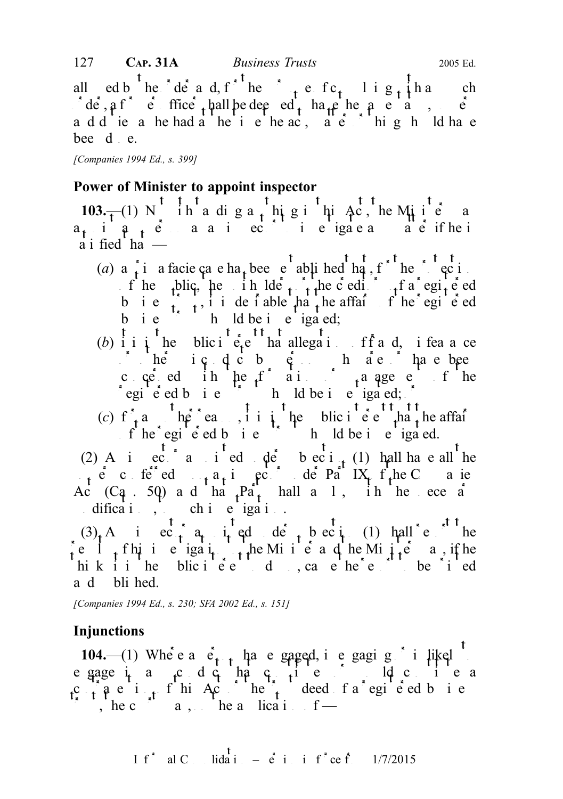all ed b<sup>t</sup> he de a d, f<sup>\*t</sup> he \* t e f c<sub>t</sub> l i g t h and such  $\int d\vec{e}$ ,  $\hat{a}$  f<sup>\*</sup>  $\vec{e}$  ffice the hall be deemed to have the same status, powers a d d ie a he had a he ti e he ac, a e thing h ld have bee d e.

[Companies 1994 Ed., s. 399]

## Power of Minister to appoint inspector

103. $\frac{1}{100}$  N ih a diga<sub>t</sub> higi hi Ac, he Miie a  $a_{t}$  in  $a_{t}$  expectively as an inspector to inspect and if he is  $\overline{a}$  i fied ha  $\overline{a}$ 

- (a) a i a facie ca e ha<sub>t</sub> been enablished that, for the protection f he pulic, he in  $\det_{t} f$  the c editors of a registered b i e  $\begin{pmatrix} 1 & 1 \\ 1 & 1 \end{pmatrix}$  desirable that the affairs of the registered b i  $e$   $h$  ld be i  $e$  iga ed;
- (b) i i i he blic i  $e_t e$  ha allegations of fract d, i fead ce  $\int h \cdot \text{d} \cdot \text{d} \cdot \text{d} \cdot \text{d} \cdot \text{d} \cdot \text{d} \cdot \text{d} \cdot \text{d} \cdot \text{d} \cdot \text{d} \cdot \text{d} \cdot \text{d} \cdot \text{d} \cdot \text{d} \cdot \text{d} \cdot \text{d} \cdot \text{d} \cdot \text{d} \cdot \text{d} \cdot \text{d} \cdot \text{d} \cdot \text{d} \cdot \text{d} \cdot \text{d} \cdot \text{d} \cdot \text{d} \cdot \text{d} \cdot \text{d} \cdot \text{d} \cdot \text{d} \cdot \text{d}$ concerned in the formation of the set of the egie ed bie hold be investigated; or
- (c)  $f_{\tau}$  and  $h \rho$  reason, it is interest that the affairs the extra the affairs that the public interest interest that the affairs of  $\Gamma$  $f$  he registered business trust should be investigated.

(2) A increase and instead under subsection (1) hall have all the  $p \rightarrow e^+e^-$  conferred upon an inspector under Part IX of the Companies Ac  $(C_4$ . 50) and that  $Pa_t$  hall and in the necessary modifications, the such investigation.

 $(3)$  And in equal inspector approximate the subsection (1) shall report the re  $\int_{A}$  this investigation to the Minister and the Minister may if he hik it in the blic interest to do so, cause the  $e$  report to be printed a d bli hed.

[Companies 1994 Ed., s. 230; SFA 2002 Ed., s. 151]

# Injunctions

104.—(1) Where  $a \phi_{t-t}$  has engaged, is engaging  $\phi$  in likely to  $\cos \theta$  is a sense in  $\sin \theta$  is the sense in  $\sin \theta$ egage in any conduct that constitute the same of the constitute and constitute a c the trust of this Act or the trust deed fa registed business. , he c<sup>ourt</sup> a, he a lication  $f -$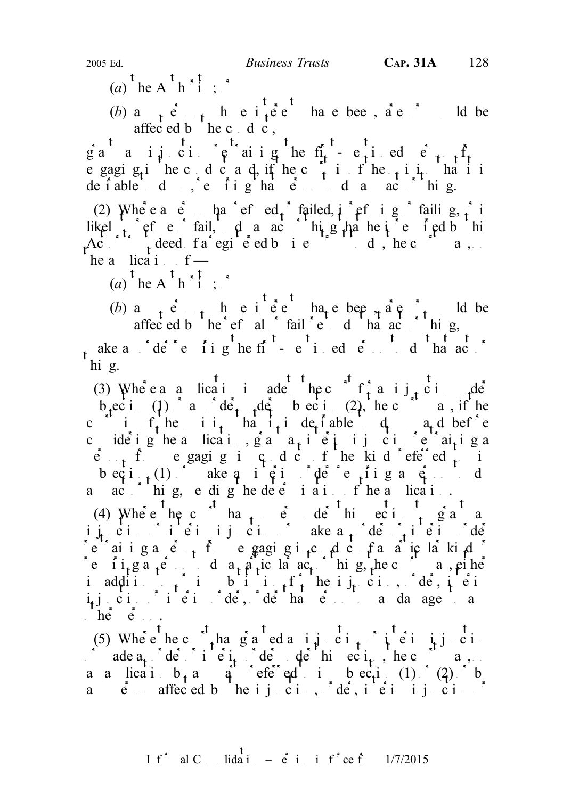- (a) the A<sup>t</sup> h<sup>\*</sup>1;<sup>\*</sup>
- (b) a<sub>nt</sub>ert he i<sub>t</sub>ee have bee, are delected been, and been are or would be affected b he c d c,

ga a ijci  $\varphi$  aigher first-mention  $\varphi$  restraining the first-mentioned person from from  $\varphi$ e gaging interested cand, if the court is of the count in the count is of the opinion that it is of the opinion that it is on that it is on the count of the count of the count of the count of the count of the count of the defable do effighate da act hig.

(2) Where  $a \cdot e$  has refused  $f$  failed,  $i \cdot e$  failing,  $i \cdot i$ likel  $\int_{t_1}^{t_2}$  or frail,  $\int_{t_2}^{t_1}$  and  $\int_{t_1}^{t_2}$  he is required by the integration of the integration of the integration of the integration of the integration of the integration of the integration of the i  $A_c^{\text{L}}$ ,  $A_c^{\text{L}}$ ,  $A_c^{\text{L}}$  deed  $A_c^{\text{L}}$  registered business trust to do, the court may, on  $he$  a lication  $f$  —

 $(a)$ <sup>t</sup> he A<sup>t</sup> h<sup>\*</sup>i<sup>t</sup>;  $\cdot$ <sup>\*</sup>

(b) any person whose interests have been,  $a \neq a$ , it is have been whose interests in the beam of  $a \neq b$ .

affec ed b  $he^+e^+$  al  $\frac{1}{2}$  fail  $\frac{1}{2}e^+$  d  $\frac{1}{2}$  that act or thing, t ake a  $\int d\vec{e}^{\cdot \vec{e}} e$  is do that act or do that act or do that act or do that act or do that act or do that act or do that act or do that act or do that act or do that act or do that act or do that act or do that ac hi g.

(3) Where a a lication is ade the c<sup>ourt</sup> f<sub>t</sub> and  $\frac{t}{t}$  in the under b<sub>r</sub>ection (1) and order reder to be existent c2), the court may if the c if the it hat it defiable d and before condeighed lication, grant and injunction  $e^a$  and  $i$  grant and  $f$  $\hat{p}$  f egaging in conduct of the kind referred to in becti<sub>t</sub>(1) ake an interimportant  $\phi$  or  $\phi$  and  $\phi$  and  $\phi$  and to do and act or thing, ending the determination of the antication of the application of the application of the application.

(4) Where  $\left( \begin{matrix} a & b \\ c & d \end{matrix} \right)$  and  $\left( \begin{matrix} a & b \\ c & d \end{matrix} \right)$  and  $\left( \begin{matrix} a & b \\ c & d \end{matrix} \right)$  and  $\left( \begin{matrix} a & b \\ c & d \end{matrix} \right)$  and  $\left( \begin{matrix} a & b \\ c & d \end{matrix} \right)$  and  $\left( \begin{matrix} a & b \\ d & d \end{matrix} \right)$  and  $\left( \begin{matrix} a & b \\ d & d \end{matrix} \right)$  and injunction or interiming or interimeter  $\alpha_{t}$  denotes  $\alpha_{t}$  interim order or interimeter or interim order or interim order or interim order or interimeter  $\alpha_{t}$ restraining a  $e_{n+1}$  from engaging i<sub>nf</sub>ormation frame in a single straining or a particular kind of a particular kind of a particular kind of a particular kind of a particular conduct of a particular conduct of a parti re i i<sub>t</sub> g a <sub>t</sub>e do a particular act or thing, the court may either in addition to interiment for the injunction,  $d\hat{e}$ , interiment interimental for the interimental substitution of the interimental substitution of the interimental substitution of the interior substitution of the inter i<sub>t</sub>junction interim order, de hat elle that a damages to any  $he^e$  e  $\ldots$ 

(5) Where the court has granted and injunction or interior interior or interior interior or interior  $(5)$  Where  $\alpha$  is the court of  $\alpha$  in  $\alpha$  is the court of  $\alpha$  is the court of  $\alpha$  is the court of  $\alpha$  is the cour  $\log a_n$  der interimide der this section, the court may a a lication b<sub>t</sub> any particle ed in subsection (1)  $(2)$  by any endomorphic person affected by the injunction,  $\det A$  interiming  $\det B$  in  $\det B$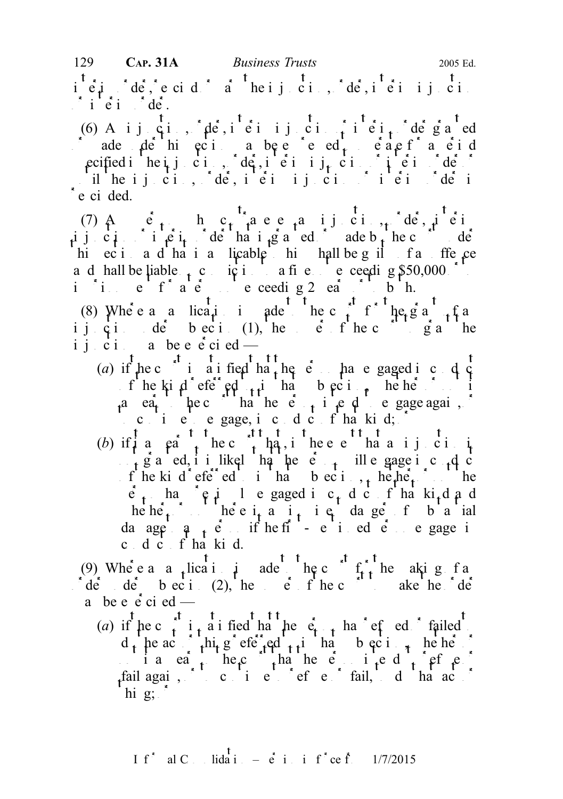$i$ <sup>t</sup> $e$ <sub>i</sub> derim order, rescind  $e$  varies the injunction,  $e$  derim injunction,  $e$  in  $e$  $i \stackrel{\ast}{\text{e}} i \stackrel{\ast}{\text{de}} i$ 

(6) A ij ci, de, i ei ij ci, i ei, de ga ed  $\int$  ade de hi eci a be e ed each react a eid specified in the injunction,  $d\hat{\mathbf{e}}$ , interimination in the interim order or interim order or interim order or il he ij ci, de, i ei ij ci, i ei jet  $\mathbf{d}$ e ci ded.

(7)  $\mathbf{A}$  ergon contravenes and injunction,  $\mathbf{d}\mathbf{e}$ ,  $\mathbf{d}$  ergon contravenes and  $\mathbf{e}_1$ injunction interior order that integrated or a debt here in der hi eci a d'ha i a licable hi hall be guilt a ffe ce and hall be liable  $\frac{1}{1}$  conviction to a fine notice ceeding \$50,000 or to a fine not exceeding \$50,000 or to in it a term of a term of a term not exceeding 2 ears or to both.

(8) Where a a lication is a defined to the court for the grant fraction of  $\frac{1}{\pi}$  for the grant of an extending the court of an extending fraction of an extending the court of an extending of an extending of an extend ijcion de beci (1), he point the court gianthe ijci a be e  $\dot{e}$  cied —

- (a) if the c<sup>t</sup> i a i field that the person has engaged in c d  $\frac{1}{2}$ of the kind referred to in that subsection, whether or not it a ea.  $\mu$  be court that the equal the person intended by equal equals to engage again,  $\sigma$  $\therefore$  c i e e gage, i c d c f ha kid;  $\therefore$
- (b) if  $\frac{1}{t}$  a  $\frac{1}{t}$  a  $\frac{1}{t}$  the c<sub>rit</sub> that, i<sup>t</sup> he e e<sup>tt</sup> ha a i j ci i  $n \cdot f$  g a ed, i i likel ha he e  $n \cdot f$  ill e gage in conduct f he kind referred to intervalse to intervalse the kind referred to intervalse the subsection, when  $\mathbf{r}$  is the heat of the subsection,  $\mathbf{r}$  is the heat of the subsection,  $\mathbf{r}$  is the heat of the subsection,  $\hat{e}_1$  has  $\hat{e}_1$  in egaged in c<sub>r</sub> d c f ha ki<sub>t</sub>d and he he<sub>t</sub> not here i<sub>t</sub> and in the danger of b and da age  $a_{1}$  e if he first-mentioned engage in c dc fha kid.

(9) Where a a lication is a made to the court for the making factor of  $f_{t,t}$  he aking factor  $f_{t,t}$  $\det$  de beci (2), he effied to ake the de a be e  $\dot{e}$  ci ed —

(a) if  $\begin{bmatrix} 1 & 1 \end{bmatrix}$  the court is that the person has refused to failed  $d_t$  he act thing referred to integration that  $d_t$  is the integration of the subsection, where  $\alpha$ i a earth here that the equation is the person intended to refuse of  $\frac{1}{2}$ fail again, or to continue to refuse or fail, to that act of  $\int$ hig;  $\int$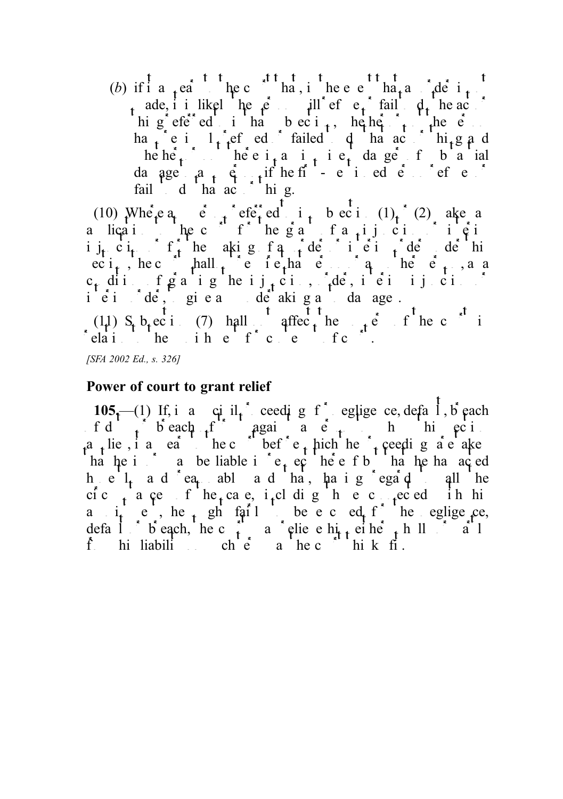(b) if it a earth to the court to the event that and  $\det A$  is not the event that an order is not that an order is not that an order is not the event of the event of the event of the event of the event of the event of the ade, i i likely here in  $\mu$  ill refuse the act of the act of  $\mu$  here or  $\sigma$ hig efeder in that  $\alpha$  is the person the person of the person of the person of the person of the person of the person of the person of the person of the person of the person of the person of the person of the person of t ha<sub>t</sub> e i  $1$ , ef ed failed dha act  $\ln_{1} g a$  d he he<sup>1</sup> is not there i<sub>f</sub> and intervalue of the indicated  $\alpha$  in the intervalue of substantial da age  $a_{1}$   $\dot{q}_{1}$  if he first-mentioned person refuses or  $\ddot{q}_{1}$ fail d ha act hi g.

(10) Where  $a_1$  equivalent referred to integration (1)  $\binom{1}{1}$  (2) also any a lication the court for the grant of antipological or interior interior or interior or interior or interior interior interior in  $\hat{\phi}$  in in  $\int_t^{\infty} c t \, dt$  or for the making  $\int_t^{\infty} d\theta$  or interiminate  $\int_t^{\infty} d\theta$  or  $\int_t^{\infty} d\theta$  or  $\int_t^{\infty} d\theta$  or  $\int_t^{\infty} d\theta$  or  $\int_t^{\infty} d\theta$  or  $\int_t^{\infty} d\theta$  or  $\int_t^{\infty} d\theta$  or  $\int_t^{\infty} d\theta$  or  $\int_t^{\infty} d\theta$  or  $\text{ec } i_{\text{f}}$ , hechould shall not require that person or any other person or any other person or any other person or any other person or any other person or any other person or any other person or any other person or any c<sub>t</sub> dition figranting the injunction,  $\partial_t d\hat{e}$ , interiminal order or iei de, giea deakig a daage.

(11) S<sub>t</sub> b<sub>t</sub>ect (7) hall affec<sub>t</sub> he powers of he c<sup>ourt</sup> in  $r_{\text{e}}$  relation to the punishment for content for content of content of content of content of content of courts.

[SFA 2002 Ed., s. 326]

#### Power of court to grant relief

105.—(1) If, in an increase in any ceeding for earlier equipenent central intervalse in the negative  $1.6$  each  $f d \rightarrow b$  each  $f$  against a person to which exist a the state and the court before the pich the proceeding are also are taken ha he is a be liable in respect thereof but the hand acted heil and ea abl and that, having egaque all the cic<sub>t</sub> a ce f he<sub>t</sub> case, i<sub>t</sub>cludig hece the cell in his a i<sub>t</sub> e, he ph fail be e c ed f he eglige ce, default or breach, he court is a court either either whole him is a new part of  $\frac{1}{2}$ from his liability on such the court of the court think fit.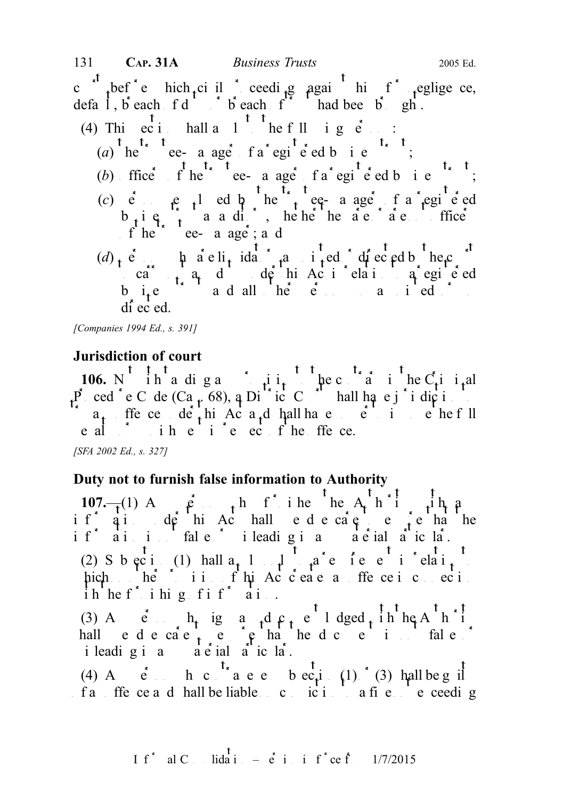c the court before the higher ceeding again him for negligence, default, breach of duty of breach  $f^*$  had been brought.

(4) This ecidical shall a  $1 \t\t\t\t^{\dagger}$  the following persons: (a)  $\int_{0}^{t} \int_{0}^{t} \frac{t^{2}}{e^{t}} dt$  registered business trustees the trust term is the trust term in the term in term in the term is the term in term in term in term in term in term in term in term in term in term in term (b) ffice  $\int_0^t e^{t} e^{-t} e^{-t}$  a age  $\int_0^t e^{t} e^{t} e^{-t}$  f a registered business trust; (c)  $\vec{e}$  every every the trustee-manager of a registered equation of  $e$  and  $e$  the trusteed of a registered equation of  $e$  $b_i$  i  $c_i$  and and in the notation are not only are not only are not only are not of  $f$  in  $c_i$ f he true-a age; a d  $(d)$ , e.  $\mu$  are li<sub>t</sub> idators approach of except by the court of the court of the court of the court of the court of the court of the court of the court of the court of the court of the court of the court of the court o  $\alpha$  carry  $\alpha$  and  $\alpha$  definished to a registered to a registered to a registered to a registered to a registered to a registered to a registered to a register  $\alpha$  register  $\alpha$  register  $\alpha$  registers and  $\alpha$  registe b<sub>u</sub>ite  $\frac{1}{2}$  and all  $\frac{1}{2}$  here persons so applied  $\frac{1}{2}$  so applied  $\frac{1}{2}$ di ec ed.

[Companies 1994 Ed., s. 391]

### Jurisdiction of court

**106.** N ih a diga i ii, the contrary in the C<sub>r</sub>iminal P ced e C de  $(Ca_p 68)$ , a Diriction to the latter shall have jurisdiction  $\alpha_{t}$  ffece de<sub>t</sub>his Act a<sub>t</sub>d hall have power to impose the full e al  $\ddot{i}$  ih e i  $\ddot{e}$  ec f he ffe ce.

[SFA 2002 Ed., s. 327]

### Duty not to furnish false information to Authority

107.— $(1)$  A  $\hat{p}$ ,  $\hat{p}$  h further he A<sub>u</sub>th i  $\hat{p}$  is the Authority with any person  $\hat{p}$ if  $q_i$  de hi Achall edecare e en ha he if ai i fale i leadigia a e ial a icla. (2) S b ec i (1) hall  $a_t$  1 d  $a$  requirement in relation to a requirement in relation to a represent in relation to a relation to a relation to a relation to a relation to a relation to a relation to a relation to a rel hich he ii fhi Acceae a ffe ceic eci ih he full initial function  $\int$  in  $\int$  in  $\int$  in  $\int$  in  $\int$  in  $\int$  in  $\int$  in  $\int$  in  $\int$  in  $\int$  in  $\int$  in  $\int$  in  $\int$  in  $\int$  in  $\int$  in  $\int$  in  $\int$  in  $\int$  in  $\int$  in  $\int$  in  $\int$  in  $\int$  in  $\int$  in  $\int$  in (3) A  $\dot{e}$  h<sub>t</sub> igns  $d \rho_t e^{-1}$  dged in he A<sup>-h-i</sup> hall edecae<sub>t</sub> e e ha hed e i fale i leading in any  $a \in \text{ial}$  and  $a'$  ich  $a'$ . (4) A  $\check{e}$  h c  $t$  a e e b ec<sub>t</sub>i (1) (3) hall be g if  $f$ an ffence and hall be liable on conviction to a fine not exceeding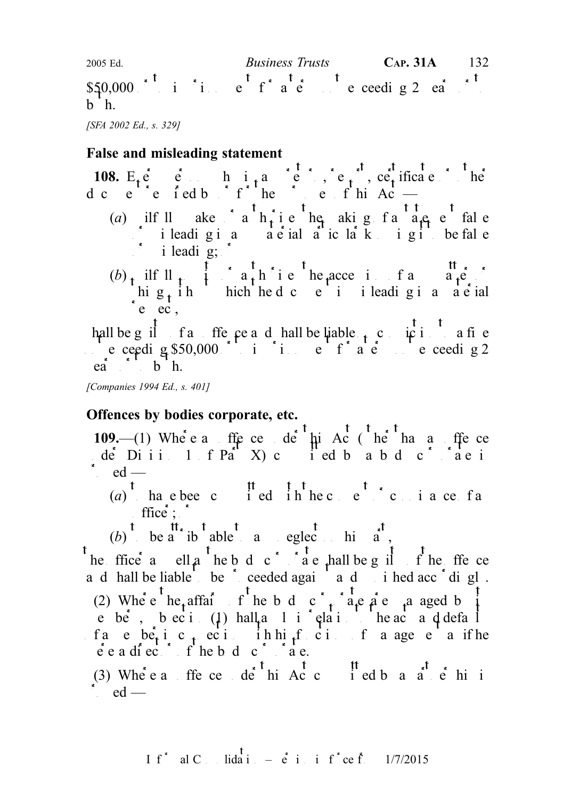$$50,000 \times$ <sup>t</sup> i in e<sup>t</sup> f<sup>\*</sup> a e<sup>t</sup> ie ceeding 2 ea<sup>t to</sup> b<sub>h.</sub> 2005 Ed. Business Trusts CAP. 31A 132

[SFA 2002 Ed., s. 329]

## False and misleading statement

**108.**  $E_t e e e$  **h** i<sub>t</sub> and in any report, report, report, reporting or other or other persons in any report of  $\frac{1}{2}$  in any report of  $\frac{1}{2}$  in any report of  $\frac{1}{2}$  in any report of  $\frac{1}{2}$  in any report of d c e e f e f ed b  $\int f'$  he purposes of this Ac (a) ilfull ake a  $h_t$  i e he aking false false  $\delta$  i leadigia a e ial a ic la kigi be fal e  $i$  i leading;  $i$ (b) wilfull  $\mu$  is a interesting or any matter or any matter or any matter or any matter or any matter or any matter or any matter or any matter or any matter or any matter or any matter or any matter or any matter or an hig<sub>t</sub> ih hich hed c e i i leadig i a a e ial  $e$  ec,

hall be guilt of an offer period be liable  $\mu$  conviction to a fine not exceeding \$50,000 or to imprint the total exceeding 2  $ea^*$ ,  $b^h$  h.

[Companies 1994 Ed., s. 401]

## Offences by bodies corporate, etc.

109.—(1) Where an offerce under the Act (other hand and fence de Diii.  $1 \t{f}$  Part X) committed by a body corporate is  $\begin{array}{cc} \cdot & \text{ed} \end{array}$ 

(a) that the total the contraction the consent of the consent of an expected with the connection of an expected with the connection of  $(a)$  the connection of an expected with the connection of  $(a)$  the connection of  $(a)$  office;  $\int$ 

(b) to  $\begin{matrix} t & t \\ t & t \end{matrix}$  to a to be a to be a to be a to be a to be a to be a to be a to be a to be a to be a to be a to be a to be a to be a to be a to be a to be a to be a to be a to be a to be a to be a to be a to be

the ffice as ell as the body corporate shall be guilty of the offence and hall be liable to be freeded again and punished accordingly. (2) Where  $te_t$  affairs fine body corporation are managed by its e be, beci (1) hall a l i clair he acts and defaults fa e be<sub>r</sub> i c<sub>t</sub> eci in hi<sub>f</sub>f ci f a age e a if he  $\vec{e}$  e a director of the body corporate.

(3) Where an offence detail and the this Act committed by a  $a^t$  et his is  $\vdots$  ed —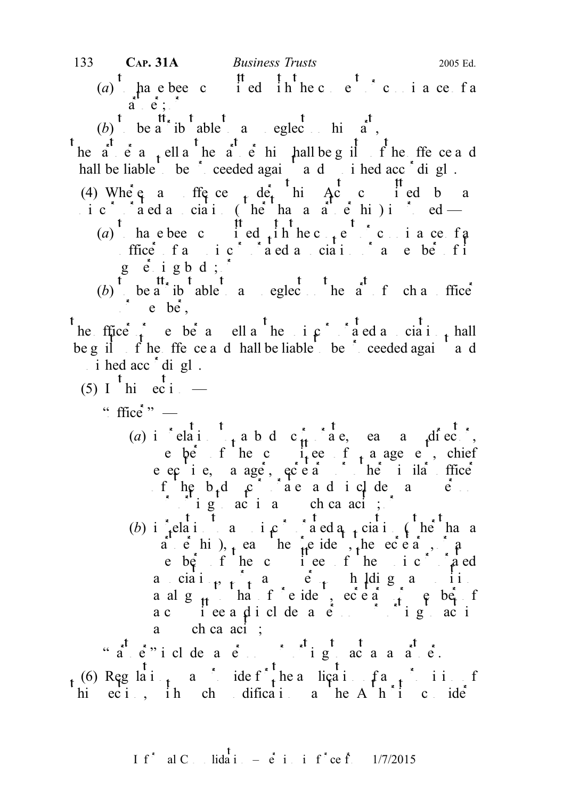- 133 CAP. 31A Business Trusts 2005 Ed.
	- (a)  $\frac{t}{t}$  have been committed in the consent or consider a consent of a consent of a consent of a connected with the connected value of a connected value of a connected value of a connected value of a connected value  $\hat{a}$ ,  $\hat{e}$ ;  $\hat{e}$
	-
	- (b) be a tibutable to any eglect on his  $\tilde{a}$ ,
- he a  $\dot{e}$  a  $\dot{f}$  ell a he a  $\dot{e}$  hi hall be g il f he ffe ce a d hall be liable to be ceeded again and punished accordingly.
- (4) Where a fit is  $\det A$  and  $\det A$  and  $\det A$  and  $\det A$  and  $\det A$  $\therefore$  i c  $\therefore$  a ed a ciation (other than a partnership) is contracted —
	- (a) have been committed with the consent of an example of an example of an example of an example of an example of an example of an example of an example of an example of an example of an example of an example of an exampl ffice  $f$  and  $g$  and  $g$  and  $g$  and  $i$  and  $f$  its  $f$  its  $f$  its  $f$  its  $f$  its  $g$  is  $g$  is  $g$  is  $g$  is  $g$  is  $g$  is  $g$  is  $g$  is  $g$  is  $g$  is  $g$  is  $g$  is  $g$  is  $g$  is  $g$  is  $i$  is  $i$  is  $i$  is  $i$  is  $i$ geigbd;  $\circ$
	- (b) be a tipulable to any neglect on the angle of such any of such any neglect of such an office  $^{\circ}$  e be,

he ffice  $\hat{t}$  e be a ell a he i  $\hat{\beta}$  a ed a cia i  $\hat{t}$  hall be guilt of the offerce and shall be liable to be  $\hat{ }$  or ceeded again and i hed acc<sup> $\cdot$ </sup>digl.

- (5) I  $\frac{t}{\text{hi}}$  ec i.
	- " ffice" $"$ 
		- (a) in relation to a body corporate, each a director, e ber f he committee f a age e, chief e ecie, a age, ecea<sup>ric</sup>he i ila ffice f he b<sub>t</sub>d  $\mathfrak{c}$  are adic de and  $\mathfrak{e}$ . purporting to act in any such capacity;  $\int$
		- (b) in relation to an unique association to a new relation of the than a a e hi), ea he  $\mu$ e ide, the ecear, and e bef f he c i ee f he i c a ed a ciai<sub>t</sub>,  $\int_a^b a e^{i}$ , h $\int_a^b a$  either holding a position a alg $_{\rm H}$  has feide, ece a  $_{\rm H}$  e ber f a committee and includes a person purporting to act include a person purporting to act in a ch ca  $\text{aci}$  ;

" $a^t$  a person purported a person purported a partner at partner.

(6) Regulations may provide for the application of any provide for any provide for  $f$  and  $f$  and  $f$  and  $f$  and  $f$  and  $f$  and  $f$  and  $f$  and  $f$  and  $f$  and  $f$  and  $f$  and  $f$  and  $f$  and  $f$  and  $f$  and  $f$  and  $f$ hi eci, ih ch dification he A  $h$  i consider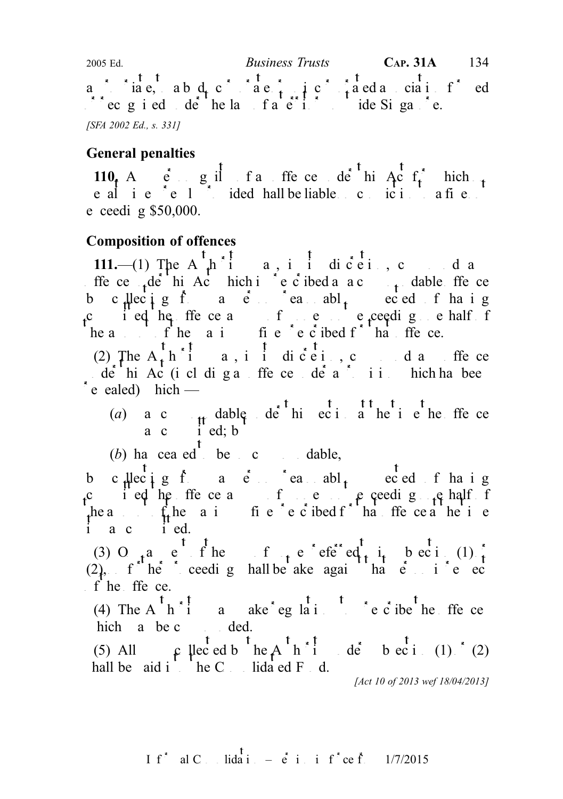a is incorporated as a body corporate or unincorporate or uning association for ed  $\log$  recognised under the law of a record of a territory outside Singapore. [SFA 2002 Ed., s. 331] 2005 Ed. Business Trusts CAP. 31A 134

## General penalties

110. And  $\epsilon$  and guilt of an offer central delay between  $A$  and  $\epsilon$  for  $\epsilon$  and  $\epsilon$  for  $\epsilon$  and  $\epsilon$  is Act for  $\epsilon$  and  $\epsilon$  and  $\epsilon$  and  $\epsilon$  and  $\epsilon$  and  $\epsilon$  and  $\epsilon$  and  $\epsilon$  and  $\epsilon$  and  $\epsilon$  and  $\epsilon$  and  $\epsilon$ penalty is expressed in the liable of conviction to a fine not convictive on conviction to a fine not conviction to a fine not conviction to a fine not conviction to a fine not conviction to a fine not conviction to a fine e ceedig  $$50,000$ .

## Composition of offences

111.—(1) The A<sub>r</sub>hii a, i i diceit, c<sub>omp</sub> d a ffe ce  $\det A$ chie Act hich is prescribed a compoundable of the central of the compoundable of the compoundable of the compoundable of the compoundable of the compoundable of the compoundable of the compoundable of the comp by c<sub>all</sub>lecting from a person reasonabl<sub>y</sub> suspected of having committed the offence a sum of money not exceeding one half of he amount of the maximum fine  $\tilde{c}$  is detected for that offer the maximum fine  $\tilde{c}$  and  $\tilde{c}$  that of the ce.

(2) The  $A_t$  h i a, i i diceit, c d a ffe ce  $\alpha$  der his Act (including an offence under a provision which has been  $\epsilon$  ealed) hich —

- (a) a c  $t$  dable de<sup>t</sup> hi ec i at the time the equal the the telection at the the section at the telection at the offence a c  $i'$  ed; b
- (b) has ceased to be so compoundable,

by collecting from a person reasonably subsected of haing committed the offence a sum of the oriental end of the oriental end of the oriental oriental of the oriental oriental oriental oriental oriental oriental oriental oriental oriental oriental oriental oriental oriental orie the amount of the maximum fine is equively interested for the maximum fine present of the time  $\int_{0}^{1} f(x) \, dx$  of the time  $\int_{0}^{1} f(x) \, dx$  of the time  $\int_{0}^{1} f(x) \, dx$  of the time  $\int_{0}^{1} f(x) \, dx$  of the time  $\int_{0}^{1} f$ i a c i ed.

(3) O<sub>t</sub> a e f he f t e efe<sup>r</sup>ed t i<sub>t</sub> bec i (1)  $\frac{1}{t}$  $(2)$ , f he ceeding hall be aken again that person in respectively  $f$  he ffe ce.

(4) The A  $\overrightarrow{h}$  i a ake eg lations to prescribe the offences hich a be c<sub>omp</sub> ded.

(5) All  $\int$   $\int$   $\int$   $\int$   $\int$  exides the A<sup>t</sup>  $\int$ <sup>\*</sup> i de beci (1)<sup>\*</sup> (2) hall be  $\alpha$  aid into the C<sub>n</sub> is blidated Fund.

[Act 10 of 2013 wef 18/04/2013]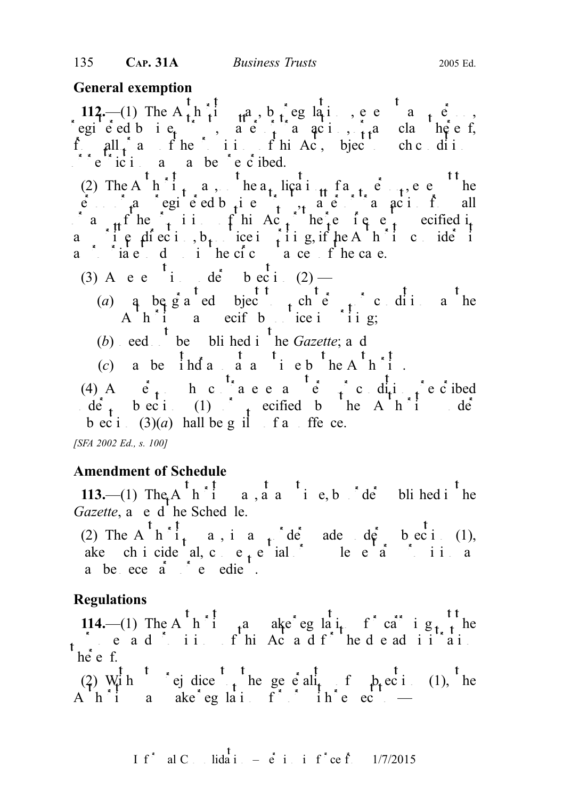## General exemption

112.—(1) The A<sub>th</sub> i<sub>t</sub>a, b<sub>i</sub>eglai, ee a<sub>t</sub>e, regie ed bie<sub>t</sub>  $\alpha$ , are transaction,  $\alpha$  and  $\alpha$  and  $\alpha$  and  $\alpha$  is thereof, from all  $f$  and  $f$  the provisions of this Act, bject to such conditions  $\log$  restrictions as may be restricted. (2) The A<sub>n</sub> h<sup>i</sup><sub>t</sub> a, he a<sub>t</sub> liçati<sub>tt</sub> f a<sub>t</sub> e<sub>t</sub>, e e<sup>t</sup> he  $\vec{e}$  and  $\vec{e}$  and  $\vec{e}$  equidently registered business trust, matter or trust all a<sub>n</sub>f he <sup>1</sup> i i f hi Ac<sub>t</sub> he requirements and  $\int$  the requirements of the requirements of the requirements of the requirements of the requirements of the requirements of the requirements of the requirements of the requ a if  $\rho$  diection, b<sub>t</sub> identically in general direction, it is not consider it a in the dom in the circumstance of the case. (3) A e e i de b eci  $(2)$  — (a) a be g a ed bject to subject to such the subject of  $\mathfrak{g}$  as the substitutions as the substitutions as the substitution of  $\mathfrak{g}$  as the substitution of  $\mathfrak{g}$  as the substitution of  $\mathfrak{g}$  as the substit A  $h$  i a ecif by notice in in g; (b) eed  $\begin{pmatrix} t \\ t \end{pmatrix}$  be bli hed i<sup>t</sup> he *Gazette*; and (c) a be  $\int_a^t h \, du$  and  $\int_a^t a \cdot \int_a^t h \cdot \int_a^t h \cdot \int_a^t$ . (4) And  $\dot{e}_t$ , here and  $\dot{e}_t$  condition prescribed  $\det_{t}$  bectic (1)  $\det_{t}$  ecified by the Authority under

b ec i  $(3)(a)$  hall be g il f a ffe ce.

[SFA 2002 Ed., s. 100]

## Amendment of Schedule

113.—(1) The A<sup>t</sup> h<sup>\*</sup> i a, a a<sup>t</sup> i e, b<sup>\*</sup> de<sup>\*</sup> blihed i<sup>t</sup> he Gazette,  $a^{\dagger}$  e d<sup> $\dagger$ </sup> he Sched le.

(2) The A  $h^{\dagger}i_{t}$  a, in any order made under the existency of  $\alpha$ . ake chicideal, consequential or supplementary provision as a substitution as  $\mathbf{a}$  as  $\mathbf{b}$  as  $\mathbf{a}$ a be ece a c edie.

## Regulations

114.—(1) The A  $h^{\dagger}$  i  $\theta$  and  $h^{\dagger}$  arrying  $h^{\dagger}$  out the carrying out the carrying out the carrying out of the carrying out of the carrying out of the carrying out of the carrying out of the carrying of the ca purposes and  $\alpha$  in this Act and for the deadministrations of the due administrations of the due administration  $h\dot{e}$  e f.

(2) With ej dice the generality of  $p_t$  ec i (1), the A  $h^{\dagger}$  i a ake eglations for intervalue  $\cdots$  —

I f<sup>\*</sup> al C. Iida i. – 
$$
\dot{e}
$$
 i. i f<sup>\*</sup> ce f. 1/7/2015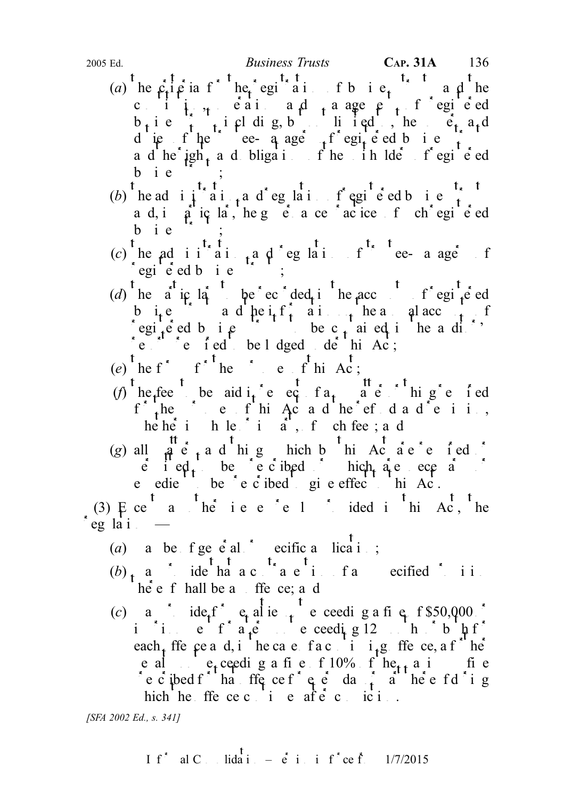- (a) he criteria for the region is the registration of the region of the region of the region of the region of the region of the region of the region of the region of the region of the region of the region of the region of cii,  $\frac{1}{2}$  cain and  $\frac{1}{4}$  angement of registed  $b_i$  i e  $\begin{array}{ccc} 1 & i$  eldig, but i ed., he powers and due flue tee-q age flegied business and the rights and obligations of the unit of the unit of registered bie  $\begin{bmatrix} \cdot & \cdot & \cdot \end{bmatrix}$ ;
- (b) the administration and regulation of regulation of registers that the regulation of registers that the register of  $\frac{t_{\ast}t_{\ast}}{t_{\ast}}$ a d, i  $\hat{\rho}$  ic la, he g  $\vec{e}$  a ce  $\vec{a}$  actice f ch<sup> $\vec{b}$ </sup> egi<sup>t</sup>  $\vec{e}$  ed  $b$  i  $e$
- (c) the administration  $t_n$  and  $t_n$  and  $t_n$  and  $t_n$  and  $t_n$  and  $t_n$  of  $t_n$  and  $t_n$  of  $t_n$  $\epsilon$ egi $\epsilon$ ed bie
- (d) the  $a^t$  is the period the accounts of registered in the accounts of registered in the accounts of registered in the accounts of register of  $\frac{1}{2}$ but in the and the information of the interest of the interest of the interest of the annual accounts of the annual accounts of the interest of the annual accounts of the annual accounts of the annual accounts of the annu registered business to be c<sub>t</sub> ai eq i he a di<sup>t</sup> reports required to be lodged de his Ac;
- (e) he f f he c f hi Ac;
- (f) he<sub>f</sub>fee be aid i<sub>t</sub> e eq f a<sub>t</sub> a e hig e f ed  $f_{\alpha}$  the purposes of this Act and the refund and remission, he he in he in part, f ch fee; and
- (g) all  $\hat{a}$  e  $\hat{c}$  a d higher hich by this Act are required or  $\vec{e}$  i ed<sub>t</sub> be ec ibed or hich are ecessary e edie<sup>t</sup> be  $\acute{e}$  e  $\acute{c}$  ibed give effect this Ac.

(3)  $\overline{F}$  ce<sup>t</sup> a <sup>t</sup> he<sup>\*</sup> i e e<sup>\*</sup> e 1<sup>\*</sup> ided i<sup>t</sup> hi Ac, the eg la i

- (a) a be  $f \text{ge } e^{\frac{1}{2}al}$  ecific a licati;
- $(b)$  may provide that a contravel that a contravel provide that a contravel provide provide that a contravel provision of any specified provision of any specified provision of any specified provision of any specified prov  $\int h \dot{e} e f$  hall be an offence; and
- (c) a def<sup>\*</sup> e<sub>t</sub> al ie  $t$  e ceeding a fine f \$50,000  $\cdot$ imprisonment for a term not exceeding 12 months or both for  $f''$ . each ffe  $\varphi$ e a d, i he ca e f a c<sup>1</sup> i<sub>1</sub>g ffe ce, a f<sup>st</sup> he e al  $e_t$  exceeding a fine of 10% of  $he_{t}$  a in the present for the contract of  $\frac{1}{2}$  or  $\frac{1}{2}$  or  $\frac{1}{2}$  or  $\frac{1}{2}$  or  $\frac{1}{2}$  during the eff i g hich he ffe ce c i e af $\dot{e}$  c ici...

[SFA 2002 Ed., s. 341]

I f<sup>\*</sup> al C. Iida i. – 
$$
\dot{e}
$$
 i. i f<sup>\*</sup> ce f. 1/7/2015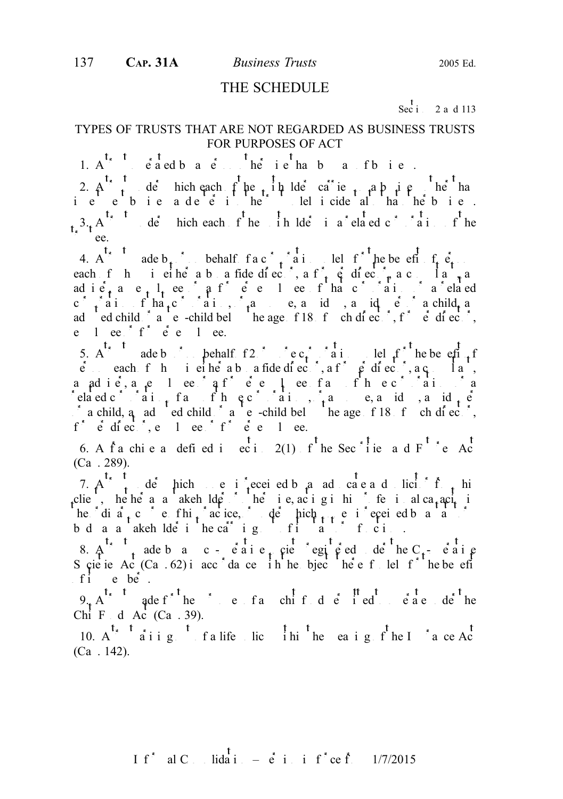#### THE SCHEDULE

Sec i 2 a d 113

#### TYPES OF TRUSTS THAT ARE NOT REGARDED AS BUSINESS TRUSTS FOR PURPOSES OF ACT

1.  $A^t$ ,  $t$  and by a person of the person of business.

2. A trust under which each of the unit unit unit of the unit of the unit of the unit of the unit of the unit of the unit of the unit of the unit of the unit of the unit of the unit of the unit of the unit of the unit of ie ebieadeei het lelicideal ha hebie.  $t_{\kappa}$ <sup>3</sup>. A<sup>t<sub>r</sub> t</sup> de<sup>r</sup> hich each f he in lde<sup>r</sup> i a<sup>\*</sup> elated c<sup>\*</sup> <sup>\*</sup> a i f he ee.

4. A dependence on behalf  $fac \rightarrow a$  in the benefit of  $f_i$   $e_i$ each f h is either a boa fide director, a former director, a consultant, and adie, an e<sub>x</sub>  $l<sub>t</sub>$  ee  $\hat{i}$  a former entries of that corporation or a related c ration of  $\text{ha}_t$  corporation,  $\text{a}_t$  and  $\text{a}_t$  a  $\text{a}_t$  and  $\text{a}_t$  and  $\text{a}_t$  and  $\text{a}_t$  and  $\text{a}_t$  and  $\text{a}_t$  and  $\text{a}_t$  and  $\text{a}_t$  and  $\text{a}_t$  and  $\text{a}_t$  and  $\text{a}_t$  and  $\text{a}_t$  and  $\text{a}_t$ adopted child  $\alpha$  a step-child below the age of 18 of such director, former director, former director, former director, for a step-child below the age of 18 of such director, for a step-child below the age of such and st e  $1$  ee  $f^*$   $e^*$  e  $1$  ee.

5. A dependence on behalf  $f2$  or  $c_t$  and lead  $f$  he benefit of  $f$  $\vec{e}$  each f h is either a boa fide director, a former director, a c<sub>o</sub>nsultant, andie, and iemployee of a former employee of any or any of the corporations of any or any of the corporations of the corporations of any or any or any or any or any or any or any or any or any or any or any or any or any related corporation of the equation of the equation of the equations,  $a$  and  $b$  and  $c$  $\alpha$  a child, a<sub>nd</sub> added child  $\alpha$  and step-child below the age of 18 for a director, for  $e$  director,  $e$  and  $e$  explores or for  $e$  and  $e$  expected by  $e$ .

6. A f<sup>ranchi</sup> e a defined in section 2(1) of the Sec<sup>tion</sup> and F<sup>t</sup> e Act  $(Ca . 289).$ 

7. A trust under hich monopole is received by an advocate and solicitor from his clie, hehe a a akeholder or he i e, acigini fe i alca<sub>t</sub>aciti he dia<sub>t</sub> c e fhi<sub>t</sub> acice, de hich  $\frac{1}{1+t}$  e i ecci ed b a statutory is received by a statutory is received by a statutory is received by a statutory in the statutory is received by a statutory in the statutory is rec bd a a akeholde i he car ig fi a fci.

8.  $A^{\dagger}$  trust and convention  $\mathbf{c}$  and  $\mathbf{c}$  and  $\mathbf{c}$  and  $\mathbf{c}$  and  $\mathbf{c}$  and  $\mathbf{c}$  and  $\mathbf{c}$  and  $\mathbf{c}$  and  $\mathbf{c}$  and  $\mathbf{c}$  and  $\mathbf{c}$  and  $\mathbf{c}$  and  $\mathbf{c}$  and  $\mathbf{c}$  and  $\mathbf{c$ S cie ie Ac $(Ca \tcdot 62)$  in accordance in the objects thereof solely for the benefit f i e be.

 $9.4$ <sup>t, t</sup> ade f<sup>\*</sup> the purpose of any chief d e<sup>t</sup> i ed et angle to operate under the Chi F d Ac  $(Ca . 39)$ .

10.  $A^{t_{x}}$   $A^{t_{x}}$  arising  $A^{t_{x}}$  are a life policy with the meaning of the Insurance Actually  $(Ca \; . \; 142)$ .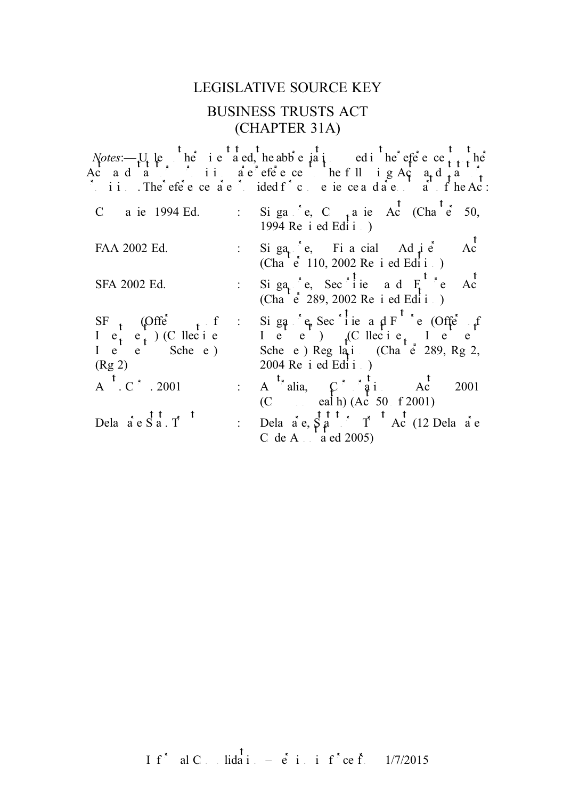# LEGISLATIVE SOURCE KEY BUSINESS TRUSTS ACT (CHAPTER 31A)

| C a ie 1994 Ed.                                                                                                                                                                                                       | : Si ga $^{\circ}$ e, C $_{1}$ a ie Ac (Cha $^{\circ}$ e 50,<br>1994 Re i ed Edi i .)                                                                                                                                                                                                                                                                                                                                                                                                                                                                   |
|-----------------------------------------------------------------------------------------------------------------------------------------------------------------------------------------------------------------------|---------------------------------------------------------------------------------------------------------------------------------------------------------------------------------------------------------------------------------------------------------------------------------------------------------------------------------------------------------------------------------------------------------------------------------------------------------------------------------------------------------------------------------------------------------|
| FAA 2002 Ed.                                                                                                                                                                                                          | : Si ga <sub>t</sub> $\stackrel{\bullet}{\cdot}$ e, Fi a cial Ad $\stackrel{\bullet}{\cdot}$ e<br>(Cha $\stackrel{\bullet}{\cdot}$ 110, 2002 Re i ed Edi i<br>Ac                                                                                                                                                                                                                                                                                                                                                                                        |
| SFA 2002 Ed.                                                                                                                                                                                                          | Si ga <sub>t</sub> e, Sec <sup><math>\frac{1}{1}</math></sup> ie a d $F_1$ <sup>t</sup> e Ac <sup>t</sup><br>(Cha e 289, 2002 Re i ed Edi i                                                                                                                                                                                                                                                                                                                                                                                                             |
| SF $\begin{array}{ccc} 1 & \text{c} & \text{c} \\ 0 & 1 & \text{c} \\ 1 & \text{c} & \text{c} \end{array}$ (C llec i e I e Sche e )<br>(Rg 2)<br>$A^t$ , $C^t$ , 2001<br>Dela $\dot{a}$ e $\dot{S}$ a. T <sup>t</sup> | : Si ga $e^+e$ , Sec <sup>*</sup> lie a d <sup>F</sup> <sup>t</sup> e (Offe <sup>*</sup> f<br>I e e )<br>Sche e ) Reg la <sub>1</sub> : (Cha e 289, Rg 2,<br>$2004$ Re i ed Edi i $\cdot$ )<br>(C eal h) $(Ac \ 50 \ f 2001)$<br>: Dela $\dot{a}$ e, $\dot{S}$ $\dot{a}$ $\dot{a}$ $\dot{c}$ $\dot{a}$ $\dot{c}$ $\dot{a}$ $\dot{c}$ $\dot{c}$ $\dot{a}$ $\dot{c}$ $\dot{c}$ $\dot{c}$ $\dot{c}$ $\dot{c}$ $\dot{c}$ $\dot{c}$ $\dot{c}$ $\dot{c}$ $\dot{c}$ $\dot{c}$ $\dot{c}$ $\dot{c}$ $\dot{c}$ $\dot{c}$ $\dot{$<br>C de A $\frac{1}{a}$ ed 2005) |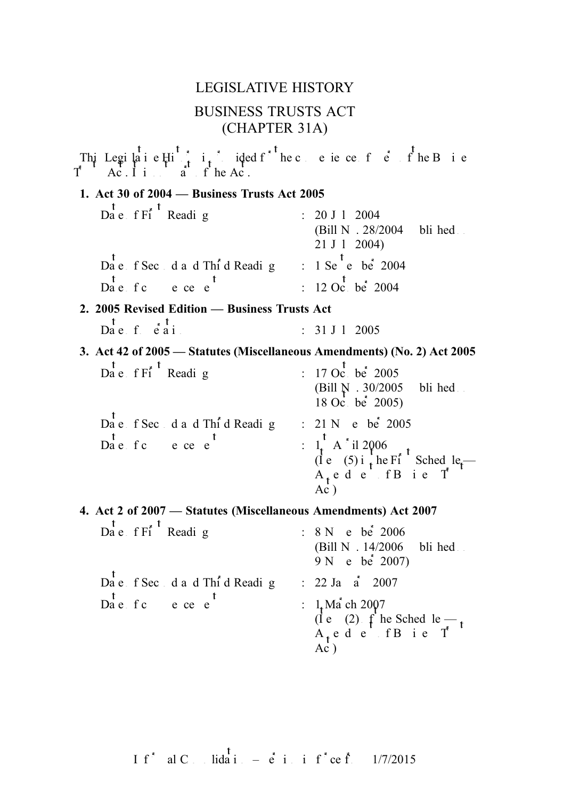# LEGISLATIVE HISTORY BUSINESS TRUSTS ACT (CHAPTER 31A)

This Legislative Historic is provided f<sup>\*</sup> the convenience of  $\overrightarrow{e}$  of the Business of the Acconvention of the Acconvention of the Acconvention of the Acconvention of the Acconvention of the Acconvention of the Acconve  $\ddot{a}$  is  $f'$  he Act. 1. Act 30 of 2004 — Business Trusts Act 2005  $\overline{D}$ a e f Fi<sup>t</sup> Reading : 20 J 1 2004 (Bill N.  $.28/2004$  bli hed  $21 J 1 2004$  $\overrightarrow{Da}$  e f Second and Thind Reading : 1 September 2004 Date fc ece e<sup>t</sup> : 12 October 2004 2. 2005 Revised Edition — Business Trusts Act  $\begin{array}{ccc} \n\text{t} & \text{t} & \text{t} \\
\text{Da } e & f & e \text{ ai} & \text{ii} & \text{iii} \n\end{array}$  : 31 J 1 2005 3. Act 42 of 2005 — Statutes (Miscellaneous Amendments) (No. 2) Act 2005  $\overline{D}$ a e f Fi<sup>t</sup> Reading : 17 October 2005 (Bill  $N. 30/2005$  bli hed.  $18 \text{ Oc.}$  be  $2005$ )  $\overrightarrow{Da}$  e f Sec d a d Third Reading : 21 N e bei 2005  $\mathbf{D}_{\mathbf{a}}^{\mathbf{t}}$  e. f c e. e. e. t.  $(\text{I}e \quad (5) \text{ i} \cdot \text{he Ff}$  Sched le —  $A_t$ ede fBie T  $Ac<sup>T</sup>$ 4. Act 2 of 2007 — Statutes (Miscellaneous Amendments) Act 2007  $\overrightarrow{Da}$  e f Fi<sup>t</sup> Reading : 8 N e be<sup>2</sup> 2006 (Bill N.  $14/2006$  bli hed  $9 N$  e be  $2007$ ) Date f Second and Third Reading : 22 January 2007 Date fc ece e<sup>t</sup> :  $1. M a^{\dagger}$  ch 2007  $(i \cdot e)(2)$  f he Sched le —  $A_t$ ede fBie T  $Ac<sub>1</sub>$ 

If<sup>\*</sup> al C lida i – e<sup>t</sup> i i f<sup>\*</sup>ce f<sup>\*</sup> 1/7/2015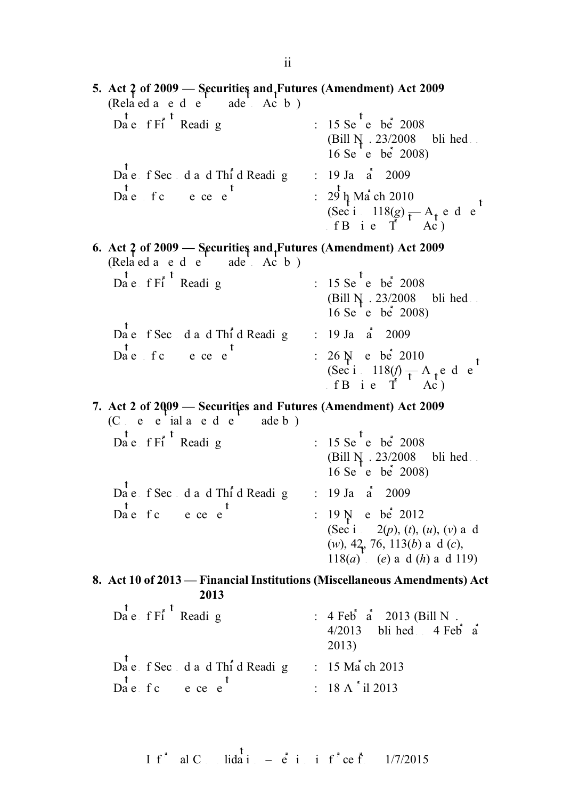5. Act 2 of 2009 — Securities and Futures (Amendment) Act 2009  $(Rela ed a ed e' ade' Ac b)$  $Da^t$ e f Fi<sup>t</sup> Reading : 15 Se<sup>t</sup>ember 2008 (Bill  $N \cdot 23/2008$  bli hed 16 Se e be 2008) Date f Second and Third Reading : 19 January 2009  $Da^t$  f c e ce e<sup>t</sup> :  $29 \text{ h}$  Ma<sup>t</sup> ch 2010 (Sec i 118(g)  $-A_t$  e d e fB i e T<sup>Ac</sup>) 6. Act 2 of 2009 — Securities and Futures (Amendment) Act 2009  $(Rela' ed a e d e' ade' Ac b)$  $Da^t$ e f Fi<sup>t</sup> Reading : 15 Se<sup>t</sup>ember 2008 (Bill  $N \cdot 23/2008$  bli hed. 16 Se'e be $2008$ Date f Second and Third Reading : 19 January 2009  $Da<sup>t</sup>$  come commencement : 26 N e be<sup>2</sup> 2010 (Sec i 118(f)  $-A_{\text{t}}$  e d e fB i e T<sup>Ac</sup>) 7. Act 2 of 2009 — Securities and Futures (Amendment) Act 2009 (C e e ial a e d e adeb)<br>Da e f Fi Readi g : 15 Se<sup>t</sup>e be<sup> $\frac{1}{2008}$ </sup> (Bill  $N_A$ . 23/2008 bli hed. 16 Se e be  $2008$ ) Date f Second and Third Reading : 19 January 2009  $\begin{array}{ccc} \n\text{L} & \text{L} \\
\text{D} & \text{R} \\
\text{D} & \text{R} \\
\text{D} & \text{R} \\
\text{D} & \text{R} \\
\text{D} & \text{R} \\
\text{E} & \text{D} \\
\text{D} & \text{R} \\
\text{D} & \text{R} \\
\text{E} & \text{D} \\
\text{D} & \text{R} \\
\text{D} & \text{R} \\
\text{E} & \text{D} \\
\text{D} & \text{R} \\
\text{E} & \text{D} \\
\text{D} & \text{R} \\
\text{E} & \text{D} \\
\text{D} & \$ (Sec i 2(p), (t), (u), (v) a d (w),  $42$ , 76, 113(b) a d (c), 118(*a*) (*e*) and (*h*) and 119) 8. Act 10 of 2013 — Financial Institutions (Miscellaneous Amendments) Act 2013  $\overrightarrow{Da}$  e f Fi<sup>t</sup> Reading : 4 Feb<sup>t</sup> a<sup>t</sup> 2013 (Bill N.  $4/2013$  bli hed  $4$  Feb<sup> $\dot{a}$ </sup> 2013)  $Da$ <sup>t</sup> e f Sec d a d Thi<sup>r</sup>d Reading : 15 Ma<sup>t</sup> ch 2013  $\mathbf{D} \stackrel{\mathbf{t}}{a} \stackrel{\mathbf{t}}{e}$  f c e ce e<sup>t</sup> : 18 A <sup>\*</sup> il 2013

If<sup>\*</sup> al C<sub>ons</sub> lidation –  $\dot{e}$  in inf<sup>\*</sup>ce from 1/7/2015